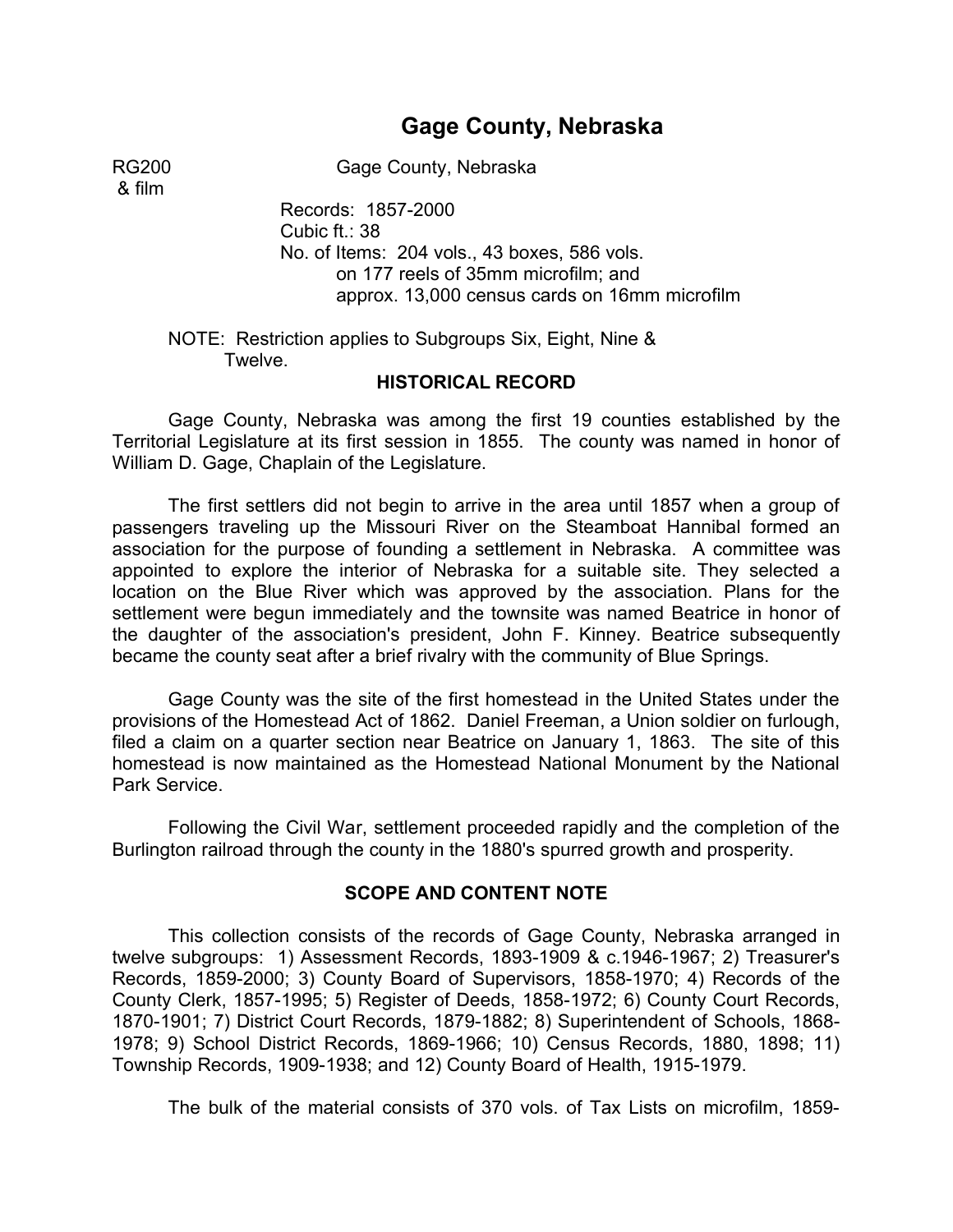# **Gage County, Nebraska**

& film

RG200 Gage County, Nebraska

Records: 1857-2000 Cubic ft.: 38 No. of Items: 204 vols., 43 boxes, 586 vols. on 177 reels of 35mm microfilm; and approx. 13,000 census cards on 16mm microfilm

NOTE: Restriction applies to Subgroups Six, Eight, Nine & Twelve. �

#### **HISTORICAL RECORD**

Gage County, Nebraska was among the first 19 counties established by the Territorial Legislature at its first session in 1855. The county was named in honor of William D. Gage, Chaplain of the Legislature.

The first settlers did not begin to arrive in the area until 1857 when a group of passengers traveling up the Missouri River on the Steamboat Hannibal formed an association for the purpose of founding a settlement in Nebraska. A committee was appointed to explore the interior of Nebraska for a suitable site. They selected a location on the Blue River which was approved by the association. Plans for the settlement were begun immediately and the townsite was named Beatrice in honor of the daughter of the association's president, John F. Kinney. Beatrice subsequently became the county seat after a brief rivalry with the community of Blue Springs.

Gage County was the site of the first homestead in the United States under the provisions of the Homestead Act of 1862. Daniel Freeman, a Union soldier on furlough, filed a claim on a quarter section near Beatrice on January 1, 1863. The site of this homestead is now maintained as the Homestead National Monument by the National Park Service.

Following the Civil War, settlement proceeded rapidly and the completion of the Burlington railroad through the county in the 1880's spurred growth and prosperity.

#### **SCOPE AND CONTENT NOTE**

This collection consists of the records of Gage County, Nebraska arranged in twelve subgroups: 1) Assessment Records, 1893-1909 & c.1946-1967; 2) Treasurer's Records, 1859-2000; 3) County Board of Supervisors, 1858-1970; 4) Records of the County Clerk, 1857-1995; 5) Register of Deeds, 1858-1972; 6) County Court Records, 1870-1901; 7) District Court Records, 1879-1882; 8) Superintendent of Schools, 1868- 1978; 9) School District Records, 1869-1966; 10) Census Records, 1880, 1898; 11) Township Records, 1909-1938; and 12) County Board of Health, 1915-1979.

The bulk of the material consists of 370 vols. of Tax Lists on microfilm, 1859-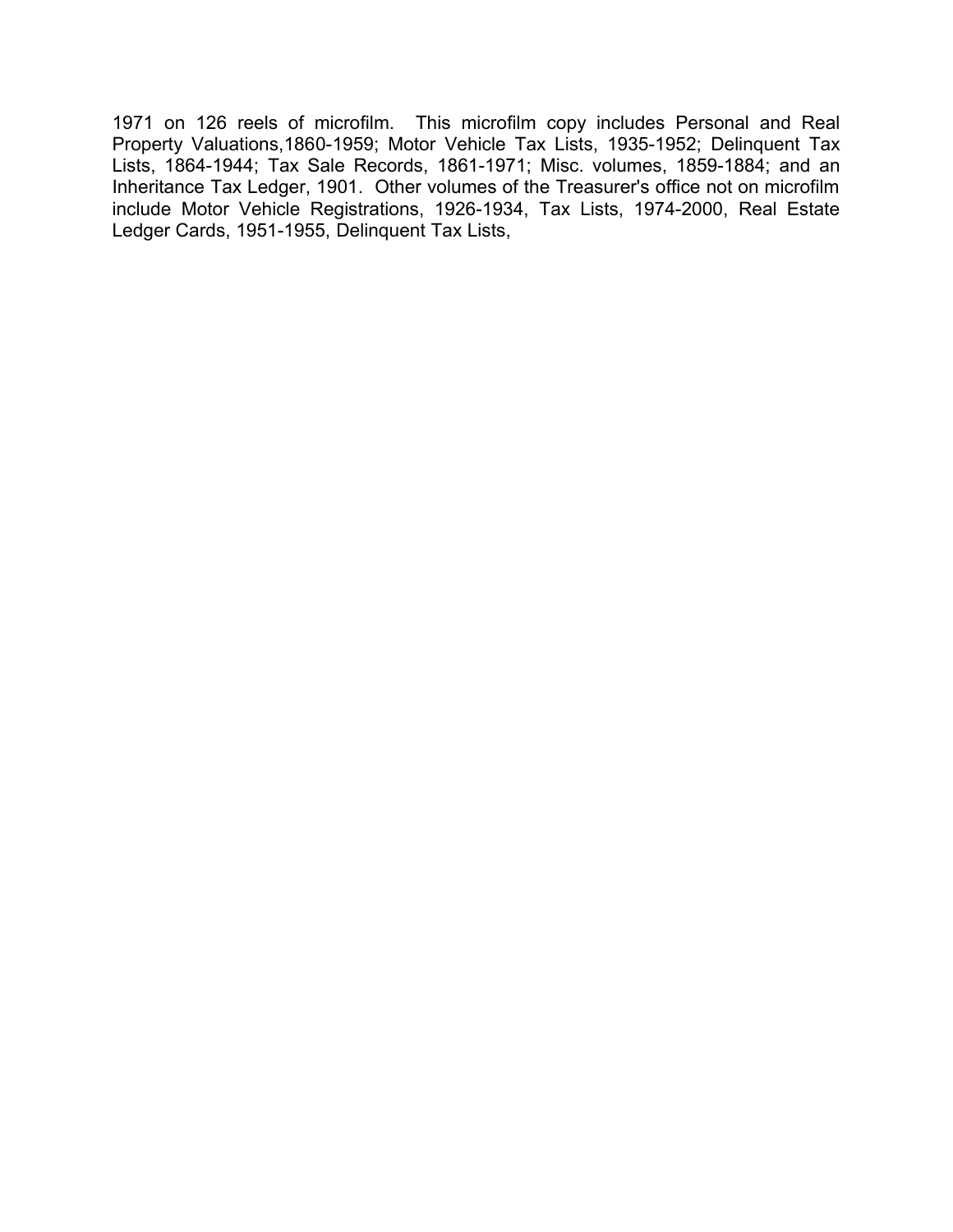1971 on 126 reels of microfilm. This microfilm copy includes Personal and Real Property Valuations,1860-1959; Motor Vehicle Tax Lists, 1935-1952; Delinquent Tax Lists, 1864-1944; Tax Sale Records, 1861-1971; Misc. volumes, 1859-1884; and an Inheritance Tax Ledger, 1901. Other volumes of the Treasurer's office not on microfilm include Motor Vehicle Registrations, 1926-1934, Tax Lists, 1974-2000, Real Estate Ledger Cards, 1951-1955, Delinquent Tax Lists,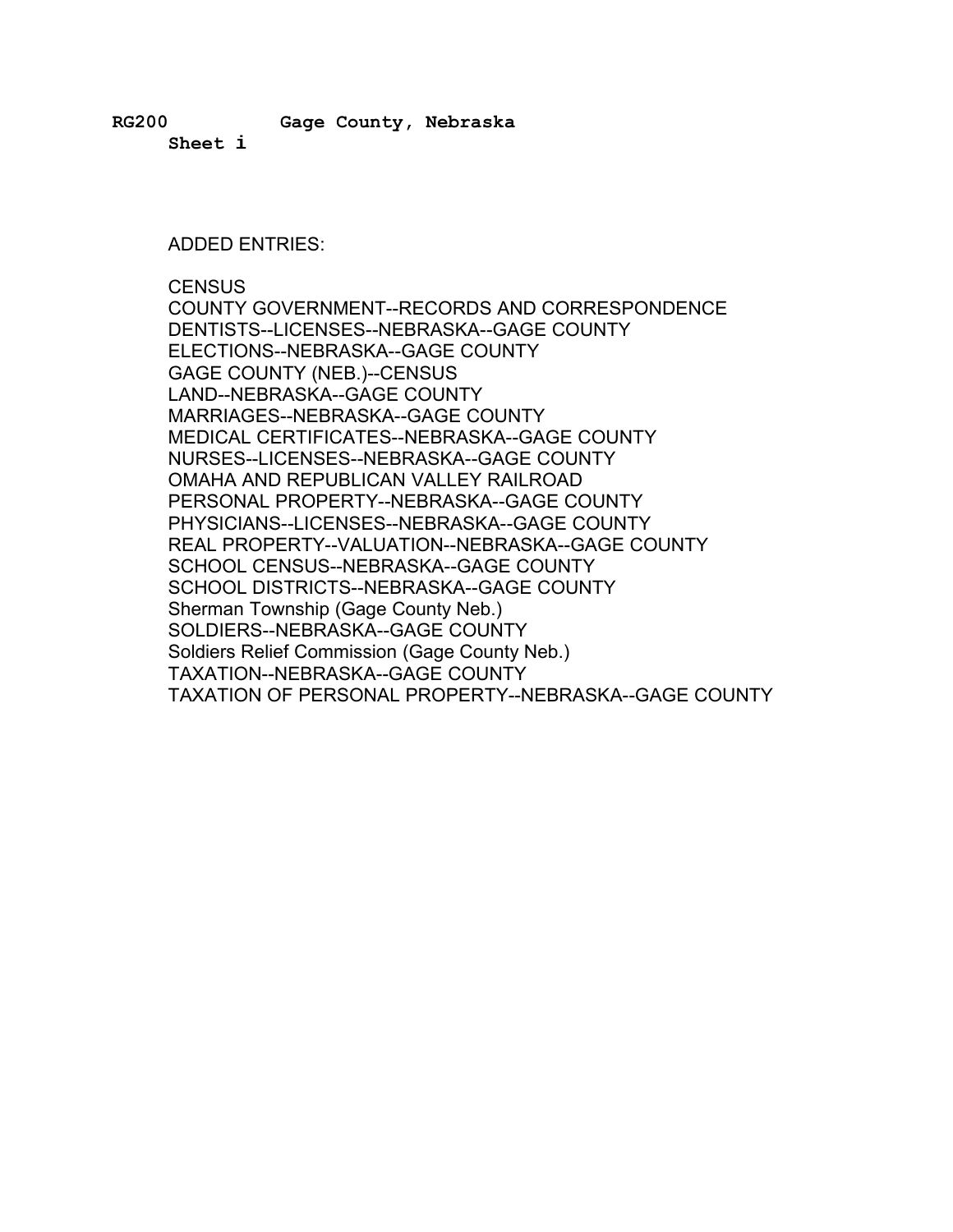**RG200 Gage County, Nebraska**

**Sheet i** 

#### ADDED ENTRIES:

**CENSUS** 

COUNTY GOVERNMENT--RECORDS AND CORRESPONDENCE DENTISTS--LICENSES--NEBRASKA--GAGE COUNTY ELECTIONS--NEBRASKA--GAGE COUNTY GAGE COUNTY (NEB.)--CENSUS LAND--NEBRASKA--GAGE COUNTY MARRIAGES--NEBRASKA--GAGE COUNTY MEDICAL CERTIFICATES--NEBRASKA--GAGE COUNTY NURSES--LICENSES--NEBRASKA--GAGE COUNTY OMAHA AND REPUBLICAN VALLEY RAILROAD PERSONAL PROPERTY--NEBRASKA--GAGE COUNTY PHYSICIANS--LICENSES--NEBRASKA--GAGE COUNTY REAL PROPERTY--VALUATION--NEBRASKA--GAGE COUNTY SCHOOL CENSUS--NEBRASKA--GAGE COUNTY SCHOOL DISTRICTS--NEBRASKA--GAGE COUNTY Sherman Township (Gage County Neb.) SOLDIERS--NEBRASKA--GAGE COUNTY Soldiers Relief Commission (Gage County Neb.) TAXATION--NEBRASKA--GAGE COUNTY TAXATION OF PERSONAL PROPERTY--NEBRASKA--GAGE COUNTY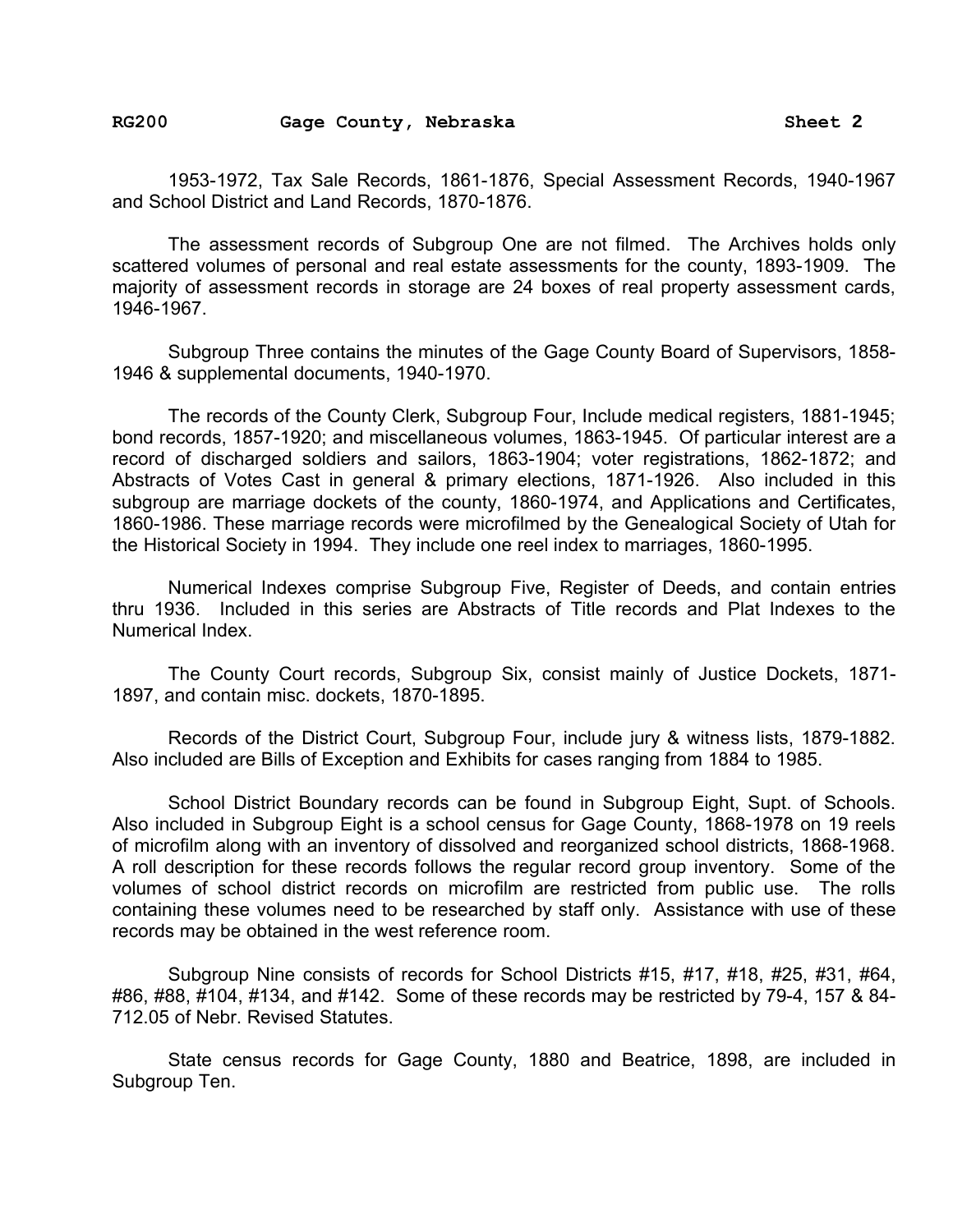RG200 Gage County, Nebraska **Bandary Sheet 2** 

1953-1972, Tax Sale Records, 1861-1876, Special Assessment Records, 1940-1967 and School District and Land Records, 1870-1876.

The assessment records of Subgroup One are not filmed. The Archives holds only scattered volumes of personal and real estate assessments for the county, 1893-1909. The majority of assessment records in storage are 24 boxes of real property assessment cards, 1946-1967.

Subgroup Three contains the minutes of the Gage County Board of Supervisors, 1858- 1946 & supplemental documents, 1940-1970.

The records of the County Clerk, Subgroup Four, Include medical registers, 1881-1945; bond records, 1857-1920; and miscellaneous volumes, 1863-1945. Of particular interest are a record of discharged soldiers and sailors, 1863-1904; voter registrations, 1862-1872; and Abstracts of Votes Cast in general & primary elections, 1871-1926. Also included in this subgroup are marriage dockets of the county, 1860-1974, and Applications and Certificates, 1860-1986. These marriage records were microfilmed by the Genealogical Society of Utah for the Historical Society in 1994. They include one reel index to marriages, 1860-1995.

Numerical Indexes comprise Subgroup Five, Register of Deeds, and contain entries thru 1936. Included in this series are Abstracts of Title records and Plat Indexes to the Numerical Index.

The County Court records, Subgroup Six, consist mainly of Justice Dockets, 1871- 1897, and contain misc. dockets, 1870-1895.

Records of the District Court, Subgroup Four, include jury & witness lists, 1879-1882. Also included are Bills of Exception and Exhibits for cases ranging from 1884 to 1985.

School District Boundary records can be found in Subgroup Eight, Supt. of Schools. Also included in Subgroup Eight is a school census for Gage County, 1868-1978 on 19 reels of microfilm along with an inventory of dissolved and reorganized school districts, 1868-1968. A roll description for these records follows the regular record group inventory. Some of the volumes of school district records on microfilm are restricted from public use. The rolls containing these volumes need to be researched by staff only. Assistance with use of these records may be obtained in the west reference room.

Subgroup Nine consists of records for School Districts #15, #17, #18, #25, #31, #64, #86, #88, #104, #134, and #142. Some of these records may be restricted by 79-4, 157 & 84- 712.05 of Nebr. Revised Statutes.

State census records for Gage County, 1880 and Beatrice, 1898, are included in Subgroup Ten.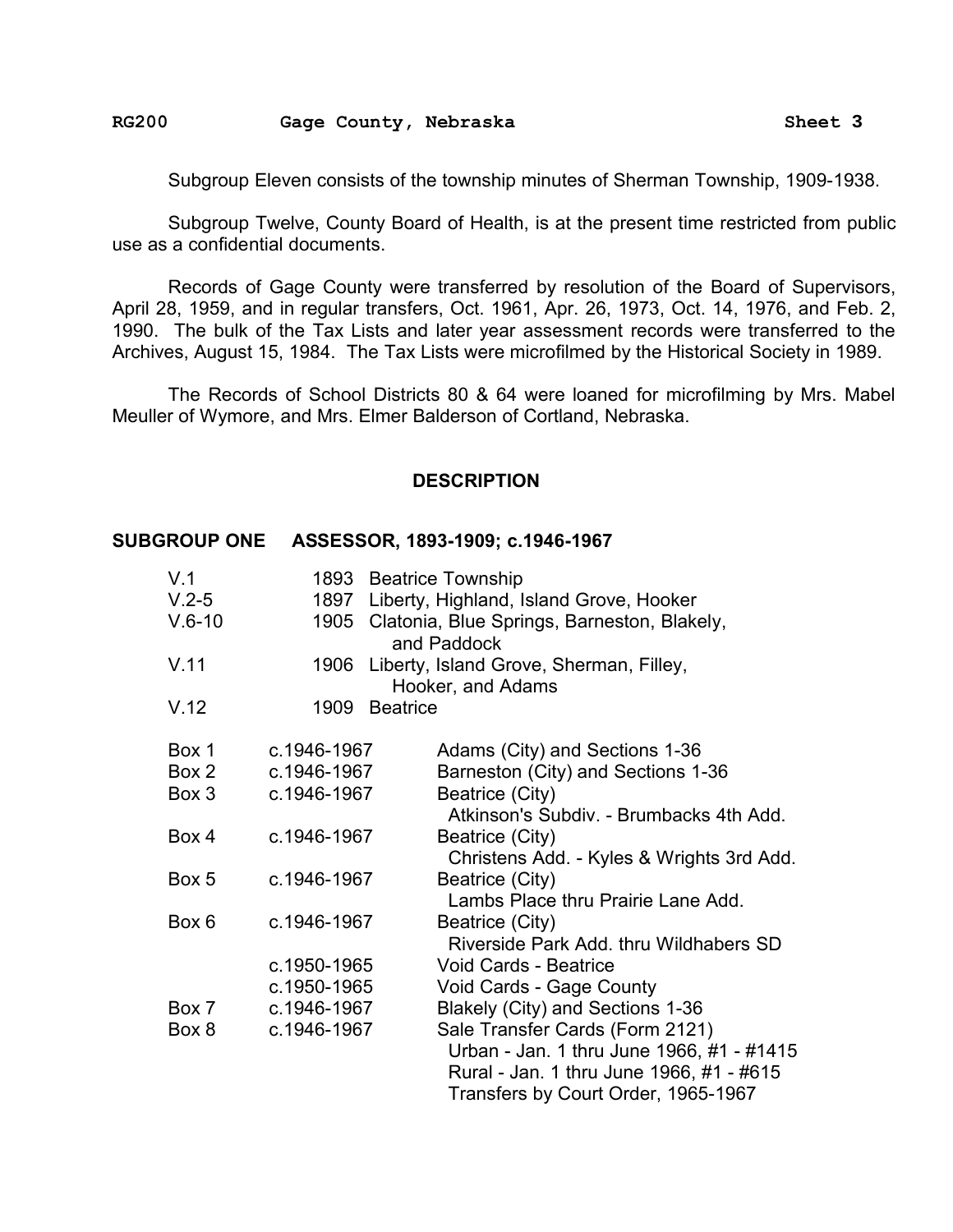#### RG200 Gage County, Nebraska **Bandary Sheet 3**

Subgroup Eleven consists of the township minutes of Sherman Township, 1909-1938.

Subgroup Twelve, County Board of Health, is at the present time restricted from public use as a confidential documents.

Records of Gage County were transferred by resolution of the Board of Supervisors, April 28, 1959, and in regular transfers, Oct. 1961, Apr. 26, 1973, Oct. 14, 1976, and Feb. 2, 1990. The bulk of the Tax Lists and later year assessment records were transferred to the Archives, August 15, 1984. The Tax Lists were microfilmed by the Historical Society in 1989.

The Records of School Districts 80 & 64 were loaned for microfilming by Mrs. Mabel Meuller of Wymore, and Mrs. Elmer Balderson of Cortland, Nebraska.

#### **DESCRIPTION**

#### **SUBGROUP ONE ASSESSOR, 1893-1909; c.1946-1967**

| V.1      |                         | 1893 Beatrice Township                                            |
|----------|-------------------------|-------------------------------------------------------------------|
| $V.2-5$  |                         | 1897 Liberty, Highland, Island Grove, Hooker                      |
| $V.6-10$ |                         | 1905 Clatonia, Blue Springs, Barneston, Blakely,<br>and Paddock   |
| V.11     |                         | 1906 Liberty, Island Grove, Sherman, Filley,<br>Hooker, and Adams |
| V.12     | <b>Beatrice</b><br>1909 |                                                                   |
| Box 1    | c.1946-1967             | Adams (City) and Sections 1-36                                    |
| Box 2    | c.1946-1967             | Barneston (City) and Sections 1-36                                |
| Box 3    | c.1946-1967             | Beatrice (City)                                                   |
|          |                         | Atkinson's Subdiv. - Brumbacks 4th Add.                           |
| Box 4    | c.1946-1967             | Beatrice (City)                                                   |
|          |                         | Christens Add. - Kyles & Wrights 3rd Add.                         |
| Box 5    | c.1946-1967             | Beatrice (City)                                                   |
|          |                         | Lambs Place thru Prairie Lane Add.                                |
| Box 6    | c.1946-1967             | Beatrice (City)                                                   |
|          |                         | Riverside Park Add. thru Wildhabers SD                            |
|          | c.1950-1965             | Void Cards - Beatrice                                             |
|          | c.1950-1965             | Void Cards - Gage County                                          |
| Box 7    | c.1946-1967             | Blakely (City) and Sections 1-36                                  |
| Box 8    | c.1946-1967             | Sale Transfer Cards (Form 2121)                                   |
|          |                         | Urban - Jan. 1 thru June 1966, #1 - #1415                         |
|          |                         | Rural - Jan. 1 thru June 1966, #1 - #615                          |
|          |                         | Transfers by Court Order, 1965-1967                               |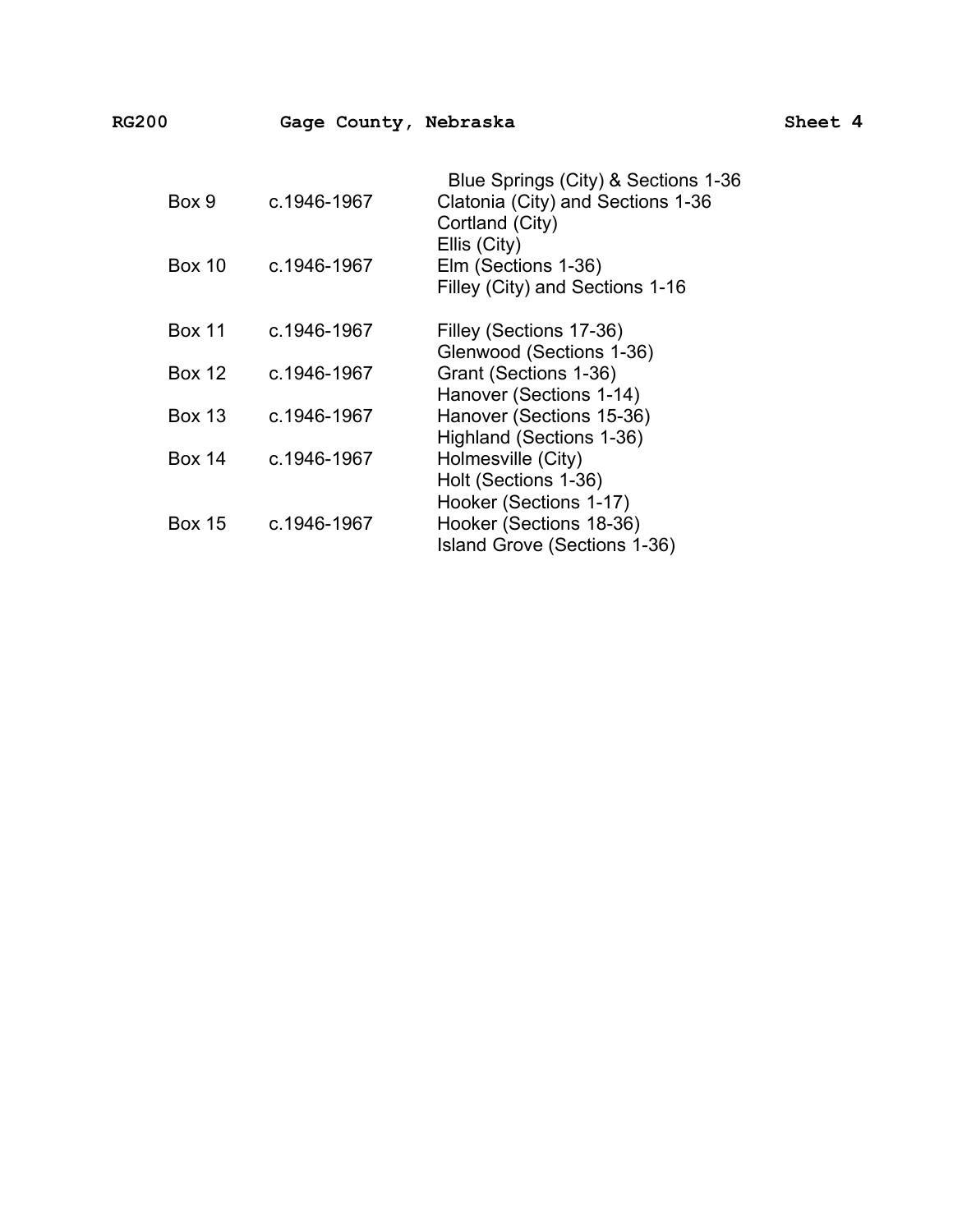| . – | г |
|-----|---|
|-----|---|

| Box 9         | c.1946-1967 | Blue Springs (City) & Sections 1-36<br>Clatonia (City) and Sections 1-36<br>Cortland (City) |
|---------------|-------------|---------------------------------------------------------------------------------------------|
| <b>Box 10</b> | c.1946-1967 | Ellis (City)<br>Elm (Sections 1-36)<br>Filley (City) and Sections 1-16                      |
| <b>Box 11</b> | c.1946-1967 | Filley (Sections 17-36)<br>Glenwood (Sections 1-36)                                         |
| <b>Box 12</b> | c.1946-1967 | Grant (Sections 1-36)<br>Hanover (Sections 1-14)                                            |
| <b>Box 13</b> | c.1946-1967 | Hanover (Sections 15-36)<br>Highland (Sections 1-36)                                        |
| <b>Box 14</b> | c.1946-1967 | Holmesville (City)<br>Holt (Sections 1-36)<br>Hooker (Sections 1-17)                        |
| <b>Box 15</b> | c.1946-1967 | Hooker (Sections 18-36)<br>Island Grove (Sections 1-36)                                     |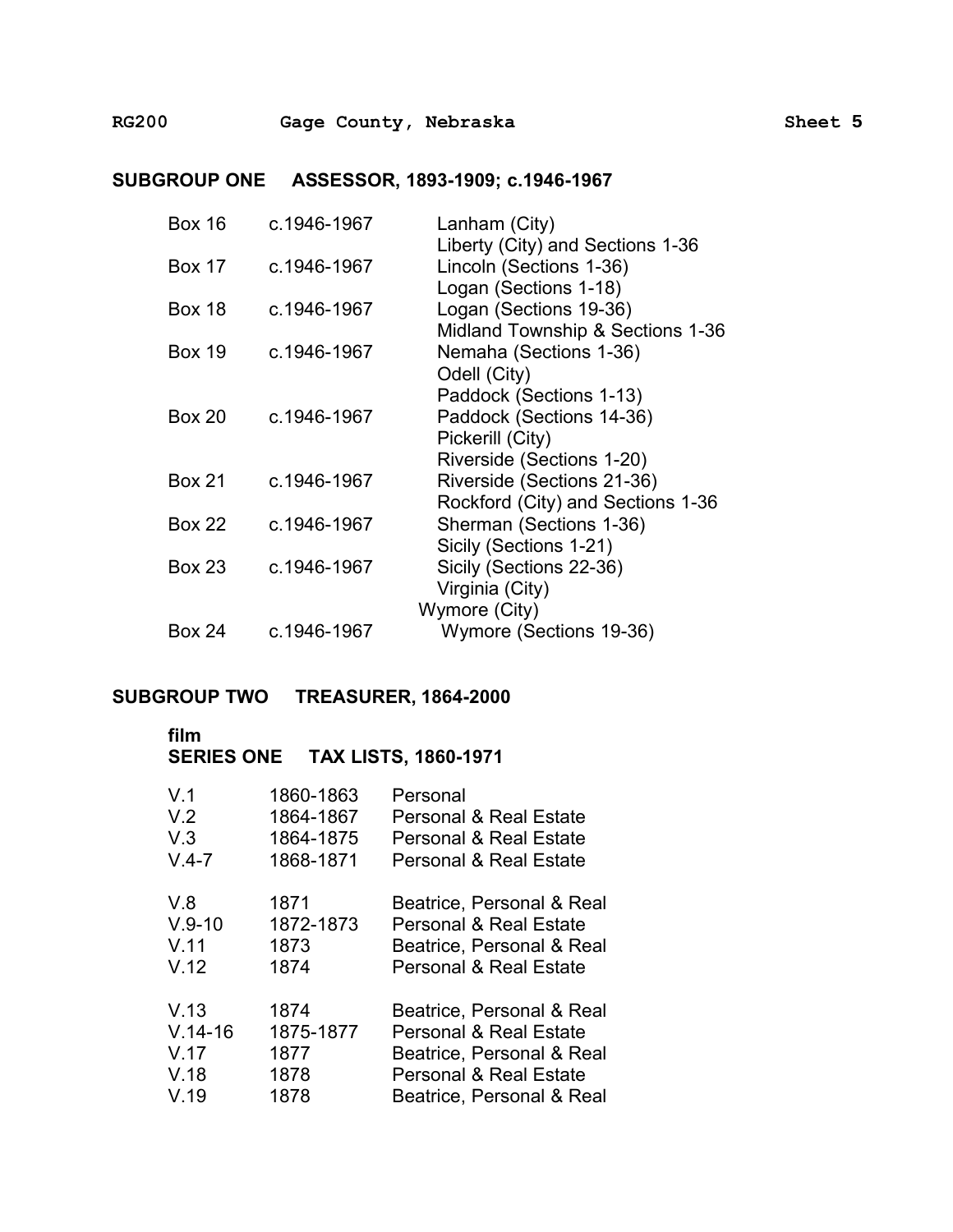## **SUBGROUP ONE ASSESSOR, 1893-1909; c.1946-1967**

| <b>Box 16</b> | c.1946-1967 | Lanham (City)                     |
|---------------|-------------|-----------------------------------|
|               |             | Liberty (City) and Sections 1-36  |
| <b>Box 17</b> | c.1946-1967 | Lincoln (Sections 1-36)           |
|               |             | Logan (Sections 1-18)             |
| <b>Box 18</b> | c.1946-1967 | Logan (Sections 19-36)            |
|               |             | Midland Township & Sections 1-36  |
| <b>Box 19</b> | c.1946-1967 | Nemaha (Sections 1-36)            |
|               |             | Odell (City)                      |
|               |             | Paddock (Sections 1-13)           |
| <b>Box 20</b> | c.1946-1967 | Paddock (Sections 14-36)          |
|               |             | Pickerill (City)                  |
|               |             | Riverside (Sections 1-20)         |
| <b>Box 21</b> | c.1946-1967 | Riverside (Sections 21-36)        |
|               |             | Rockford (City) and Sections 1-36 |
| Box 22        | c.1946-1967 | Sherman (Sections 1-36)           |
|               |             | Sicily (Sections 1-21)            |
| <b>Box 23</b> | c.1946-1967 | Sicily (Sections 22-36)           |
|               |             | Virginia (City)                   |
|               |             | Wymore (City)                     |
| <b>Box 24</b> | c.1946-1967 | Wymore (Sections 19-36)           |
|               |             |                                   |

# **SUBGROUP TWO TREASURER, 1864-2000**

### **film**

**SERIES ONE TAX LISTS, 1860-1971** 

| V.1       | 1860-1863 | Personal                          |
|-----------|-----------|-----------------------------------|
| V.2       | 1864-1867 | <b>Personal &amp; Real Estate</b> |
| V.3       | 1864-1875 | <b>Personal &amp; Real Estate</b> |
| $V.4 - 7$ | 1868-1871 | <b>Personal &amp; Real Estate</b> |
| V.8       | 1871      | Beatrice, Personal & Real         |
| $V.9-10$  | 1872-1873 | <b>Personal &amp; Real Estate</b> |
| V.11      | 1873      | Beatrice, Personal & Real         |
| V.12      | 1874      | <b>Personal &amp; Real Estate</b> |
| V.13      | 1874      | Beatrice, Personal & Real         |
| $V.14-16$ | 1875-1877 | <b>Personal &amp; Real Estate</b> |
| V.17      | 1877      | Beatrice, Personal & Real         |
| V.18      | 1878      | <b>Personal &amp; Real Estate</b> |
| V.19      | 1878      | Beatrice, Personal & Real         |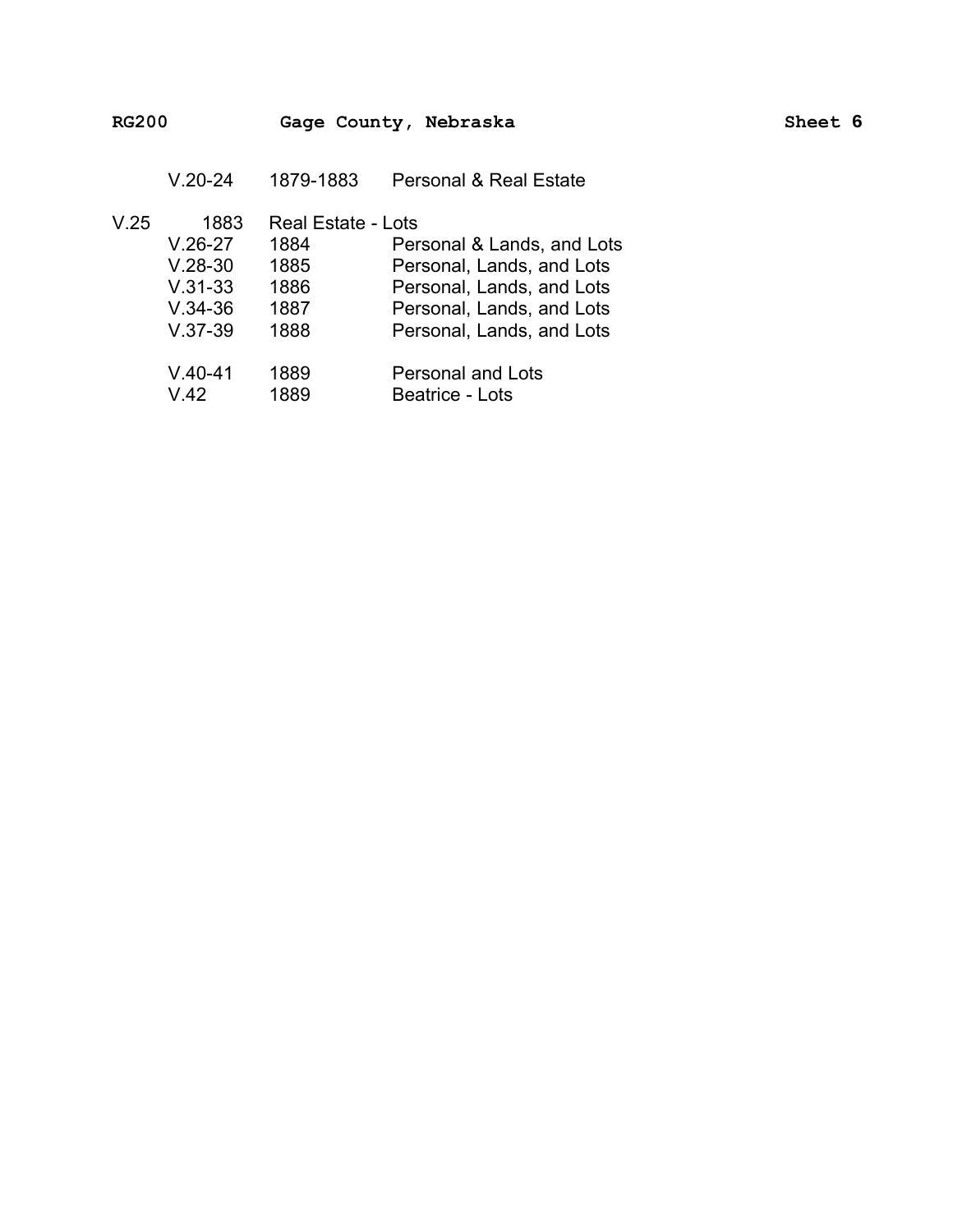V.20-24 1879-1883 Personal & Real Estate

| V.25 | 1883      | <b>Real Estate - Lots</b> |                            |
|------|-----------|---------------------------|----------------------------|
|      | $V.26-27$ | 1884                      | Personal & Lands, and Lots |
|      | $V.28-30$ | 1885                      | Personal, Lands, and Lots  |
|      | $V.31-33$ | 1886                      | Personal, Lands, and Lots  |
|      | $V.34-36$ | 1887                      | Personal, Lands, and Lots  |
|      | $V.37-39$ | 1888                      | Personal, Lands, and Lots  |
|      | $V.40-41$ | 1889                      | <b>Personal and Lots</b>   |
|      | V.42      | 1889                      | <b>Beatrice - Lots</b>     |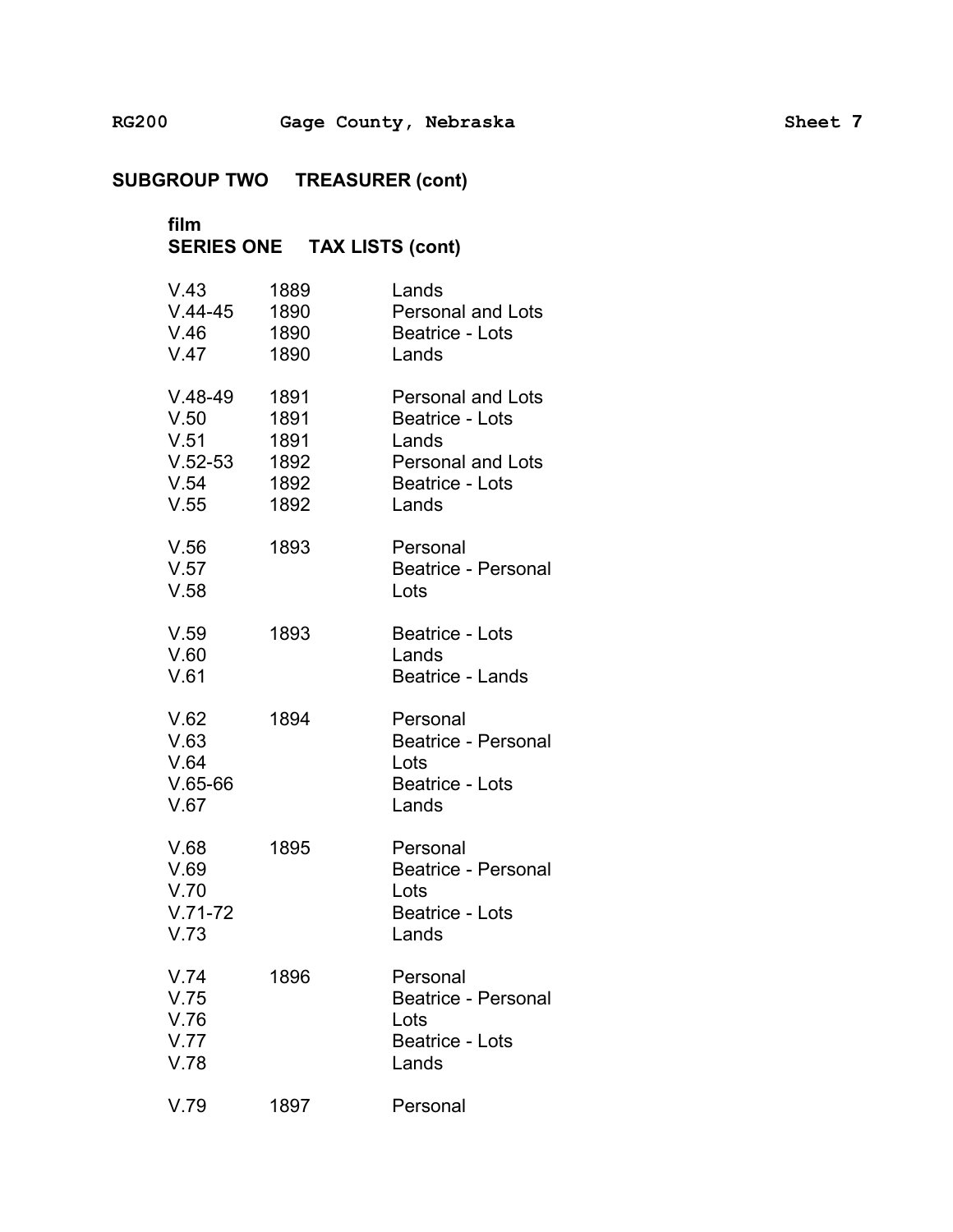# **film** � **SERIES ONE TAX LISTS (cont)** �

| V.43<br>$V.44-45$<br>V.46<br>V.47                      | 1889<br>1890<br>1890<br>1890                 | Lands<br><b>Personal and Lots</b><br>Beatrice - Lots<br>Lands                                                       |
|--------------------------------------------------------|----------------------------------------------|---------------------------------------------------------------------------------------------------------------------|
| $V.48-49$<br>V.50<br>V.51<br>$V.52-53$<br>V.54<br>V.55 | 1891<br>1891<br>1891<br>1892<br>1892<br>1892 | <b>Personal and Lots</b><br><b>Beatrice - Lots</b><br>Lands<br><b>Personal and Lots</b><br>Beatrice - Lots<br>Lands |
| V.56<br>V.57<br>V.58                                   | 1893                                         | Personal<br><b>Beatrice - Personal</b><br>Lots                                                                      |
| V.59<br>V.60<br>V.61                                   | 1893                                         | Beatrice - Lots<br>Lands<br>Beatrice - Lands                                                                        |
| V.62<br>V.63<br>V.64<br>$V.65-66$<br>V.67              | 1894                                         | Personal<br><b>Beatrice - Personal</b><br>Lots<br>Beatrice - Lots<br>Lands                                          |
| V.68<br>V.69<br>V.70<br>$V.71-72$<br>V.73              | 1895                                         | Personal<br><b>Beatrice - Personal</b><br>Lots<br><b>Beatrice - Lots</b><br>Lands                                   |
| V.74<br>V.75<br>V.76<br>V.77<br>V.78                   | 1896                                         | Personal<br><b>Beatrice - Personal</b><br>Lots<br>Beatrice - Lots<br>Lands                                          |
| V.79                                                   | 1897                                         | Personal                                                                                                            |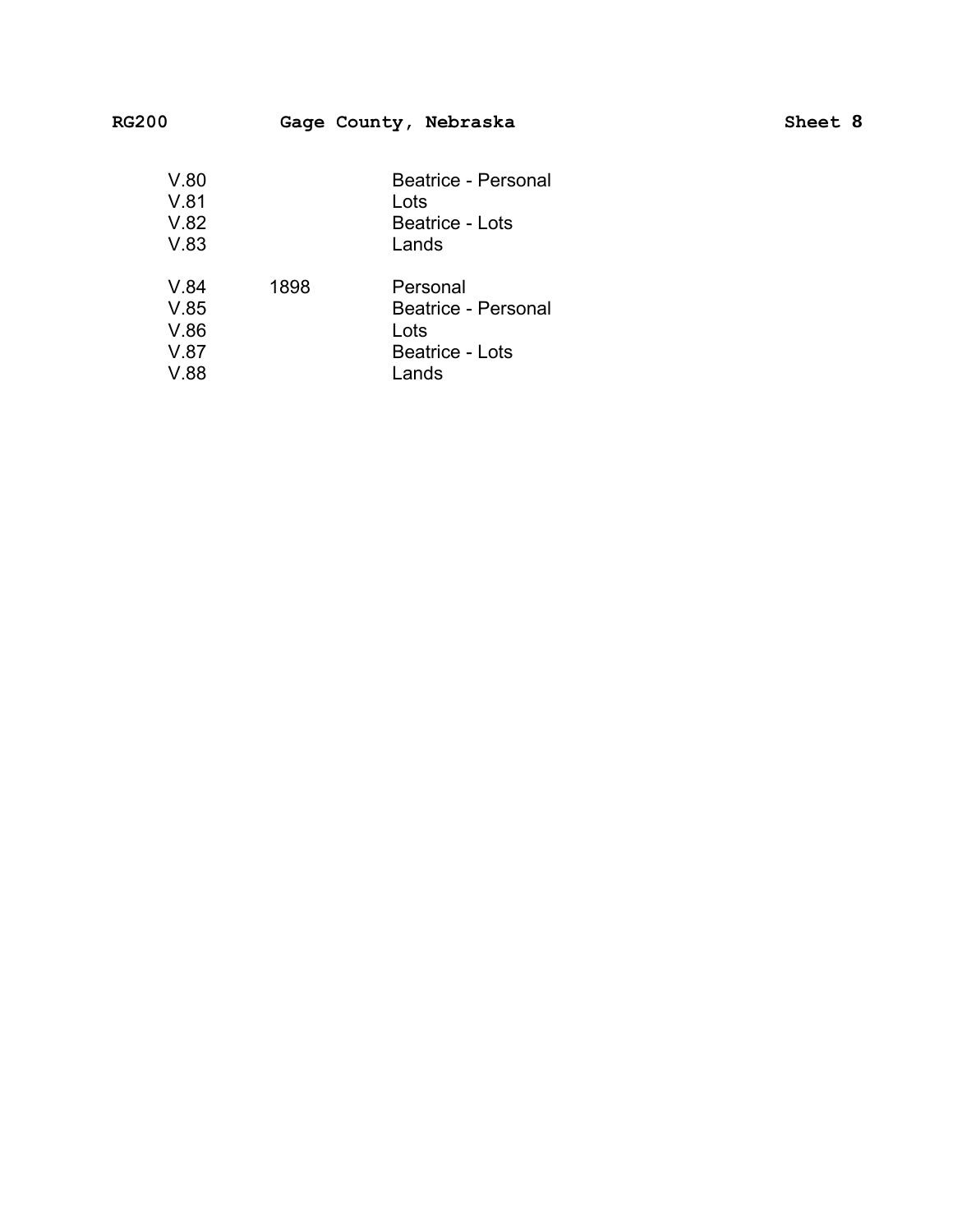| <b>RG200</b>                         |      | Gage County, Nebraska                                                      | Sheet 8 |
|--------------------------------------|------|----------------------------------------------------------------------------|---------|
| V.80<br>V.81<br>V.82<br>V.83         |      | Beatrice - Personal<br>Lots<br>Beatrice - Lots<br>Lands                    |         |
| V.84<br>V.85<br>V.86<br>V.87<br>V.88 | 1898 | Personal<br>Beatrice - Personal<br>Lots<br><b>Beatrice - Lots</b><br>Lands |         |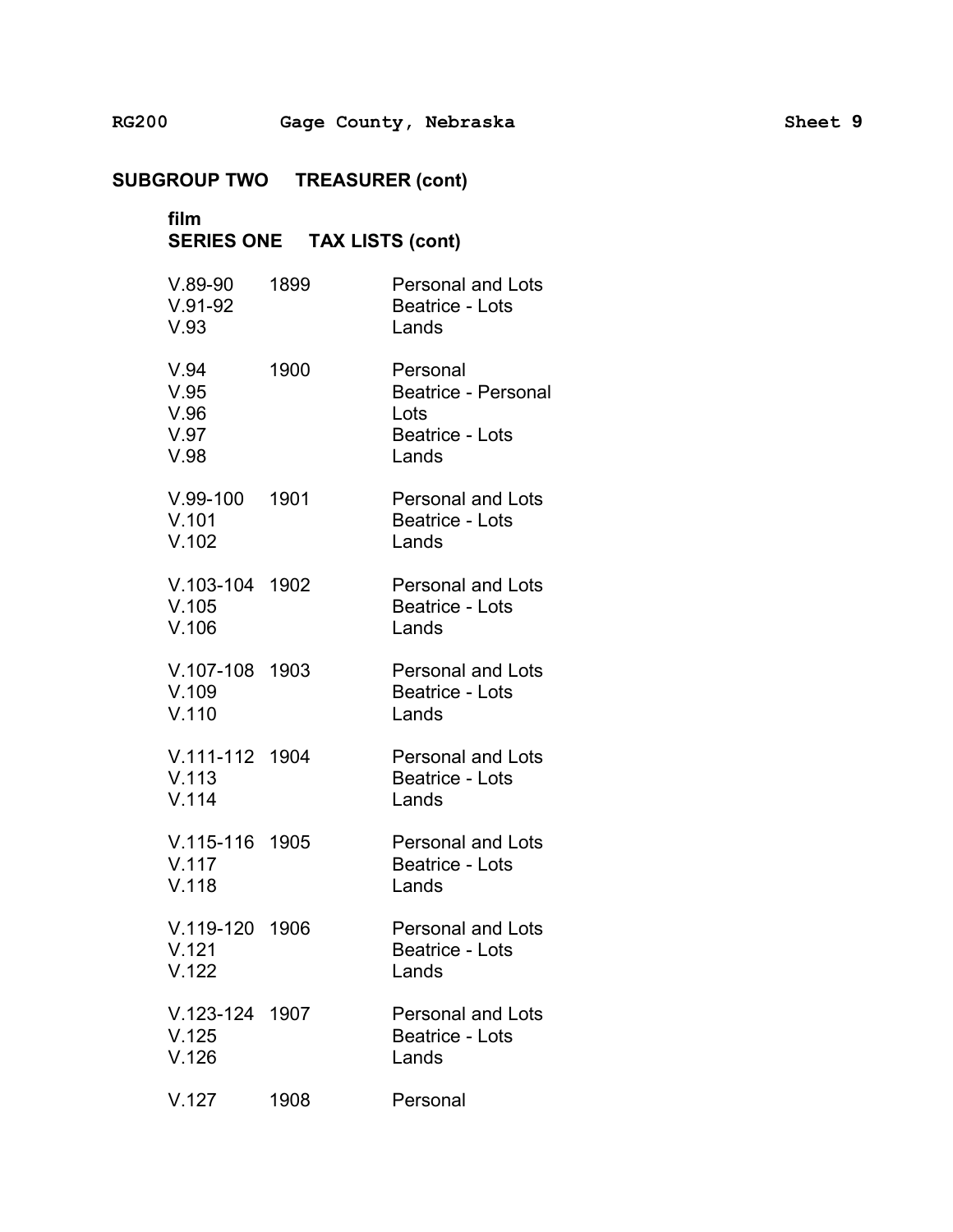**film SERIES ONE TAX LISTS (cont)** V.89-90 1899 Personal and Lots V.91-92 Beatrice - Lots V.93 Lands V.94 1900 Personal V.95 Beatrice - Personal V.96 Lots V.97 Beatrice - Lots V.98 Lands V.99-100 1901 Personal and Lots V.101 Beatrice - Lots V.102 Lands V.103-104 1902 Personal and Lots V.105 Beatrice - Lots V.106 Lands V.107-108 1903 Personal and Lots V.109 Beatrice - Lots V.110 Lands V.111-112 1904 Personal and Lots V.113 Beatrice - Lots V.114 Lands V.115-116 1905 Personal and Lots V.117 Beatrice - Lots V.118 Lands V.119-120 1906 Personal and Lots V.121 Beatrice - Lots V.122 Lands V.123-124 1907 Personal and Lots V.125 Beatrice - Lots V.126 Lands

V.127 1908 Personal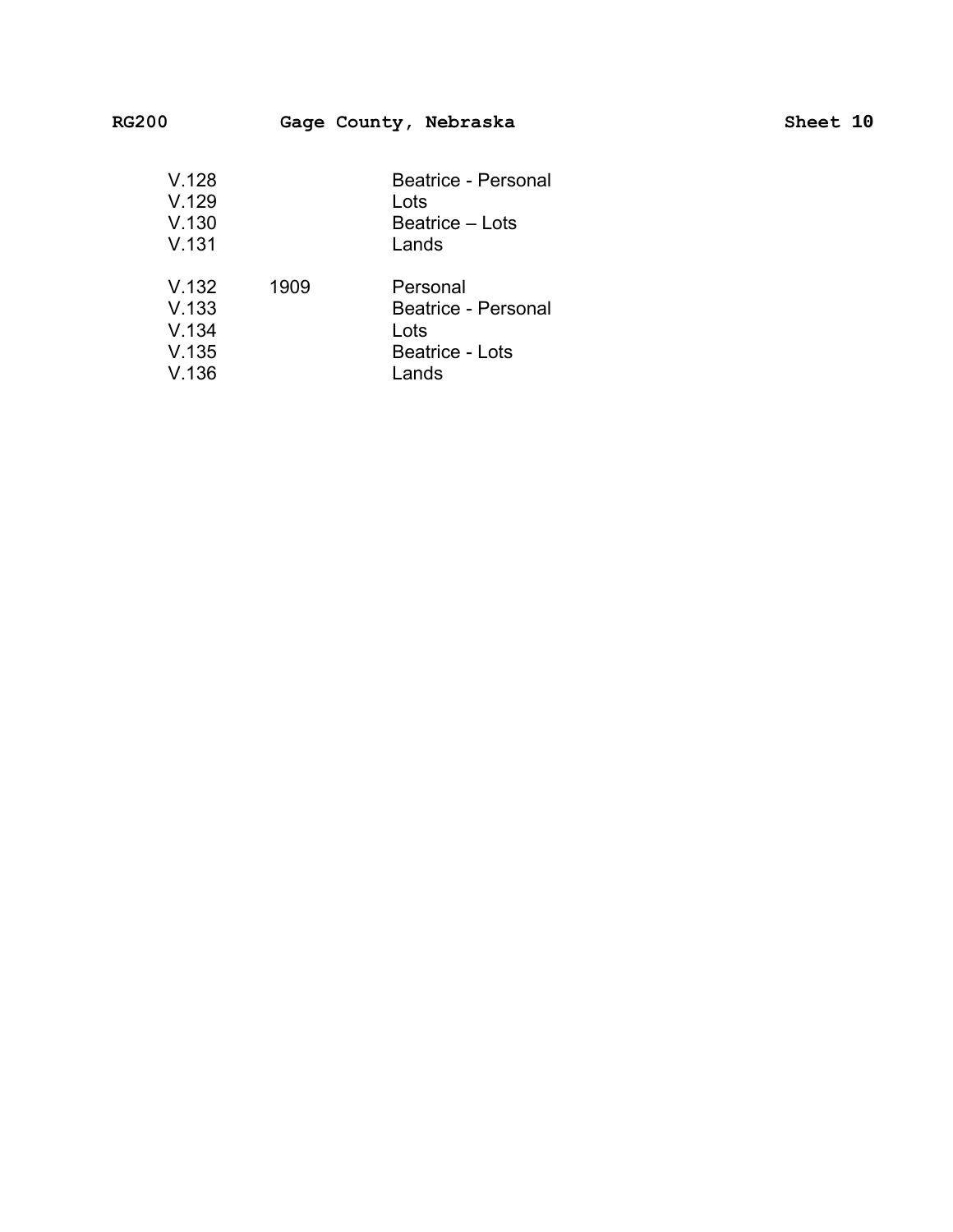| V.128<br>V.129<br>V.130<br>V.131          |      | Beatrice - Personal<br>Lots<br>Beatrice – Lots<br>Lands                    |
|-------------------------------------------|------|----------------------------------------------------------------------------|
| V.132<br>V.133<br>V.134<br>V.135<br>V.136 | 1909 | Personal<br>Beatrice - Personal<br>Lots<br><b>Beatrice - Lots</b><br>Lands |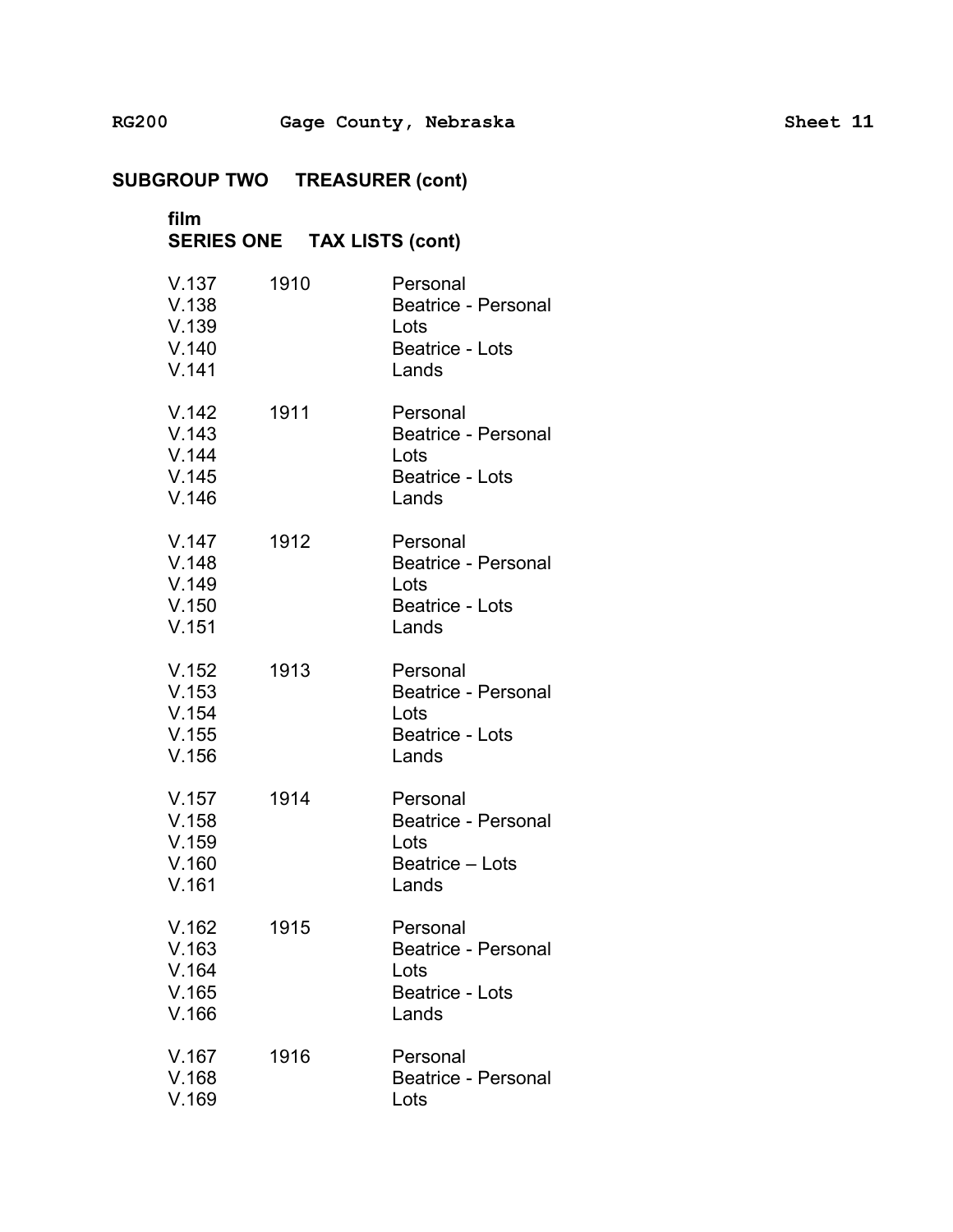# film SERIES ONE TAX LISTS (cont)

| V.137<br>V.138<br>V.139<br>V.140<br>V.141 | 1910 | Personal<br><b>Beatrice - Personal</b><br>Lots<br><b>Beatrice - Lots</b><br>Lands |
|-------------------------------------------|------|-----------------------------------------------------------------------------------|
| V.142<br>V.143<br>V.144<br>V.145<br>V.146 | 1911 | Personal<br><b>Beatrice - Personal</b><br>Lots<br>Beatrice - Lots<br>Lands        |
| V.147<br>V.148<br>V.149<br>V.150<br>V.151 | 1912 | Personal<br>Beatrice - Personal<br>Lots<br>Beatrice - Lots<br>Lands               |
| V.152<br>V.153<br>V.154<br>V.155<br>V.156 | 1913 | Personal<br>Beatrice - Personal<br>Lots<br><b>Beatrice - Lots</b><br>Lands        |
| V.157<br>V.158<br>V.159<br>V.160<br>V.161 | 1914 | Personal<br><b>Beatrice - Personal</b><br>Lots<br>Beatrice - Lots<br>Lands        |
| V.162<br>V.163<br>V.164<br>V.165<br>V.166 | 1915 | Personal<br><b>Beatrice - Personal</b><br>Lots<br>Beatrice - Lots<br>Lands        |
| V.167<br>V.168<br>V.169                   | 1916 | Personal<br><b>Beatrice - Personal</b><br>Lots                                    |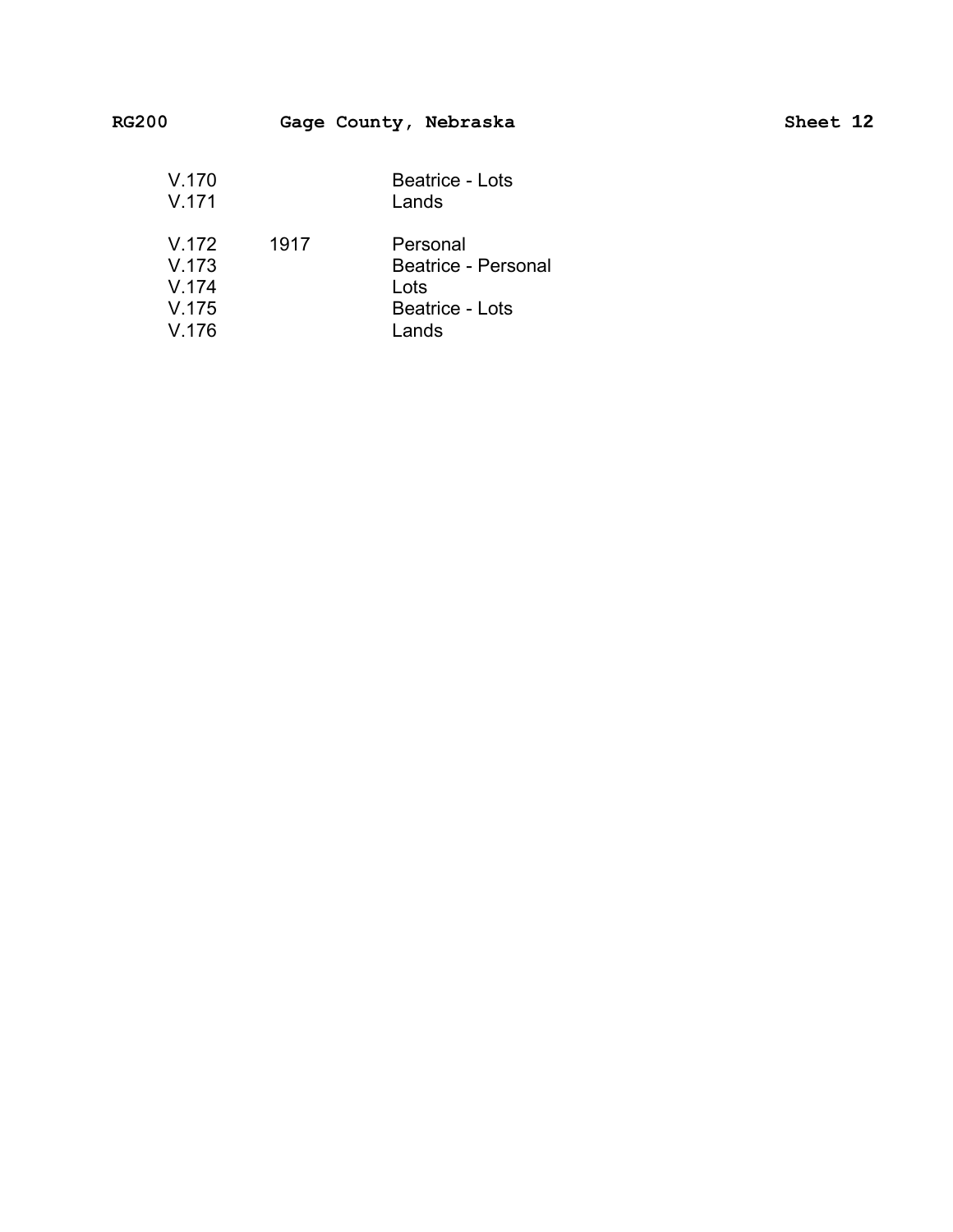| <b>RG200</b>            |      | Gage County, Nebraska                   | Sheet 12 |
|-------------------------|------|-----------------------------------------|----------|
| V.170<br>V.171          |      | Beatrice - Lots<br>Lands                |          |
| V.172<br>V.173<br>V.174 | 1917 | Personal<br>Beatrice - Personal<br>Lots |          |

V.175 Beatrice - Lots

Lands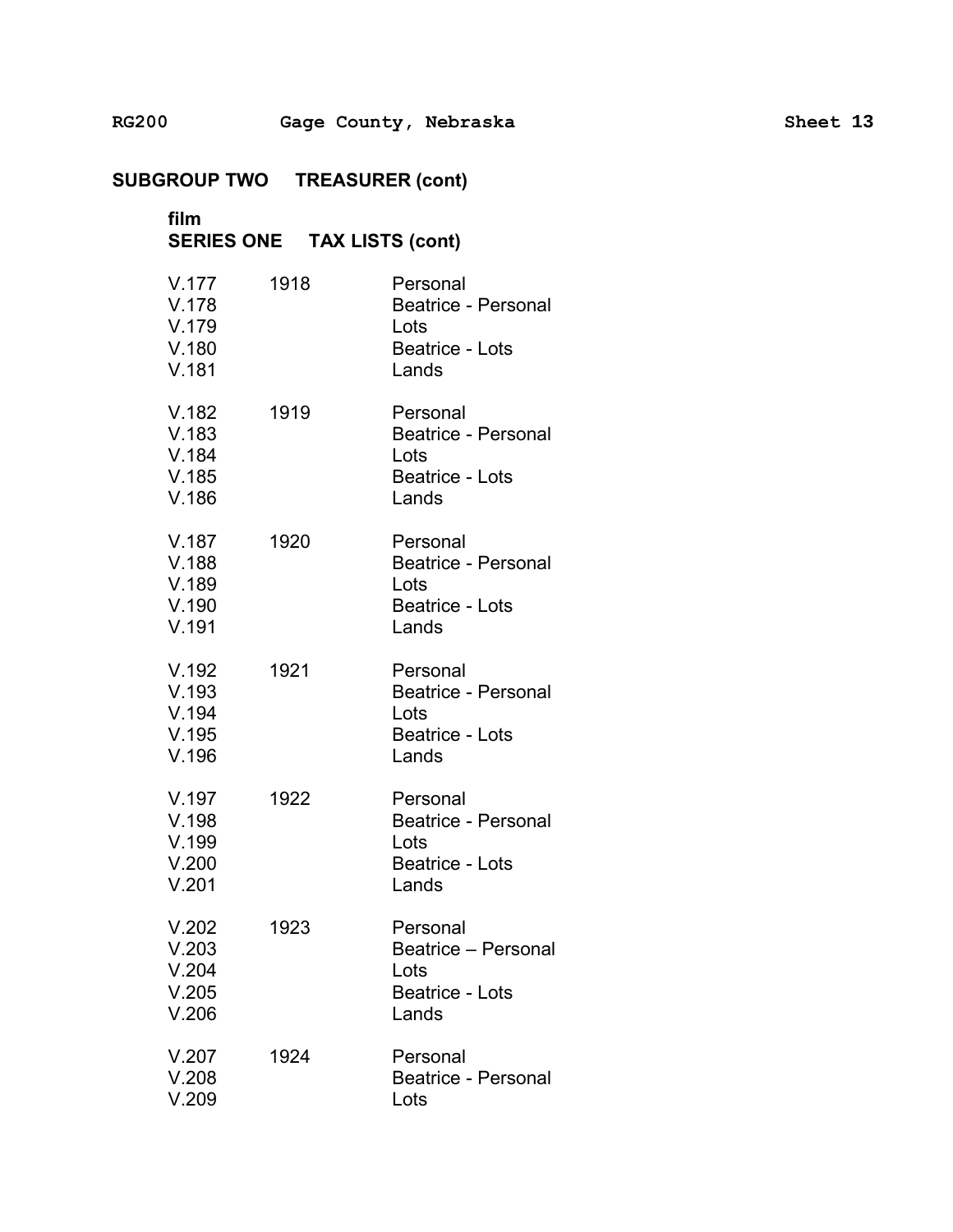**film** �

**SUBGROUP TWO TREASURER (cont) SERIES ONE TAX LISTS (cont)** �

| V.177<br>V.178<br>V.179<br>V.180<br>V.181 | 1918 | Personal<br><b>Beatrice - Personal</b><br>Lots<br><b>Beatrice - Lots</b><br>Lands |
|-------------------------------------------|------|-----------------------------------------------------------------------------------|
| V.182<br>V.183<br>V.184<br>V.185<br>V.186 | 1919 | Personal<br><b>Beatrice - Personal</b><br>Lots<br>Beatrice - Lots<br>Lands        |
| V.187<br>V.188<br>V.189<br>V.190<br>V.191 | 1920 | Personal<br><b>Beatrice - Personal</b><br>Lots<br><b>Beatrice - Lots</b><br>Lands |
| V.192<br>V.193<br>V.194<br>V.195<br>V.196 | 1921 | Personal<br><b>Beatrice - Personal</b><br>Lots<br><b>Beatrice - Lots</b><br>Lands |
| V.197<br>V.198<br>V.199<br>V.200<br>V.201 | 1922 | Personal<br><b>Beatrice - Personal</b><br>Lots<br><b>Beatrice - Lots</b><br>Lands |
| V.202<br>V.203<br>V.204<br>V.205<br>V.206 | 1923 | Personal<br>Beatrice - Personal<br>Lots<br><b>Beatrice - Lots</b><br>Lands        |
| V.207<br>V.208<br>V.209                   | 1924 | Personal<br>Beatrice - Personal<br>Lots                                           |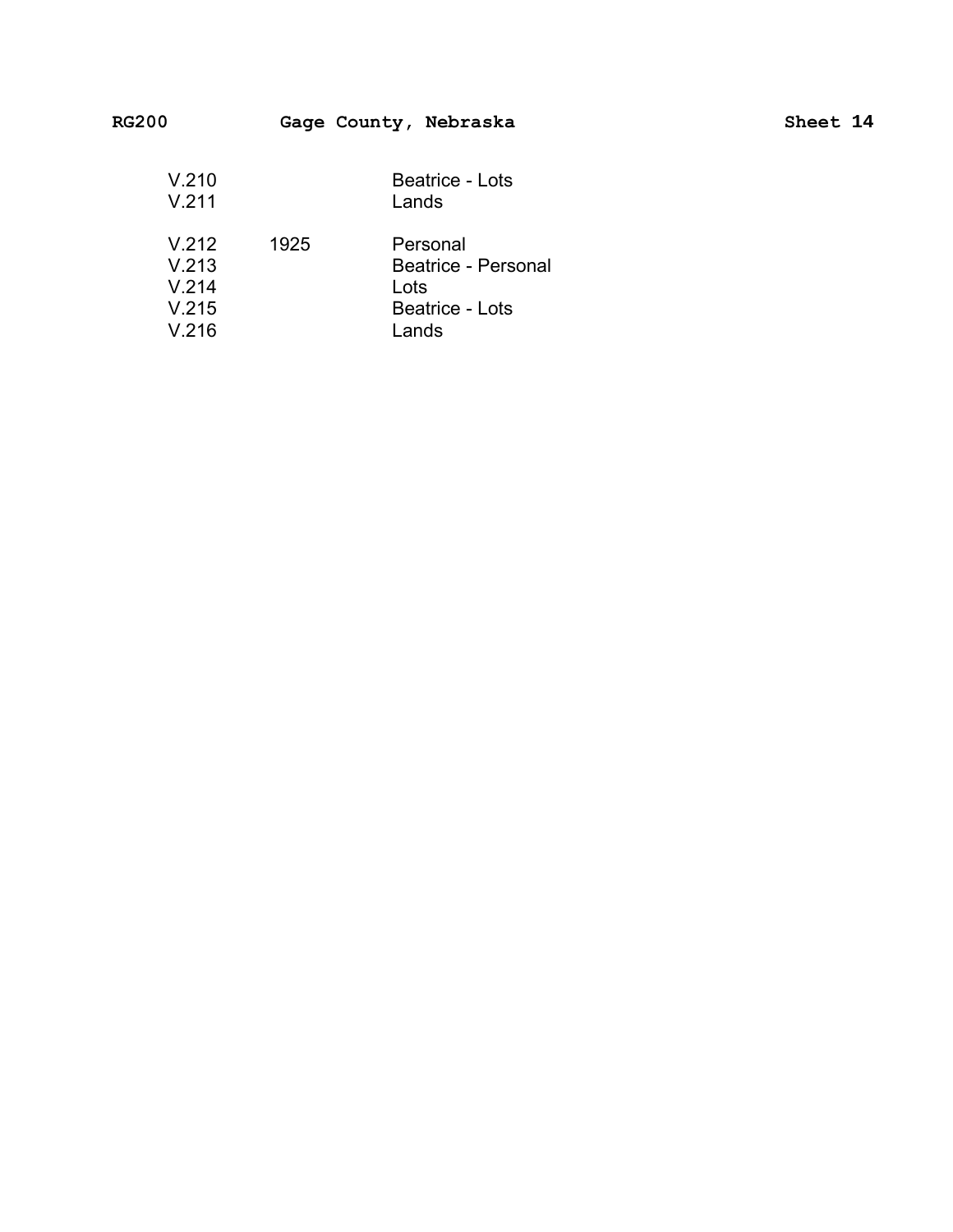| V.210<br>V.211                   |      | <b>Beatrice - Lots</b><br>Lands                                   |
|----------------------------------|------|-------------------------------------------------------------------|
| V.212<br>V.213<br>V.214<br>V.215 | 1925 | Personal<br>Beatrice - Personal<br>Lots<br><b>Beatrice - Lots</b> |
| V.216                            |      | Lands                                                             |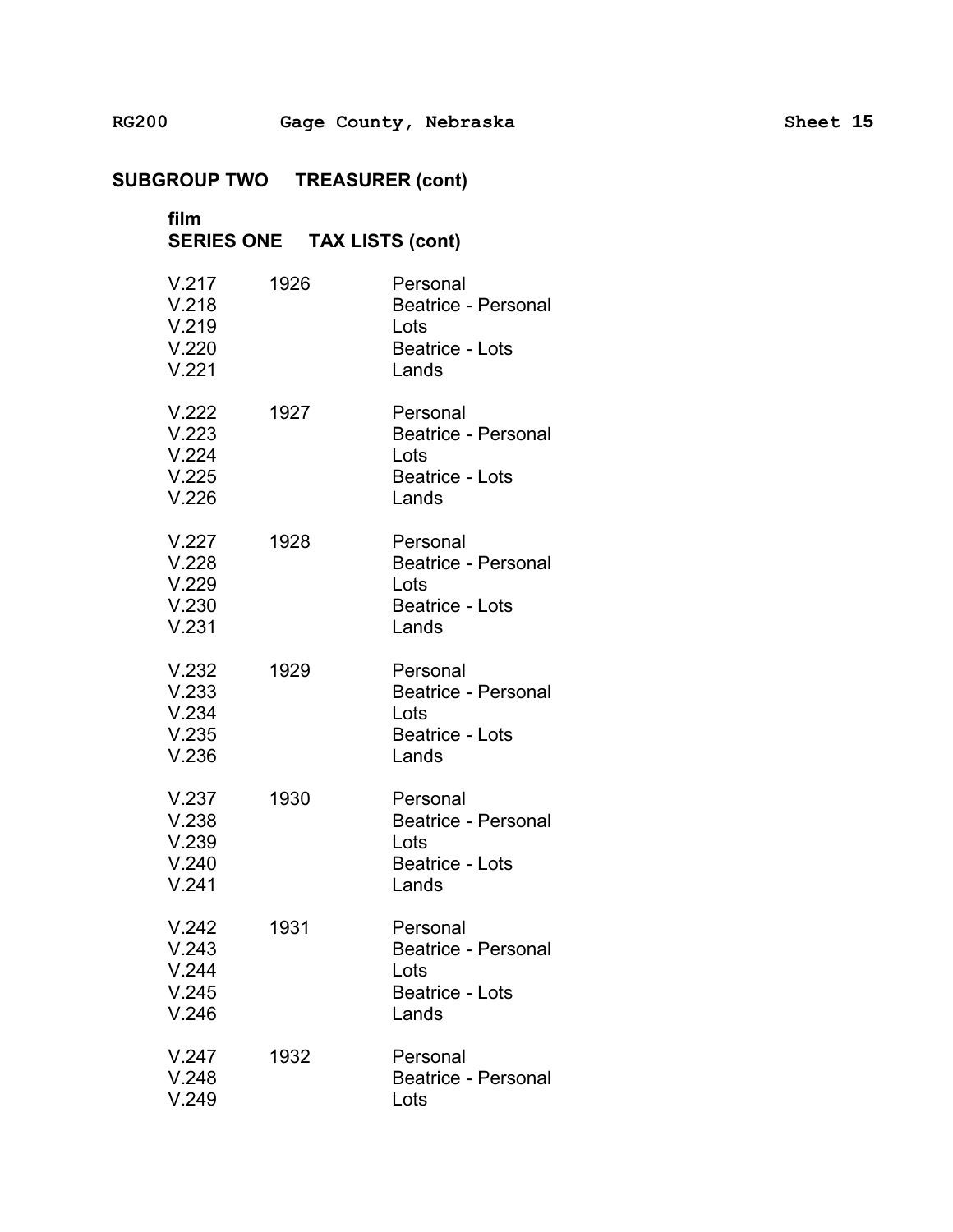**SUBGROUP TWO TREASURER (cont) film SERIES ONE TAX LISTS (cont)** V.217 1926 Personal V.218 Beatrice - Personal V.219 Lots V.220 Beatrice - Lots V.221 Lands V.222 1927 Personal V.223 Beatrice - Personal V.224 Lots V.225 Beatrice - Lots V.226 Lands V.227 1928 Personal V.228 Beatrice - Personal V.229 Lots V.230 Beatrice - Lots V.231 Lands V.232 1929 Personal V.233 Beatrice - Personal V.234 Lots V.235 Beatrice - Lots V.236 Lands V.237 1930 Personal V.238 Beatrice - Personal V.239 Lots V.240 Beatrice - Lots V.241 Lands V.242 1931 Personal V.243 Beatrice - Personal V.244 Lots V.245 Beatrice - Lots V.246 Lands V.247 1932 Personal V.248 Beatrice - Personal

V.249 Lots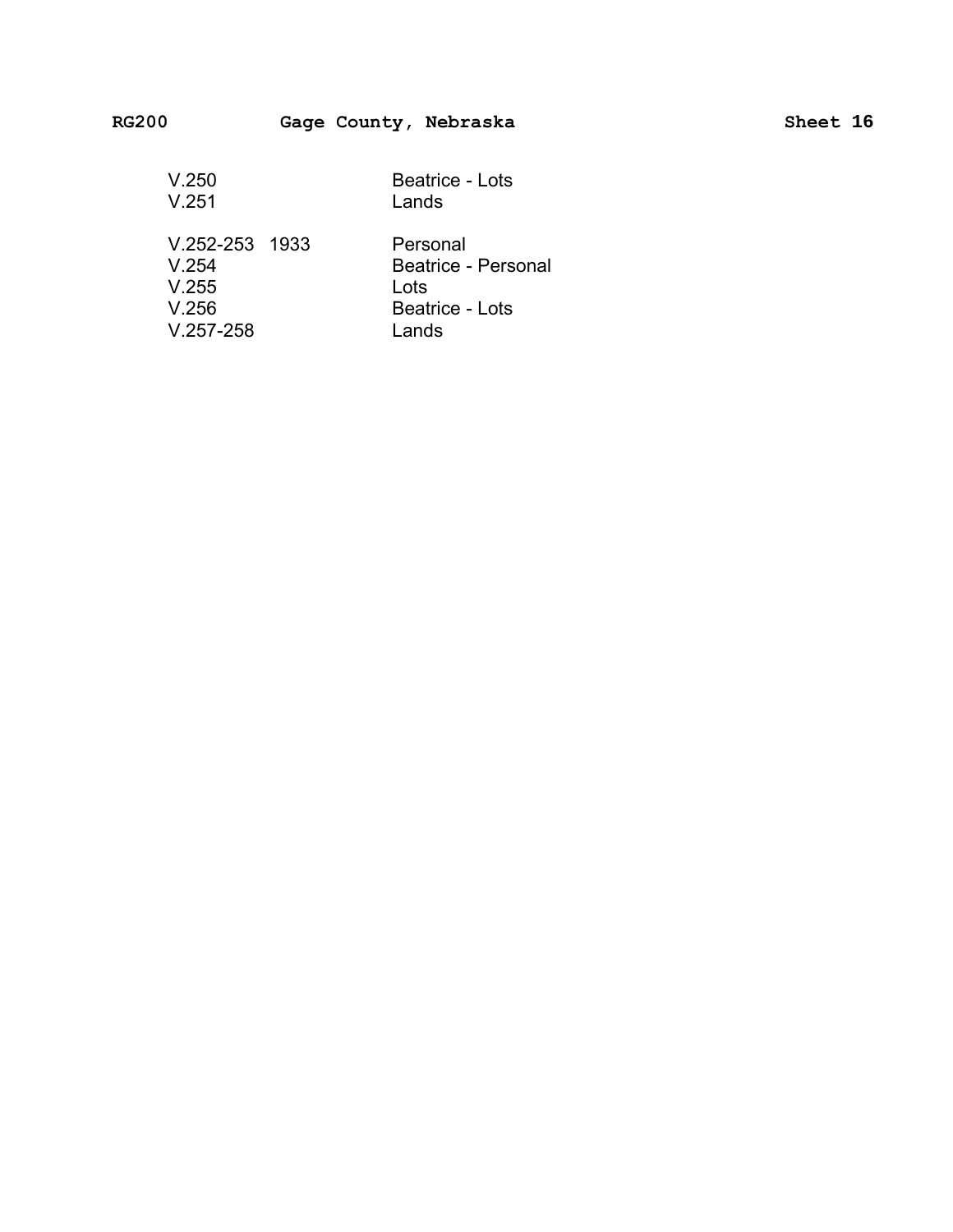| V.250              | Beatrice - Lots     |
|--------------------|---------------------|
| V.251              | Lands               |
|                    |                     |
| $V.252 - 253$ 1933 | Personal            |
| V 254              | Beatrice - Personal |
| V.255              | Lots                |
| V.256              | Beatrice - Lots     |
| $V.257 - 258$      | I ands              |
|                    |                     |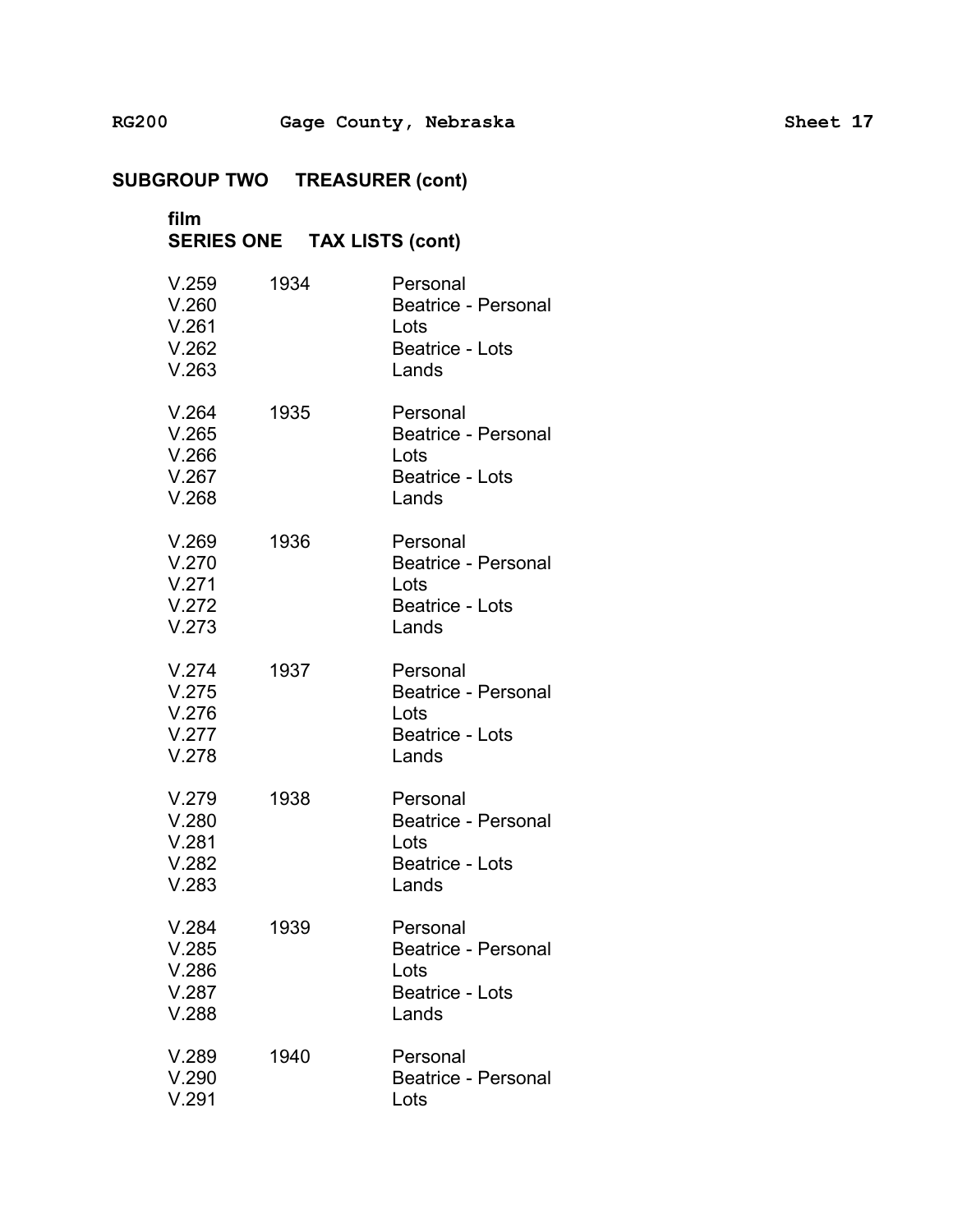## **film** � **SERIES ONE TAX LISTS (cont)** �

| V.259<br>V.260<br>V.261<br>V.262<br>V.263 | 1934 | Personal<br><b>Beatrice - Personal</b><br>Lots<br><b>Beatrice - Lots</b><br>Lands |
|-------------------------------------------|------|-----------------------------------------------------------------------------------|
| V.264<br>V.265<br>V.266<br>V.267<br>V.268 | 1935 | Personal<br>Beatrice - Personal<br>Lots<br><b>Beatrice - Lots</b><br>Lands        |
| V.269<br>V.270<br>V.271<br>V.272<br>V.273 | 1936 | Personal<br>Beatrice - Personal<br>Lots<br>Beatrice - Lots<br>Lands               |
| V.274<br>V.275<br>V.276<br>V.277<br>V.278 | 1937 | Personal<br>Beatrice - Personal<br>Lots<br>Beatrice - Lots<br>Lands               |
| V.279<br>V.280<br>V.281<br>V.282<br>V.283 | 1938 | Personal<br>Beatrice - Personal<br>Lots<br>Beatrice - Lots<br>Lands               |
| V.284<br>V.285<br>V.286<br>V.287<br>V.288 | 1939 | Personal<br>Beatrice - Personal<br>Lots<br><b>Beatrice - Lots</b><br>Lands        |
| V.289<br>V.290<br>V.291                   | 1940 | Personal<br>Beatrice - Personal<br>Lots                                           |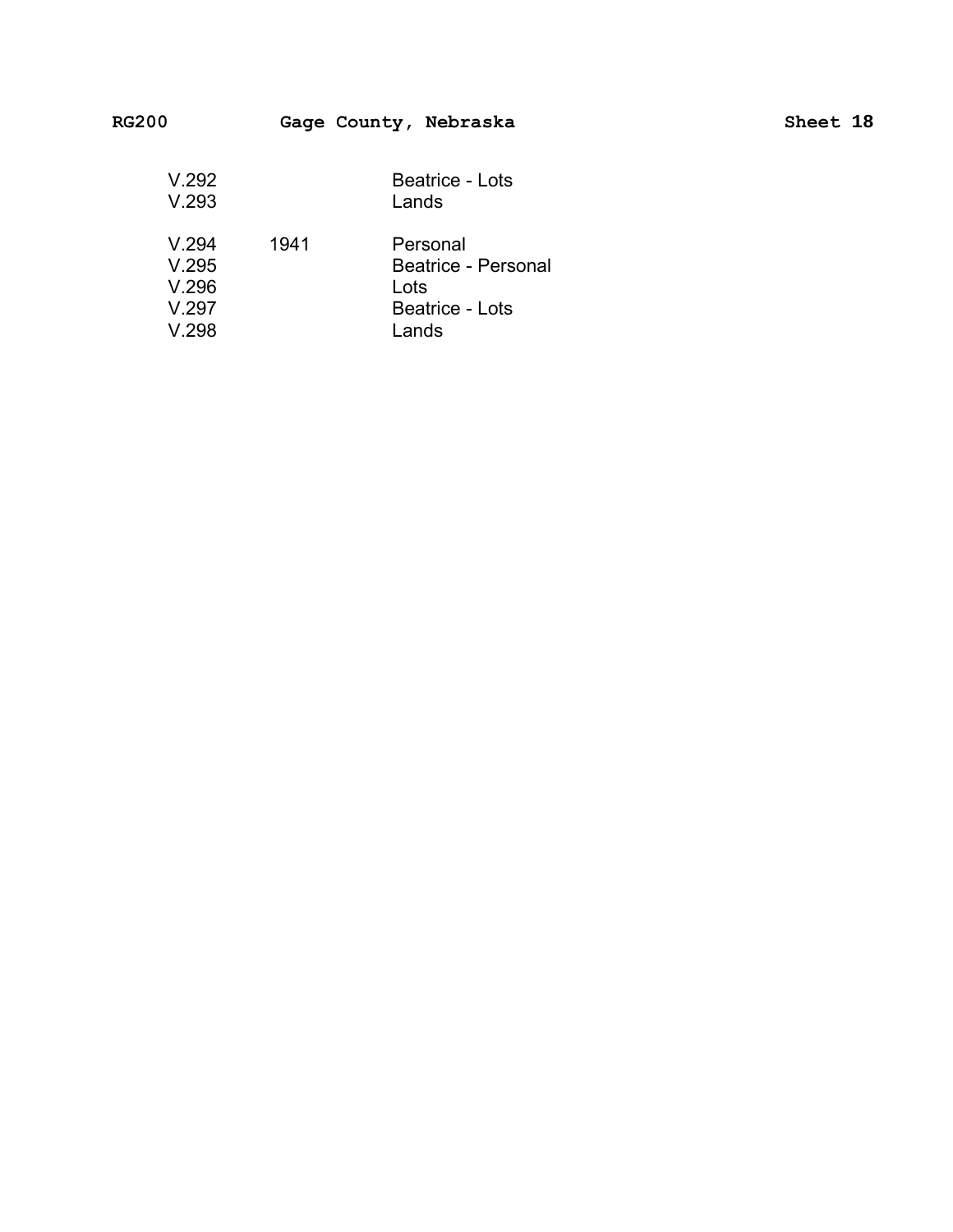| .                                         |      | $\frac{1}{2}$                                                              |  |
|-------------------------------------------|------|----------------------------------------------------------------------------|--|
| V.292<br>V.293                            |      | <b>Beatrice - Lots</b><br>Lands                                            |  |
| V.294<br>V.295<br>V.296<br>V.297<br>V.298 | 1941 | Personal<br>Beatrice - Personal<br>Lots<br><b>Beatrice - Lots</b><br>Lands |  |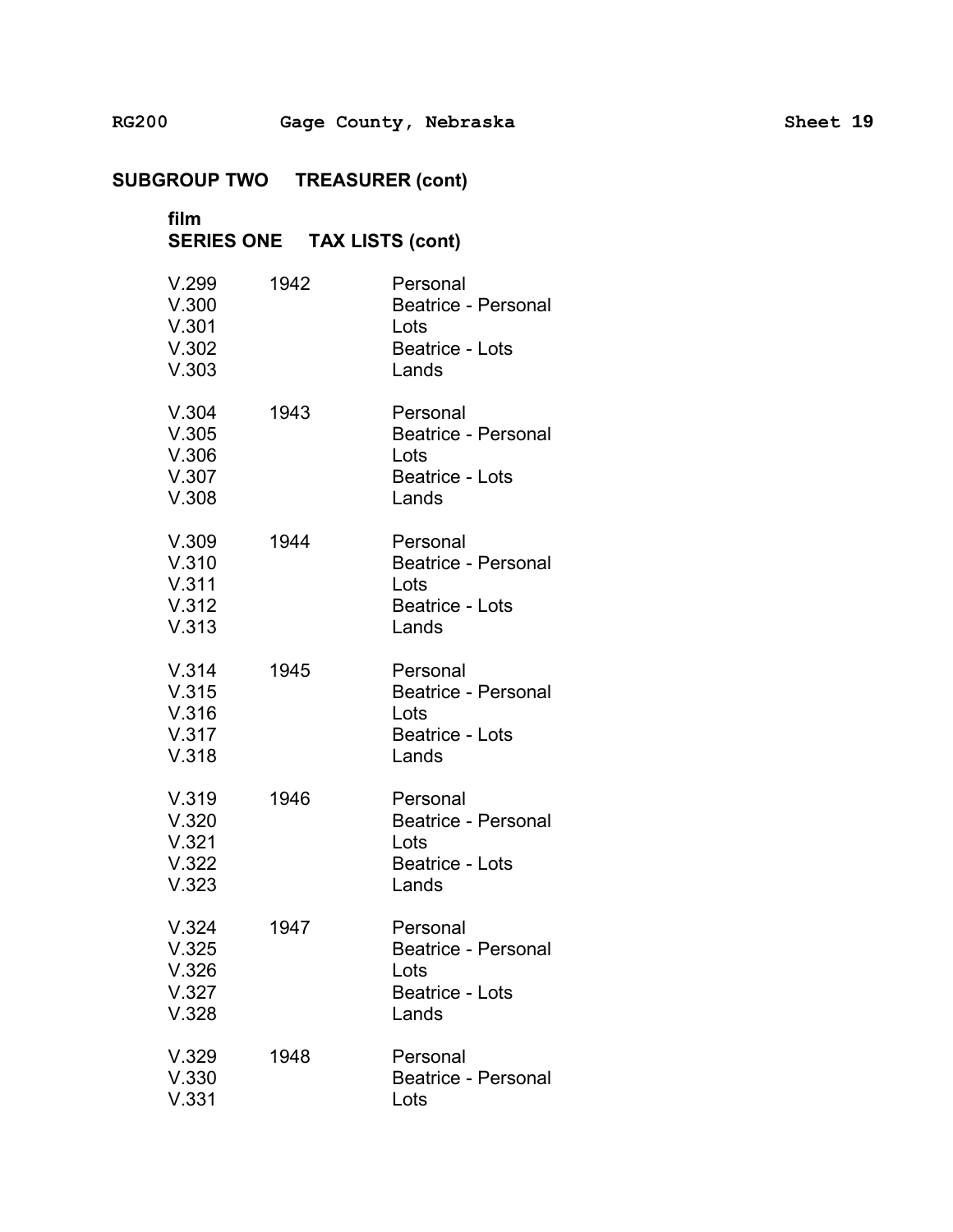## **film** � **SERIES ONE TAX LISTS (cont)** �

| V.299<br>V.300<br>V.301<br>V.302<br>V.303 | 1942 | Personal<br><b>Beatrice - Personal</b><br>Lots<br><b>Beatrice - Lots</b><br>Lands |
|-------------------------------------------|------|-----------------------------------------------------------------------------------|
| V.304<br>V.305<br>V.306<br>V.307<br>V.308 | 1943 | Personal<br>Beatrice - Personal<br>Lots<br><b>Beatrice - Lots</b><br>Lands        |
| V.309<br>V.310<br>V.311<br>V.312<br>V.313 | 1944 | Personal<br>Beatrice - Personal<br>Lots<br>Beatrice - Lots<br>Lands               |
| V.314<br>V.315<br>V.316<br>V.317<br>V.318 | 1945 | Personal<br>Beatrice - Personal<br>Lots<br>Beatrice - Lots<br>Lands               |
| V.319<br>V.320<br>V.321<br>V.322<br>V.323 | 1946 | Personal<br>Beatrice - Personal<br>Lots<br><b>Beatrice - Lots</b><br>Lands        |
| V.324<br>V.325<br>V.326<br>V.327<br>V.328 | 1947 | Personal<br><b>Beatrice - Personal</b><br>Lots<br><b>Beatrice - Lots</b><br>Lands |
| V.329<br>V.330<br>V.331                   | 1948 | Personal<br><b>Beatrice - Personal</b><br>Lots                                    |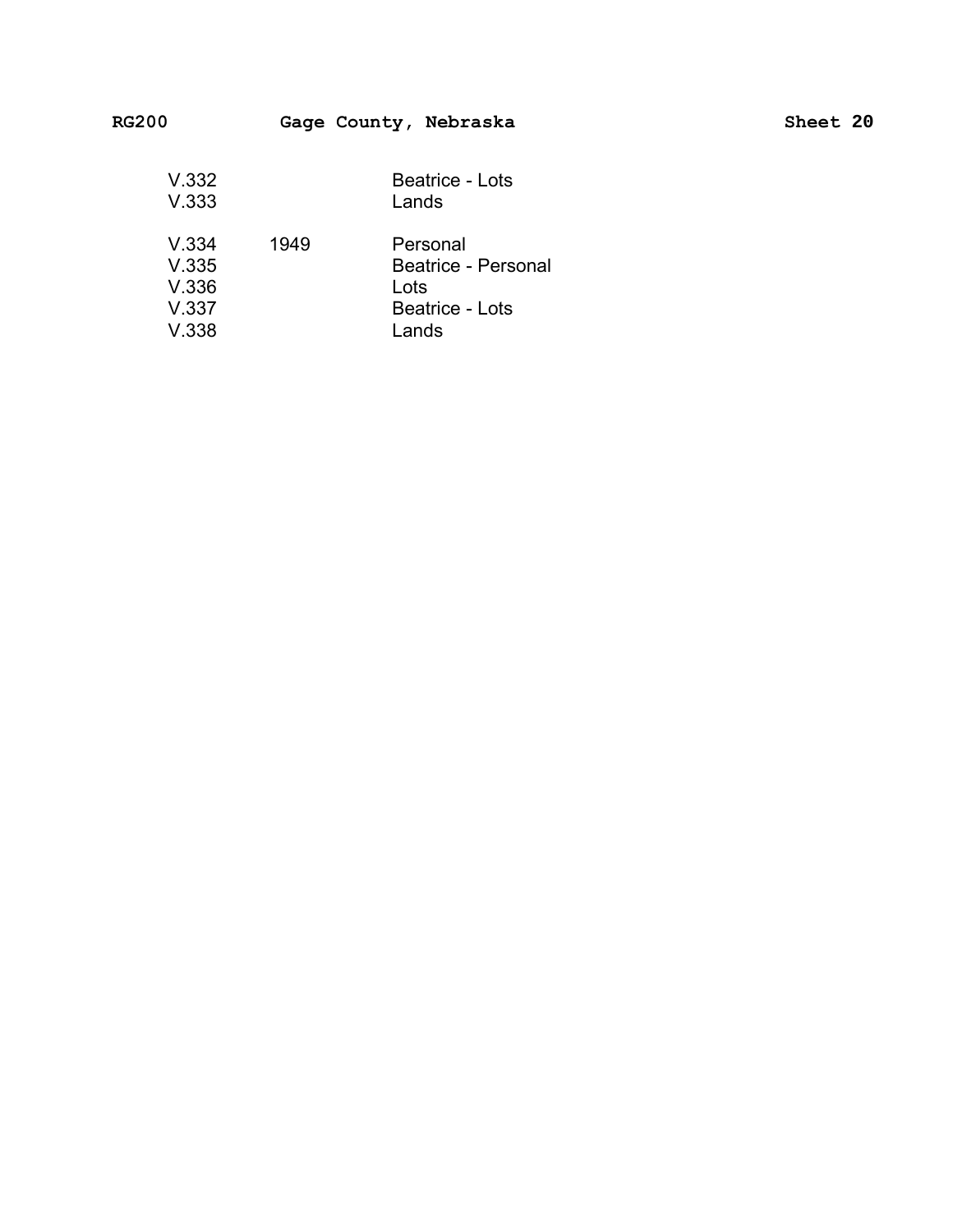| --                      |      | $\frac{1}{2}$                           |  |
|-------------------------|------|-----------------------------------------|--|
| V.332<br>V.333          |      | <b>Beatrice - Lots</b><br>Lands         |  |
| V.334<br>V.335<br>V.336 | 1949 | Personal<br>Beatrice - Personal<br>Lots |  |
| V.337                   |      | <b>Beatrice - Lots</b>                  |  |

V.338

### RG200 Gage County, Nebraska Sheet 20

Lands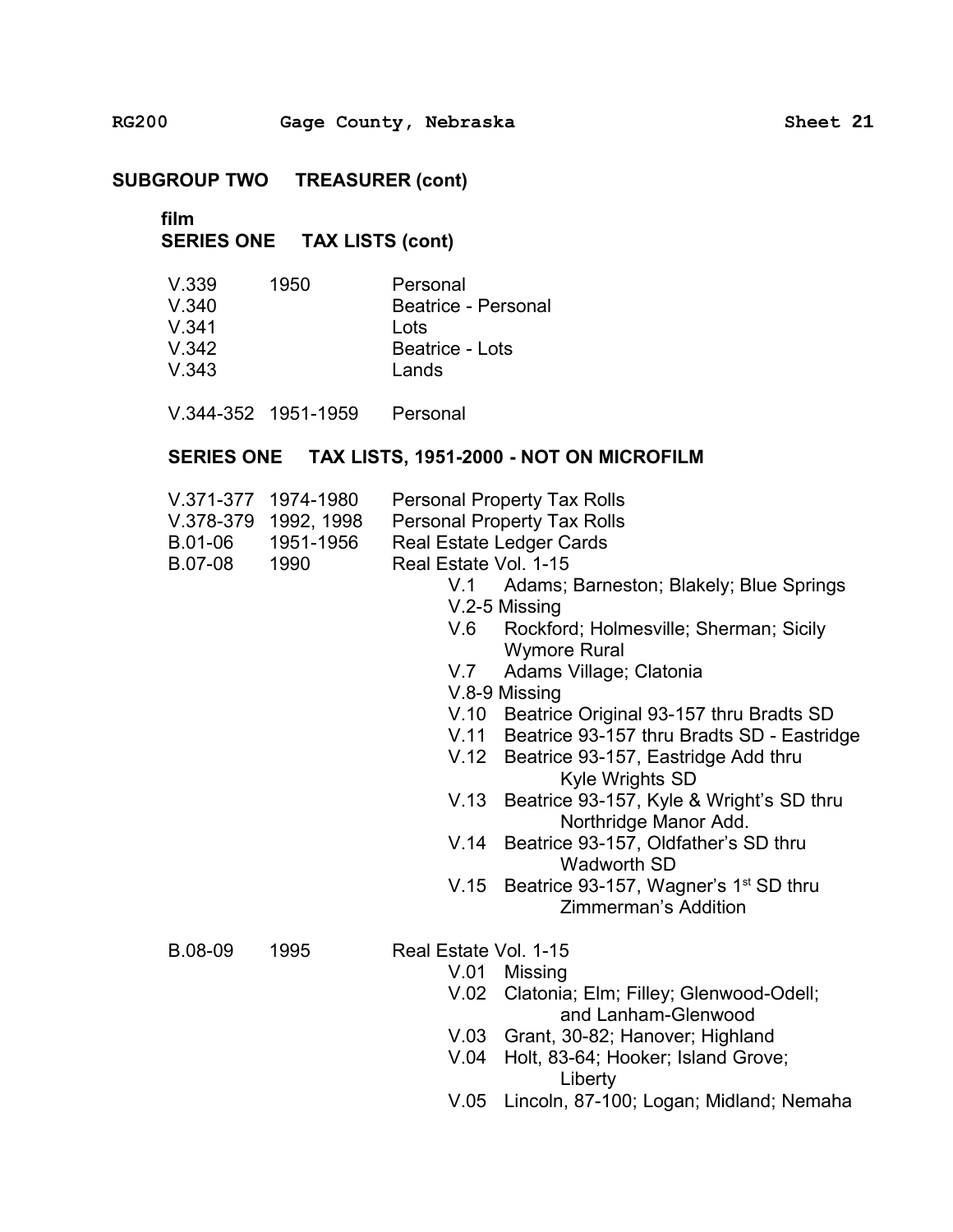**film**

## **SERIES ONE TAX LISTS (cont)**

| V.339   | 1950 | Personal            |
|---------|------|---------------------|
| V.340   |      | Beatrice - Personal |
| V.341   |      | Lots                |
| $V$ 342 |      | Beatrice - Lots     |
| V.343   |      | Lands               |

V.344-352 1951-1959 Personal

#### **SERIES ONE TAX LISTS, 1951-2000 - NOT ON MICROFILM**

| V.371-377 1974-1980 | <b>Personal Property Tax Rolls</b> |
|---------------------|------------------------------------|
|                     |                                    |

- V.378-379 1992, 1998 Personal Property Tax Rolls
- B.01-06 1951-1956 Real Estate Ledger Cards
- B.07-08 1990 Real Estate Vol. 1-15
	- V.1 Adams; Barneston; Blakely; Blue Springs V.2-5 Missing
	- V.6 Rockford; Holmesville; Sherman; Sicily Wymore Rural
	- V.7 Adams Village; Clatonia
	- V.8-9 Missing
	- V.10 Beatrice Original 93-157 thru Bradts SD
	- V.11 Beatrice 93-157 thru Bradts SD Eastridge
	- V.12 Beatrice 93-157, Eastridge Add thru Kyle Wrights SD
	- V.13 Beatrice 93-157, Kyle & Wright's SD thru Northridge Manor Add.
	- V.14 Beatrice 93-157, Oldfather's SD thru Wadworth SD
	- V.15 Beatrice 93-157, Wagner's  $1<sup>st</sup>$  SD thru Zimmerman's Addition

B.08-09 1995 Real Estate Vol. 1-15

- V.01 Missing
	- V.02 Clatonia; Elm; Filley; Glenwood-Odell; and Lanham-Glenwood
- V.03 Grant, 30-82; Hanover; Highland
- V.04 Holt, 83-64; Hooker; Island Grove; Liberty
- V.05 Lincoln, 87-100; Logan; Midland; Nemaha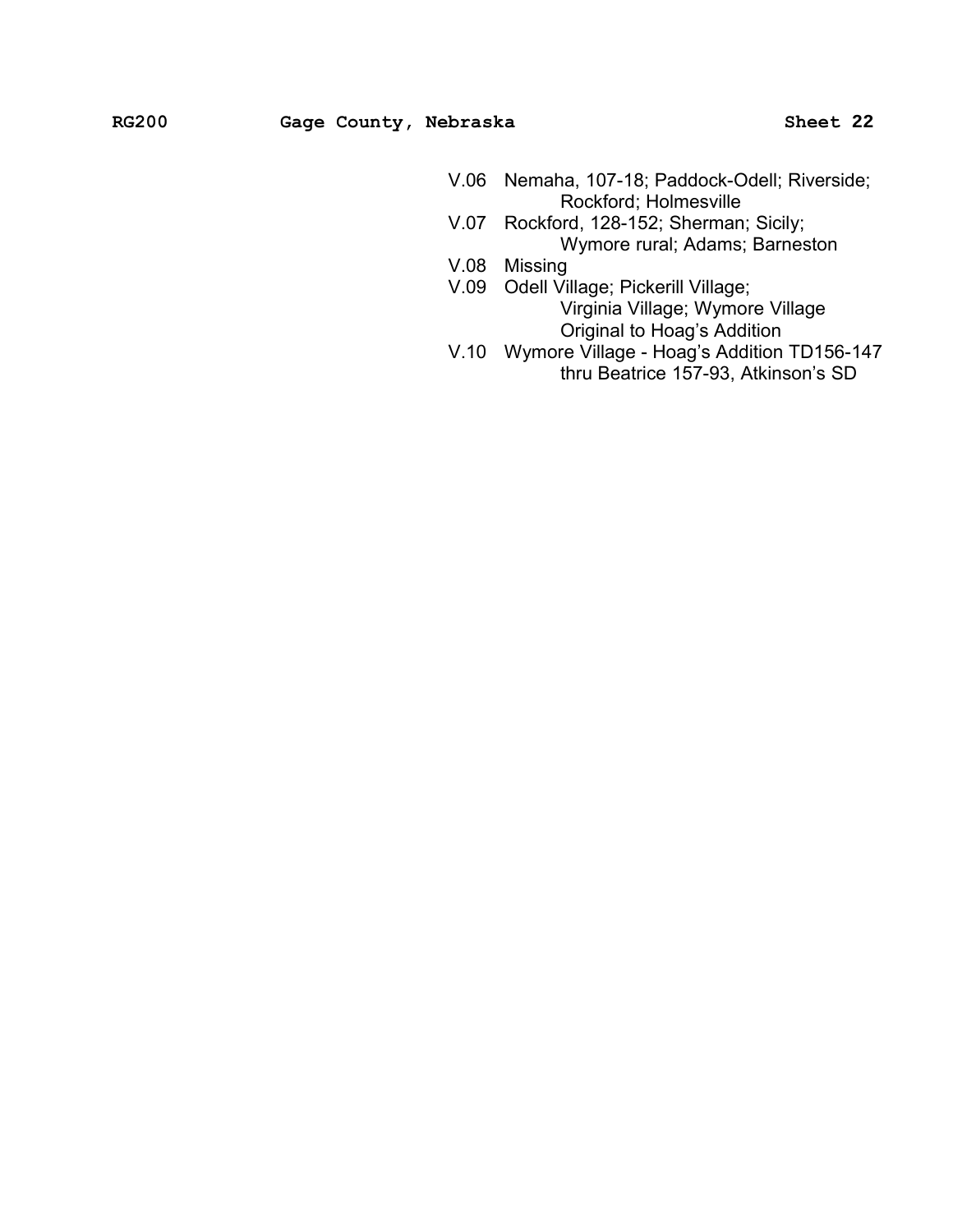- V.06 � Nemaha, 107-18; Paddock-Odell; Riverside; Rockford; Holmesville
- V.07 Rockford, 128-152; Sherman; Sicily; Wymore rural; Adams; Barneston
- V.08 Missing
- V.09 � Odell Village; Pickerill Village; Virginia Village; Wymore Village Original to Hoag's Addition
- V.10 � Wymore Village Hoag's Addition TD156-147 thru Beatrice 157-93, Atkinson's SD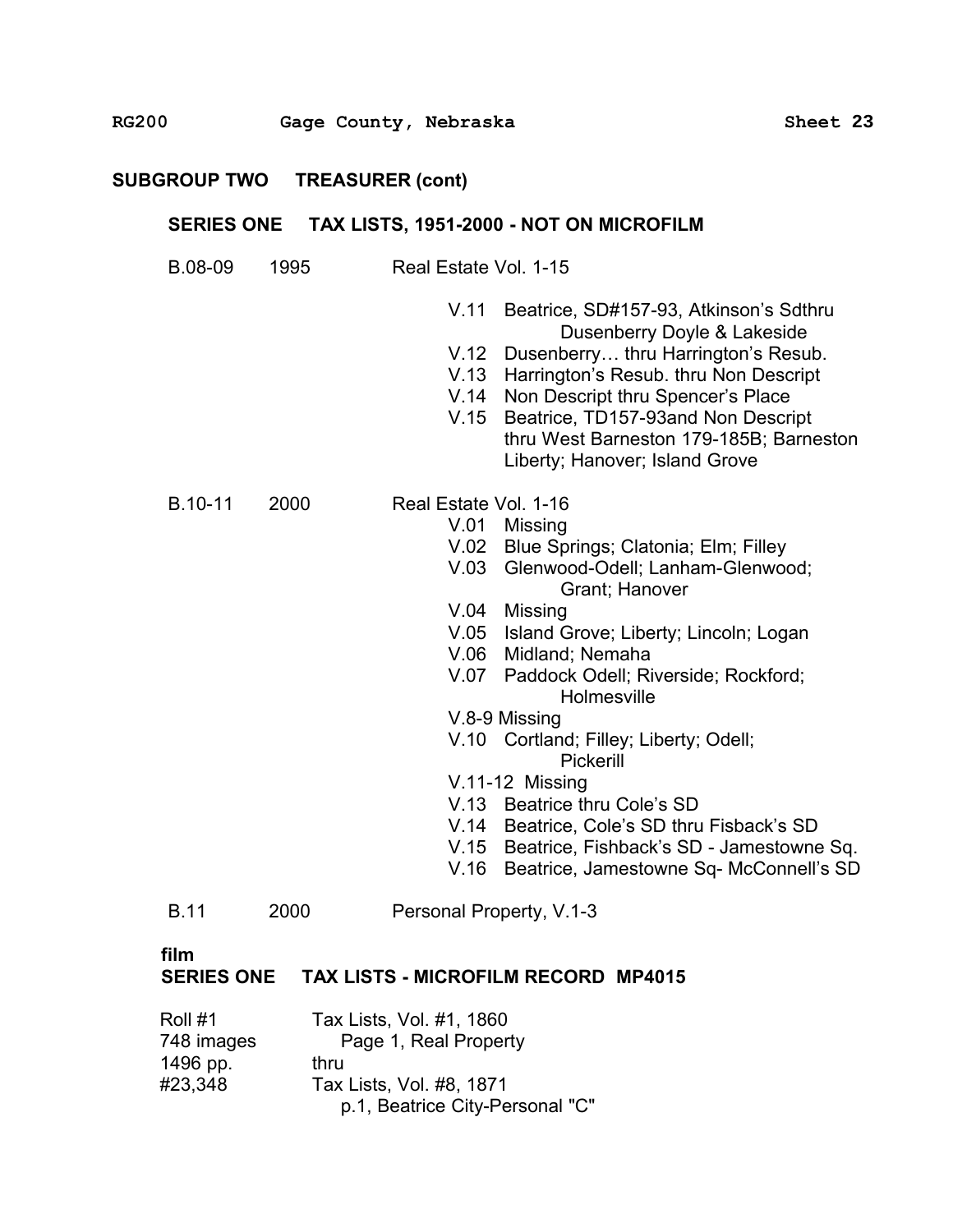## **SERIES ONE TAX LISTS, 1951-2000 - NOT ON MICROFILM** �

| B.08-09     | 1995 | Real Estate Vol. 1-15                                                                                                                                                                                                                                                                                                                                 |
|-------------|------|-------------------------------------------------------------------------------------------------------------------------------------------------------------------------------------------------------------------------------------------------------------------------------------------------------------------------------------------------------|
|             |      | V.11<br>Beatrice, SD#157-93, Atkinson's Sdthru<br>Dusenberry Doyle & Lakeside<br>V.12<br>Dusenberry thru Harrington's Resub.<br>V.13<br>Harrington's Resub. thru Non Descript<br>V.14<br>Non Descript thru Spencer's Place<br>V.15<br>Beatrice, TD157-93and Non Descript<br>thru West Barneston 179-185B; Barneston<br>Liberty; Hanover; Island Grove |
| B.10-11     | 2000 | Real Estate Vol. 1-16                                                                                                                                                                                                                                                                                                                                 |
|             |      | V.01<br>Missing                                                                                                                                                                                                                                                                                                                                       |
|             |      | V.02<br>Blue Springs; Clatonia; Elm; Filley                                                                                                                                                                                                                                                                                                           |
|             |      | V.03<br>Glenwood-Odell; Lanham-Glenwood;<br>Grant; Hanover                                                                                                                                                                                                                                                                                            |
|             |      | V.04<br>Missing                                                                                                                                                                                                                                                                                                                                       |
|             |      | V.05<br>Island Grove; Liberty; Lincoln; Logan                                                                                                                                                                                                                                                                                                         |
|             |      | V.06<br>Midland; Nemaha                                                                                                                                                                                                                                                                                                                               |
|             |      | V.07 Paddock Odell; Riverside; Rockford;<br>Holmesville                                                                                                                                                                                                                                                                                               |
|             |      | V.8-9 Missing                                                                                                                                                                                                                                                                                                                                         |
|             |      | V.10 Cortland; Filley; Liberty; Odell;<br>Pickerill                                                                                                                                                                                                                                                                                                   |
|             |      | $V.11-12$ Missing                                                                                                                                                                                                                                                                                                                                     |
|             |      | V.13 Beatrice thru Cole's SD                                                                                                                                                                                                                                                                                                                          |
|             |      | V.14 Beatrice, Cole's SD thru Fisback's SD                                                                                                                                                                                                                                                                                                            |
|             |      | Beatrice, Fishback's SD - Jamestowne Sq.<br>V.15                                                                                                                                                                                                                                                                                                      |
|             |      | V.16<br>Beatrice, Jamestowne Sq- McConnell's SD                                                                                                                                                                                                                                                                                                       |
| <b>B.11</b> | 2000 | Personal Property, V.1-3                                                                                                                                                                                                                                                                                                                              |
| film        |      | ג-גו                                                                                                                                                                                                                                                                                                                                                  |

#### **SERIES ONE TAX LISTS - MICROFILM RECORD MP4015**

| Roll #1    | Tax Lists, Vol. #1, 1860        |
|------------|---------------------------------|
| 748 images | Page 1, Real Property           |
| 1496 pp.   | thru                            |
| #23,348    | Tax Lists, Vol. #8, 1871        |
|            | p.1, Beatrice City-Personal "C" |
|            |                                 |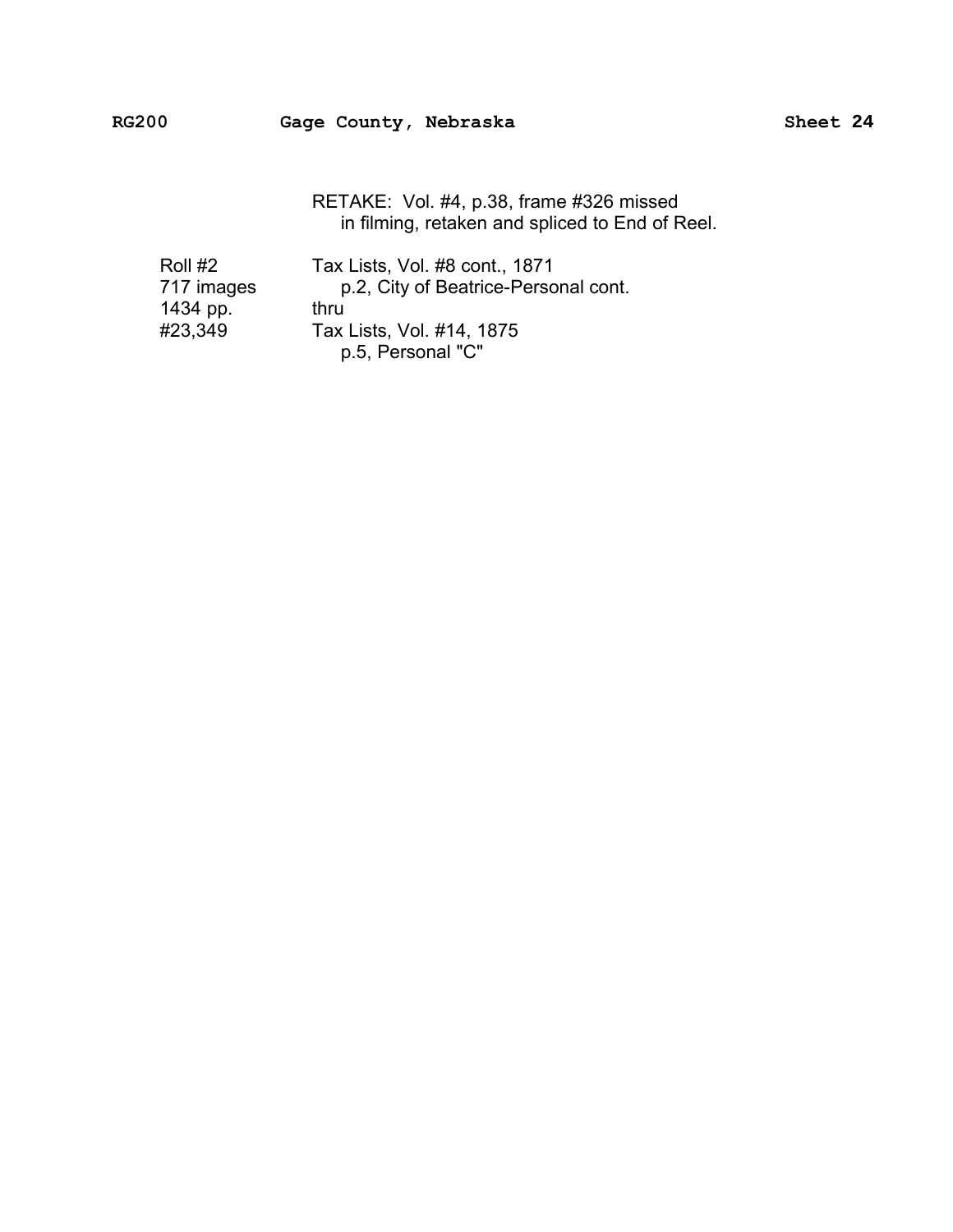RETAKE: Vol. #4, p.38, frame #326 missed in filming, retaken and spliced to End of Reel.

| Roll #2    | Tax Lists, Vol. #8 cont., 1871       |
|------------|--------------------------------------|
| 717 images | p.2, City of Beatrice-Personal cont. |
| 1434 pp.   | thru                                 |
| #23,349    | Tax Lists, Vol. #14, 1875            |
|            | p.5, Personal "C"                    |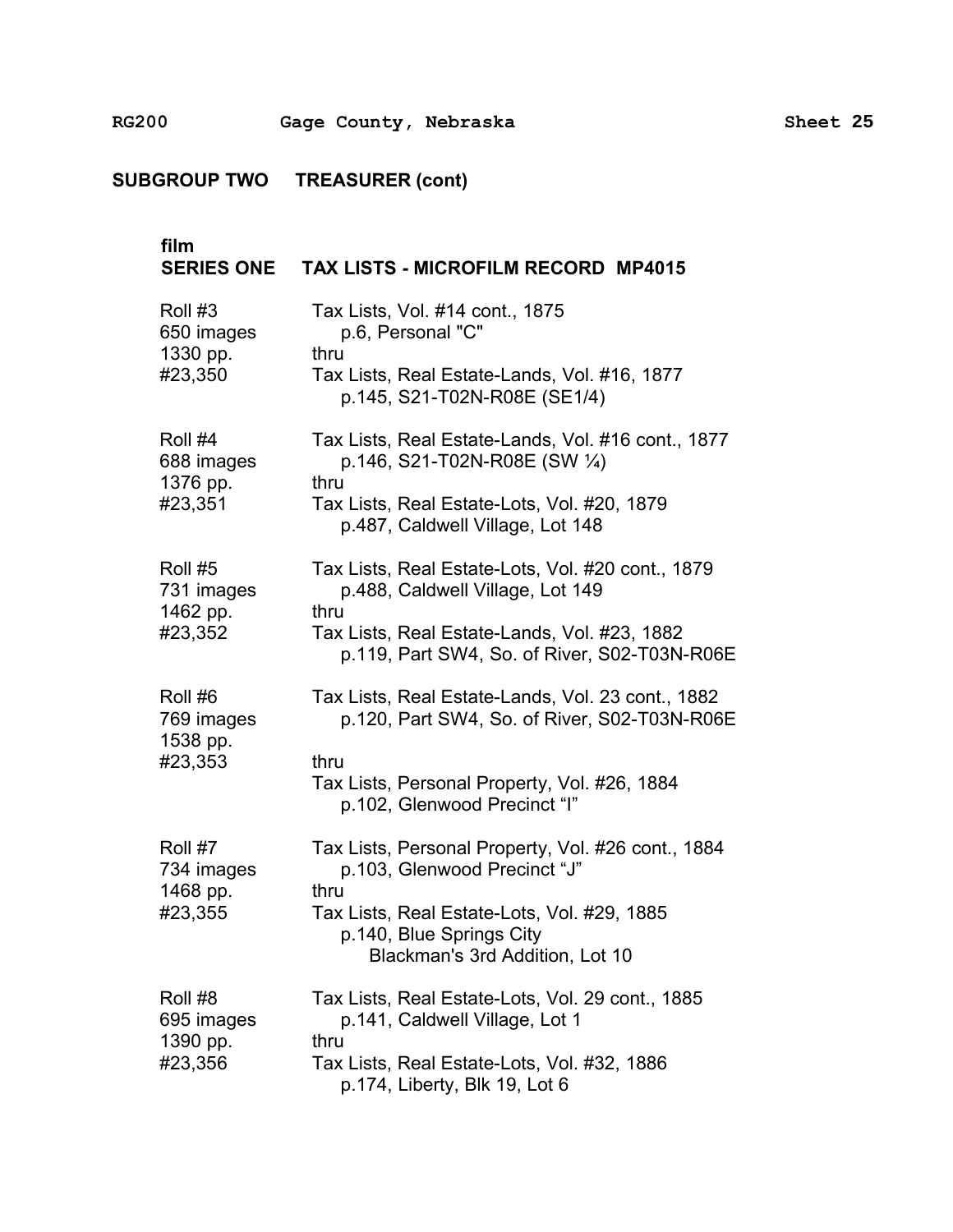| film<br><b>SERIES ONE</b>         | <b>TAX LISTS - MICROFILM RECORD MP4015</b>                                                                 |
|-----------------------------------|------------------------------------------------------------------------------------------------------------|
| Roll #3<br>650 images<br>1330 pp. | Tax Lists, Vol. #14 cont., 1875<br>p.6, Personal "C"<br>thru                                               |
| #23,350                           | Tax Lists, Real Estate-Lands, Vol. #16, 1877<br>p.145, S21-T02N-R08E (SE1/4)                               |
| Roll #4<br>688 images<br>1376 pp. | Tax Lists, Real Estate-Lands, Vol. #16 cont., 1877<br>p.146, S21-T02N-R08E (SW 1/4)<br>thru                |
| #23,351                           | Tax Lists, Real Estate-Lots, Vol. #20, 1879<br>p.487, Caldwell Village, Lot 148                            |
| Roll #5<br>731 images             | Tax Lists, Real Estate-Lots, Vol. #20 cont., 1879<br>p.488, Caldwell Village, Lot 149<br>thru              |
| 1462 pp.<br>#23,352               | Tax Lists, Real Estate-Lands, Vol. #23, 1882<br>p.119, Part SW4, So. of River, S02-T03N-R06E               |
| Roll #6<br>769 images             | Tax Lists, Real Estate-Lands, Vol. 23 cont., 1882<br>p.120, Part SW4, So. of River, S02-T03N-R06E          |
| 1538 pp.<br>#23,353               | thru<br>Tax Lists, Personal Property, Vol. #26, 1884<br>p.102, Glenwood Precinct "I"                       |
| Roll #7<br>734 images<br>1468 pp. | Tax Lists, Personal Property, Vol. #26 cont., 1884<br>p.103, Glenwood Precinct "J"<br>thru                 |
| #23,355                           | Tax Lists, Real Estate-Lots, Vol. #29, 1885<br>p.140, Blue Springs City<br>Blackman's 3rd Addition, Lot 10 |
| Roll #8<br>695 images             | Tax Lists, Real Estate-Lots, Vol. 29 cont., 1885<br>p.141, Caldwell Village, Lot 1                         |
| 1390 pp.<br>#23,356               | thru<br>Tax Lists, Real Estate-Lots, Vol. #32, 1886<br>p.174, Liberty, Blk 19, Lot 6                       |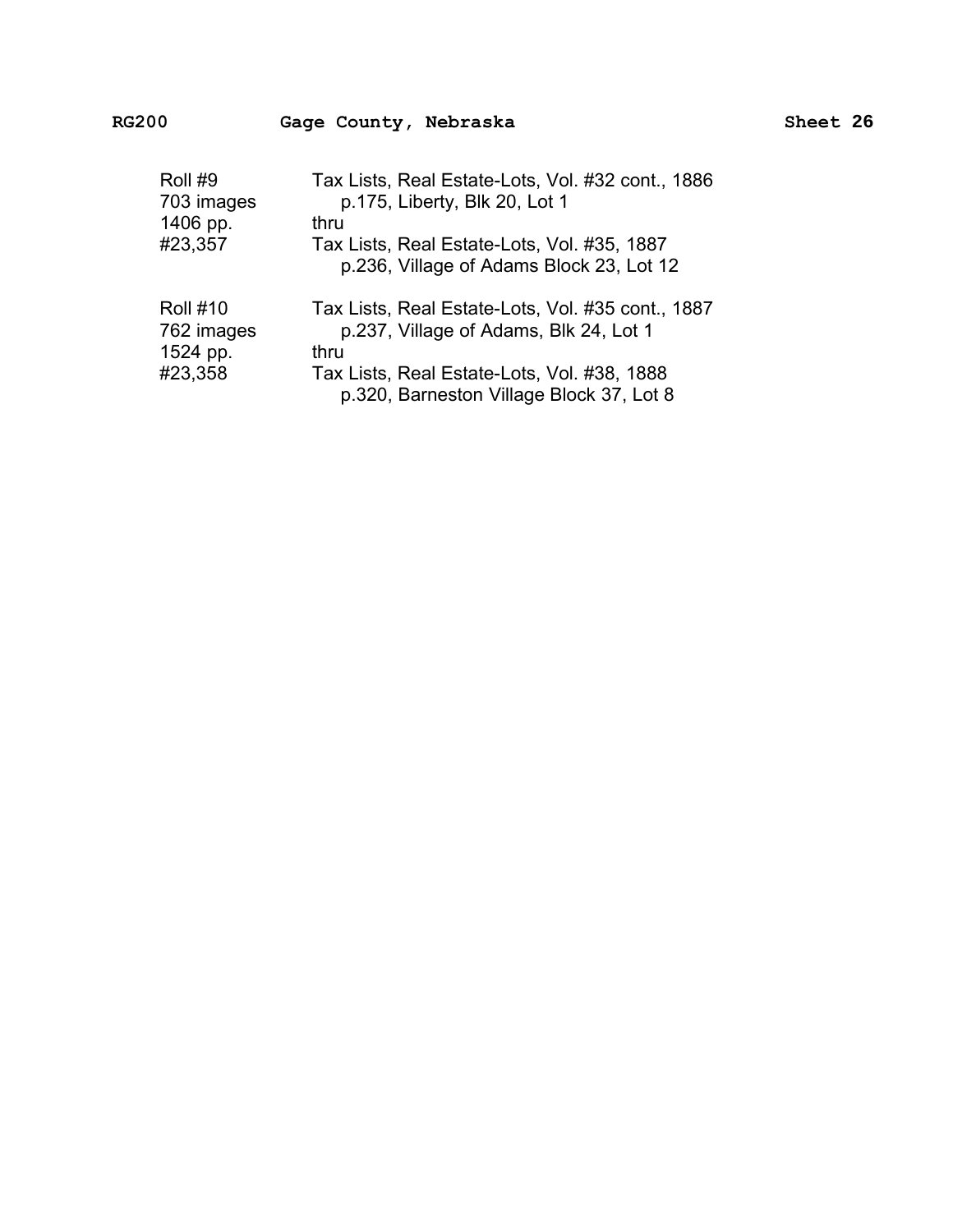| Roll #9         | Tax Lists, Real Estate-Lots, Vol. #32 cont., 1886                                       |
|-----------------|-----------------------------------------------------------------------------------------|
| 703 images      | p.175, Liberty, Blk 20, Lot 1                                                           |
| 1406 pp.        | thru                                                                                    |
| #23,357         | Tax Lists, Real Estate-Lots, Vol. #35, 1887<br>p.236, Village of Adams Block 23, Lot 12 |
| <b>Roll #10</b> | Tax Lists, Real Estate-Lots, Vol. #35 cont., 1887                                       |
| 762 images      | p.237, Village of Adams, Blk 24, Lot 1                                                  |
| 1524 pp.        | thru                                                                                    |
| #23,358         | Tax Lists, Real Estate-Lots, Vol. #38, 1888<br>p.320, Barneston Village Block 37, Lot 8 |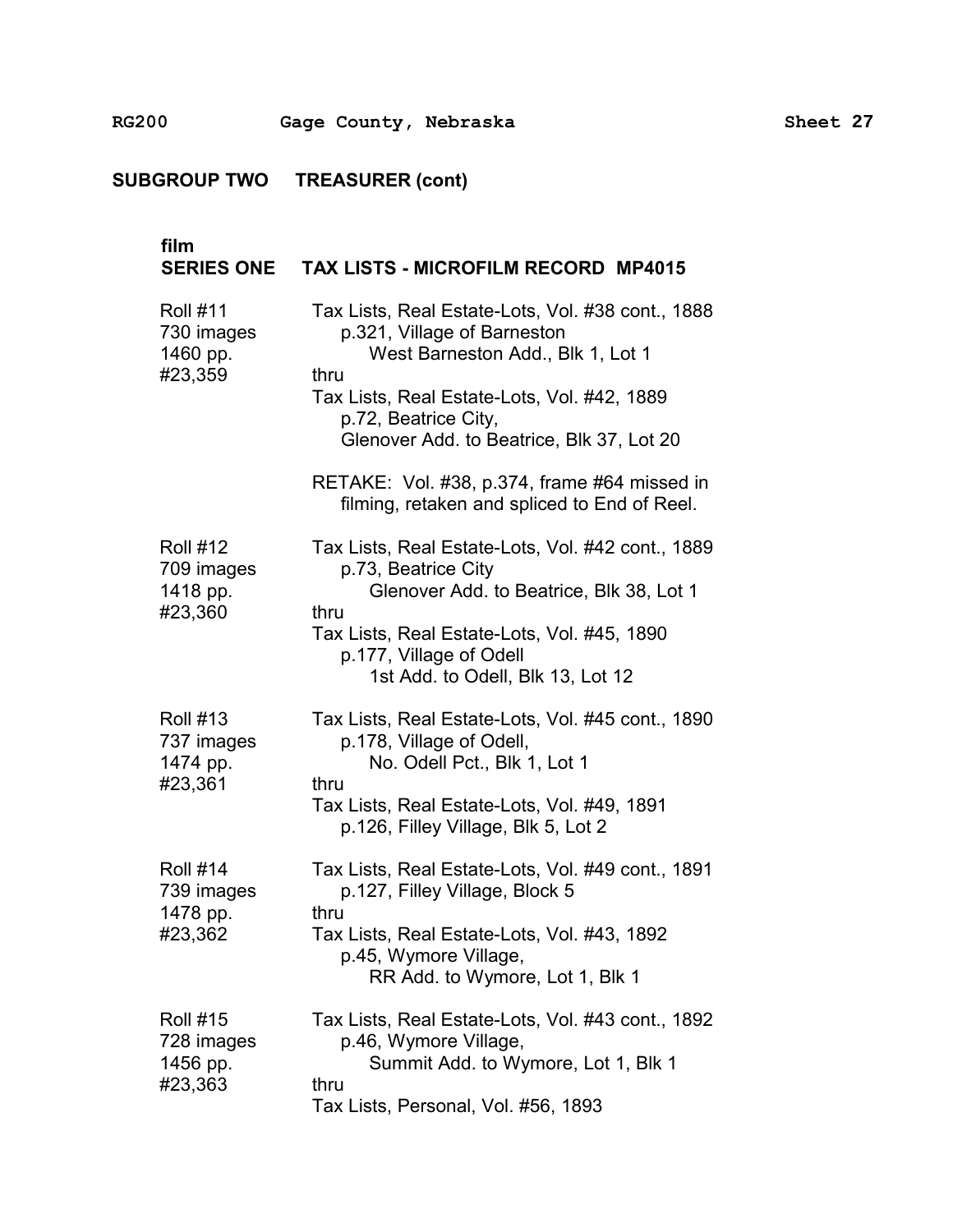| film<br><b>SERIES ONE</b>                            | <b>TAX LISTS - MICROFILM RECORD MP4015</b>                                                                                                                                                                                                                                                                                                        |
|------------------------------------------------------|---------------------------------------------------------------------------------------------------------------------------------------------------------------------------------------------------------------------------------------------------------------------------------------------------------------------------------------------------|
| <b>Roll #11</b><br>730 images<br>1460 pp.<br>#23,359 | Tax Lists, Real Estate-Lots, Vol. #38 cont., 1888<br>p.321, Village of Barneston<br>West Barneston Add., Blk 1, Lot 1<br>thru<br>Tax Lists, Real Estate-Lots, Vol. #42, 1889<br>p.72, Beatrice City,<br>Glenover Add. to Beatrice, Blk 37, Lot 20<br>RETAKE: Vol. #38, p.374, frame #64 missed in<br>filming, retaken and spliced to End of Reel. |
| <b>Roll #12</b><br>709 images<br>1418 pp.<br>#23,360 | Tax Lists, Real Estate-Lots, Vol. #42 cont., 1889<br>p.73, Beatrice City<br>Glenover Add. to Beatrice, Blk 38, Lot 1<br>thru<br>Tax Lists, Real Estate-Lots, Vol. #45, 1890<br>p.177, Village of Odell<br>1st Add. to Odell, Blk 13, Lot 12                                                                                                       |
| <b>Roll #13</b><br>737 images<br>1474 pp.<br>#23,361 | Tax Lists, Real Estate-Lots, Vol. #45 cont., 1890<br>p.178, Village of Odell,<br>No. Odell Pct., Blk 1, Lot 1<br>thru<br>Tax Lists, Real Estate-Lots, Vol. #49, 1891<br>p.126, Filley Village, Blk 5, Lot 2                                                                                                                                       |
| <b>Roll #14</b><br>739 images<br>1478 pp.<br>#23,362 | Tax Lists, Real Estate-Lots, Vol. #49 cont., 1891<br>p.127, Filley Village, Block 5<br>thru<br>Tax Lists, Real Estate-Lots, Vol. #43, 1892<br>p.45, Wymore Village,<br>RR Add. to Wymore, Lot 1, Blk 1                                                                                                                                            |
| <b>Roll #15</b><br>728 images<br>1456 pp.<br>#23,363 | Tax Lists, Real Estate-Lots, Vol. #43 cont., 1892<br>p.46, Wymore Village,<br>Summit Add. to Wymore, Lot 1, Blk 1<br>thru<br>Tax Lists, Personal, Vol. #56, 1893                                                                                                                                                                                  |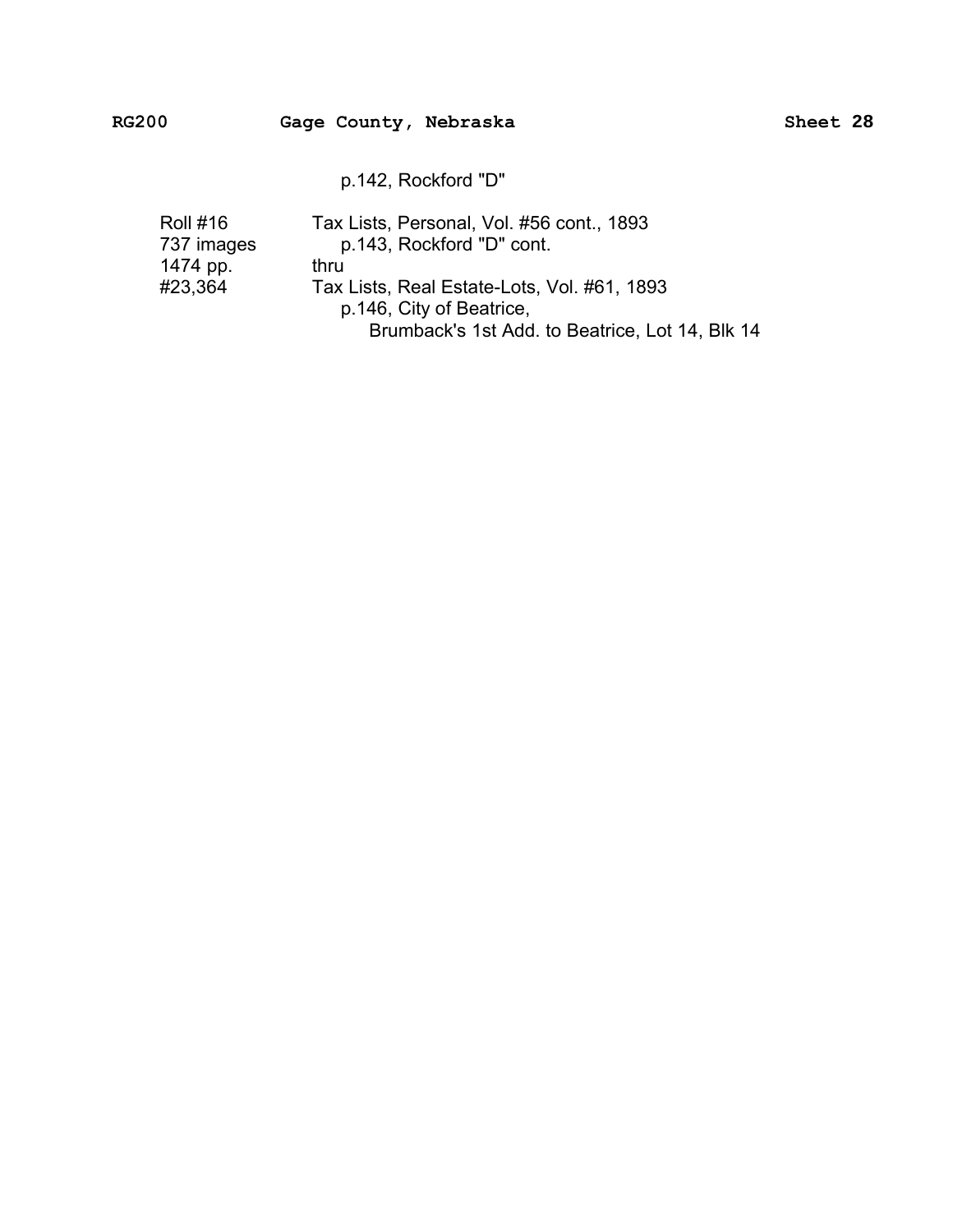p.142, Rockford "D"

| <b>Roll #16</b> | Tax Lists, Personal, Vol. #56 cont., 1893       |
|-----------------|-------------------------------------------------|
| 737 images      | p.143, Rockford "D" cont.                       |
| 1474 pp.        | thru                                            |
| #23,364         | Tax Lists, Real Estate-Lots, Vol. #61, 1893     |
|                 | p.146, City of Beatrice,                        |
|                 | Brumback's 1st Add. to Beatrice, Lot 14, Blk 14 |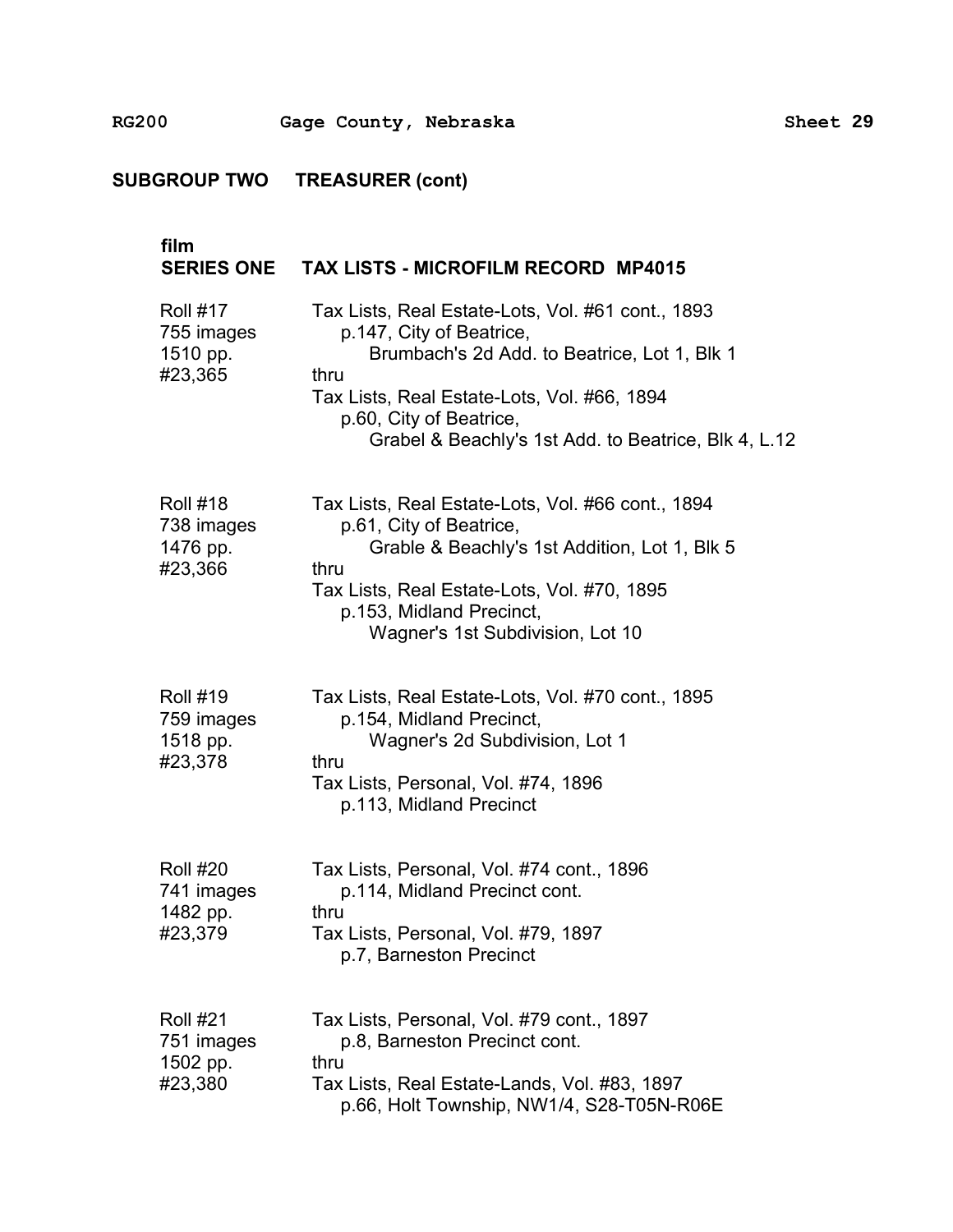| film<br><b>SERIES ONE</b>                            | <b>TAX LISTS - MICROFILM RECORD MP4015</b>                                                                                                                                                                                                                              |
|------------------------------------------------------|-------------------------------------------------------------------------------------------------------------------------------------------------------------------------------------------------------------------------------------------------------------------------|
| <b>Roll #17</b><br>755 images<br>1510 pp.<br>#23,365 | Tax Lists, Real Estate-Lots, Vol. #61 cont., 1893<br>p.147, City of Beatrice,<br>Brumbach's 2d Add. to Beatrice, Lot 1, Blk 1<br>thru<br>Tax Lists, Real Estate-Lots, Vol. #66, 1894<br>p.60, City of Beatrice,<br>Grabel & Beachly's 1st Add. to Beatrice, Blk 4, L.12 |
| <b>Roll #18</b><br>738 images<br>1476 pp.<br>#23,366 | Tax Lists, Real Estate-Lots, Vol. #66 cont., 1894<br>p.61, City of Beatrice,<br>Grable & Beachly's 1st Addition, Lot 1, Blk 5<br>thru<br>Tax Lists, Real Estate-Lots, Vol. #70, 1895<br>p.153, Midland Precinct,<br>Wagner's 1st Subdivision, Lot 10                    |
| <b>Roll #19</b><br>759 images<br>1518 pp.<br>#23,378 | Tax Lists, Real Estate-Lots, Vol. #70 cont., 1895<br>p.154, Midland Precinct,<br>Wagner's 2d Subdivision, Lot 1<br>thru<br>Tax Lists, Personal, Vol. #74, 1896<br>p.113, Midland Precinct                                                                               |
| <b>Roll #20</b><br>741 images<br>1482 pp.<br>#23,379 | Tax Lists, Personal, Vol. #74 cont., 1896<br>p.114, Midland Precinct cont.<br>thru<br>Tax Lists, Personal, Vol. #79, 1897<br>p.7, Barneston Precinct                                                                                                                    |
| <b>Roll #21</b><br>751 images<br>1502 pp.<br>#23,380 | Tax Lists, Personal, Vol. #79 cont., 1897<br>p.8, Barneston Precinct cont.<br>thru<br>Tax Lists, Real Estate-Lands, Vol. #83, 1897<br>p.66, Holt Township, NW1/4, S28-T05N-R06E                                                                                         |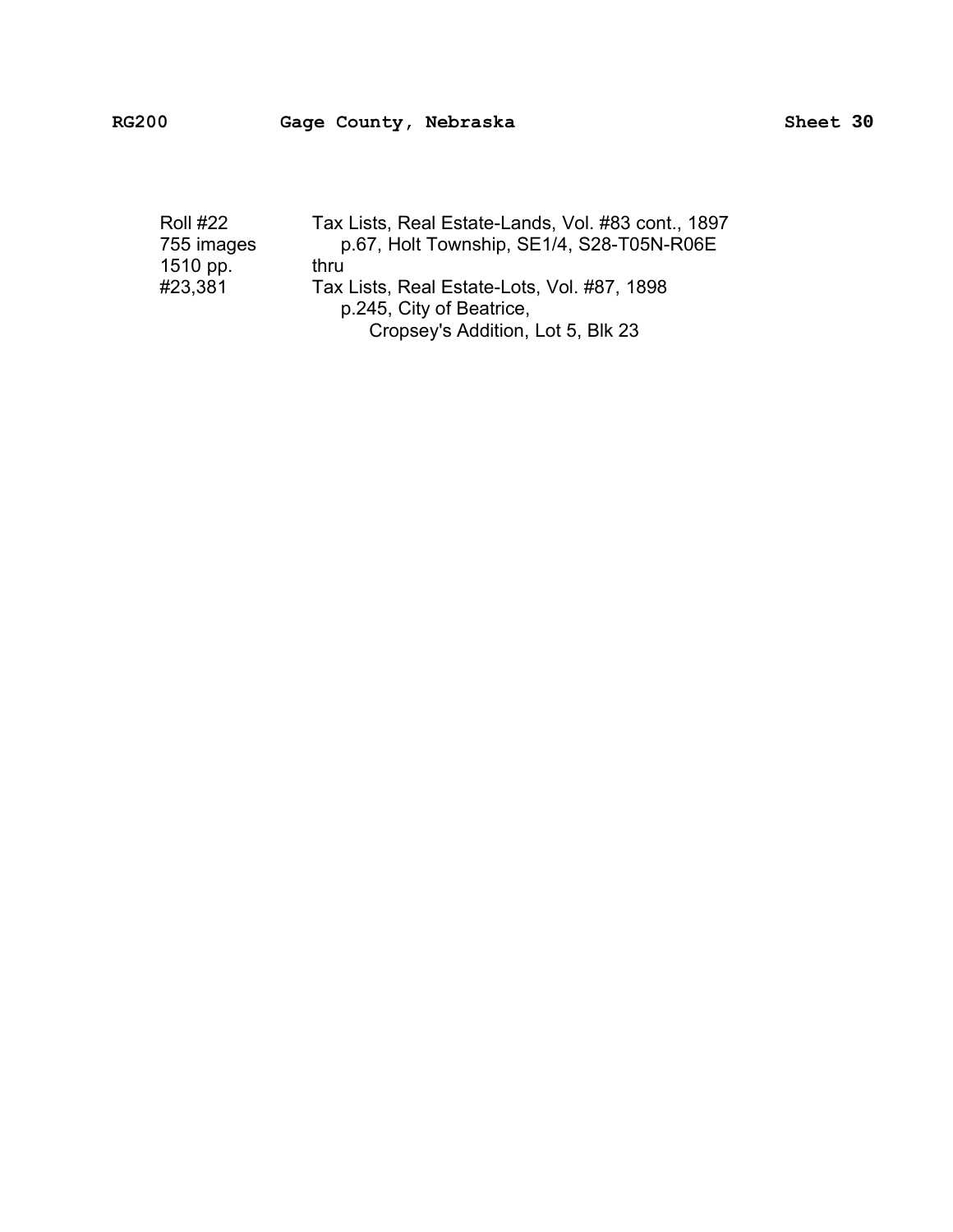| <b>Roll #22</b> | Tax Lists, Real Estate-Lands, Vol. #83 cont., 1897 |
|-----------------|----------------------------------------------------|
| 755 images      | p.67, Holt Township, SE1/4, S28-T05N-R06E          |
| 1510 pp.        | thru                                               |
| #23,381         | Tax Lists, Real Estate-Lots, Vol. #87, 1898        |
|                 | p.245, City of Beatrice,                           |
|                 | Cropsey's Addition, Lot 5, Blk 23                  |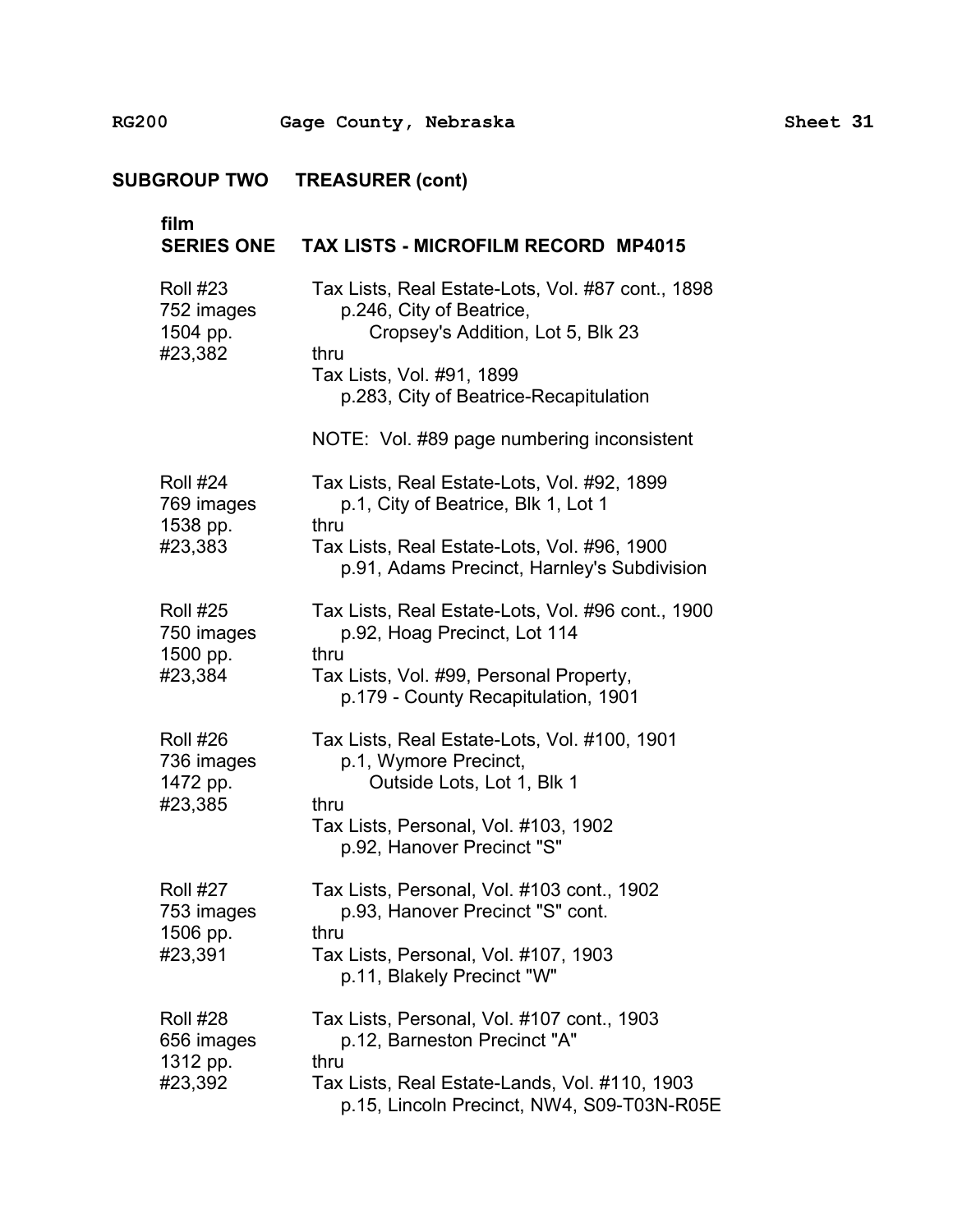**RG200** � **Gage County, Nebraska Sheet 31** 

**SUBGROUP TWO TREASURER (cont)** 

| film<br><b>SERIES ONE</b>                            | <b>TAX LISTS - MICROFILM RECORD MP4015</b>                                                                                                                                                                                                      |
|------------------------------------------------------|-------------------------------------------------------------------------------------------------------------------------------------------------------------------------------------------------------------------------------------------------|
| <b>Roll #23</b><br>752 images<br>1504 pp.<br>#23,382 | Tax Lists, Real Estate-Lots, Vol. #87 cont., 1898<br>p.246, City of Beatrice,<br>Cropsey's Addition, Lot 5, Blk 23<br>thru<br>Tax Lists, Vol. #91, 1899<br>p.283, City of Beatrice-Recapitulation<br>NOTE: Vol. #89 page numbering inconsistent |
| <b>Roll #24</b><br>769 images<br>1538 pp.<br>#23,383 | Tax Lists, Real Estate-Lots, Vol. #92, 1899<br>p.1, City of Beatrice, Blk 1, Lot 1<br>thru<br>Tax Lists, Real Estate-Lots, Vol. #96, 1900<br>p.91, Adams Precinct, Harnley's Subdivision                                                        |
| <b>Roll #25</b><br>750 images<br>1500 pp.<br>#23,384 | Tax Lists, Real Estate-Lots, Vol. #96 cont., 1900<br>p.92, Hoag Precinct, Lot 114<br>thru<br>Tax Lists, Vol. #99, Personal Property,<br>p.179 - County Recapitulation, 1901                                                                     |
| <b>Roll #26</b><br>736 images<br>1472 pp.<br>#23,385 | Tax Lists, Real Estate-Lots, Vol. #100, 1901<br>p.1, Wymore Precinct,<br>Outside Lots, Lot 1, Blk 1<br>thru<br>Tax Lists, Personal, Vol. #103, 1902<br>p.92, Hanover Precinct "S"                                                               |
| <b>Roll #27</b><br>753 images<br>1506 pp.<br>#23,391 | Tax Lists, Personal, Vol. #103 cont., 1902<br>p.93, Hanover Precinct "S" cont.<br>thru<br>Tax Lists, Personal, Vol. #107, 1903<br>p.11, Blakely Precinct "W"                                                                                    |
| <b>Roll #28</b><br>656 images<br>1312 pp.<br>#23,392 | Tax Lists, Personal, Vol. #107 cont., 1903<br>p.12, Barneston Precinct "A"<br>thru<br>Tax Lists, Real Estate-Lands, Vol. #110, 1903<br>p.15, Lincoln Precinct, NW4, S09-T03N-R05E                                                               |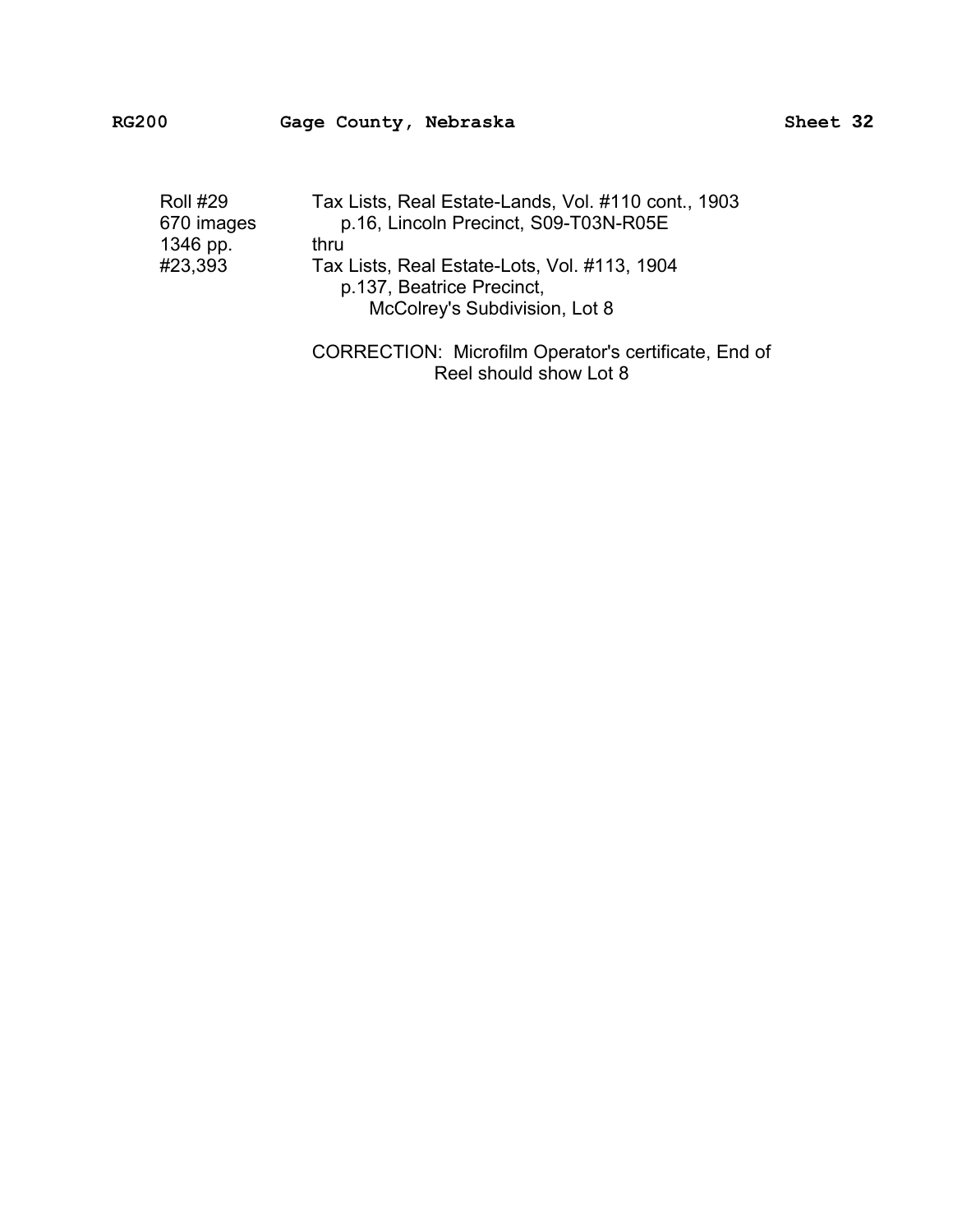| <b>Roll #29</b><br>670 images | Tax Lists, Real Estate-Lands, Vol. #110 cont., 1903<br>p.16, Lincoln Precinct, S09-T03N-R05E |
|-------------------------------|----------------------------------------------------------------------------------------------|
| 1346 pp.                      | thru                                                                                         |
| #23,393                       | Tax Lists, Real Estate-Lots, Vol. #113, 1904                                                 |
|                               | p.137, Beatrice Precinct,                                                                    |
|                               | McColrey's Subdivision, Lot 8                                                                |
|                               |                                                                                              |

CORRECTION: Microfilm Operator's certificate, End of Reel should show Lot 8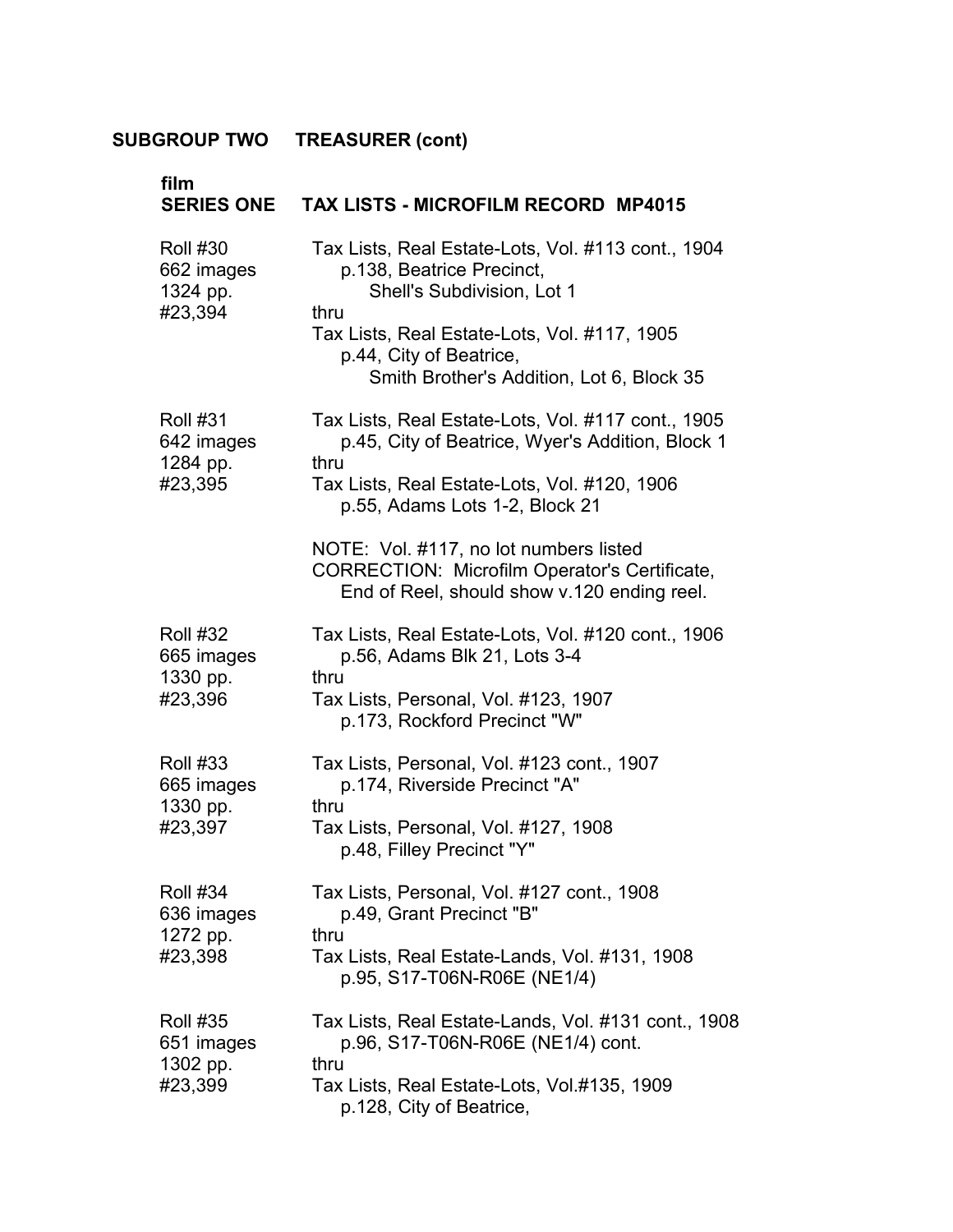| film<br><b>SERIES ONE</b>                            | <b>TAX LISTS - MICROFILM RECORD MP4015</b>                                                                                                                                                                                                    |
|------------------------------------------------------|-----------------------------------------------------------------------------------------------------------------------------------------------------------------------------------------------------------------------------------------------|
| <b>Roll #30</b><br>662 images<br>1324 pp.<br>#23,394 | Tax Lists, Real Estate-Lots, Vol. #113 cont., 1904<br>p.138, Beatrice Precinct,<br>Shell's Subdivision, Lot 1<br>thru<br>Tax Lists, Real Estate-Lots, Vol. #117, 1905<br>p.44, City of Beatrice,<br>Smith Brother's Addition, Lot 6, Block 35 |
| <b>Roll #31</b><br>642 images<br>1284 pp.            | Tax Lists, Real Estate-Lots, Vol. #117 cont., 1905<br>p.45, City of Beatrice, Wyer's Addition, Block 1<br>thru                                                                                                                                |
| #23,395                                              | Tax Lists, Real Estate-Lots, Vol. #120, 1906<br>p.55, Adams Lots 1-2, Block 21                                                                                                                                                                |
|                                                      | NOTE: Vol. #117, no lot numbers listed<br><b>CORRECTION: Microfilm Operator's Certificate,</b><br>End of Reel, should show v.120 ending reel.                                                                                                 |
| <b>Roll #32</b><br>665 images<br>1330 pp.<br>#23,396 | Tax Lists, Real Estate-Lots, Vol. #120 cont., 1906<br>p.56, Adams Blk 21, Lots 3-4<br>thru                                                                                                                                                    |
|                                                      | Tax Lists, Personal, Vol. #123, 1907<br>p.173, Rockford Precinct "W"                                                                                                                                                                          |
| <b>Roll #33</b><br>665 images<br>1330 pp.<br>#23,397 | Tax Lists, Personal, Vol. #123 cont., 1907<br>p.174, Riverside Precinct "A"<br>thru                                                                                                                                                           |
|                                                      | Tax Lists, Personal, Vol. #127, 1908<br>p.48, Filley Precinct "Y"                                                                                                                                                                             |
| <b>Roll #34</b><br>636 images<br>1272 pp.<br>#23,398 | Tax Lists, Personal, Vol. #127 cont., 1908<br>p.49, Grant Precinct "B"<br>thru                                                                                                                                                                |
|                                                      | Tax Lists, Real Estate-Lands, Vol. #131, 1908<br>p.95, S17-T06N-R06E (NE1/4)                                                                                                                                                                  |
| <b>Roll #35</b><br>651 images<br>1302 pp.<br>#23,399 | Tax Lists, Real Estate-Lands, Vol. #131 cont., 1908<br>p.96, S17-T06N-R06E (NE1/4) cont.<br>thru                                                                                                                                              |
|                                                      | Tax Lists, Real Estate-Lots, Vol.#135, 1909<br>p.128, City of Beatrice,                                                                                                                                                                       |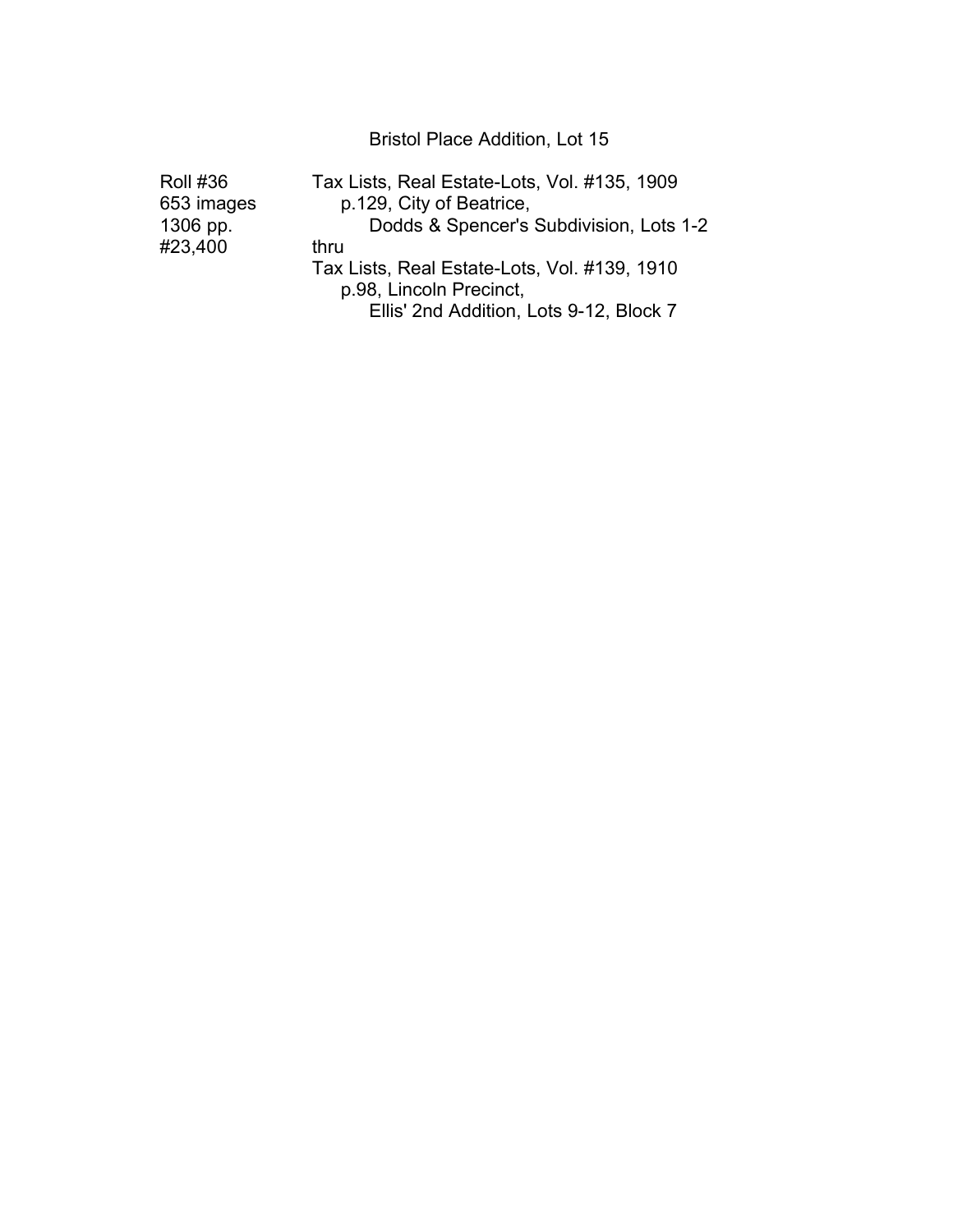Bristol Place Addition, Lot 15

| <b>Roll #36</b> | Tax Lists, Real Estate-Lots, Vol. #135, 1909 |
|-----------------|----------------------------------------------|
| 653 images      | p.129, City of Beatrice,                     |
| 1306 pp.        | Dodds & Spencer's Subdivision, Lots 1-2      |
| #23,400         | thru                                         |
|                 | Tax Lists, Real Estate-Lots, Vol. #139, 1910 |
|                 | p.98, Lincoln Precinct,                      |
|                 | Ellis' 2nd Addition, Lots 9-12, Block 7      |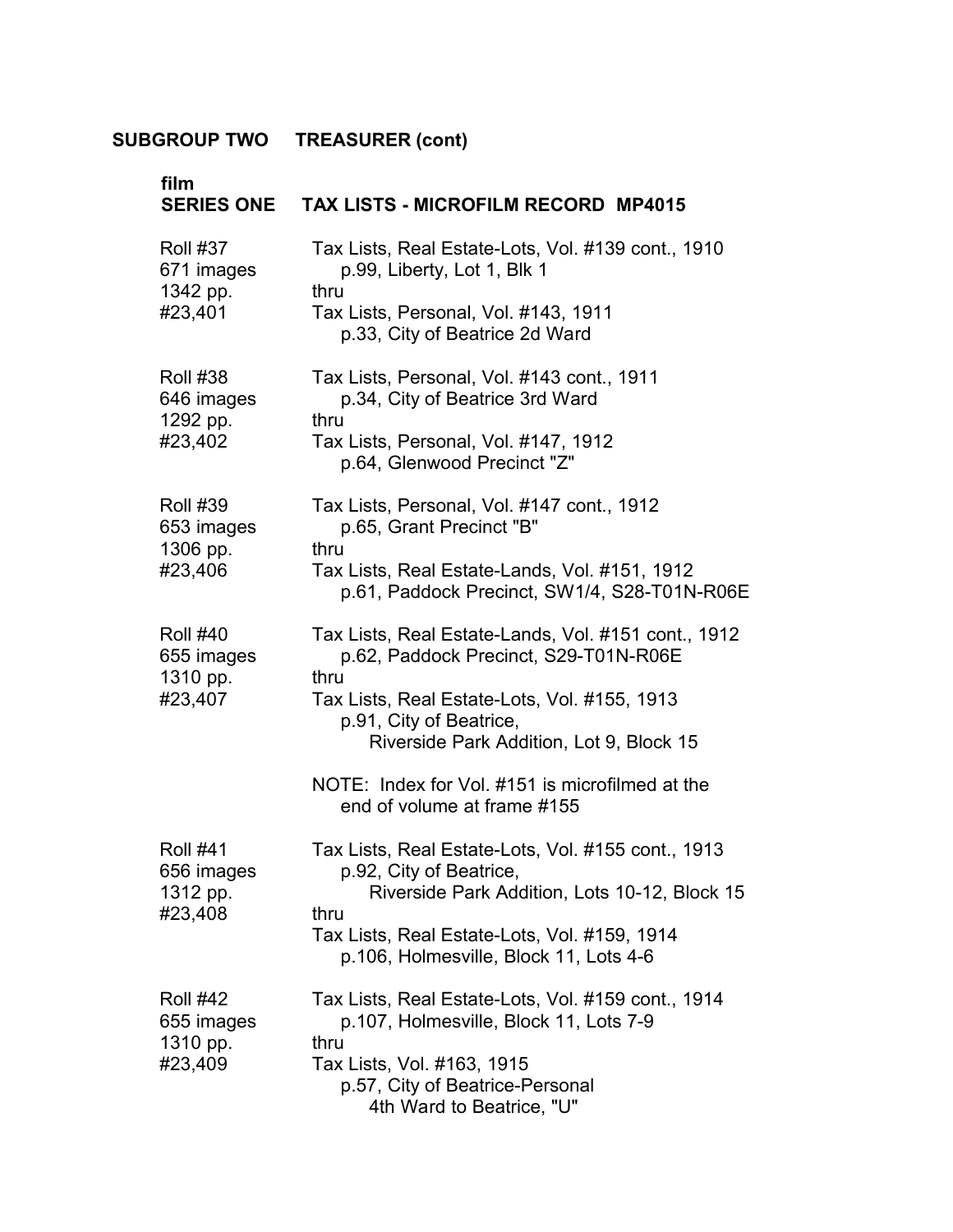| film<br><b>SERIES ONE</b>                 | <b>TAX LISTS - MICROFILM RECORD MP4015</b>                                                                          |
|-------------------------------------------|---------------------------------------------------------------------------------------------------------------------|
| <b>Roll #37</b><br>671 images<br>1342 pp. | Tax Lists, Real Estate-Lots, Vol. #139 cont., 1910<br>p.99, Liberty, Lot 1, Blk 1<br>thru                           |
| #23,401                                   | Tax Lists, Personal, Vol. #143, 1911<br>p.33, City of Beatrice 2d Ward                                              |
| <b>Roll #38</b><br>646 images<br>1292 pp. | Tax Lists, Personal, Vol. #143 cont., 1911<br>p.34, City of Beatrice 3rd Ward<br>thru                               |
| #23,402                                   | Tax Lists, Personal, Vol. #147, 1912<br>p.64, Glenwood Precinct "Z"                                                 |
| <b>Roll #39</b><br>653 images<br>1306 pp. | Tax Lists, Personal, Vol. #147 cont., 1912<br>p.65, Grant Precinct "B"<br>thru                                      |
| #23,406                                   | Tax Lists, Real Estate-Lands, Vol. #151, 1912<br>p.61, Paddock Precinct, SW1/4, S28-T01N-R06E                       |
| <b>Roll #40</b><br>655 images<br>1310 pp. | Tax Lists, Real Estate-Lands, Vol. #151 cont., 1912<br>p.62, Paddock Precinct, S29-T01N-R06E<br>thru                |
| #23,407                                   | Tax Lists, Real Estate-Lots, Vol. #155, 1913<br>p.91, City of Beatrice,<br>Riverside Park Addition, Lot 9, Block 15 |
|                                           |                                                                                                                     |
|                                           | NOTE: Index for Vol. #151 is microfilmed at the<br>end of volume at frame #155                                      |
| <b>Roll #41</b><br>656 images             | Tax Lists, Real Estate-Lots, Vol. #155 cont., 1913<br>p.92, City of Beatrice,                                       |
| 1312 pp.<br>#23,408                       | Riverside Park Addition, Lots 10-12, Block 15<br>thru                                                               |
|                                           | Tax Lists, Real Estate-Lots, Vol. #159, 1914<br>p.106, Holmesville, Block 11, Lots 4-6                              |
| <b>Roll #42</b><br>655 images             | Tax Lists, Real Estate-Lots, Vol. #159 cont., 1914<br>p.107, Holmesville, Block 11, Lots 7-9                        |
| 1310 pp.<br>#23,409                       | thru<br>Tax Lists, Vol. #163, 1915                                                                                  |
|                                           | p.57, City of Beatrice-Personal                                                                                     |
|                                           | 4th Ward to Beatrice, "U"                                                                                           |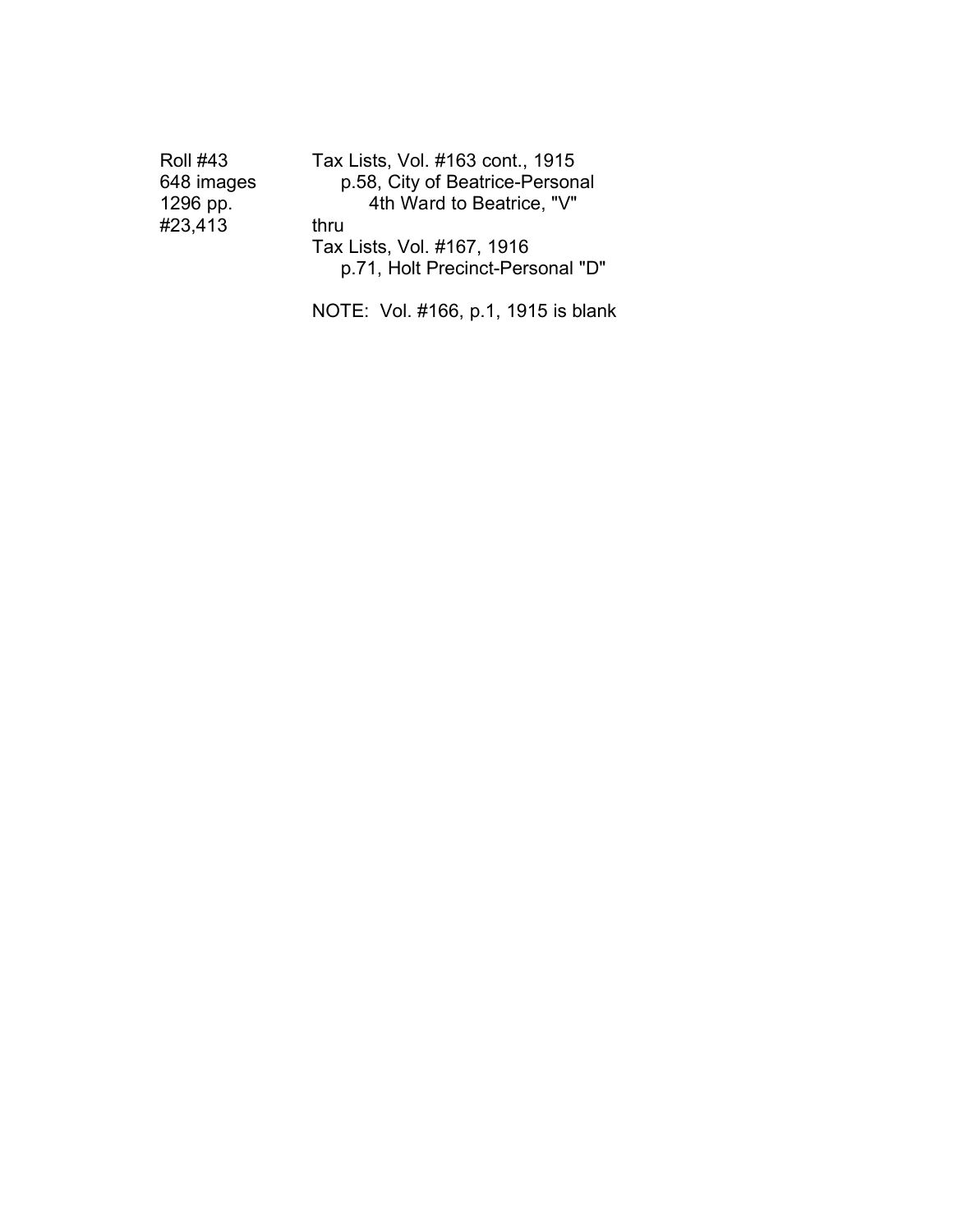| Roll #43   | Tax Lists, Vol. #163 cont., 1915 |
|------------|----------------------------------|
| 648 images | p.58, City of Beatrice-Personal  |
| 1296 pp.   | 4th Ward to Beatrice, "V"        |
| #23,413    | thru                             |
|            | Tax Lists, Vol. #167, 1916       |
|            | p.71, Holt Precinct-Personal "D" |
|            |                                  |

NOTE: Vol. #166, p.1, 1915 is blank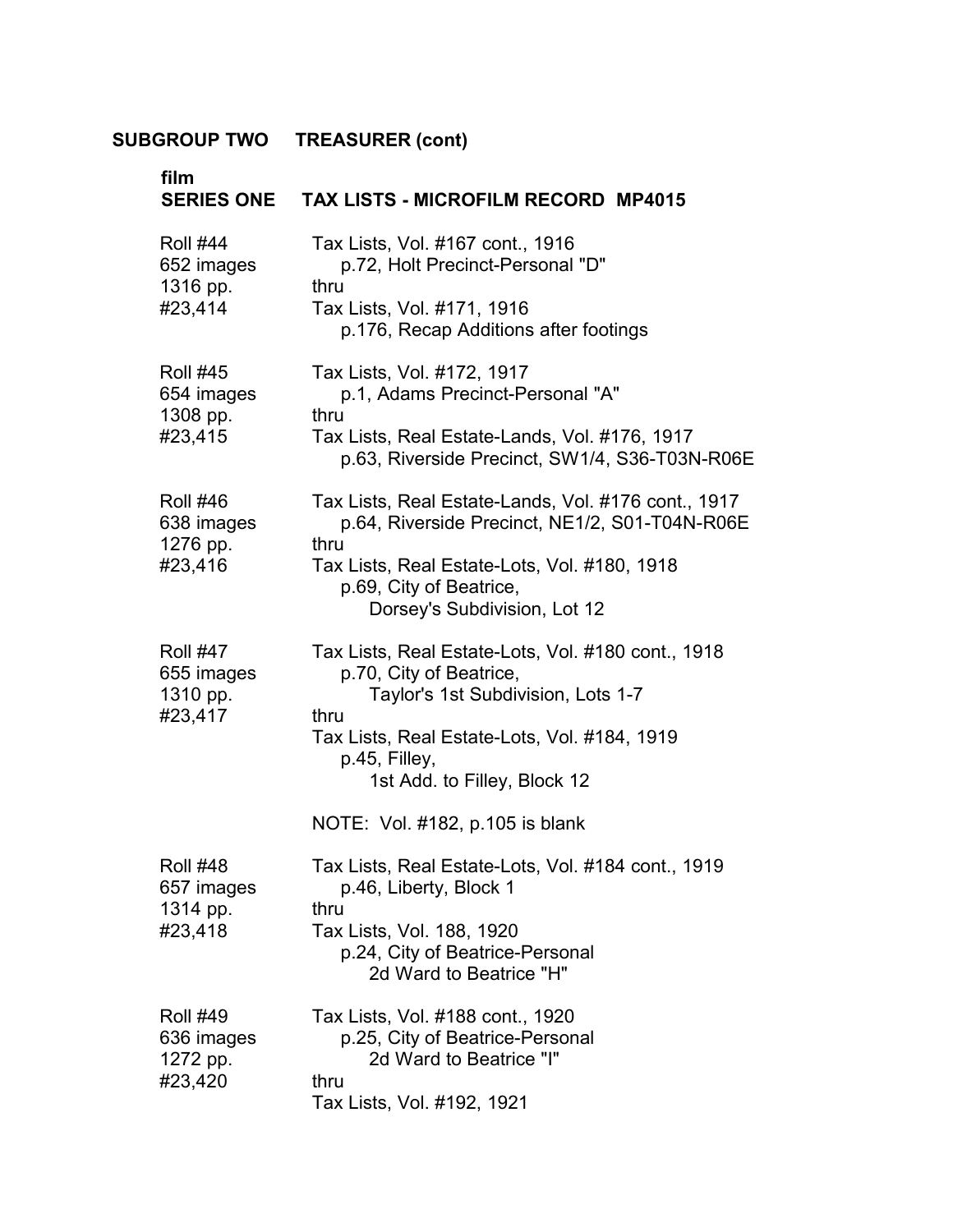| film<br><b>SERIES ONE</b>                            | <b>TAX LISTS - MICROFILM RECORD MP4015</b>                                                                                                                                                                                                                      |
|------------------------------------------------------|-----------------------------------------------------------------------------------------------------------------------------------------------------------------------------------------------------------------------------------------------------------------|
| <b>Roll #44</b><br>652 images<br>1316 pp.<br>#23,414 | Tax Lists, Vol. #167 cont., 1916<br>p.72, Holt Precinct-Personal "D"<br>thru<br>Tax Lists, Vol. #171, 1916<br>p.176, Recap Additions after footings                                                                                                             |
| <b>Roll #45</b><br>654 images<br>1308 pp.<br>#23,415 | Tax Lists, Vol. #172, 1917<br>p.1, Adams Precinct-Personal "A"<br>thru<br>Tax Lists, Real Estate-Lands, Vol. #176, 1917<br>p.63, Riverside Precinct, SW1/4, S36-T03N-R06E                                                                                       |
| <b>Roll #46</b><br>638 images<br>1276 pp.<br>#23,416 | Tax Lists, Real Estate-Lands, Vol. #176 cont., 1917<br>p.64, Riverside Precinct, NE1/2, S01-T04N-R06E<br>thru<br>Tax Lists, Real Estate-Lots, Vol. #180, 1918<br>p.69, City of Beatrice,<br>Dorsey's Subdivision, Lot 12                                        |
| <b>Roll #47</b><br>655 images<br>1310 pp.<br>#23,417 | Tax Lists, Real Estate-Lots, Vol. #180 cont., 1918<br>p.70, City of Beatrice,<br>Taylor's 1st Subdivision, Lots 1-7<br>thru<br>Tax Lists, Real Estate-Lots, Vol. #184, 1919<br>p.45, Filley,<br>1st Add. to Filley, Block 12<br>NOTE: Vol. #182, p.105 is blank |
| <b>Roll #48</b><br>657 images<br>1314 pp.<br>#23,418 | Tax Lists, Real Estate-Lots, Vol. #184 cont., 1919<br>p.46, Liberty, Block 1<br>thru<br>Tax Lists, Vol. 188, 1920<br>p.24, City of Beatrice-Personal<br>2d Ward to Beatrice "H"                                                                                 |
| <b>Roll #49</b><br>636 images<br>1272 pp.<br>#23,420 | Tax Lists, Vol. #188 cont., 1920<br>p.25, City of Beatrice-Personal<br>2d Ward to Beatrice "I"<br>thru<br>Tax Lists, Vol. #192, 1921                                                                                                                            |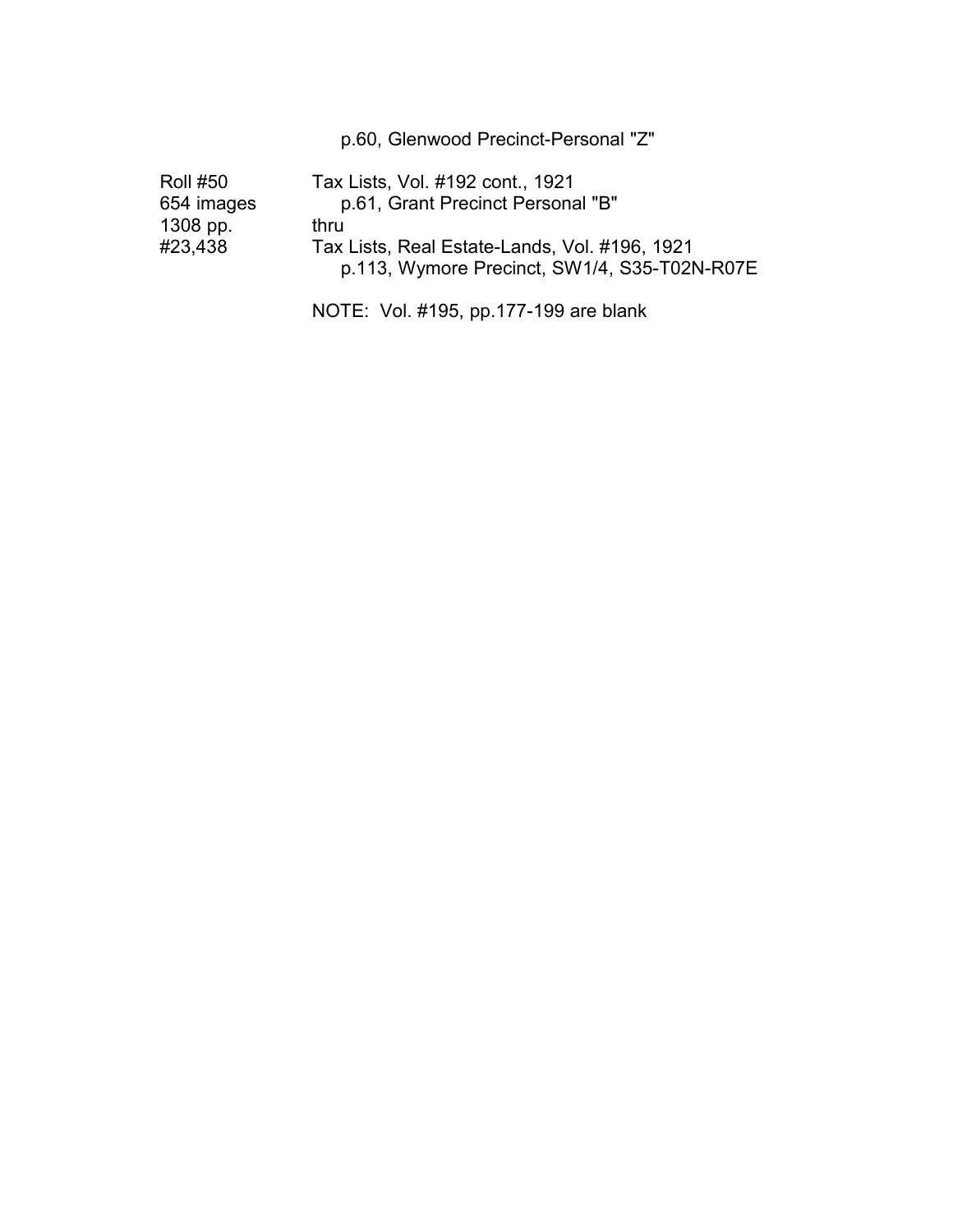p.60, Glenwood Precinct-Personal "Z"

| <b>Roll #50</b> | Tax Lists, Vol. #192 cont., 1921              |
|-----------------|-----------------------------------------------|
| 654 images      | p.61, Grant Precinct Personal "B"             |
| 1308 pp.        | thru                                          |
| #23,438         | Tax Lists, Real Estate-Lands, Vol. #196, 1921 |
|                 | p.113, Wymore Precinct, SW1/4, S35-T02N-R07E  |
|                 |                                               |

NOTE: Vol. #195, pp.177-199 are blank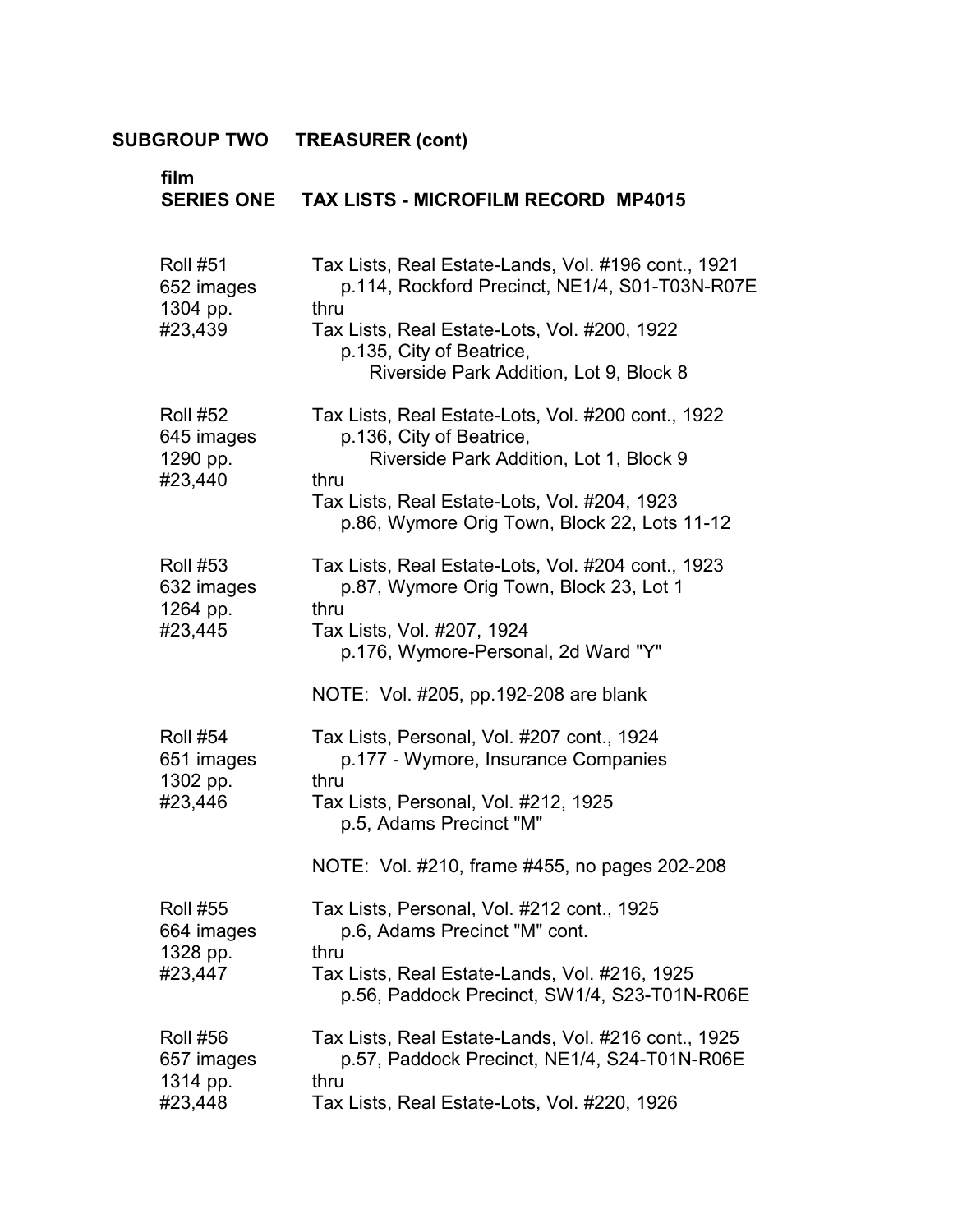| film<br><b>SERIES ONE</b>                            | <b>TAX LISTS - MICROFILM RECORD MP4015</b>                                                                                                                                                                                                              |
|------------------------------------------------------|---------------------------------------------------------------------------------------------------------------------------------------------------------------------------------------------------------------------------------------------------------|
| <b>Roll #51</b><br>652 images<br>1304 pp.<br>#23,439 | Tax Lists, Real Estate-Lands, Vol. #196 cont., 1921<br>p.114, Rockford Precinct, NE1/4, S01-T03N-R07E<br>thru<br>Tax Lists, Real Estate-Lots, Vol. #200, 1922<br>p.135, City of Beatrice,<br>Riverside Park Addition, Lot 9, Block 8                    |
| <b>Roll #52</b><br>645 images<br>1290 pp.<br>#23,440 | Tax Lists, Real Estate-Lots, Vol. #200 cont., 1922<br>p.136, City of Beatrice,<br>Riverside Park Addition, Lot 1, Block 9<br>thru<br>Tax Lists, Real Estate-Lots, Vol. #204, 1923<br>p.86, Wymore Orig Town, Block 22, Lots 11-12                       |
| <b>Roll #53</b><br>632 images<br>1264 pp.<br>#23,445 | Tax Lists, Real Estate-Lots, Vol. #204 cont., 1923<br>p.87, Wymore Orig Town, Block 23, Lot 1<br>thru<br>Tax Lists, Vol. #207, 1924<br>p.176, Wymore-Personal, 2d Ward "Y"                                                                              |
| <b>Roll #54</b><br>651 images<br>1302 pp.<br>#23,446 | NOTE: Vol. #205, pp. 192-208 are blank<br>Tax Lists, Personal, Vol. #207 cont., 1924<br>p.177 - Wymore, Insurance Companies<br>thru<br>Tax Lists, Personal, Vol. #212, 1925<br>p.5, Adams Precinct "M"<br>NOTE: Vol. #210, frame #455, no pages 202-208 |
| <b>Roll #55</b><br>664 images<br>1328 pp.<br>#23,447 | Tax Lists, Personal, Vol. #212 cont., 1925<br>p.6, Adams Precinct "M" cont.<br>thru<br>Tax Lists, Real Estate-Lands, Vol. #216, 1925<br>p.56, Paddock Precinct, SW1/4, S23-T01N-R06E                                                                    |
| <b>Roll #56</b><br>657 images<br>1314 pp.<br>#23,448 | Tax Lists, Real Estate-Lands, Vol. #216 cont., 1925<br>p.57, Paddock Precinct, NE1/4, S24-T01N-R06E<br>thru<br>Tax Lists, Real Estate-Lots, Vol. #220, 1926                                                                                             |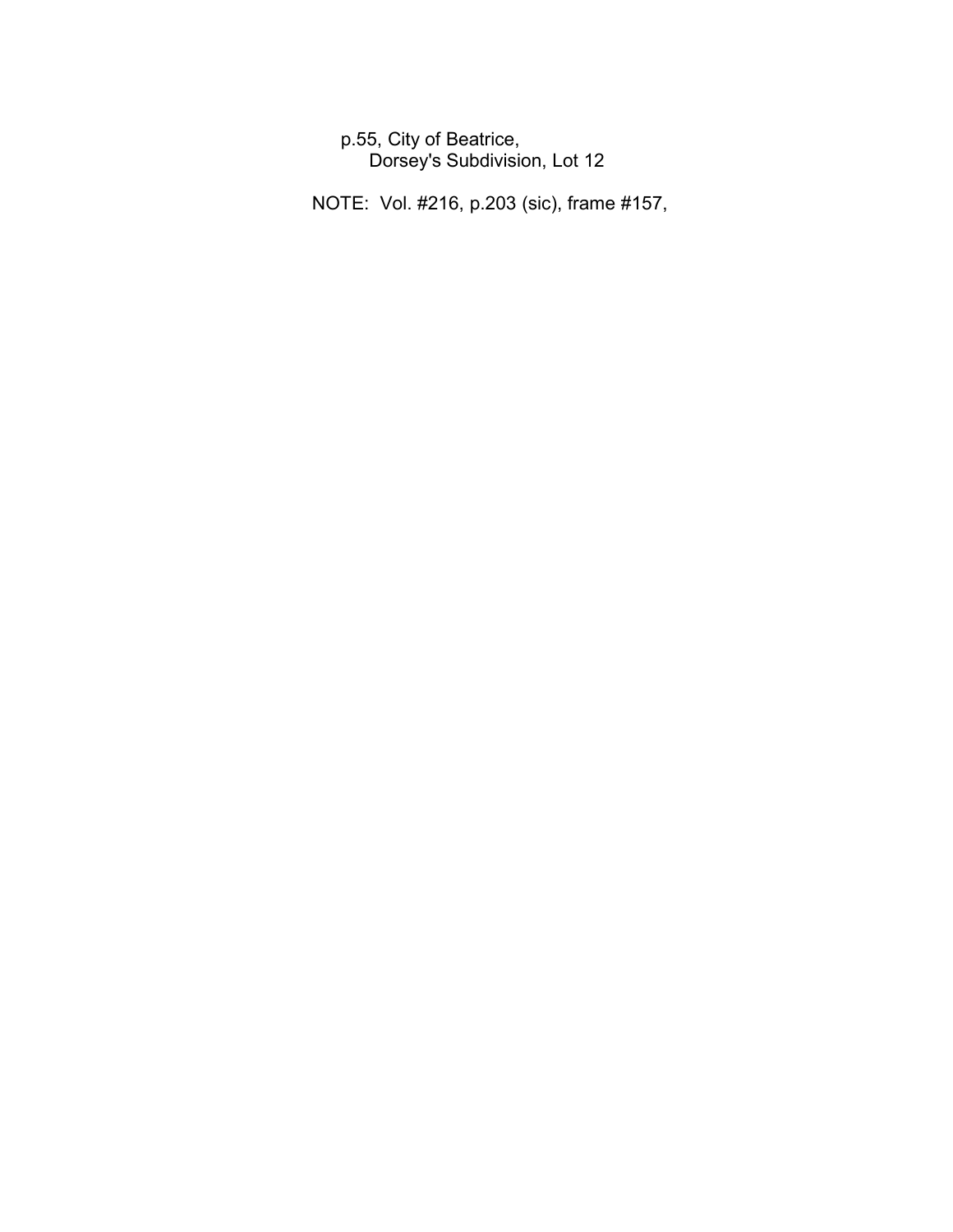p.55, City of Beatrice, � Dorsey's Subdivision, Lot 12

NOTE: Vol. #216, p.203 (sic), frame #157,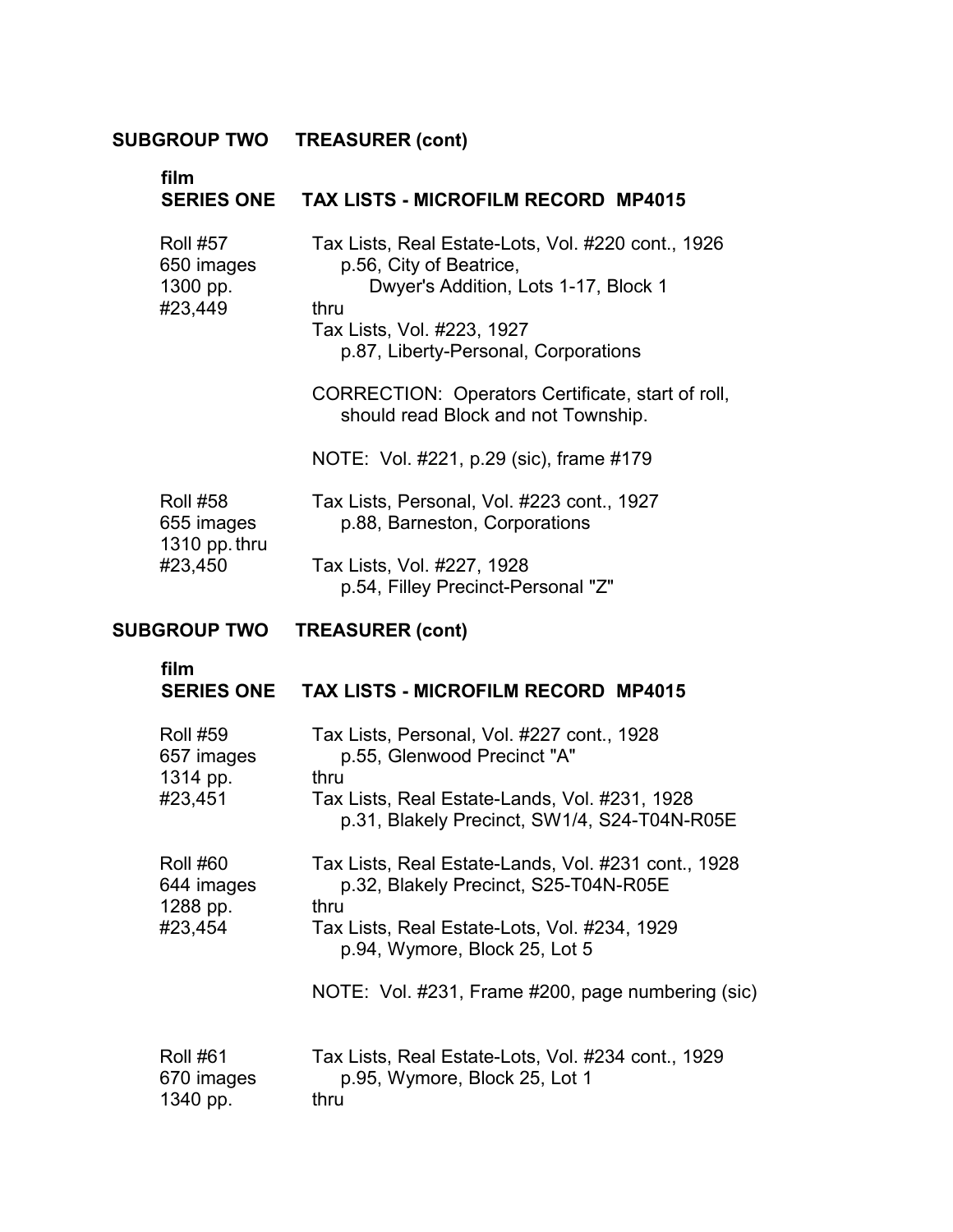| film                                                      | SERIES ONE TAX LISTS - MICROFILM RECORD MP4015                                                                                                                                                                                                                                                                                             |
|-----------------------------------------------------------|--------------------------------------------------------------------------------------------------------------------------------------------------------------------------------------------------------------------------------------------------------------------------------------------------------------------------------------------|
| <b>Roll #57</b><br>650 images<br>1300 pp.<br>#23,449      | Tax Lists, Real Estate-Lots, Vol. #220 cont., 1926<br>p.56, City of Beatrice,<br>Dwyer's Addition, Lots 1-17, Block 1<br>thru<br>Tax Lists, Vol. #223, 1927<br>p.87, Liberty-Personal, Corporations<br>CORRECTION: Operators Certificate, start of roll,<br>should read Block and not Township.<br>NOTE: Vol. #221, p.29 (sic), frame #179 |
| <b>Roll #58</b><br>655 images<br>1310 pp. thru<br>#23,450 | Tax Lists, Personal, Vol. #223 cont., 1927<br>p.88, Barneston, Corporations<br>Tax Lists, Vol. #227, 1928<br>p.54, Filley Precinct-Personal "Z"                                                                                                                                                                                            |
| <b>SUBGROUP TWO</b>                                       | <b>TREASURER (cont)</b>                                                                                                                                                                                                                                                                                                                    |
| film                                                      | SERIES ONE TAX LISTS - MICROFILM RECORD MP4015                                                                                                                                                                                                                                                                                             |
| <b>DAU 450</b>                                            | $T_{\text{out}}$ , $\frac{1}{2}$ , $\frac{1}{2}$ , $\frac{1}{2}$ , $\frac{1}{2}$ , $\frac{1}{2}$ , $\frac{1}{2}$ , $\frac{1}{2}$ , $\frac{1}{2}$ , $\frac{1}{2}$ , $\frac{1}{2}$ , $\frac{1}{2}$ , $\frac{1}{2}$ , $\frac{1}{2}$ , $\frac{1}{2}$ , $\frac{1}{2}$ , $\frac{1}{2}$ , $\frac{1}{2}$ , $\frac{1}{2}$ , $\frac{1}{2}$ ,         |

| <b>Roll #59</b><br>657 images<br>1314 pp.            | Tax Lists, Personal, Vol. #227 cont., 1928<br>p.55, Glenwood Precinct "A"<br>thru                                                                                                     |
|------------------------------------------------------|---------------------------------------------------------------------------------------------------------------------------------------------------------------------------------------|
| #23,451                                              | Tax Lists, Real Estate-Lands, Vol. #231, 1928<br>p.31, Blakely Precinct, SW1/4, S24-T04N-R05E                                                                                         |
| <b>Roll #60</b><br>644 images<br>1288 pp.<br>#23,454 | Tax Lists, Real Estate-Lands, Vol. #231 cont., 1928<br>p.32, Blakely Precinct, S25-T04N-R05E<br>thru<br>Tax Lists, Real Estate-Lots, Vol. #234, 1929<br>p.94, Wymore, Block 25, Lot 5 |
|                                                      | NOTE: Vol. #231, Frame #200, page numbering (sic)                                                                                                                                     |
| <b>Roll #61</b><br>670 images<br>1340 pp.            | Tax Lists, Real Estate-Lots, Vol. #234 cont., 1929<br>p.95, Wymore, Block 25, Lot 1<br>thru                                                                                           |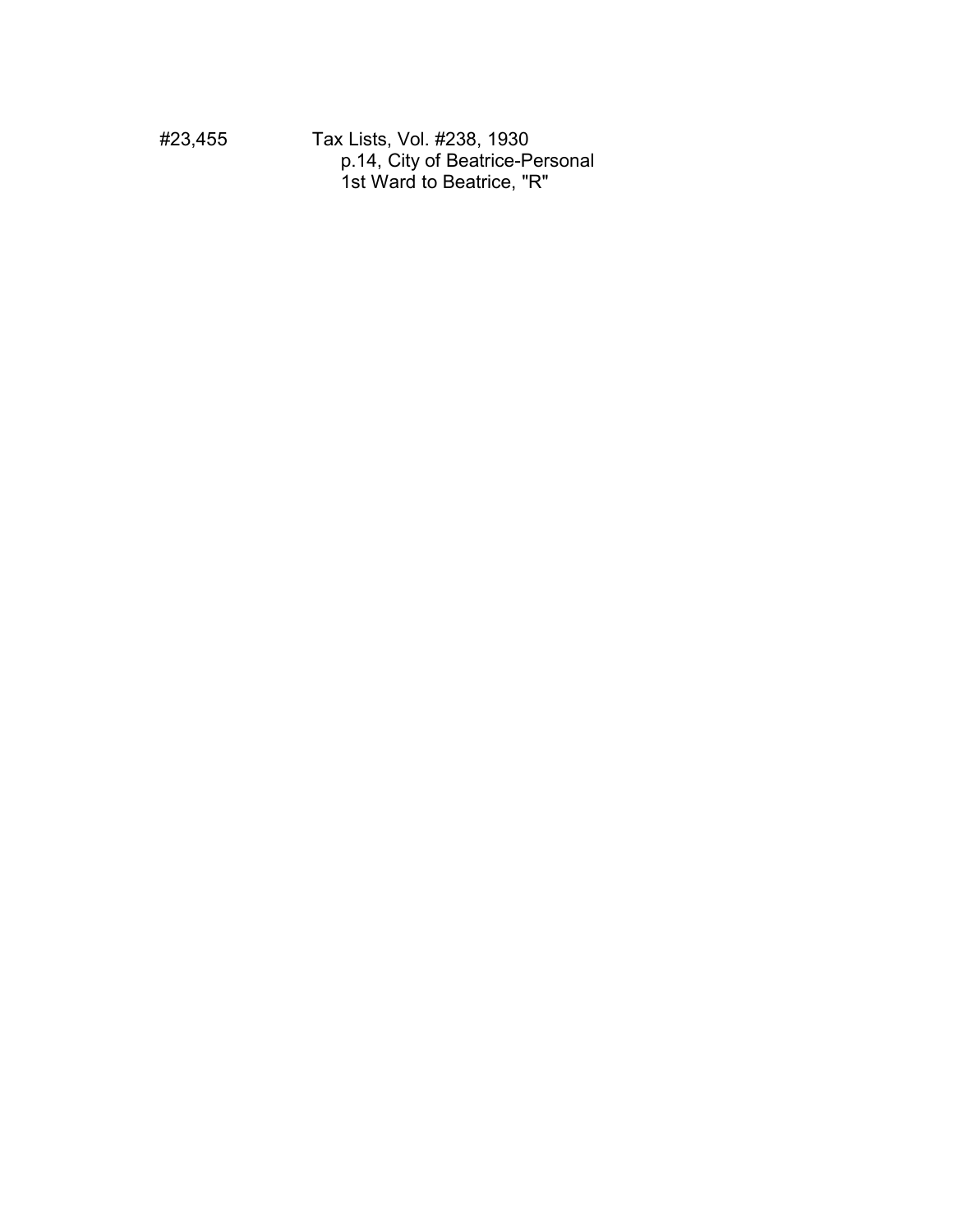#23,455 Tax Lists, Vol. #238, 1930 p.14, City of Beatrice-Personal 1st Ward to Beatrice, "R"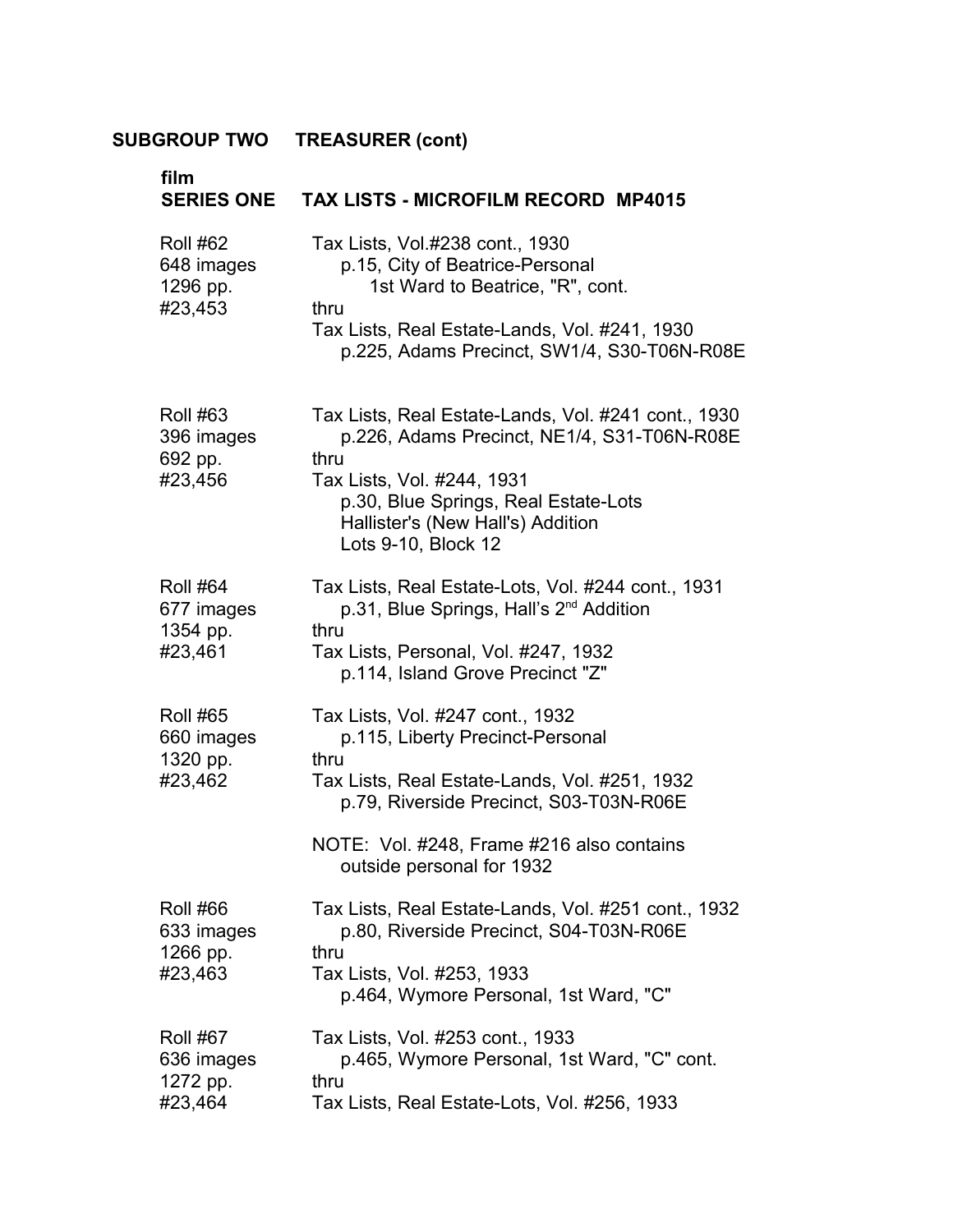| film<br><b>SERIES ONE</b>                            | <b>TAX LISTS - MICROFILM RECORD MP4015</b>                                                                                                                                                                                                         |
|------------------------------------------------------|----------------------------------------------------------------------------------------------------------------------------------------------------------------------------------------------------------------------------------------------------|
| <b>Roll #62</b><br>648 images<br>1296 pp.<br>#23,453 | Tax Lists, Vol.#238 cont., 1930<br>p.15, City of Beatrice-Personal<br>1st Ward to Beatrice, "R", cont.<br>thru<br>Tax Lists, Real Estate-Lands, Vol. #241, 1930<br>p.225, Adams Precinct, SW1/4, S30-T06N-R08E                                     |
| <b>Roll #63</b><br>396 images<br>692 pp.<br>#23,456  | Tax Lists, Real Estate-Lands, Vol. #241 cont., 1930<br>p.226, Adams Precinct, NE1/4, S31-T06N-R08E<br>thru<br>Tax Lists, Vol. #244, 1931<br>p.30, Blue Springs, Real Estate-Lots<br>Hallister's (New Hall's) Addition<br>Lots 9-10, Block 12       |
| <b>Roll #64</b><br>677 images<br>1354 pp.<br>#23,461 | Tax Lists, Real Estate-Lots, Vol. #244 cont., 1931<br>p.31, Blue Springs, Hall's 2 <sup>nd</sup> Addition<br>thru<br>Tax Lists, Personal, Vol. #247, 1932<br>p.114, Island Grove Precinct "Z"                                                      |
| <b>Roll #65</b><br>660 images<br>1320 pp.<br>#23,462 | Tax Lists, Vol. #247 cont., 1932<br>p.115, Liberty Precinct-Personal<br>thru<br>Tax Lists, Real Estate-Lands, Vol. #251, 1932<br>p.79, Riverside Precinct, S03-T03N-R06E<br>NOTE: Vol. #248, Frame #216 also contains<br>outside personal for 1932 |
| <b>Roll #66</b><br>633 images<br>1266 pp.<br>#23,463 | Tax Lists, Real Estate-Lands, Vol. #251 cont., 1932<br>p.80, Riverside Precinct, S04-T03N-R06E<br>thru<br>Tax Lists, Vol. #253, 1933<br>p.464, Wymore Personal, 1st Ward, "C"                                                                      |
| <b>Roll #67</b><br>636 images<br>1272 pp.<br>#23,464 | Tax Lists, Vol. #253 cont., 1933<br>p.465, Wymore Personal, 1st Ward, "C" cont.<br>thru<br>Tax Lists, Real Estate-Lots, Vol. #256, 1933                                                                                                            |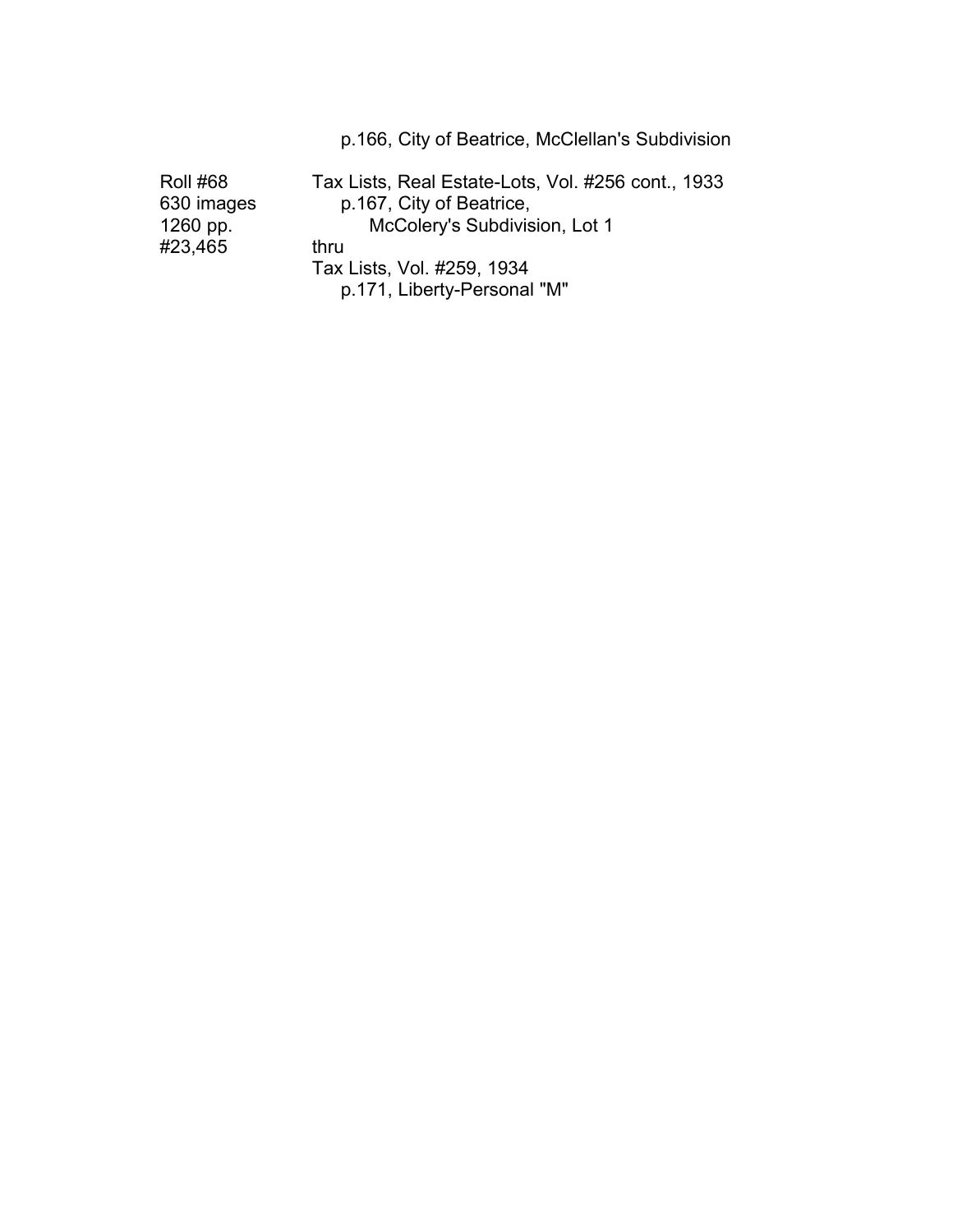|                                           | p.166, City of Beatrice, McClellan's Subdivision                                                                |
|-------------------------------------------|-----------------------------------------------------------------------------------------------------------------|
| <b>Roll #68</b><br>630 images<br>1260 pp. | Tax Lists, Real Estate-Lots, Vol. #256 cont., 1933<br>p.167, City of Beatrice,<br>McColery's Subdivision, Lot 1 |
| #23,465                                   | thru                                                                                                            |
|                                           | Tax Lists, Vol. #259, 1934<br>p.171, Liberty-Personal "M"                                                       |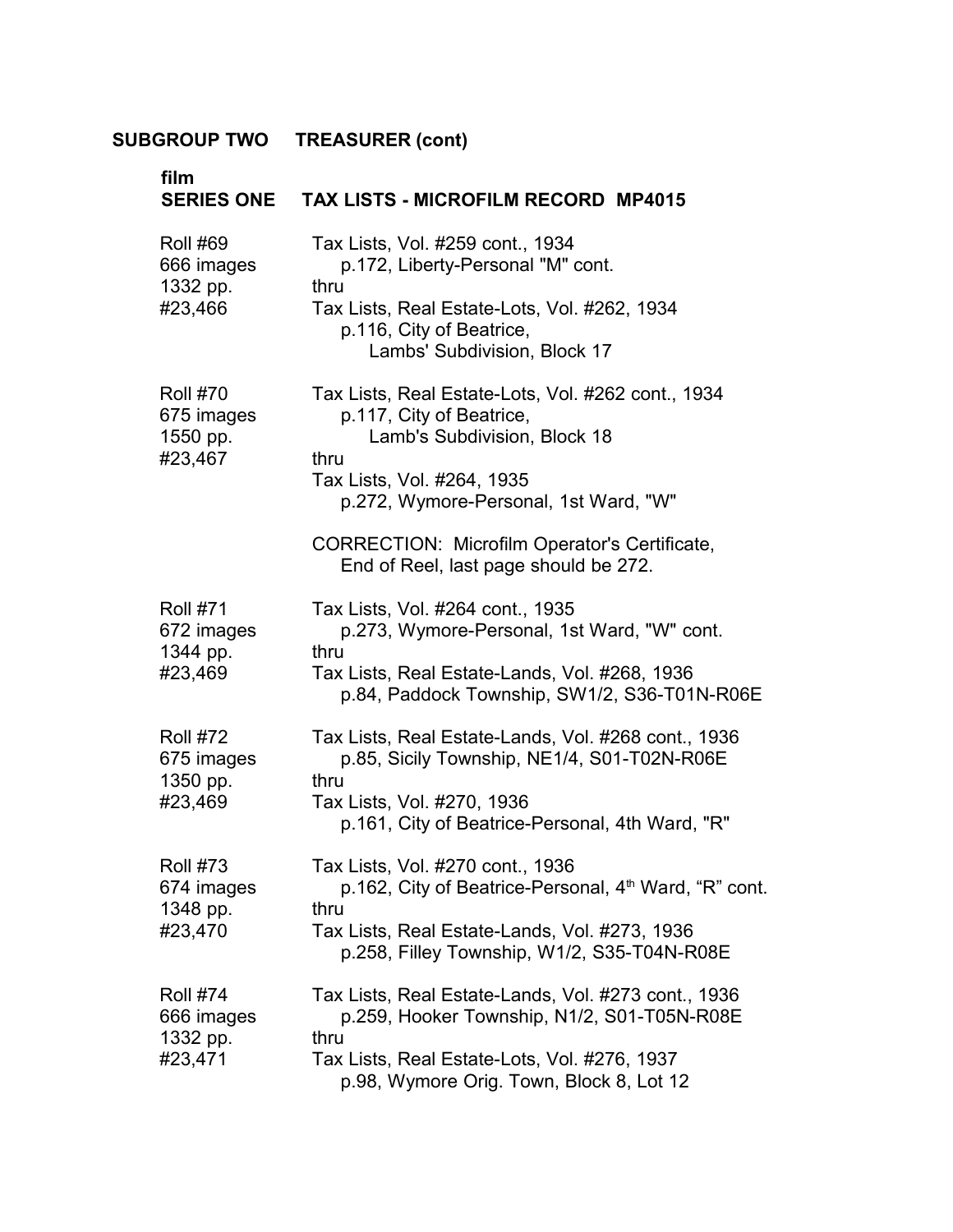| film                                                 | SERIES ONE TAX LISTS - MICROFILM RECORD MP4015                                                                 |
|------------------------------------------------------|----------------------------------------------------------------------------------------------------------------|
| <b>Roll #69</b><br>666 images<br>1332 pp.<br>#23,466 | Tax Lists, Vol. #259 cont., 1934<br>p.172, Liberty-Personal "M" cont.<br>thru                                  |
|                                                      | Tax Lists, Real Estate-Lots, Vol. #262, 1934<br>p.116, City of Beatrice,<br>Lambs' Subdivision, Block 17       |
| <b>Roll #70</b><br>675 images<br>1550 pp.<br>#23,467 | Tax Lists, Real Estate-Lots, Vol. #262 cont., 1934<br>p.117, City of Beatrice,<br>Lamb's Subdivision, Block 18 |
|                                                      | thru<br>Tax Lists, Vol. #264, 1935<br>p.272, Wymore-Personal, 1st Ward, "W"                                    |
|                                                      | <b>CORRECTION: Microfilm Operator's Certificate,</b><br>End of Reel, last page should be 272.                  |
| <b>Roll #71</b><br>672 images<br>1344 pp.            | Tax Lists, Vol. #264 cont., 1935<br>p.273, Wymore-Personal, 1st Ward, "W" cont.<br>thru                        |
| #23,469                                              | Tax Lists, Real Estate-Lands, Vol. #268, 1936<br>p.84, Paddock Township, SW1/2, S36-T01N-R06E                  |
| <b>Roll #72</b><br>675 images<br>1350 pp.            | Tax Lists, Real Estate-Lands, Vol. #268 cont., 1936<br>p.85, Sicily Township, NE1/4, S01-T02N-R06E<br>thru     |
| #23,469                                              | Tax Lists, Vol. #270, 1936<br>p.161, City of Beatrice-Personal, 4th Ward, "R"                                  |
| <b>Roll #73</b><br>674 images<br>1348 pp.<br>#23,470 | Tax Lists, Vol. #270 cont., 1936<br>p.162, City of Beatrice-Personal, 4 <sup>th</sup> Ward, "R" cont.<br>thru  |
|                                                      | Tax Lists, Real Estate-Lands, Vol. #273, 1936<br>p.258, Filley Township, W1/2, S35-T04N-R08E                   |
| <b>Roll #74</b><br>666 images<br>1332 pp.            | Tax Lists, Real Estate-Lands, Vol. #273 cont., 1936<br>p.259, Hooker Township, N1/2, S01-T05N-R08E<br>thru     |
| #23,471                                              | Tax Lists, Real Estate-Lots, Vol. #276, 1937<br>p.98, Wymore Orig. Town, Block 8, Lot 12                       |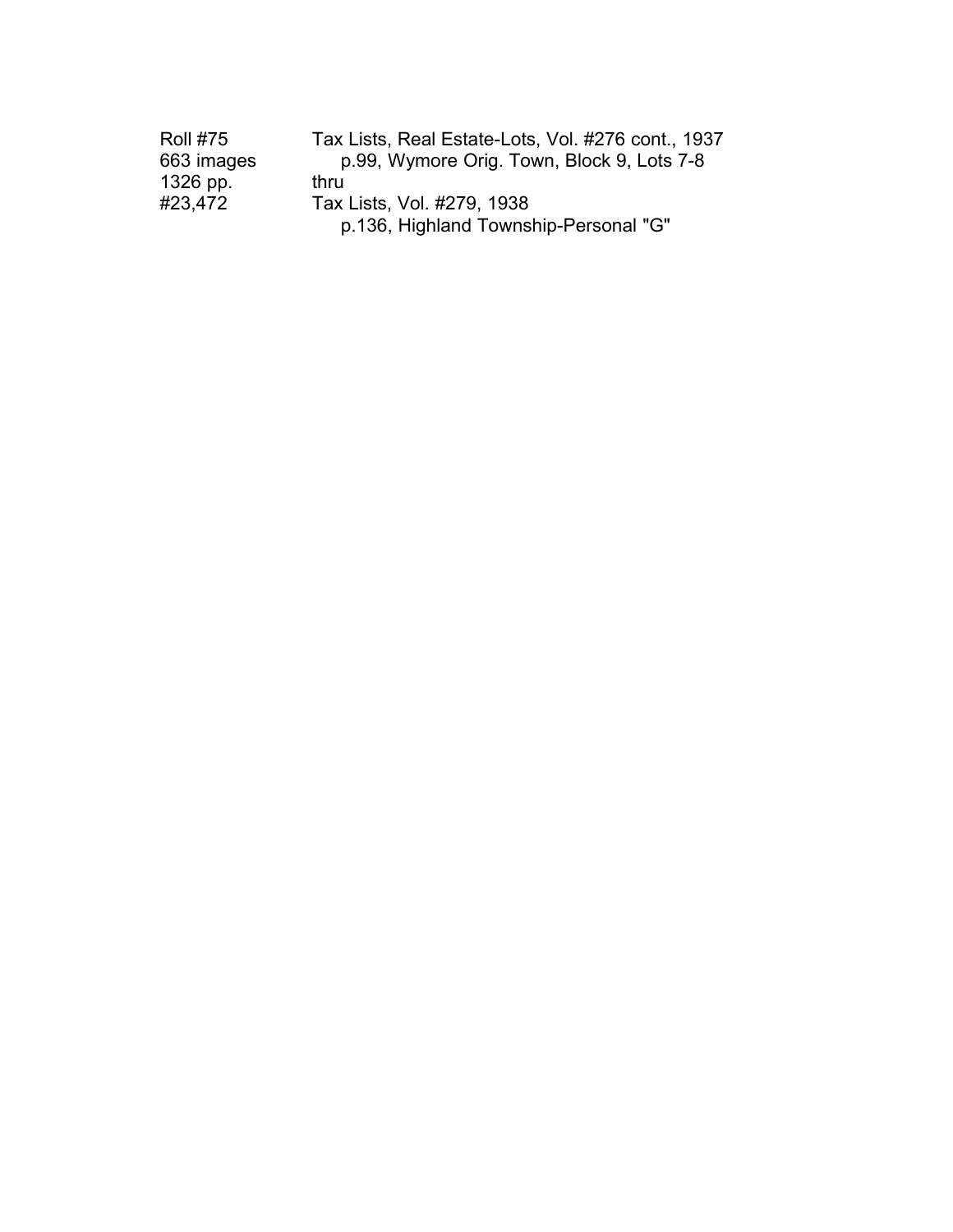| <b>Roll #75</b> | Tax Lists, Real Estate-Lots, Vol. #276 cont., 1937 |
|-----------------|----------------------------------------------------|
| 663 images      | p.99, Wymore Orig. Town, Block 9, Lots 7-8         |
| 1326 pp.        | thru                                               |
| #23,472         | Tax Lists, Vol. #279, 1938                         |
|                 | p.136, Highland Township-Personal "G"              |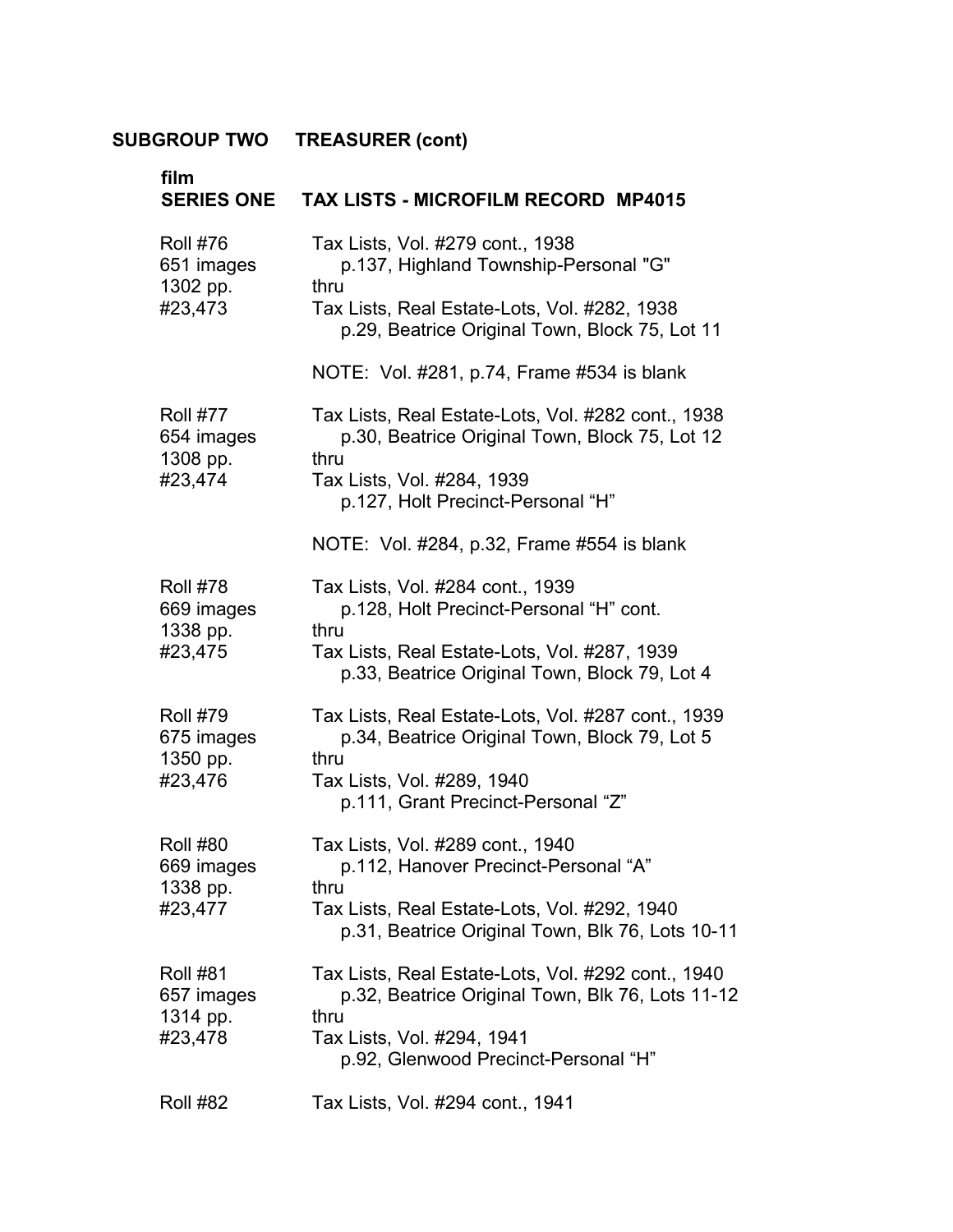| film<br><b>SERIES ONE</b>                            | <b>TAX LISTS - MICROFILM RECORD MP4015</b>                                                                     |
|------------------------------------------------------|----------------------------------------------------------------------------------------------------------------|
| <b>Roll #76</b><br>651 images<br>1302 pp.<br>#23,473 | Tax Lists, Vol. #279 cont., 1938<br>p.137, Highland Township-Personal "G"                                      |
|                                                      | thru<br>Tax Lists, Real Estate-Lots, Vol. #282, 1938<br>p.29, Beatrice Original Town, Block 75, Lot 11         |
|                                                      | NOTE: Vol. #281, p.74, Frame #534 is blank                                                                     |
| <b>Roll #77</b><br>654 images                        | Tax Lists, Real Estate-Lots, Vol. #282 cont., 1938<br>p.30, Beatrice Original Town, Block 75, Lot 12<br>thru   |
| 1308 pp.<br>#23,474                                  | Tax Lists, Vol. #284, 1939<br>p.127, Holt Precinct-Personal "H"                                                |
|                                                      | NOTE: Vol. #284, p.32, Frame #554 is blank                                                                     |
| <b>Roll #78</b><br>669 images<br>1338 pp.            | Tax Lists, Vol. #284 cont., 1939<br>p.128, Holt Precinct-Personal "H" cont.<br>thru                            |
| #23,475                                              | Tax Lists, Real Estate-Lots, Vol. #287, 1939<br>p.33, Beatrice Original Town, Block 79, Lot 4                  |
| <b>Roll #79</b><br>675 images<br>1350 pp.            | Tax Lists, Real Estate-Lots, Vol. #287 cont., 1939<br>p.34, Beatrice Original Town, Block 79, Lot 5<br>thru    |
| #23,476                                              | Tax Lists, Vol. #289, 1940<br>p.111, Grant Precinct-Personal "Z"                                               |
| <b>Roll #80</b><br>669 images<br>1338 pp.<br>#23,477 | Tax Lists, Vol. #289 cont., 1940<br>p.112, Hanover Precinct-Personal "A"<br>thru                               |
|                                                      | Tax Lists, Real Estate-Lots, Vol. #292, 1940<br>p.31, Beatrice Original Town, Blk 76, Lots 10-11               |
| <b>Roll #81</b><br>657 images                        | Tax Lists, Real Estate-Lots, Vol. #292 cont., 1940<br>p.32, Beatrice Original Town, Blk 76, Lots 11-12<br>thru |
| 1314 pp.<br>#23,478                                  | Tax Lists, Vol. #294, 1941<br>p.92, Glenwood Precinct-Personal "H"                                             |
| <b>Roll #82</b>                                      | Tax Lists, Vol. #294 cont., 1941                                                                               |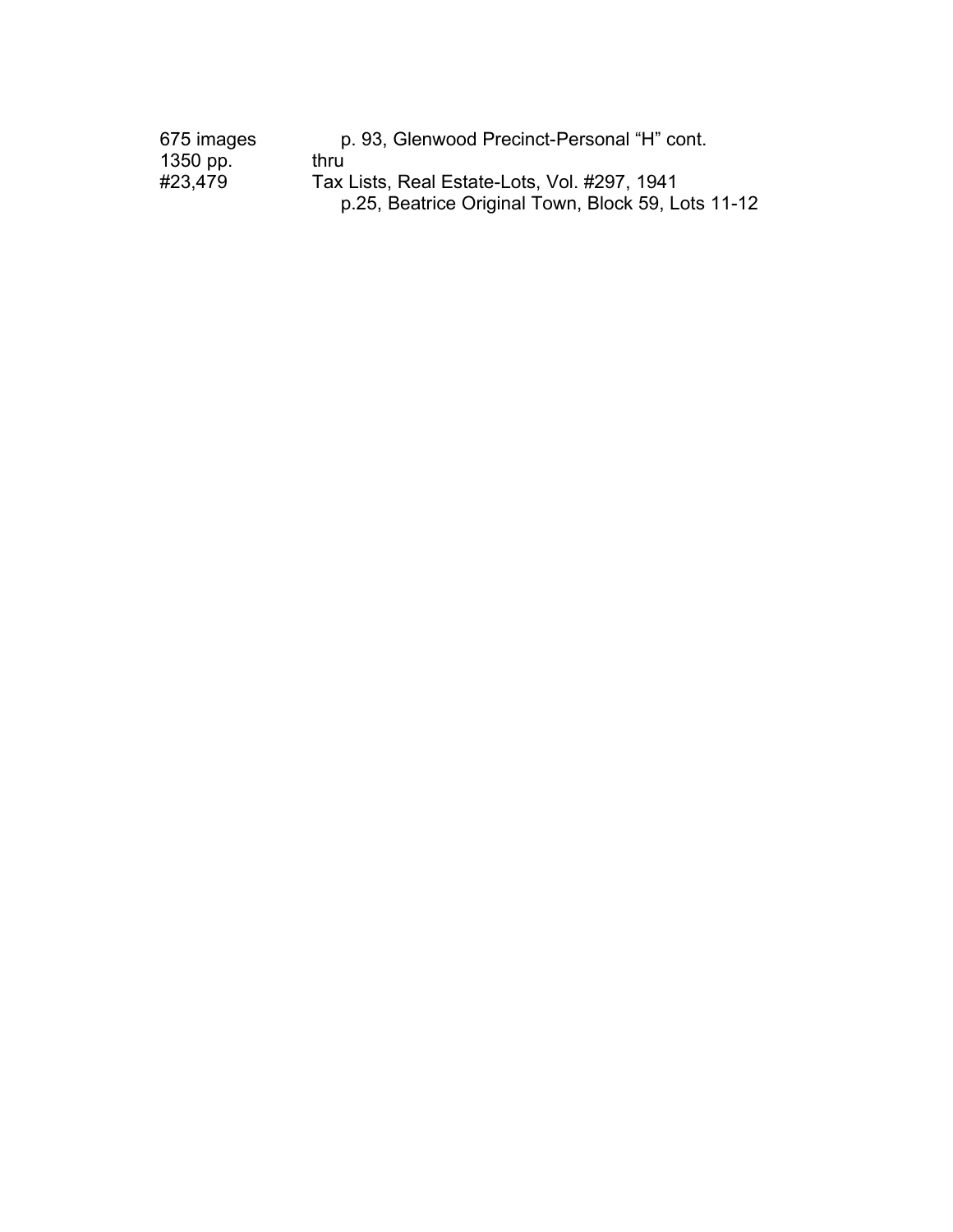| 675 images | p. 93, Glenwood Precinct-Personal "H" cont.        |  |  |
|------------|----------------------------------------------------|--|--|
| 1350 pp.   | thru                                               |  |  |
| #23,479    | Tax Lists, Real Estate-Lots, Vol. #297, 1941       |  |  |
|            | p.25, Beatrice Original Town, Block 59, Lots 11-12 |  |  |
|            |                                                    |  |  |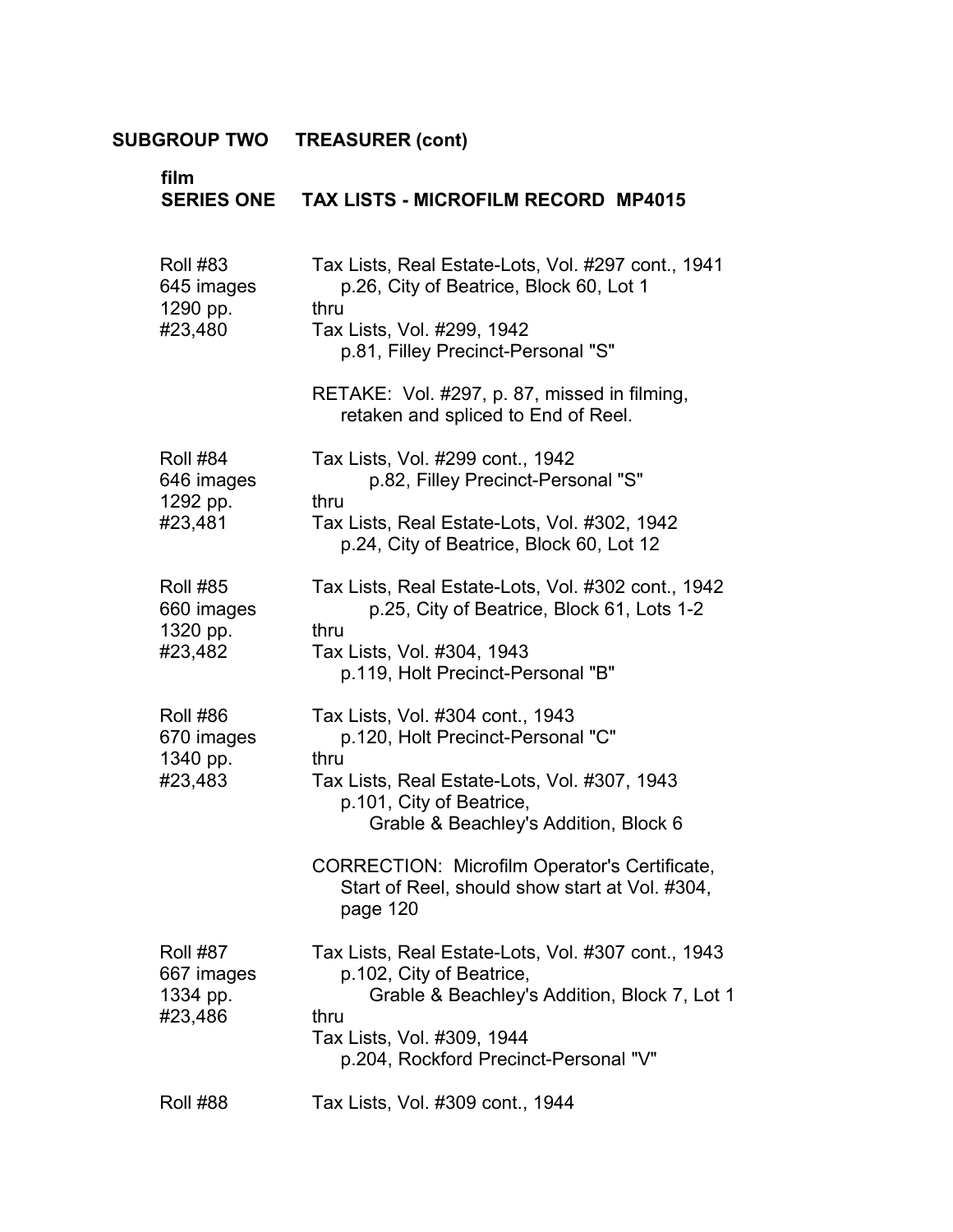| film<br><b>SERIES ONE</b>                 | <b>TAX LISTS - MICROFILM RECORD MP4015</b>                                                                                      |
|-------------------------------------------|---------------------------------------------------------------------------------------------------------------------------------|
| <b>Roll #83</b><br>645 images<br>1290 pp. | Tax Lists, Real Estate-Lots, Vol. #297 cont., 1941<br>p.26, City of Beatrice, Block 60, Lot 1<br>thru                           |
| #23,480                                   | Tax Lists, Vol. #299, 1942<br>p.81, Filley Precinct-Personal "S"                                                                |
|                                           | RETAKE: Vol. #297, p. 87, missed in filming,<br>retaken and spliced to End of Reel.                                             |
| <b>Roll #84</b><br>646 images<br>1292 pp. | Tax Lists, Vol. #299 cont., 1942<br>p.82, Filley Precinct-Personal "S"<br>thru                                                  |
| #23,481                                   | Tax Lists, Real Estate-Lots, Vol. #302, 1942<br>p.24, City of Beatrice, Block 60, Lot 12                                        |
| <b>Roll #85</b><br>660 images<br>1320 pp. | Tax Lists, Real Estate-Lots, Vol. #302 cont., 1942<br>p.25, City of Beatrice, Block 61, Lots 1-2<br>thru                        |
| #23,482                                   | Tax Lists, Vol. #304, 1943<br>p.119, Holt Precinct-Personal "B"                                                                 |
| <b>Roll #86</b><br>670 images             | Tax Lists, Vol. #304 cont., 1943<br>p.120, Holt Precinct-Personal "C"<br>thru                                                   |
| 1340 pp.<br>#23,483                       | Tax Lists, Real Estate-Lots, Vol. #307, 1943<br>p.101, City of Beatrice,                                                        |
|                                           | Grable & Beachley's Addition, Block 6                                                                                           |
|                                           | CORRECTION: Microfilm Operator's Certificate,<br>Start of Reel, should show start at Vol. #304,<br>page 120                     |
| <b>Roll #87</b><br>667 images<br>1334 pp. | Tax Lists, Real Estate-Lots, Vol. #307 cont., 1943<br>p. 102, City of Beatrice,<br>Grable & Beachley's Addition, Block 7, Lot 1 |
| #23,486                                   | thru<br>Tax Lists, Vol. #309, 1944<br>p.204, Rockford Precinct-Personal "V"                                                     |
| <b>Roll #88</b>                           | Tax Lists, Vol. #309 cont., 1944                                                                                                |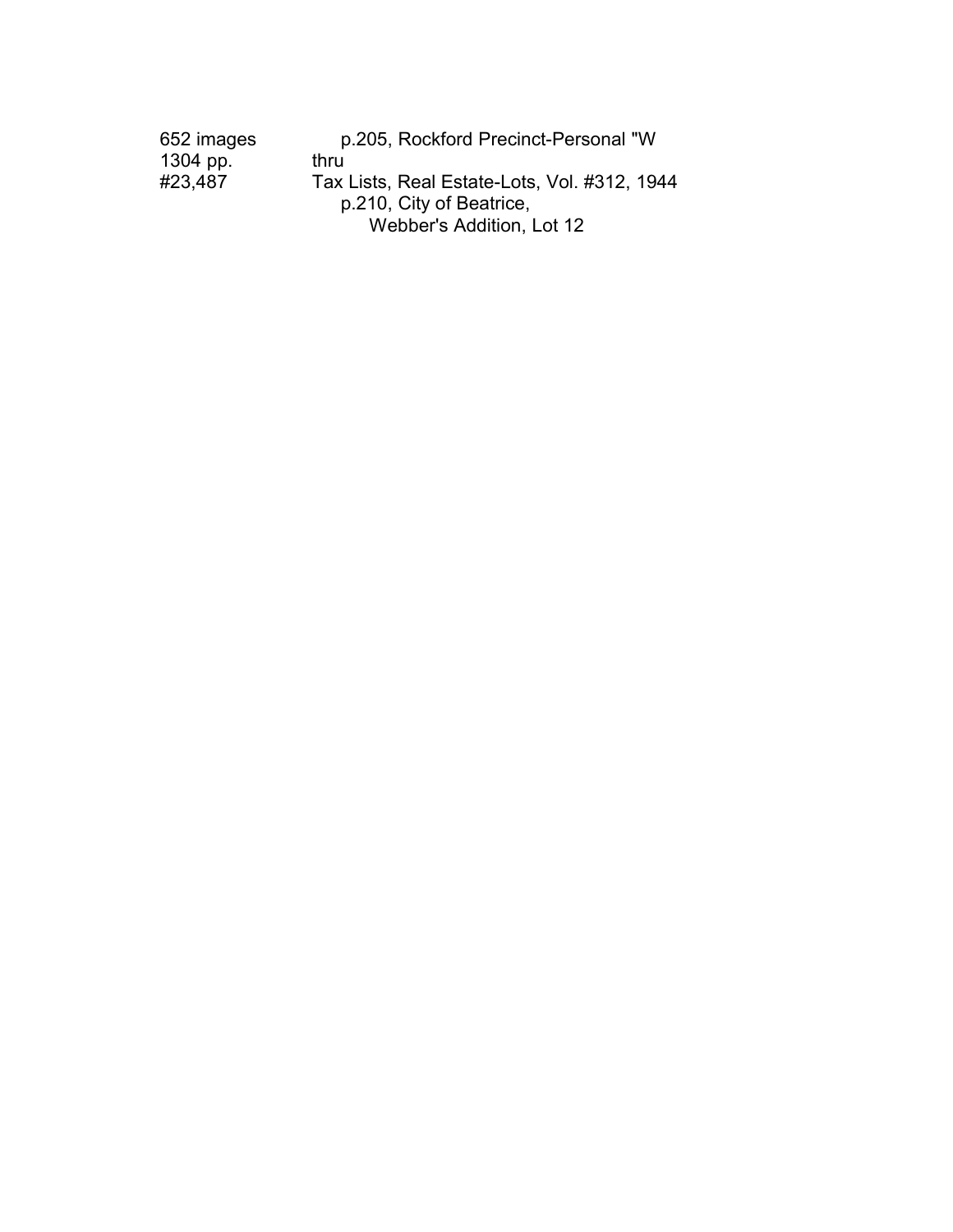| 652 images | p.205, Rockford Precinct-Personal "W         |
|------------|----------------------------------------------|
| 1304 pp.   | thru                                         |
| #23,487    | Tax Lists, Real Estate-Lots, Vol. #312, 1944 |
|            | p.210, City of Beatrice,                     |
|            | Webber's Addition, Lot 12                    |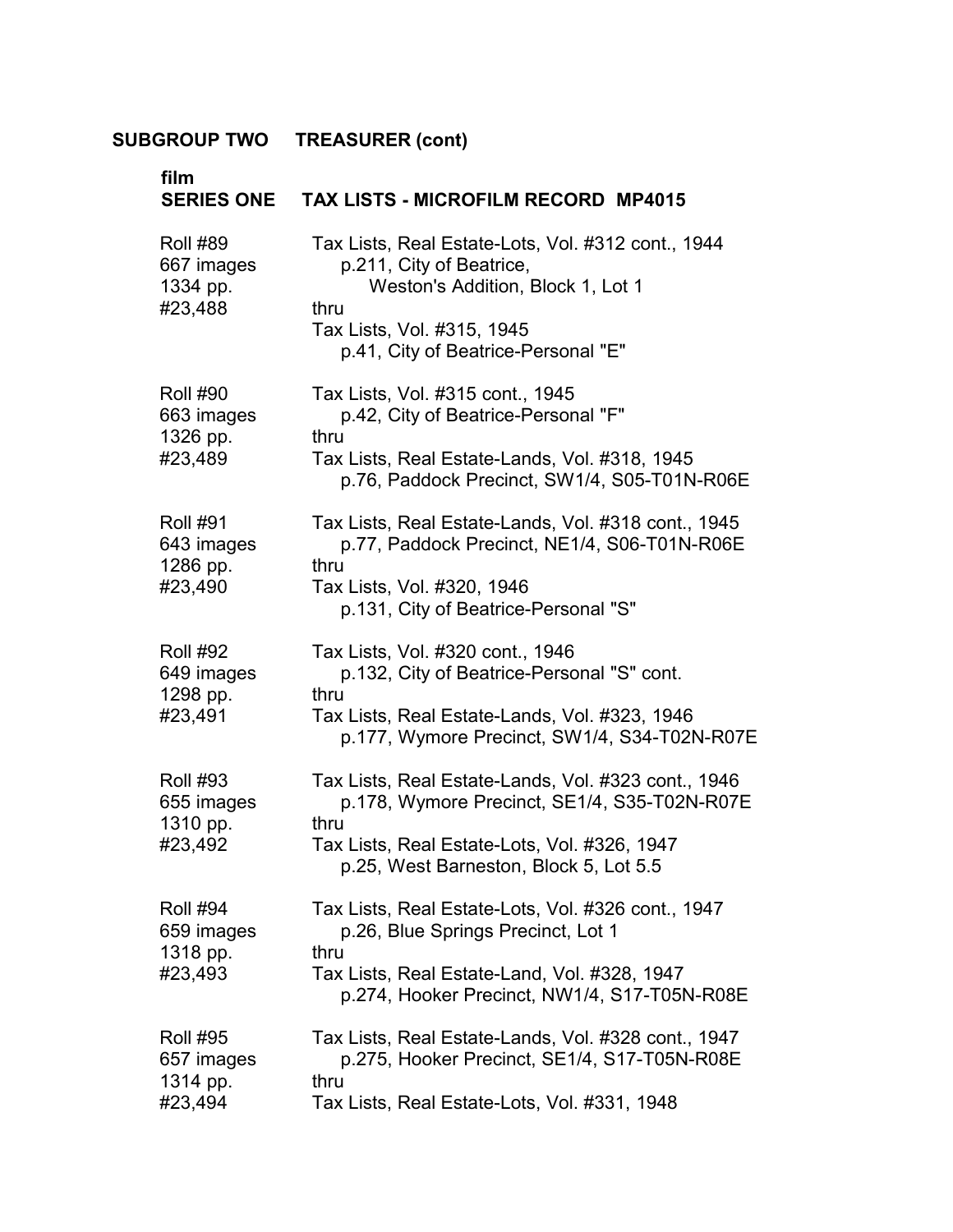| film<br><b>SERIES ONE</b>                            | <b>TAX LISTS - MICROFILM RECORD MP4015</b>                                                                                                                                                            |  |  |  |
|------------------------------------------------------|-------------------------------------------------------------------------------------------------------------------------------------------------------------------------------------------------------|--|--|--|
| <b>Roll #89</b><br>667 images<br>1334 pp.<br>#23,488 | Tax Lists, Real Estate-Lots, Vol. #312 cont., 1944<br>p.211, City of Beatrice,<br>Weston's Addition, Block 1, Lot 1<br>thru<br>Tax Lists, Vol. #315, 1945<br>p.41, City of Beatrice-Personal "E"      |  |  |  |
| <b>Roll #90</b><br>663 images<br>1326 pp.<br>#23,489 | Tax Lists, Vol. #315 cont., 1945<br>p.42, City of Beatrice-Personal "F"<br>thru<br>Tax Lists, Real Estate-Lands, Vol. #318, 1945<br>p.76, Paddock Precinct, SW1/4, S05-T01N-R06E                      |  |  |  |
| <b>Roll #91</b><br>643 images<br>1286 pp.<br>#23,490 | Tax Lists, Real Estate-Lands, Vol. #318 cont., 1945<br>p.77, Paddock Precinct, NE1/4, S06-T01N-R06E<br>thru<br>Tax Lists, Vol. #320, 1946<br>p.131, City of Beatrice-Personal "S"                     |  |  |  |
| <b>Roll #92</b><br>649 images<br>1298 pp.<br>#23,491 | Tax Lists, Vol. #320 cont., 1946<br>p.132, City of Beatrice-Personal "S" cont.<br>thru<br>Tax Lists, Real Estate-Lands, Vol. #323, 1946<br>p.177, Wymore Precinct, SW1/4, S34-T02N-R07E               |  |  |  |
| <b>Roll #93</b><br>655 images<br>1310 pp.<br>#23,492 | Tax Lists, Real Estate-Lands, Vol. #323 cont., 1946<br>p.178, Wymore Precinct, SE1/4, S35-T02N-R07E<br>thru<br>Tax Lists, Real Estate-Lots, Vol. #326, 1947<br>p.25, West Barneston, Block 5, Lot 5.5 |  |  |  |
| <b>Roll #94</b><br>659 images<br>1318 pp.<br>#23,493 | Tax Lists, Real Estate-Lots, Vol. #326 cont., 1947<br>p.26, Blue Springs Precinct, Lot 1<br>thru<br>Tax Lists, Real Estate-Land, Vol. #328, 1947<br>p.274, Hooker Precinct, NW1/4, S17-T05N-R08E      |  |  |  |
| <b>Roll #95</b><br>657 images<br>1314 pp.<br>#23,494 | Tax Lists, Real Estate-Lands, Vol. #328 cont., 1947<br>p.275, Hooker Precinct, SE1/4, S17-T05N-R08E<br>thru<br>Tax Lists, Real Estate-Lots, Vol. #331, 1948                                           |  |  |  |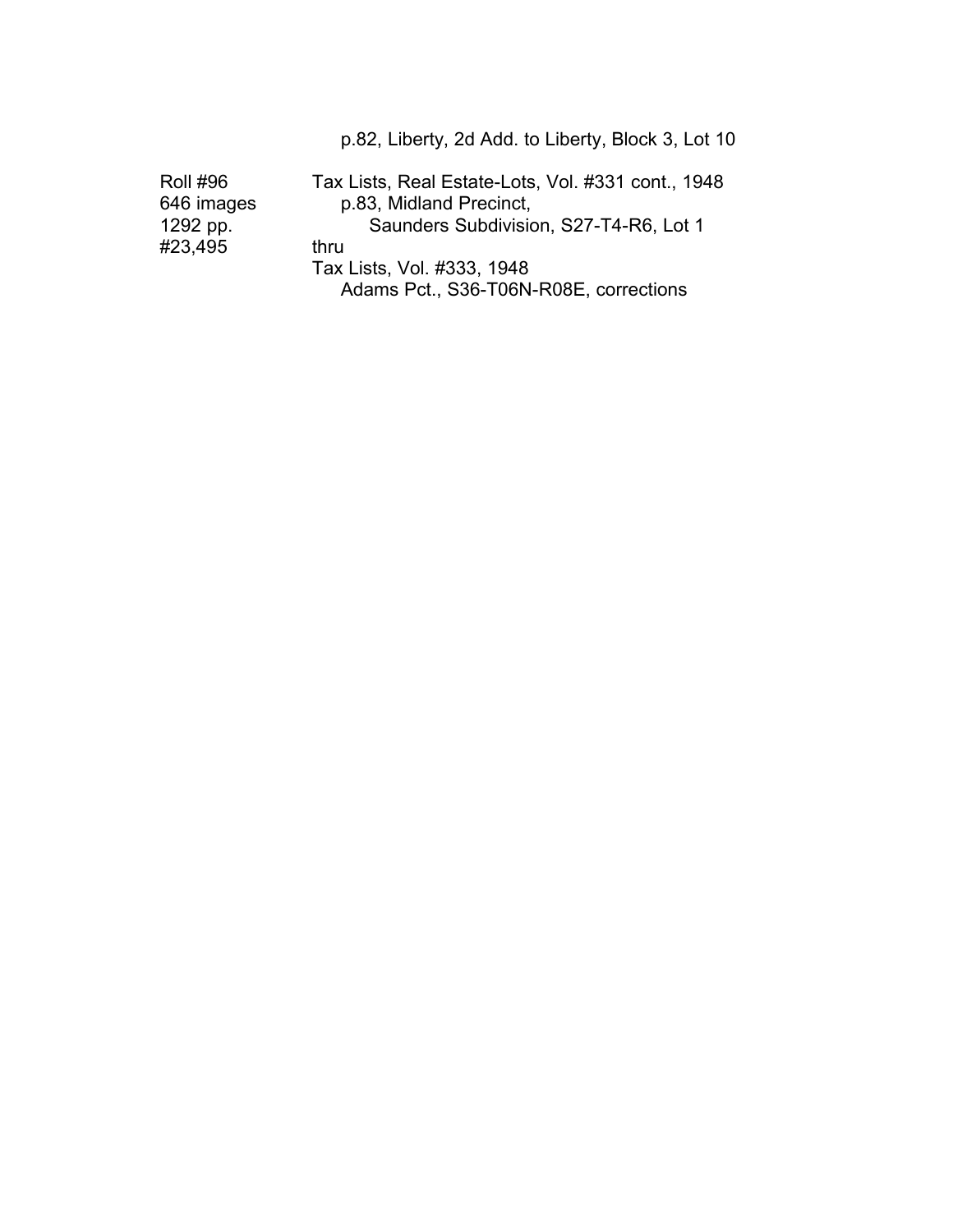Roll #96 Tax Lists, Real Estate-Lots, Vol. #331 cont., 1948 646 images p.83, Midland Precinct,<br>1292 pp. 65 Saunders Subdivision Saunders Subdivision, S27-T4-R6, Lot 1 #23,495 thru Tax Lists, Vol. #333, 1948 Adams Pct., S36-T06N-R08E, corrections

p.82, Liberty, 2d Add. to Liberty, Block 3, Lot 10 �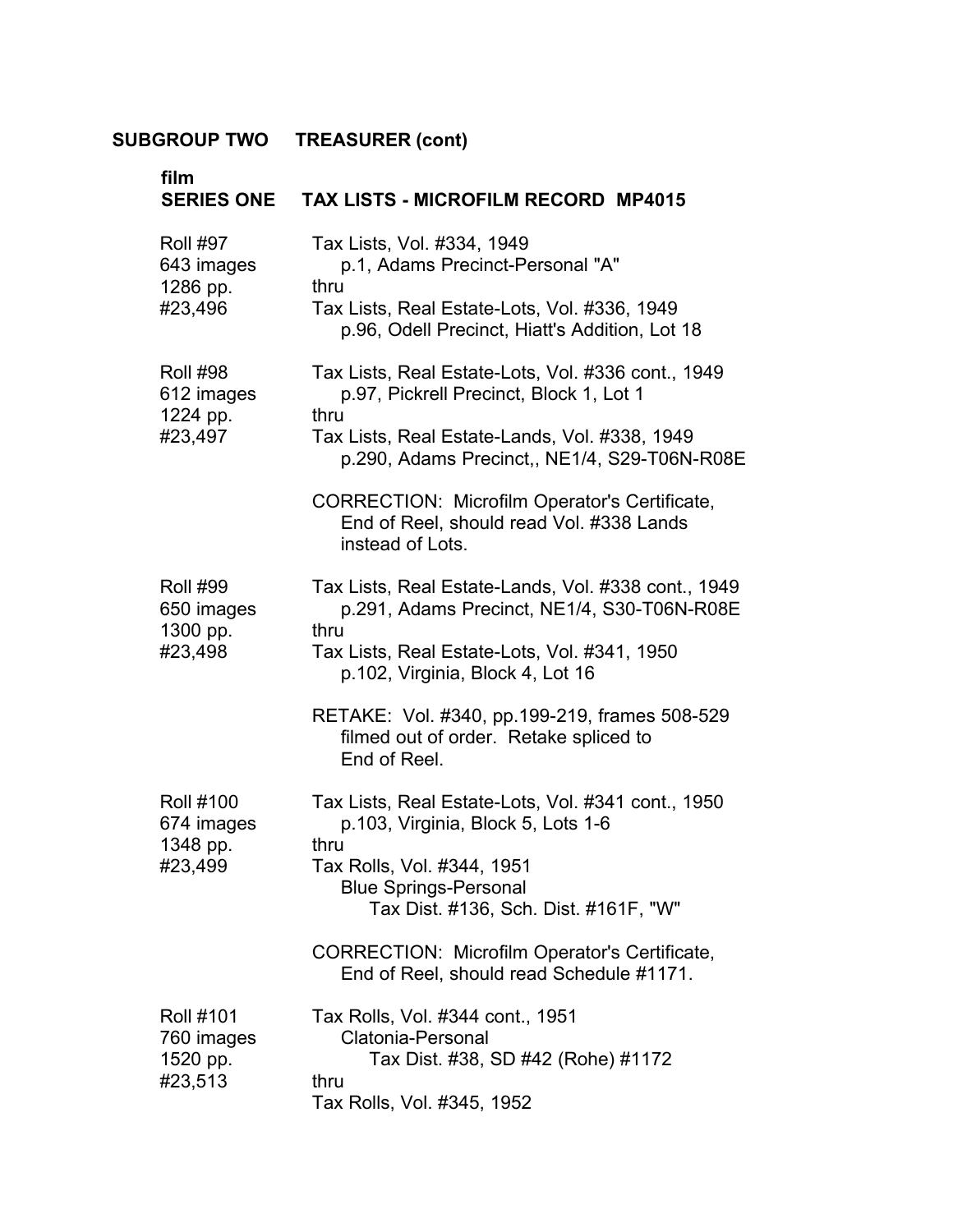| film<br><b>SERIES ONE</b>                             | <b>TAX LISTS - MICROFILM RECORD MP4015</b>                                                                                        |
|-------------------------------------------------------|-----------------------------------------------------------------------------------------------------------------------------------|
| <b>Roll #97</b><br>643 images                         | Tax Lists, Vol. #334, 1949<br>p.1, Adams Precinct-Personal "A"                                                                    |
| 1286 pp.<br>#23,496                                   | thru<br>Tax Lists, Real Estate-Lots, Vol. #336, 1949<br>p.96, Odell Precinct, Hiatt's Addition, Lot 18                            |
| <b>Roll #98</b><br>612 images                         | Tax Lists, Real Estate-Lots, Vol. #336 cont., 1949<br>p.97, Pickrell Precinct, Block 1, Lot 1                                     |
| 1224 pp.<br>#23,497                                   | thru<br>Tax Lists, Real Estate-Lands, Vol. #338, 1949<br>p.290, Adams Precinct,, NE1/4, S29-T06N-R08E                             |
|                                                       | <b>CORRECTION: Microfilm Operator's Certificate,</b><br>End of Reel, should read Vol. #338 Lands<br>instead of Lots.              |
| <b>Roll #99</b><br>650 images                         | Tax Lists, Real Estate-Lands, Vol. #338 cont., 1949<br>p.291, Adams Precinct, NE1/4, S30-T06N-R08E<br>thru                        |
| 1300 pp.<br>#23,498                                   | Tax Lists, Real Estate-Lots, Vol. #341, 1950<br>p.102, Virginia, Block 4, Lot 16                                                  |
|                                                       | RETAKE: Vol. #340, pp.199-219, frames 508-529<br>filmed out of order. Retake spliced to<br>End of Reel.                           |
| <b>Roll #100</b><br>674 images                        | Tax Lists, Real Estate-Lots, Vol. #341 cont., 1950<br>p.103, Virginia, Block 5, Lots 1-6                                          |
| 1348 pp.<br>#23,499                                   | thru<br>Tax Rolls, Vol. #344, 1951<br><b>Blue Springs-Personal</b><br>Tax Dist. #136, Sch. Dist. #161F, "W"                       |
|                                                       | <b>CORRECTION: Microfilm Operator's Certificate,</b><br>End of Reel, should read Schedule #1171.                                  |
| <b>Roll #101</b><br>760 images<br>1520 pp.<br>#23,513 | Tax Rolls, Vol. #344 cont., 1951<br>Clatonia-Personal<br>Tax Dist. #38, SD #42 (Rohe) #1172<br>thru<br>Tax Rolls, Vol. #345, 1952 |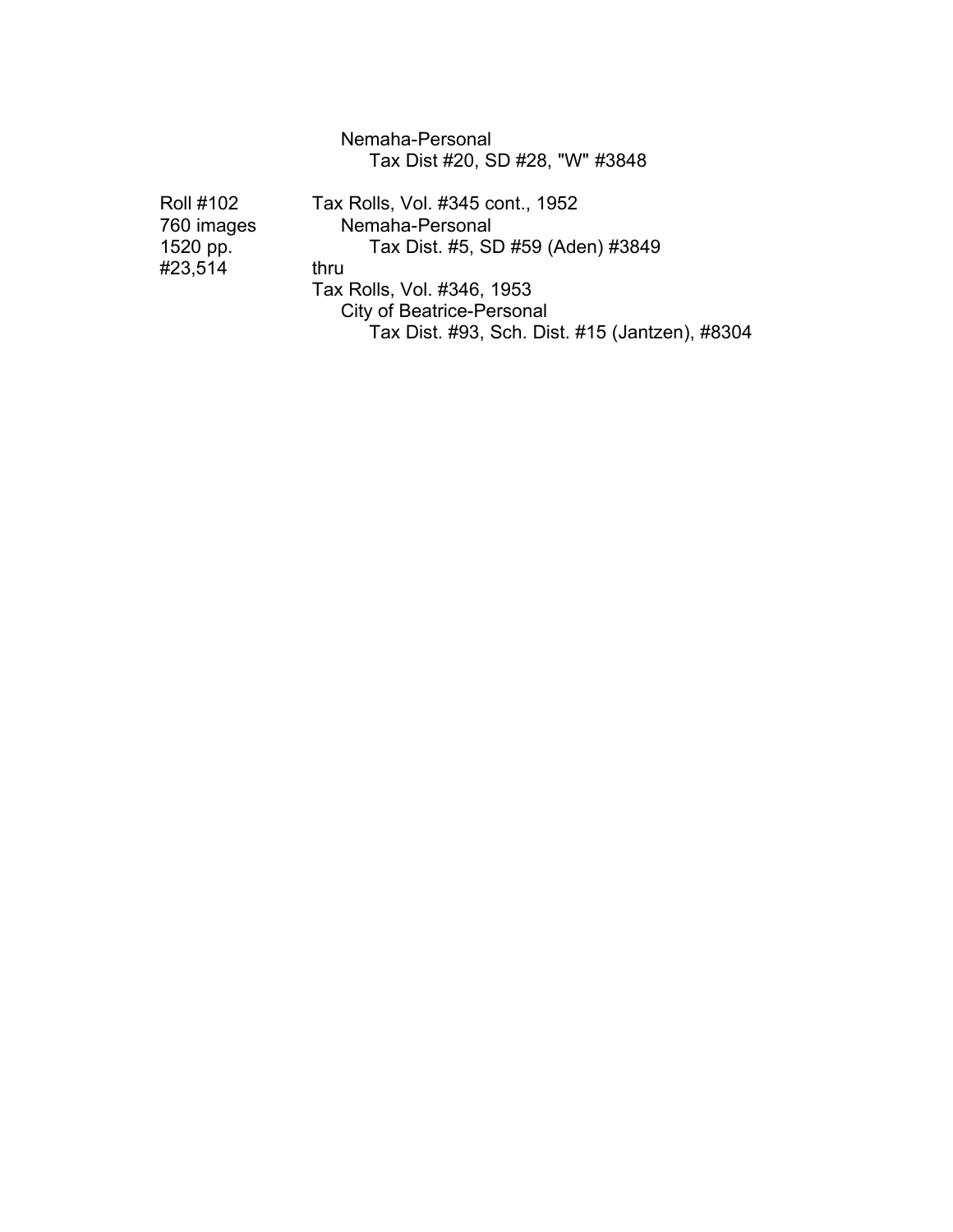#### Nemaha-Personal Tax Dist #20, SD #28, "W" #3848

| <b>Roll #102</b> | Tax Rolls, Vol. #345 cont., 1952               |  |  |  |
|------------------|------------------------------------------------|--|--|--|
| 760 images       | Nemaha-Personal                                |  |  |  |
| 1520 pp.         | Tax Dist. #5, SD #59 (Aden) #3849              |  |  |  |
| #23,514          | thru                                           |  |  |  |
|                  | Tax Rolls, Vol. #346, 1953                     |  |  |  |
|                  | <b>City of Beatrice-Personal</b>               |  |  |  |
|                  | Tax Dist. #93, Sch. Dist. #15 (Jantzen), #8304 |  |  |  |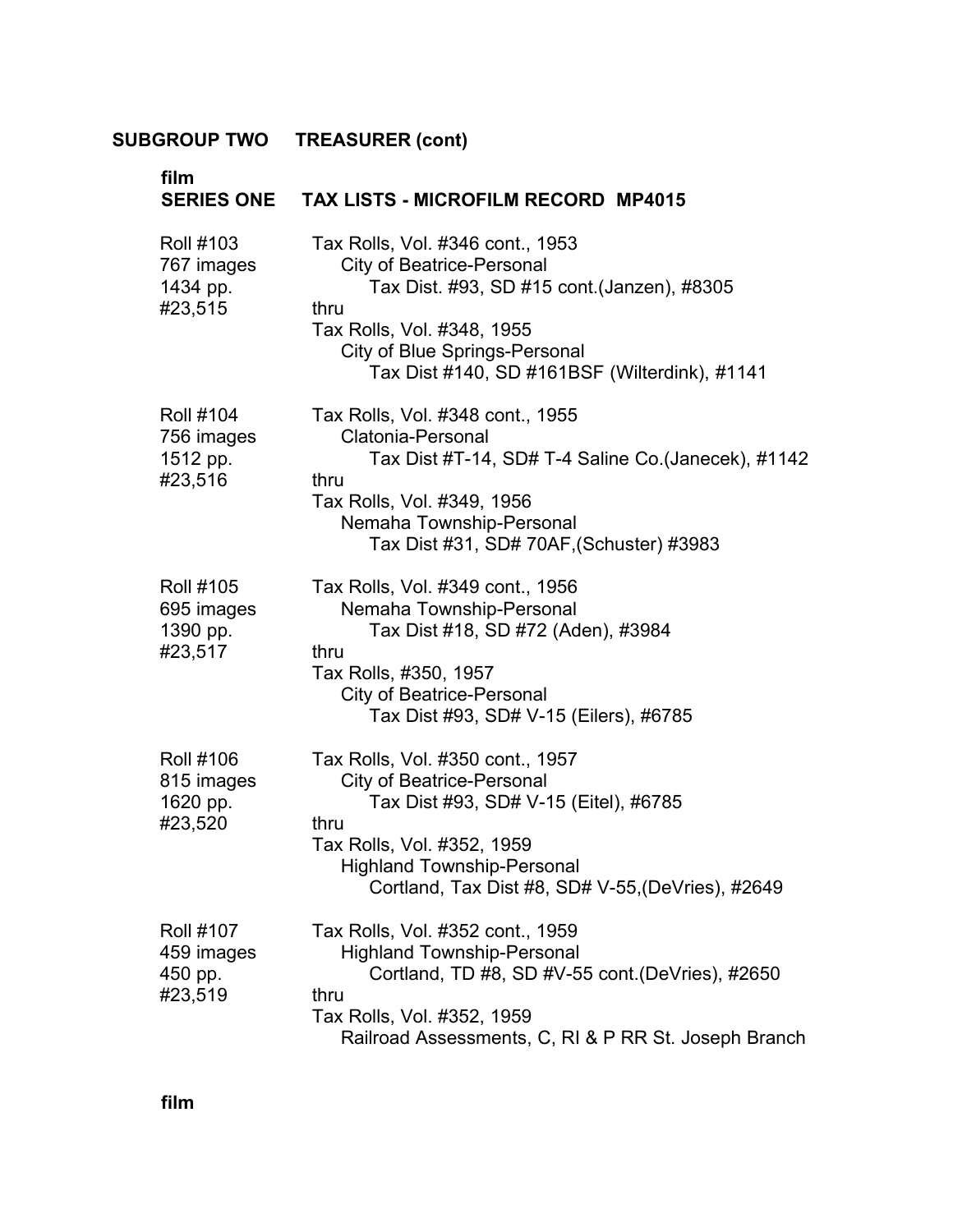| film<br><b>SERIES ONE</b>                             | <b>TAX LISTS - MICROFILM RECORD MP4015</b>                                                                                                                                                                                                        |  |  |
|-------------------------------------------------------|---------------------------------------------------------------------------------------------------------------------------------------------------------------------------------------------------------------------------------------------------|--|--|
| <b>Roll #103</b><br>767 images<br>1434 pp.<br>#23,515 | Tax Rolls, Vol. #346 cont., 1953<br><b>City of Beatrice-Personal</b><br>Tax Dist. #93, SD #15 cont.(Janzen), #8305<br>thru<br>Tax Rolls, Vol. #348, 1955<br><b>City of Blue Springs-Personal</b><br>Tax Dist #140, SD #161BSF (Wilterdink), #1141 |  |  |
| <b>Roll #104</b><br>756 images<br>1512 pp.<br>#23,516 | Tax Rolls, Vol. #348 cont., 1955<br>Clatonia-Personal<br>Tax Dist #T-14, SD# T-4 Saline Co. (Janecek), #1142<br>thru<br>Tax Rolls, Vol. #349, 1956<br>Nemaha Township-Personal<br>Tax Dist #31, SD# 70AF, (Schuster) #3983                        |  |  |
| <b>Roll #105</b><br>695 images<br>1390 pp.<br>#23,517 | Tax Rolls, Vol. #349 cont., 1956<br>Nemaha Township-Personal<br>Tax Dist #18, SD #72 (Aden), #3984<br>thru<br>Tax Rolls, #350, 1957<br><b>City of Beatrice-Personal</b><br>Tax Dist #93, SD# V-15 (Eilers), #6785                                 |  |  |
| <b>Roll #106</b><br>815 images<br>1620 pp.<br>#23,520 | Tax Rolls, Vol. #350 cont., 1957<br><b>City of Beatrice-Personal</b><br>Tax Dist #93, SD# V-15 (Eitel), #6785<br>thru<br>Tax Rolls, Vol. #352, 1959<br><b>Highland Township-Personal</b><br>Cortland, Tax Dist #8, SD# V-55, (DeVries), #2649     |  |  |
| <b>Roll #107</b><br>459 images<br>450 pp.<br>#23,519  | Tax Rolls, Vol. #352 cont., 1959<br><b>Highland Township-Personal</b><br>Cortland, TD #8, SD #V-55 cont. (DeVries), #2650<br>thru<br>Tax Rolls, Vol. #352, 1959<br>Railroad Assessments, C, RI & P RR St. Joseph Branch                           |  |  |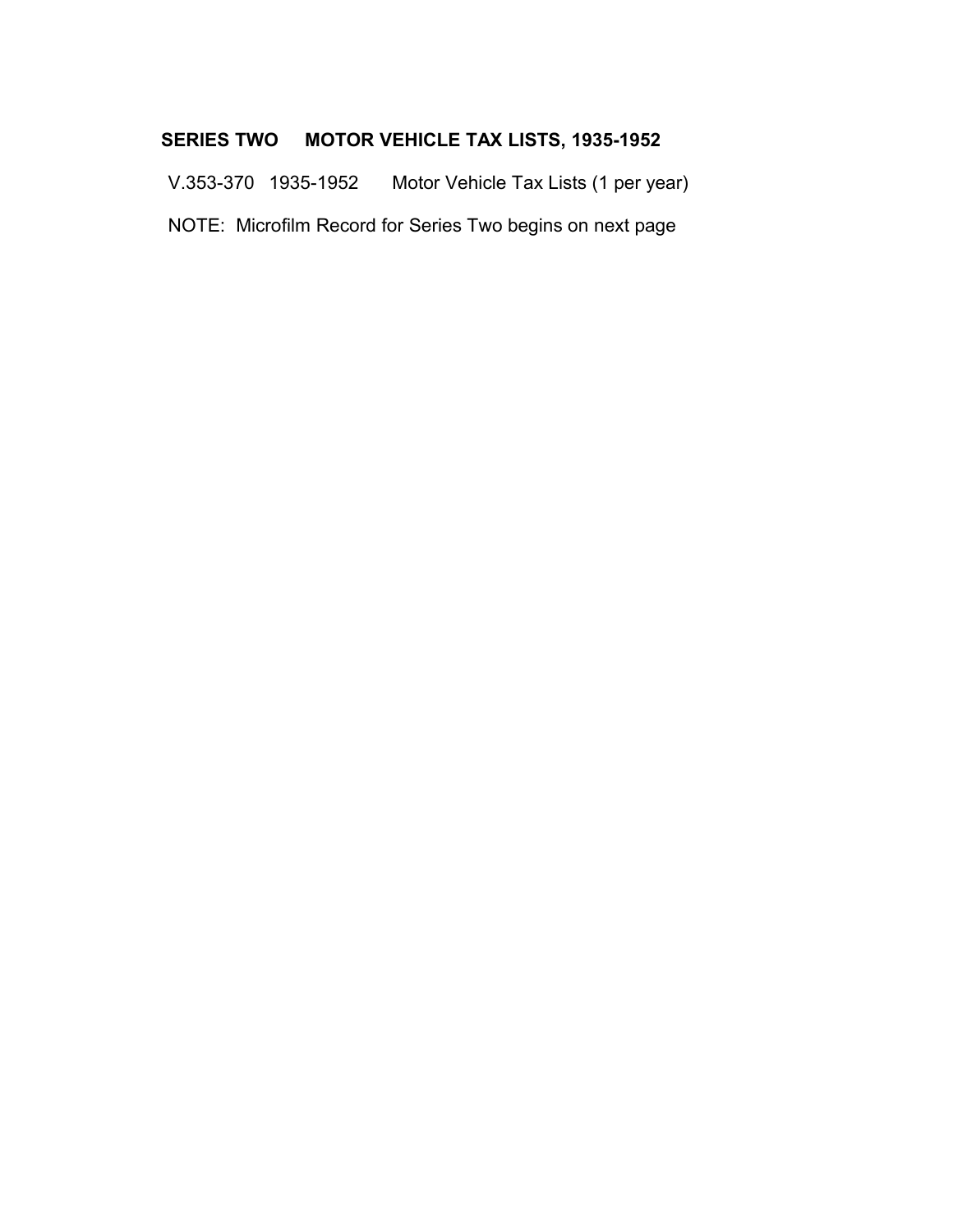### **SERIES TWO MOTOR VEHICLE TAX LISTS, 1935-1952**

V.353-370 1935-1952 Motor Vehicle Tax Lists (1 per year) � NOTE: Microfilm Record for Series Two begins on next page �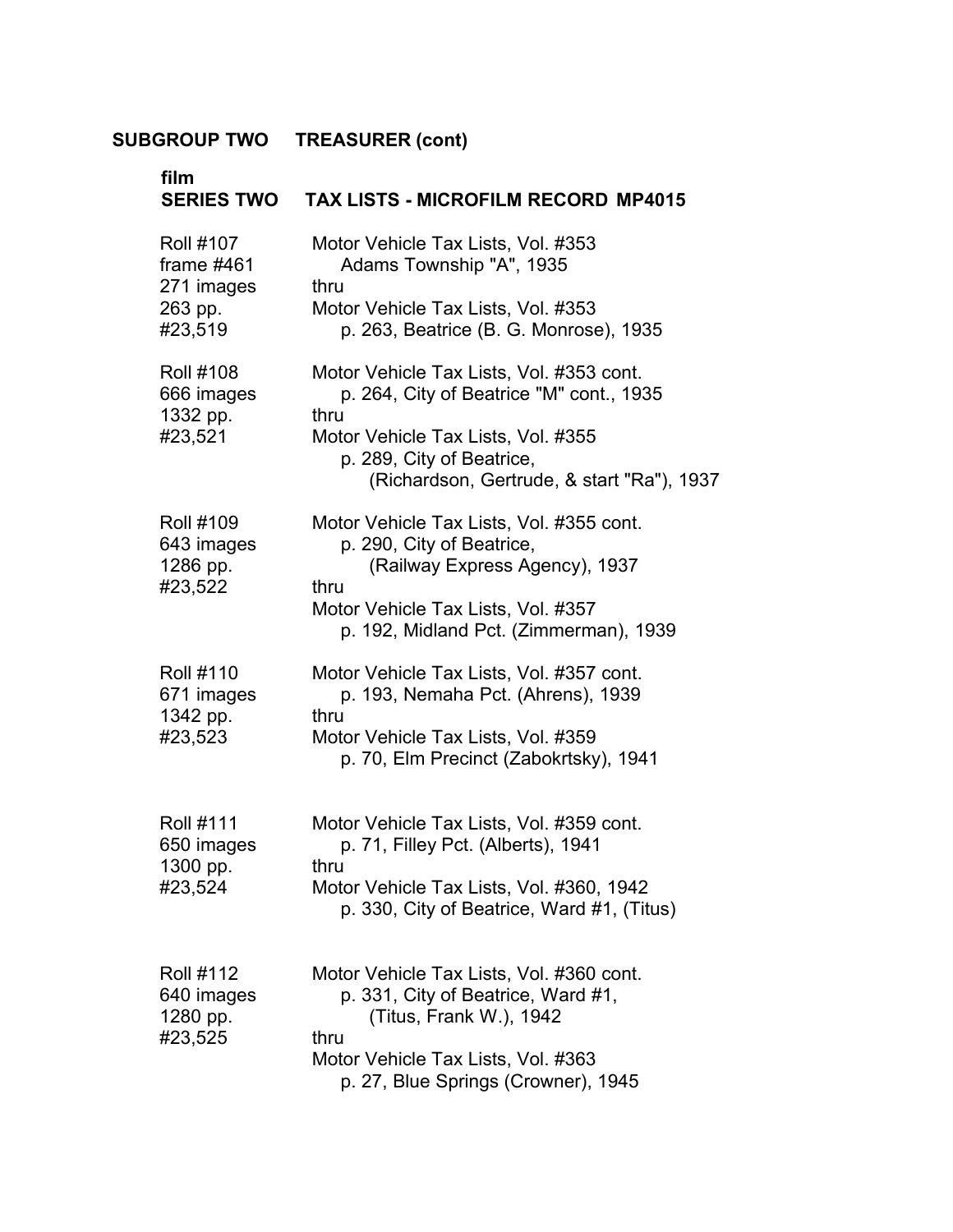| film<br><b>SERIES TWO</b>                                            | <b>TAX LISTS - MICROFILM RECORD MP4015</b>                                                                                                                                                                    |  |
|----------------------------------------------------------------------|---------------------------------------------------------------------------------------------------------------------------------------------------------------------------------------------------------------|--|
| <b>Roll #107</b><br>frame $#461$<br>271 images<br>263 pp.<br>#23,519 | Motor Vehicle Tax Lists, Vol. #353<br>Adams Township "A", 1935<br>thru<br>Motor Vehicle Tax Lists, Vol. #353<br>p. 263, Beatrice (B. G. Monrose), 1935                                                        |  |
| <b>Roll #108</b><br>666 images<br>1332 pp.<br>#23,521                | Motor Vehicle Tax Lists, Vol. #353 cont.<br>p. 264, City of Beatrice "M" cont., 1935<br>thru<br>Motor Vehicle Tax Lists, Vol. #355<br>p. 289, City of Beatrice,<br>(Richardson, Gertrude, & start "Ra"), 1937 |  |
| <b>Roll #109</b><br>643 images<br>1286 pp.<br>#23,522                | Motor Vehicle Tax Lists, Vol. #355 cont.<br>p. 290, City of Beatrice,<br>(Railway Express Agency), 1937<br>thru<br>Motor Vehicle Tax Lists, Vol. #357<br>p. 192, Midland Pct. (Zimmerman), 1939               |  |
| <b>Roll #110</b><br>671 images<br>1342 pp.<br>#23,523                | Motor Vehicle Tax Lists, Vol. #357 cont.<br>p. 193, Nemaha Pct. (Ahrens), 1939<br>thru<br>Motor Vehicle Tax Lists, Vol. #359<br>p. 70, Elm Precinct (Zabokrtsky), 1941                                        |  |
| <b>Roll #111</b><br>650 images<br>1300 pp.<br>#23,524                | Motor Vehicle Tax Lists, Vol. #359 cont.<br>p. 71, Filley Pct. (Alberts), 1941<br>thru<br>Motor Vehicle Tax Lists, Vol. #360, 1942<br>p. 330, City of Beatrice, Ward #1, (Titus)                              |  |
| <b>Roll #112</b><br>640 images<br>1280 pp.<br>#23,525                | Motor Vehicle Tax Lists, Vol. #360 cont.<br>p. 331, City of Beatrice, Ward #1,<br>(Titus, Frank W.), 1942<br>thru<br>Motor Vehicle Tax Lists, Vol. #363<br>p. 27, Blue Springs (Crowner), 1945                |  |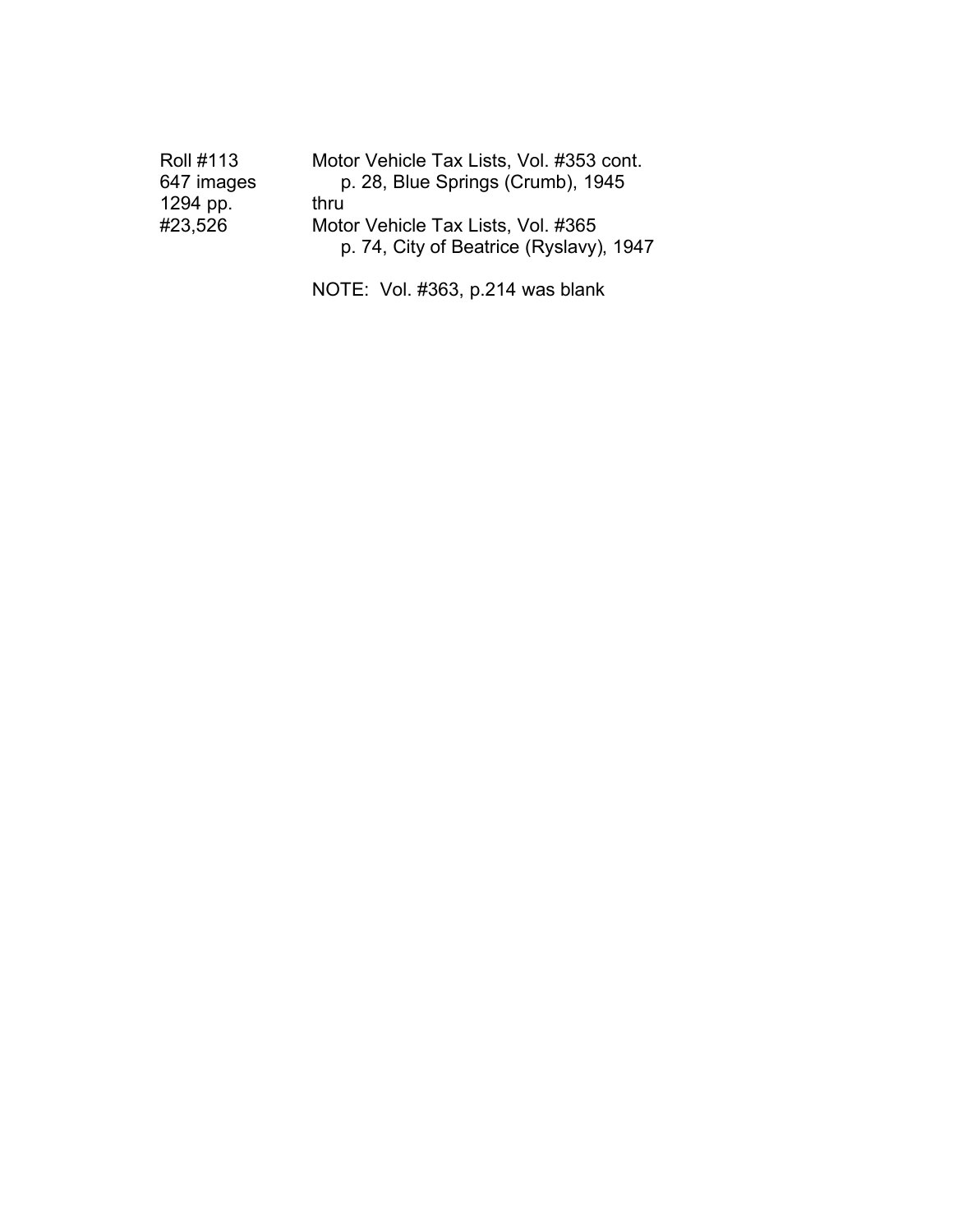| Motor Vehicle Tax Lists, Vol. #353 cont. |
|------------------------------------------|
| p. 28, Blue Springs (Crumb), 1945        |
| thru                                     |
| Motor Vehicle Tax Lists, Vol. #365       |
| p. 74, City of Beatrice (Ryslavy), 1947  |
|                                          |

NOTE: Vol. #363, p.214 was blank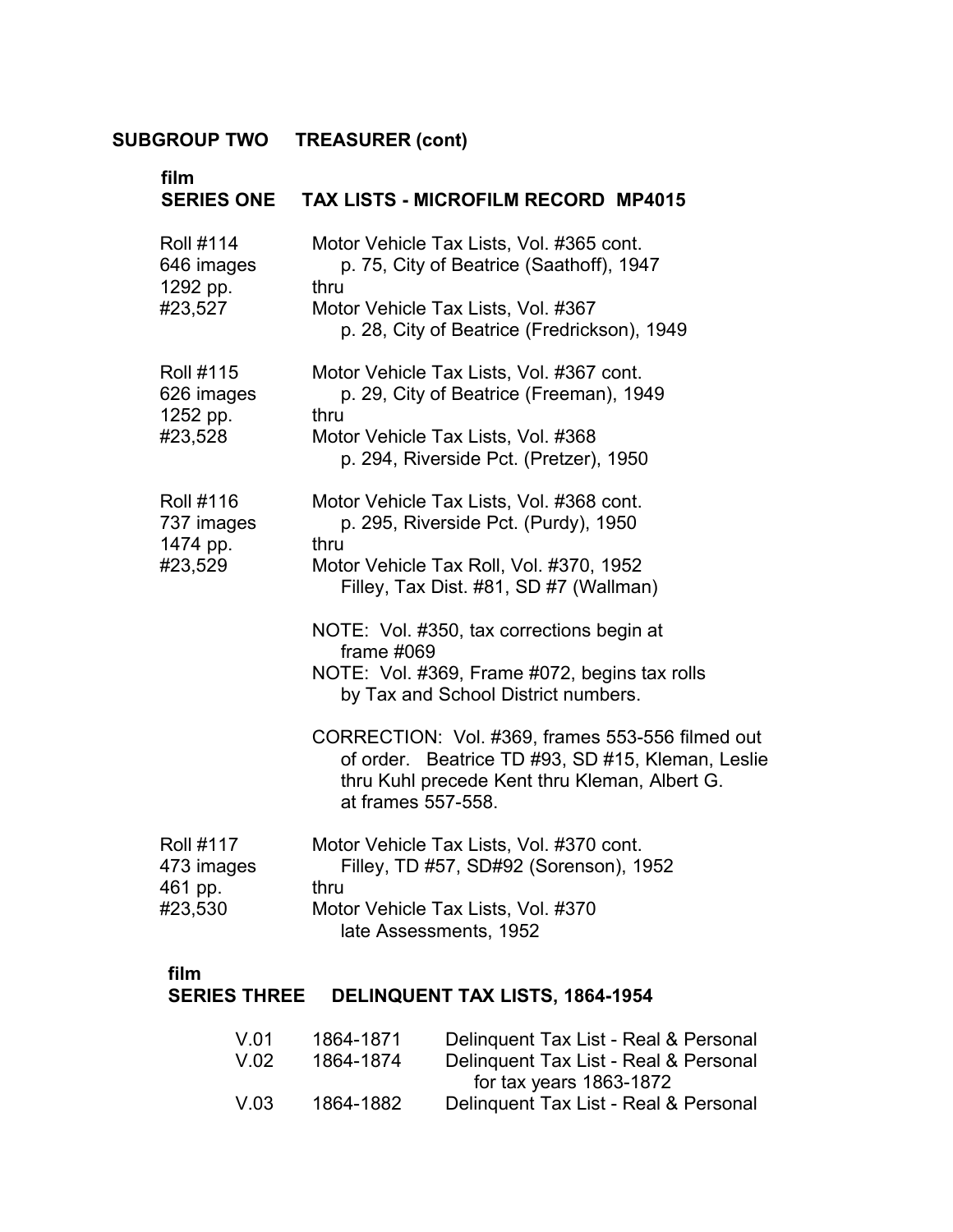| film<br><b>SERIES ONE</b>                             | TAX LISTS - MICROFILM RECORD MP4015                                                                                                                                               |  |
|-------------------------------------------------------|-----------------------------------------------------------------------------------------------------------------------------------------------------------------------------------|--|
| <b>Roll #114</b><br>646 images<br>1292 pp.<br>#23,527 | Motor Vehicle Tax Lists, Vol. #365 cont.<br>p. 75, City of Beatrice (Saathoff), 1947<br>thru<br>Motor Vehicle Tax Lists, Vol. #367<br>p. 28, City of Beatrice (Fredrickson), 1949 |  |
| <b>Roll #115</b><br>626 images<br>1252 pp.<br>#23,528 | Motor Vehicle Tax Lists, Vol. #367 cont.<br>p. 29, City of Beatrice (Freeman), 1949<br>thru<br>Motor Vehicle Tax Lists, Vol. #368<br>p. 294, Riverside Pct. (Pretzer), 1950       |  |
| <b>Roll #116</b><br>737 images<br>1474 pp.<br>#23,529 | Motor Vehicle Tax Lists, Vol. #368 cont.<br>p. 295, Riverside Pct. (Purdy), 1950<br>thru<br>Motor Vehicle Tax Roll, Vol. #370, 1952<br>Filley, Tax Dist. #81, SD #7 (Wallman)     |  |
|                                                       | NOTE: Vol. #350, tax corrections begin at<br>frame #069<br>NOTE: Vol. #369, Frame #072, begins tax rolls<br>by Tax and School District numbers.                                   |  |
|                                                       | CORRECTION: Vol. #369, frames 553-556 filmed out<br>of order. Beatrice TD #93, SD #15, Kleman, Leslie<br>thru Kuhl precede Kent thru Kleman, Albert G.<br>at frames 557-558.      |  |
| <b>Roll #117</b><br>473 images<br>461 pp.<br>#23,530  | Motor Vehicle Tax Lists, Vol. #370 cont.<br>Filley, TD #57, SD#92 (Sorenson), 1952<br>thru<br>Motor Vehicle Tax Lists, Vol. #370<br>late Assessments, 1952                        |  |

#### **film** �

#### **SERIES THREE DELINQUENT TAX LISTS, 1864-1954** �

| V.01 | 1864-1871 | Delinquent Tax List - Real & Personal |
|------|-----------|---------------------------------------|
| V.02 | 1864-1874 | Delinquent Tax List - Real & Personal |
|      |           | for tax years $1863-1872$             |
| V.03 | 1864-1882 | Delinquent Tax List - Real & Personal |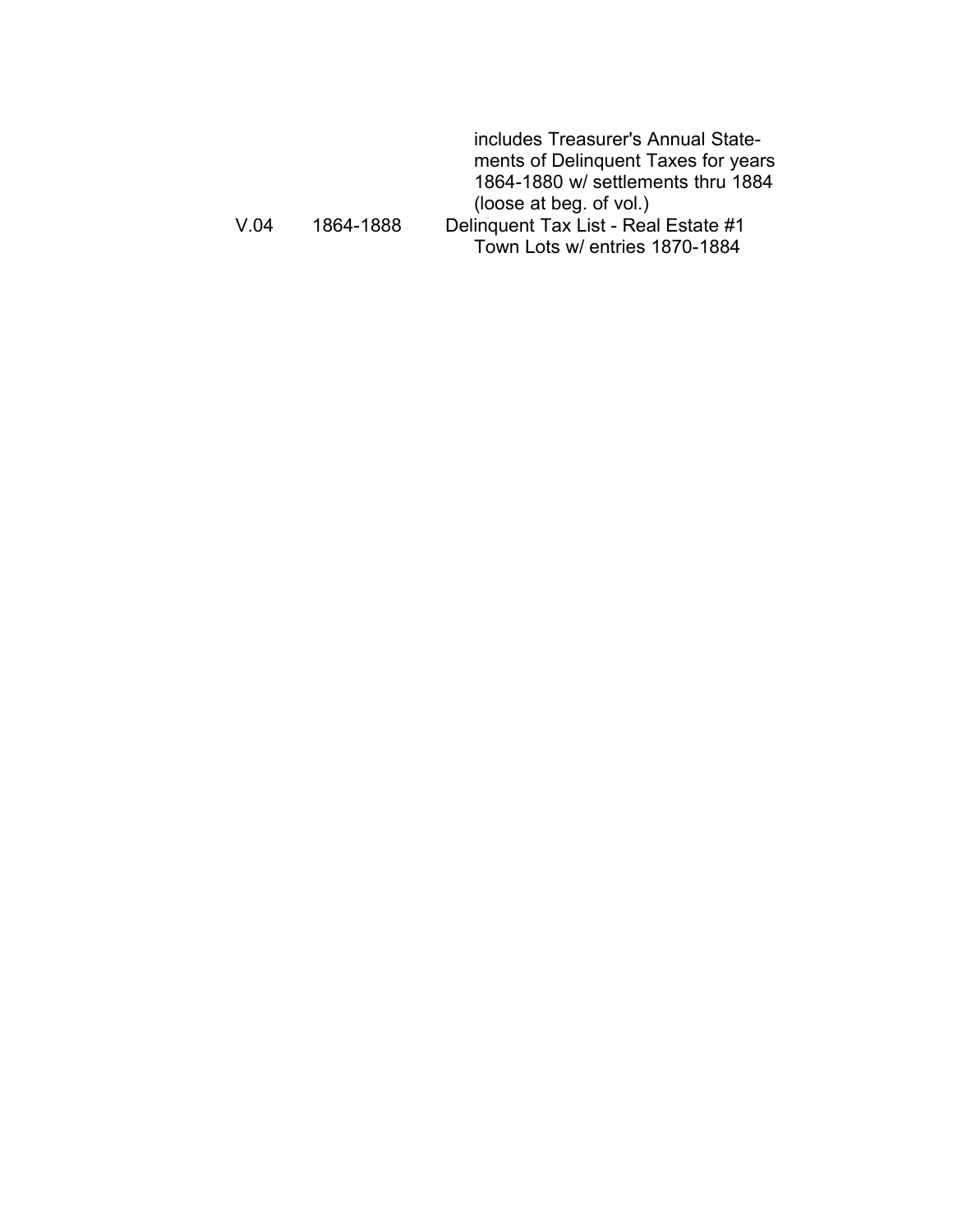|           | includes Treasurer's Annual State-   |
|-----------|--------------------------------------|
|           | ments of Delinquent Taxes for years  |
|           | 1864-1880 w/ settlements thru 1884   |
|           | (loose at beg. of vol.)              |
| 1864-1888 | Delinquent Tax List - Real Estate #1 |
|           | Town Lots w/ entries 1870-1884       |
|           |                                      |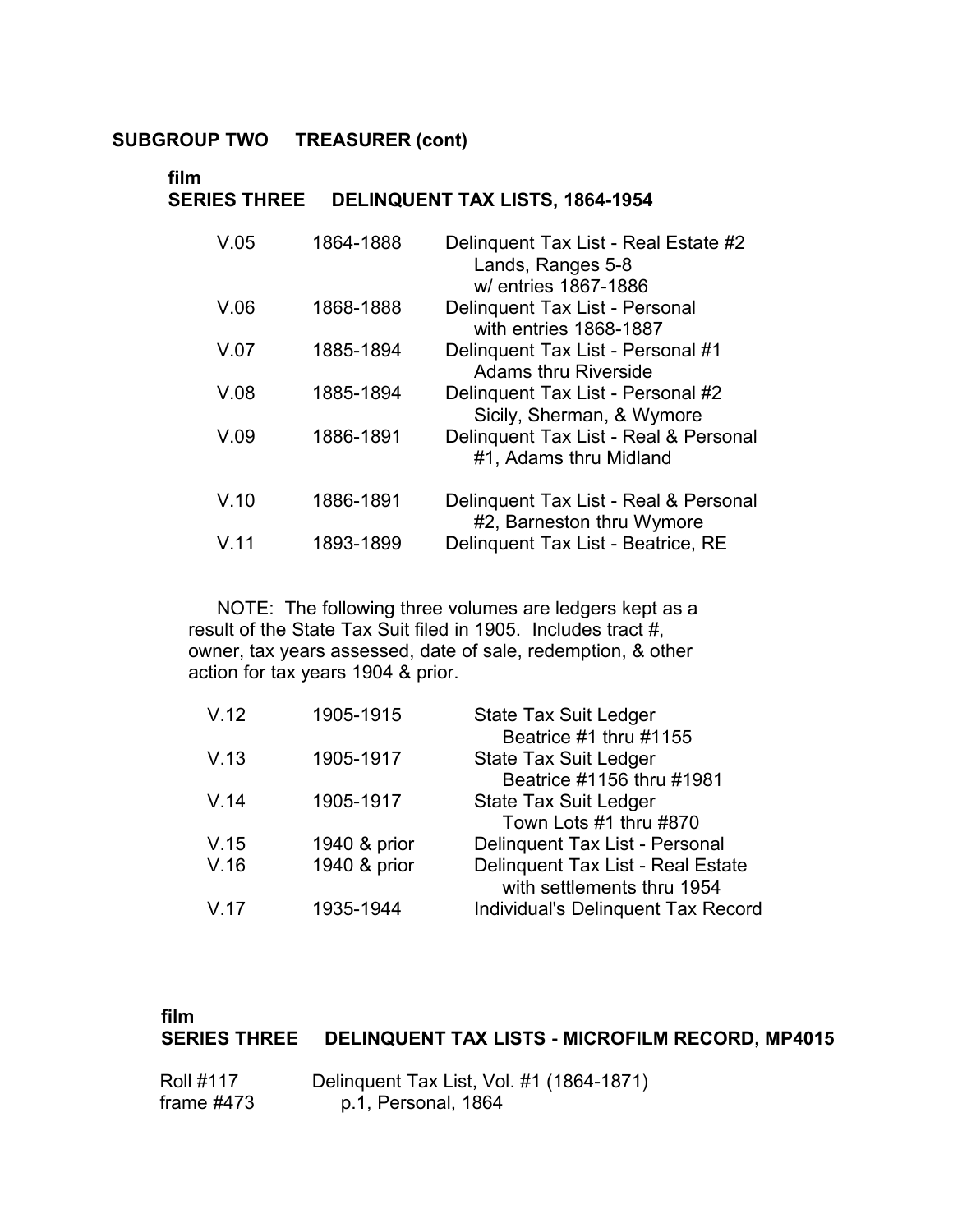#### **film SERIES THREE DELINQUENT TAX LISTS, 1864-1954**

| V.05 | 1864-1888 | Delinquent Tax List - Real Estate #2<br>Lands, Ranges 5-8<br>w/ entries 1867-1886 |
|------|-----------|-----------------------------------------------------------------------------------|
| V.06 | 1868-1888 | Delinquent Tax List - Personal<br>with entries 1868-1887                          |
| V.07 | 1885-1894 | Delinquent Tax List - Personal #1<br><b>Adams thru Riverside</b>                  |
| V.08 | 1885-1894 | Delinguent Tax List - Personal #2<br>Sicily, Sherman, & Wymore                    |
| V.09 | 1886-1891 | Delinquent Tax List - Real & Personal<br>#1, Adams thru Midland                   |
| V.10 | 1886-1891 | Delinquent Tax List - Real & Personal<br>#2, Barneston thru Wymore                |
| V.11 | 1893-1899 | Delinquent Tax List - Beatrice, RE                                                |

NOTE: The following three volumes are ledgers kept as a result of the State Tax Suit filed in 1905. Includes tract #, owner, tax years assessed, date of sale, redemption, & other action for tax years 1904 & prior.

| V.12 | 1905-1915    | <b>State Tax Suit Ledger</b>       |
|------|--------------|------------------------------------|
|      |              | Beatrice #1 thru #1155             |
| V.13 | 1905-1917    | <b>State Tax Suit Ledger</b>       |
|      |              | Beatrice #1156 thru #1981          |
| V.14 | 1905-1917    | <b>State Tax Suit Ledger</b>       |
|      |              | Town Lots #1 thru #870             |
| V.15 | 1940 & prior | Delinquent Tax List - Personal     |
| V.16 | 1940 & prior | Delinquent Tax List - Real Estate  |
|      |              | with settlements thru 1954         |
| V.17 | 1935-1944    | Individual's Delinquent Tax Record |

#### **film**

### **SERIES THREE DELINQUENT TAX LISTS - MICROFILM RECORD, MP4015**

| <b>Roll #117</b> | Delinquent Tax List, Vol. #1 (1864-1871) |
|------------------|------------------------------------------|
| frame $#473$     | p.1, Personal, 1864                      |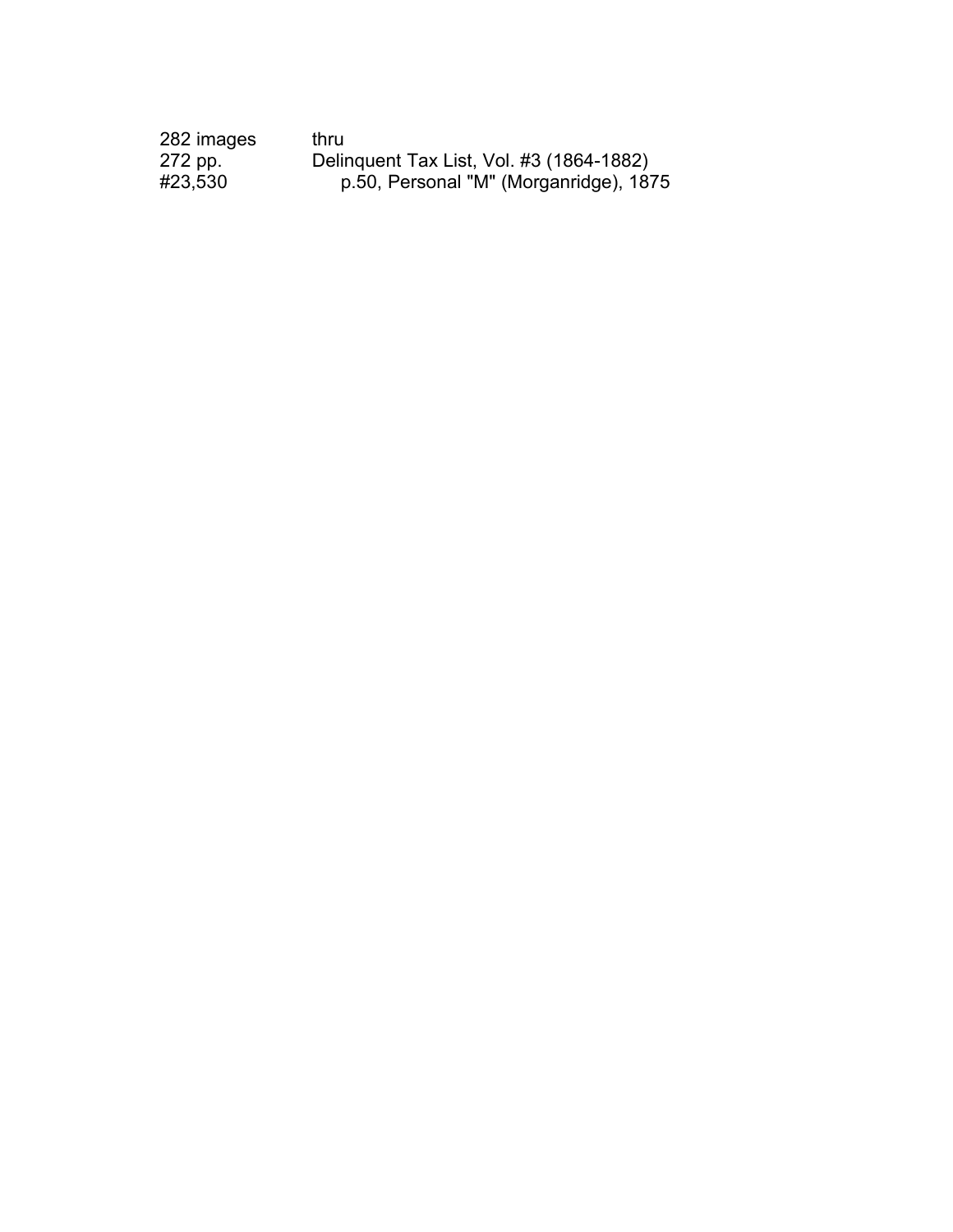| 282 images | thru                                     |
|------------|------------------------------------------|
| 272 pp.    | Delinquent Tax List, Vol. #3 (1864-1882) |
| #23,530    | p.50, Personal "M" (Morganridge), 1875   |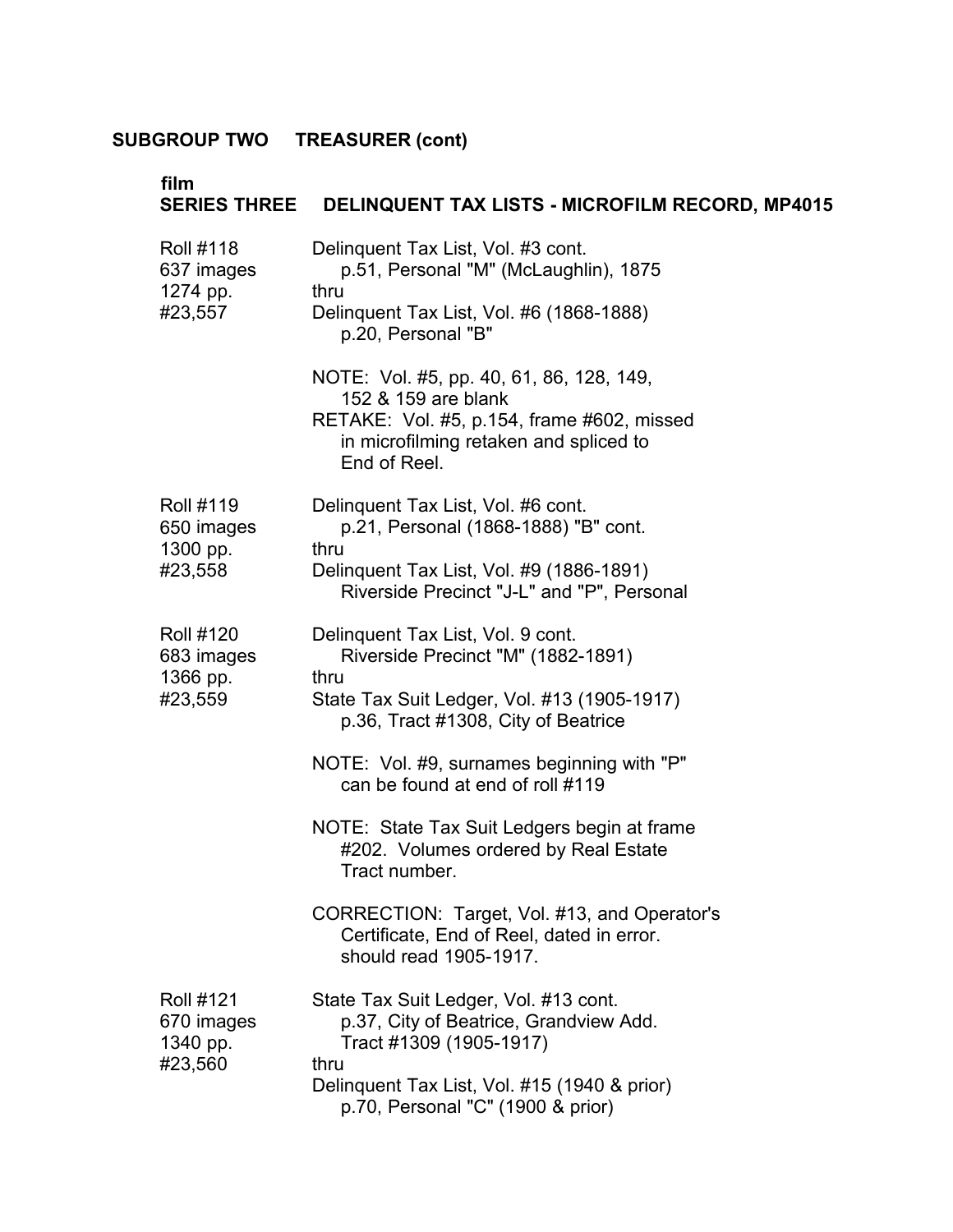|                                                       | SERIES THREE DELINQUENT TAX LISTS - MICROFILM RECORD, MP4015                                                                                                                                            |
|-------------------------------------------------------|---------------------------------------------------------------------------------------------------------------------------------------------------------------------------------------------------------|
| <b>Roll #118</b><br>637 images<br>1274 pp.<br>#23,557 | Delinquent Tax List, Vol. #3 cont.<br>p.51, Personal "M" (McLaughlin), 1875<br>thru<br>Delinquent Tax List, Vol. #6 (1868-1888)<br>p.20, Personal "B"                                                   |
|                                                       | NOTE: Vol. #5, pp. 40, 61, 86, 128, 149,<br>152 & 159 are blank<br>RETAKE: Vol. #5, p.154, frame #602, missed<br>in microfilming retaken and spliced to<br>End of Reel.                                 |
| <b>Roll #119</b><br>650 images<br>1300 pp.<br>#23,558 | Delinquent Tax List, Vol. #6 cont.<br>p.21, Personal (1868-1888) "B" cont.<br>thru<br>Delinquent Tax List, Vol. #9 (1886-1891)<br>Riverside Precinct "J-L" and "P", Personal                            |
| <b>Roll #120</b><br>683 images<br>1366 pp.<br>#23,559 | Delinquent Tax List, Vol. 9 cont.<br>Riverside Precinct "M" (1882-1891)<br>thru<br>State Tax Suit Ledger, Vol. #13 (1905-1917)<br>p.36, Tract #1308, City of Beatrice                                   |
|                                                       | NOTE: Vol. #9, surnames beginning with "P"<br>can be found at end of roll #119                                                                                                                          |
|                                                       | NOTE: State Tax Suit Ledgers begin at frame<br>#202. Volumes ordered by Real Estate<br>Tract number.                                                                                                    |
|                                                       | CORRECTION: Target, Vol. #13, and Operator's<br>Certificate, End of Reel, dated in error.<br>should read 1905-1917.                                                                                     |
| <b>Roll #121</b><br>670 images<br>1340 pp.<br>#23,560 | State Tax Suit Ledger, Vol. #13 cont.<br>p.37, City of Beatrice, Grandview Add.<br>Tract #1309 (1905-1917)<br>thru<br>Delinquent Tax List, Vol. #15 (1940 & prior)<br>p.70, Personal "C" (1900 & prior) |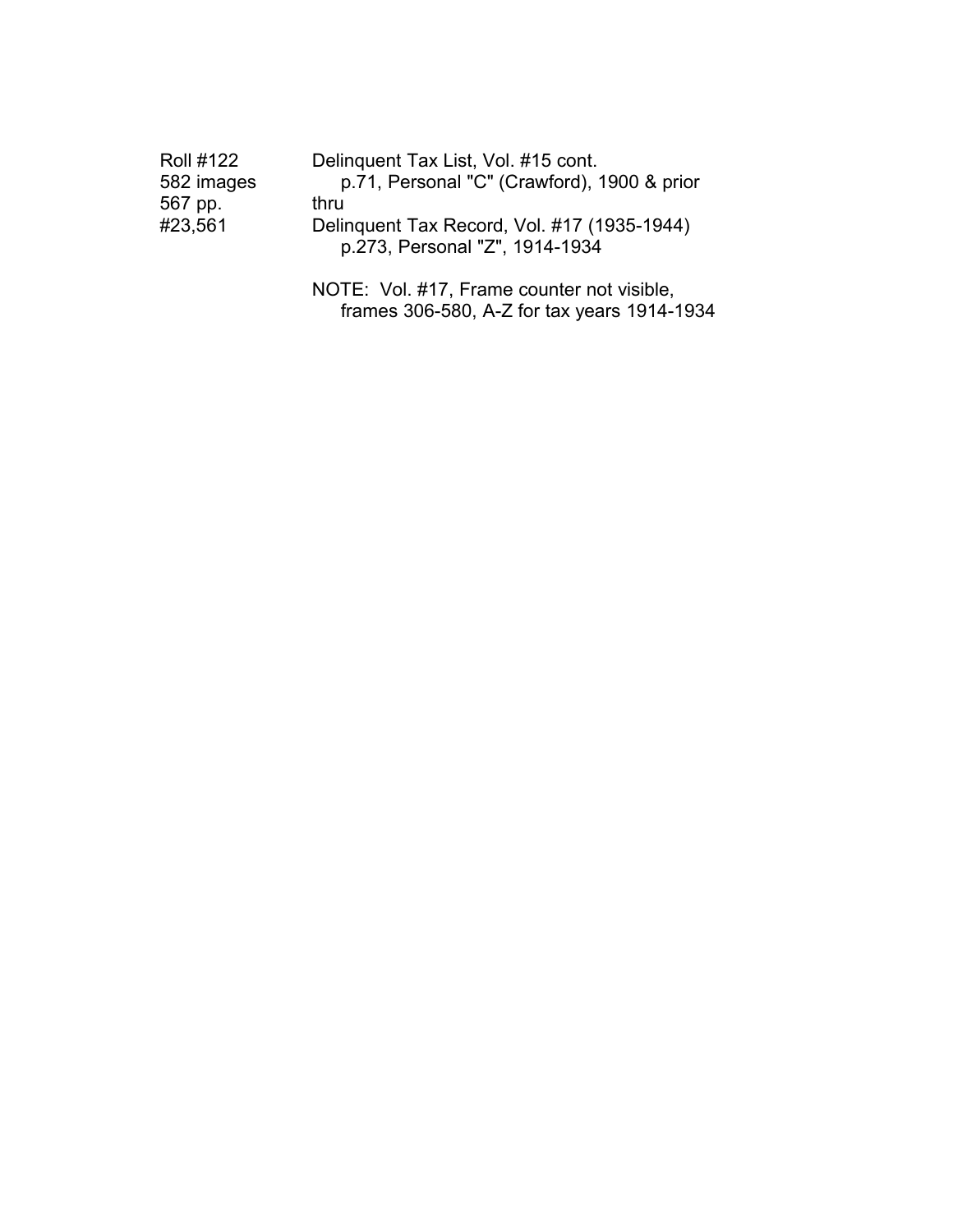| <b>Roll #122</b> | Delinquent Tax List, Vol. #15 cont.                                           |
|------------------|-------------------------------------------------------------------------------|
| 582 images       | p.71, Personal "C" (Crawford), 1900 & prior                                   |
| 567 pp.          | thru                                                                          |
| #23,561          | Delinquent Tax Record, Vol. #17 (1935-1944)<br>p.273, Personal "Z", 1914-1934 |
|                  | NOTE: Vol. #17, Frame counter not visible,                                    |

frames 306-580, A-Z for tax years 1914-1934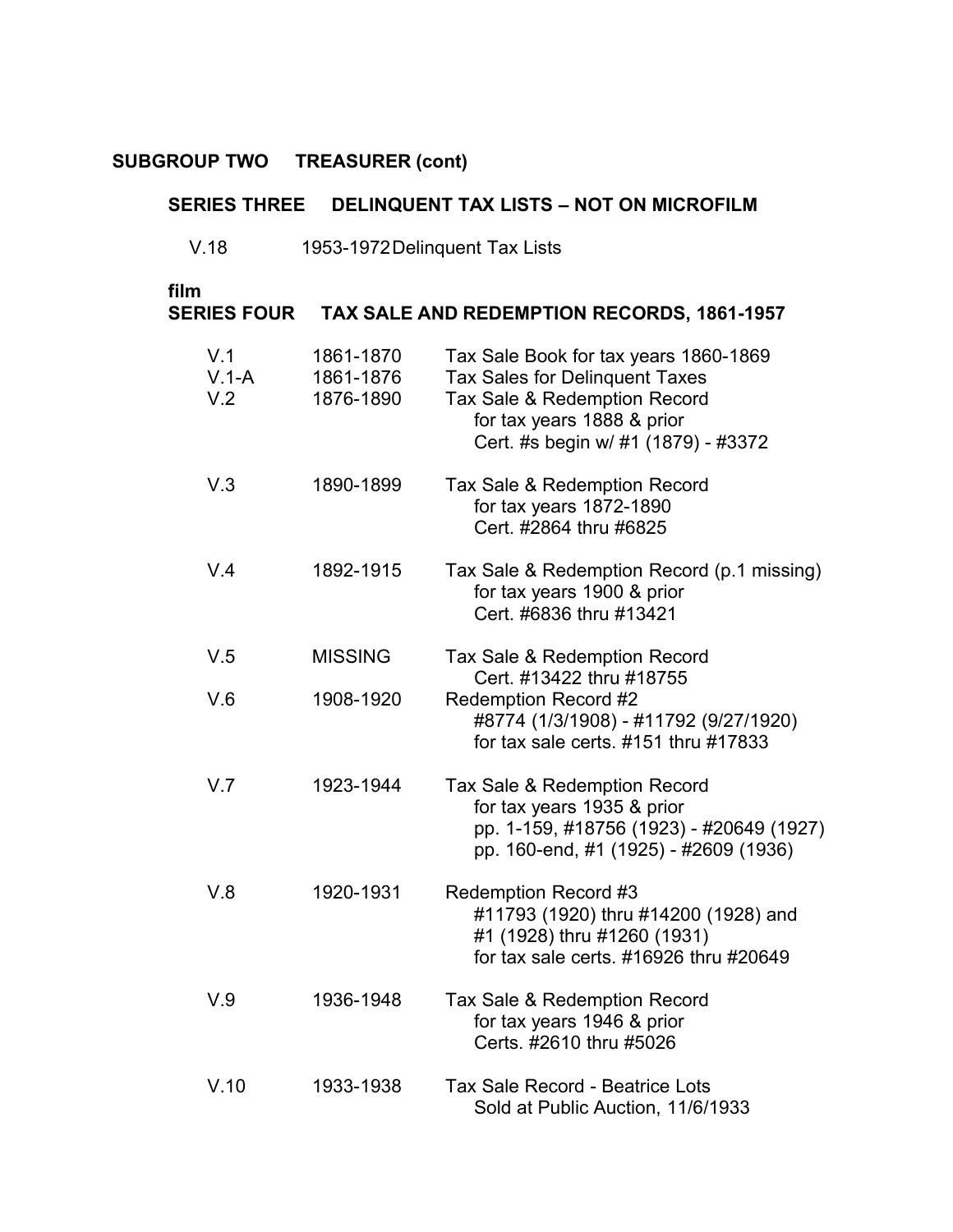#### **SERIES THREE DELINQUENT TAX LISTS – NOT ON MICROFILM**

V.18 1953-1972Delinquent Tax Lists

| film<br><b>SERIES FOUR</b> |                                     | <b>TAX SALE AND REDEMPTION RECORDS, 1861-1957</b>                                                                                                                            |
|----------------------------|-------------------------------------|------------------------------------------------------------------------------------------------------------------------------------------------------------------------------|
| V.1<br>$V.1-A$<br>V.2      | 1861-1870<br>1861-1876<br>1876-1890 | Tax Sale Book for tax years 1860-1869<br>Tax Sales for Delinquent Taxes<br>Tax Sale & Redemption Record<br>for tax years 1888 & prior<br>Cert. #s begin w/ #1 (1879) - #3372 |
| V.3                        | 1890-1899                           | Tax Sale & Redemption Record<br>for tax years 1872-1890<br>Cert. #2864 thru #6825                                                                                            |
| V.4                        | 1892-1915                           | Tax Sale & Redemption Record (p.1 missing)<br>for tax years 1900 & prior<br>Cert. #6836 thru #13421                                                                          |
| V.5                        | <b>MISSING</b>                      | Tax Sale & Redemption Record<br>Cert. #13422 thru #18755                                                                                                                     |
| V.6                        | 1908-1920                           | <b>Redemption Record #2</b><br>#8774 (1/3/1908) - #11792 (9/27/1920)<br>for tax sale certs. #151 thru #17833                                                                 |
| V.7                        | 1923-1944                           | Tax Sale & Redemption Record<br>for tax years 1935 & prior<br>pp. 1-159, #18756 (1923) - #20649 (1927)<br>pp. 160-end, #1 (1925) - #2609 (1936)                              |
| V.8                        | 1920-1931                           | <b>Redemption Record #3</b><br>#11793 (1920) thru #14200 (1928) and<br>#1 (1928) thru #1260 (1931)<br>for tax sale certs. #16926 thru #20649                                 |
| V.9                        | 1936-1948                           | Tax Sale & Redemption Record<br>for tax years 1946 & prior<br>Certs. #2610 thru #5026                                                                                        |
| V.10                       | 1933-1938                           | <b>Tax Sale Record - Beatrice Lots</b><br>Sold at Public Auction, 11/6/1933                                                                                                  |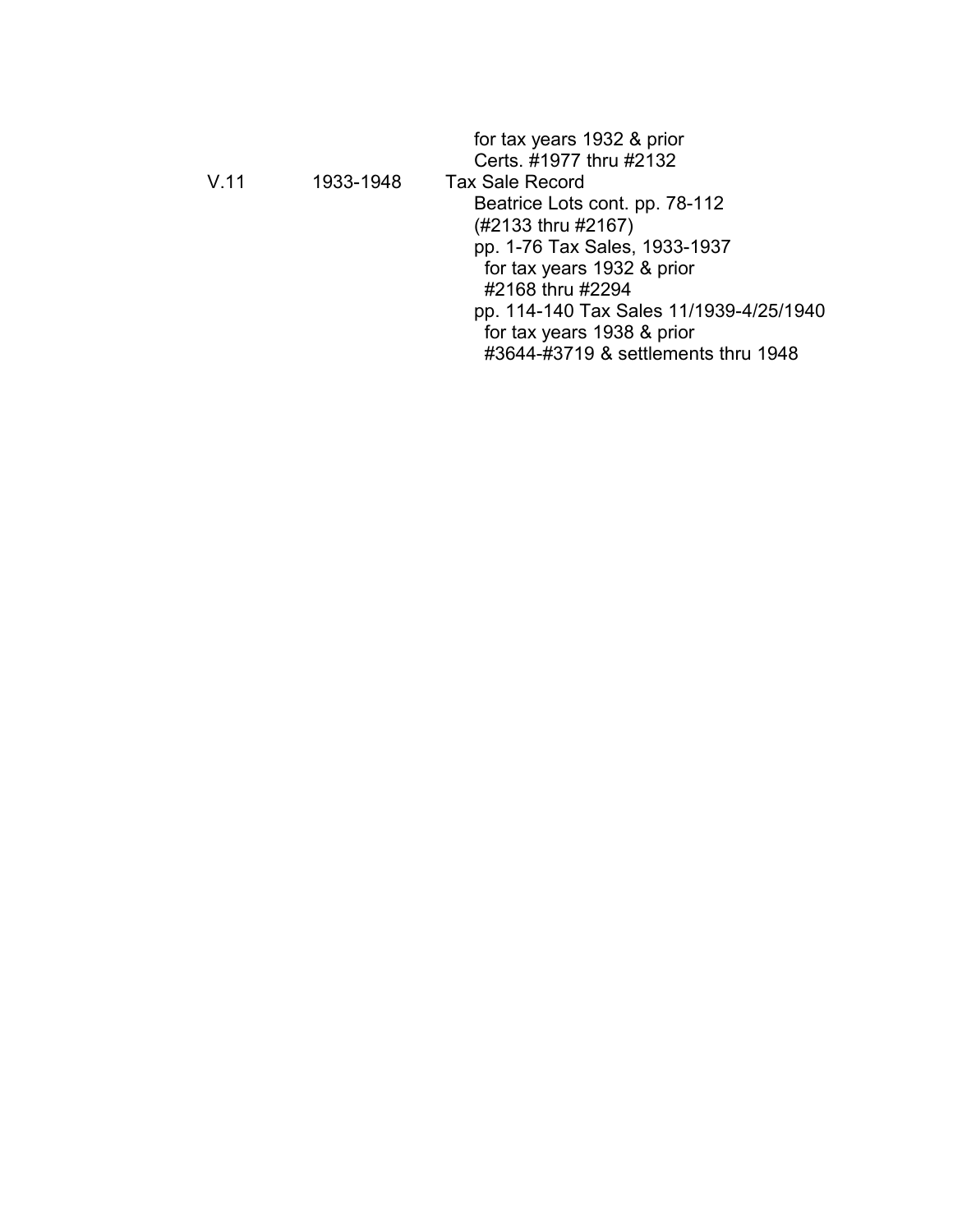|           | for tax years 1932 & prior<br>Certs. #1977 thru #2132 |
|-----------|-------------------------------------------------------|
| 1933-1948 | <b>Tax Sale Record</b>                                |
|           | Beatrice Lots cont. pp. 78-112                        |
|           | (#2133 thru #2167)                                    |
|           | pp. 1-76 Tax Sales, 1933-1937                         |
|           | for tax years 1932 & prior                            |
|           | #2168 thru #2294                                      |
|           | pp. 114-140 Tax Sales 11/1939-4/25/1940               |
|           | for tax years 1938 & prior                            |
|           | #3644-#3719 & settlements thru 1948                   |
|           |                                                       |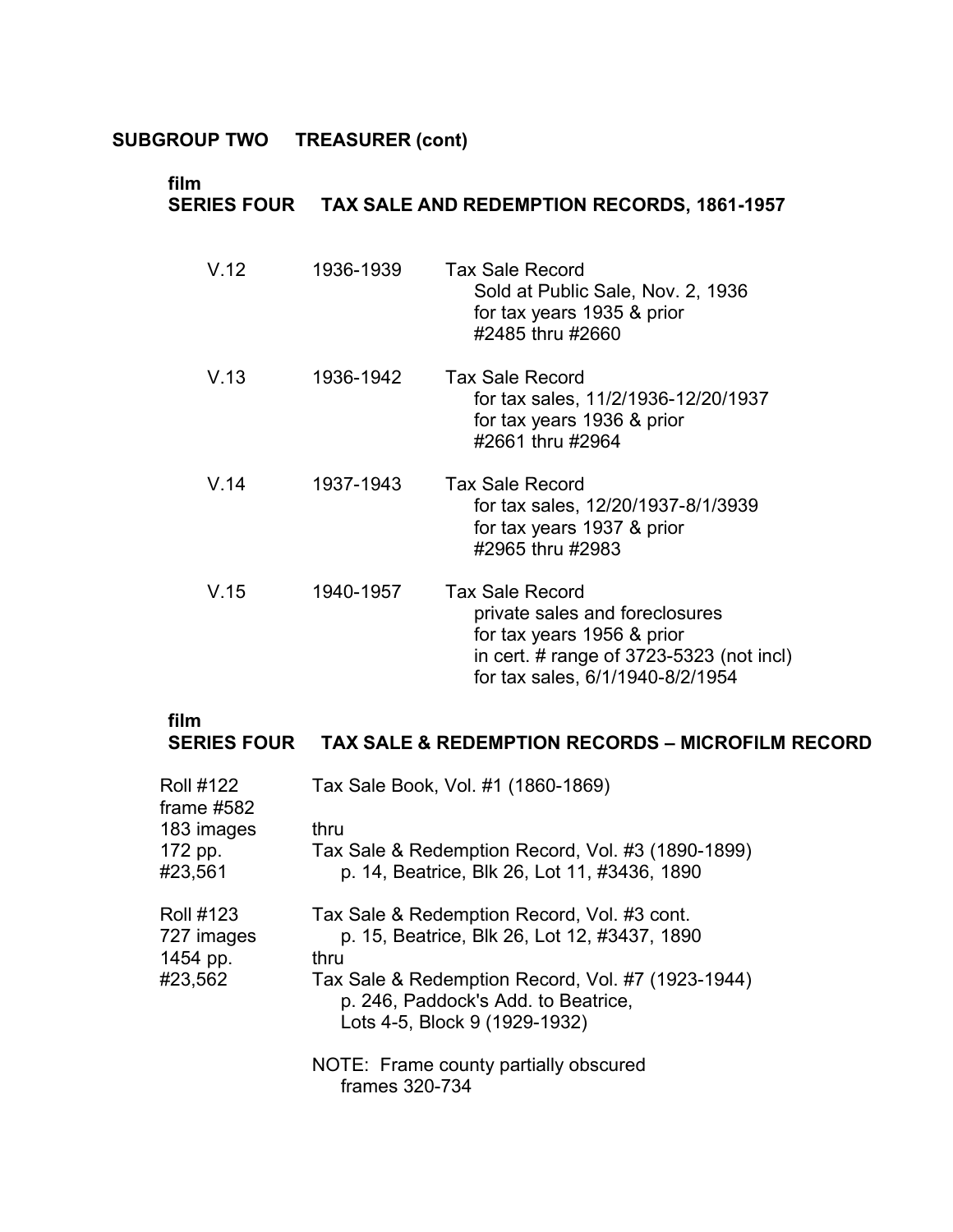| film<br><b>SERIES FOUR</b> |           | <b>TAX SALE AND REDEMPTION RECORDS, 1861-1957</b>                                                                                                                        |
|----------------------------|-----------|--------------------------------------------------------------------------------------------------------------------------------------------------------------------------|
| V.12                       | 1936-1939 | <b>Tax Sale Record</b><br>Sold at Public Sale, Nov. 2, 1936<br>for tax years 1935 & prior<br>#2485 thru #2660                                                            |
| V.13                       | 1936-1942 | <b>Tax Sale Record</b><br>for tax sales, 11/2/1936-12/20/1937<br>for tax years 1936 & prior<br>#2661 thru #2964                                                          |
| V.14                       | 1937-1943 | <b>Tax Sale Record</b><br>for tax sales, 12/20/1937-8/1/3939<br>for tax years 1937 & prior<br>#2965 thru #2983                                                           |
| V.15                       | 1940-1957 | <b>Tax Sale Record</b><br>private sales and foreclosures<br>for tax years 1956 & prior<br>in cert. # range of $3723-5323$ (not incl)<br>for tax sales, 6/1/1940-8/2/1954 |

# **film SERIES FOUR TAX SALE & REDEMPTION RECORDS – MICROFILM RECORD**

| <b>Roll #122</b><br>frame $#582$           | Tax Sale Book, Vol. #1 (1860-1869)                                                                                        |
|--------------------------------------------|---------------------------------------------------------------------------------------------------------------------------|
| 183 images                                 | thru                                                                                                                      |
| 172 pp.<br>#23,561                         | Tax Sale & Redemption Record, Vol. #3 (1890-1899)<br>p. 14, Beatrice, Blk 26, Lot 11, #3436, 1890                         |
| <b>Roll #123</b><br>727 images<br>1454 pp. | Tax Sale & Redemption Record, Vol. #3 cont.<br>p. 15, Beatrice, Blk 26, Lot 12, #3437, 1890<br>thru                       |
| #23,562                                    | Tax Sale & Redemption Record, Vol. #7 (1923-1944)<br>p. 246, Paddock's Add. to Beatrice,<br>Lots 4-5, Block 9 (1929-1932) |
|                                            | NOTE: Frame county partially obscured<br>frames 320-734                                                                   |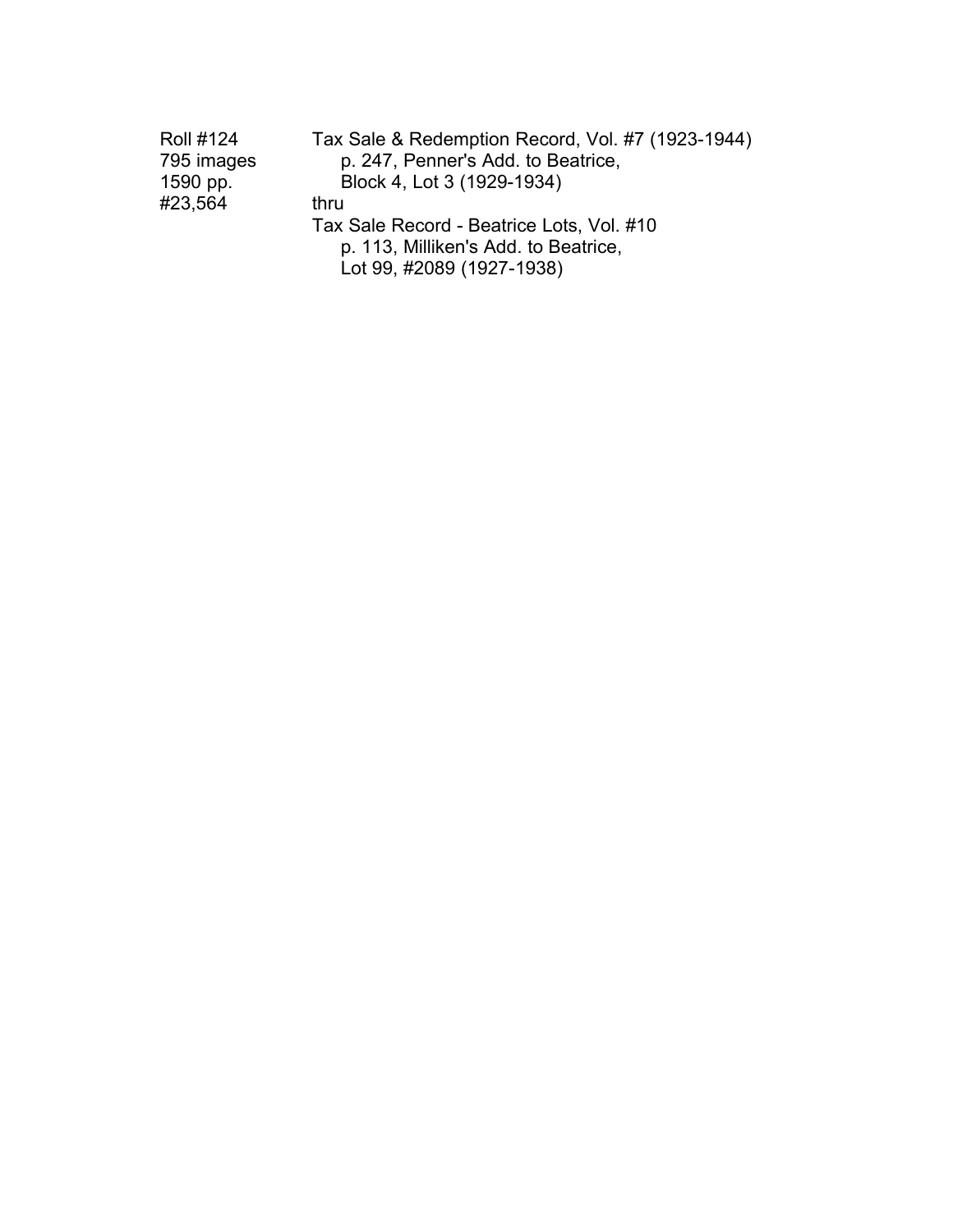| <b>Roll #124</b> | Tax Sale & Redemption Record, Vol. #7 (1923-1944) |
|------------------|---------------------------------------------------|
| 795 images       | p. 247, Penner's Add. to Beatrice,                |
| 1590 pp.         | Block 4, Lot 3 (1929-1934)                        |
| #23,564          | thru                                              |
|                  | Tax Sale Record - Beatrice Lots, Vol. #10         |
|                  | p. 113, Milliken's Add. to Beatrice,              |
|                  | Lot 99, #2089 (1927-1938)                         |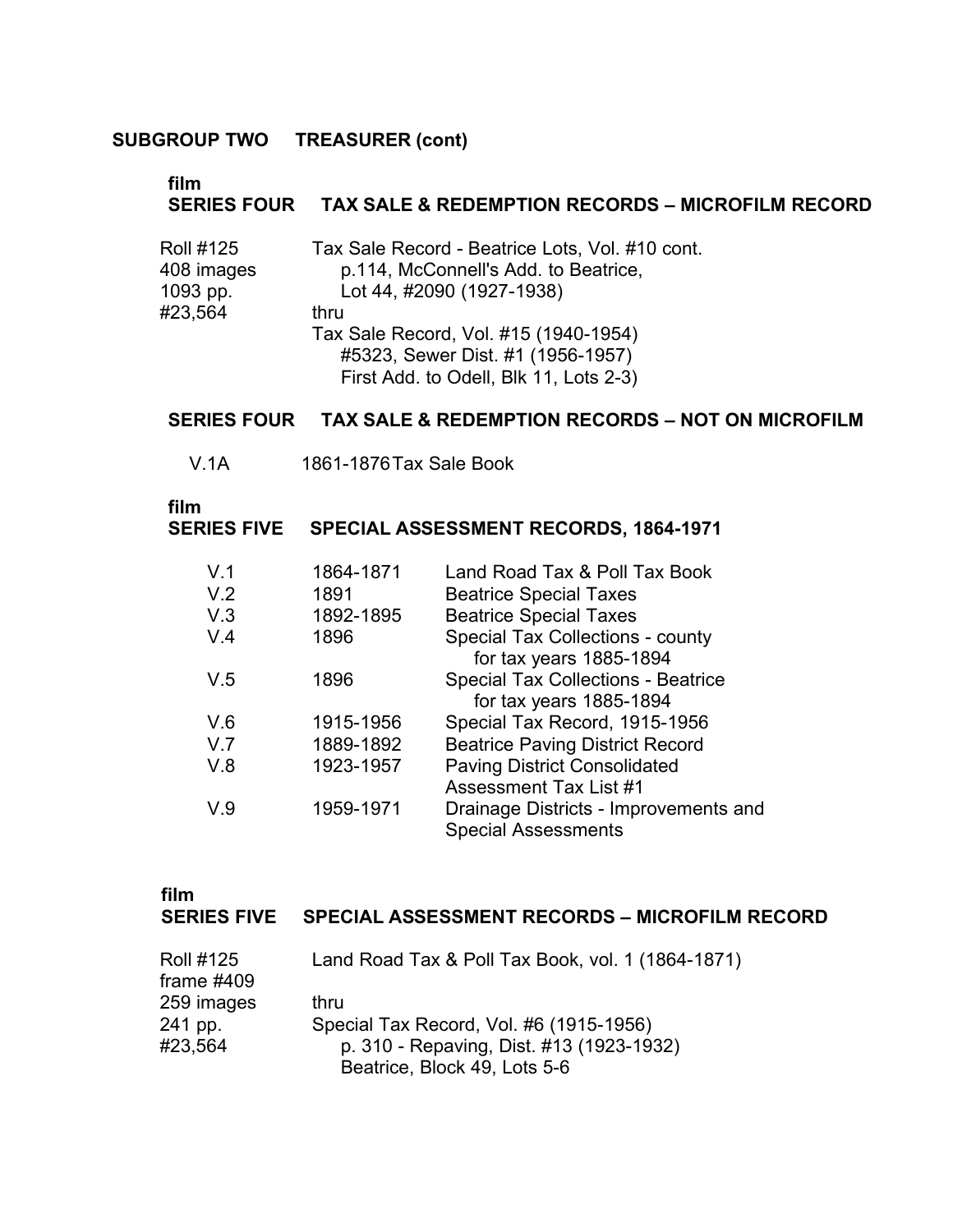### **film**

#### **SERIES FOUR TAX SALE & REDEMPTION RECORDS – MICROFILM RECORD**

| <b>Roll #125</b> | Tax Sale Record - Beatrice Lots, Vol. #10 cont. |  |
|------------------|-------------------------------------------------|--|
| 408 images       | p.114, McConnell's Add. to Beatrice,            |  |
| 1093 pp.         | Lot 44, #2090 (1927-1938)                       |  |
| #23,564          | thru                                            |  |
|                  | Tax Sale Record, Vol. #15 (1940-1954)           |  |
|                  | #5323, Sewer Dist. #1 (1956-1957)               |  |
|                  | First Add. to Odell, Blk 11, Lots 2-3)          |  |

#### **SERIES FOUR TAX SALE & REDEMPTION RECORDS – NOT ON MICROFILM**

V.1A 1861-1876Tax Sale Book

#### **film**

#### **SERIES FIVE SPECIAL ASSESSMENT RECORDS, 1864-1971**

| V <sub>1</sub> | 1864-1871 | Land Road Tax & Poll Tax Book             |
|----------------|-----------|-------------------------------------------|
| V.2            | 1891      | <b>Beatrice Special Taxes</b>             |
| V.3            | 1892-1895 | <b>Beatrice Special Taxes</b>             |
| V.4            | 1896      | Special Tax Collections - county          |
|                |           | for tax years 1885-1894                   |
| V.5            | 1896      | <b>Special Tax Collections - Beatrice</b> |
|                |           | for tax years 1885-1894                   |
| V.6            | 1915-1956 | Special Tax Record, 1915-1956             |
| V <sub>7</sub> | 1889-1892 | <b>Beatrice Paving District Record</b>    |
| V.8            | 1923-1957 | <b>Paving District Consolidated</b>       |
|                |           | <b>Assessment Tax List #1</b>             |
| V.9            | 1959-1971 | Drainage Districts - Improvements and     |
|                |           | <b>Special Assessments</b>                |

| film               |  |
|--------------------|--|
| <b>SERIES FIVE</b> |  |

#### **SERIES FIVE SPECIAL ASSESSMENT RECORDS – MICROFILM RECORD**

| <b>Roll #125</b><br>frame $#409$ | Land Road Tax & Poll Tax Book, vol. 1 (1864-1871) |
|----------------------------------|---------------------------------------------------|
| 259 images                       | thru                                              |
| 241 pp.                          | Special Tax Record, Vol. #6 (1915-1956)           |
| #23,564                          | p. 310 - Repaving, Dist. #13 (1923-1932)          |
|                                  | Beatrice, Block 49, Lots 5-6                      |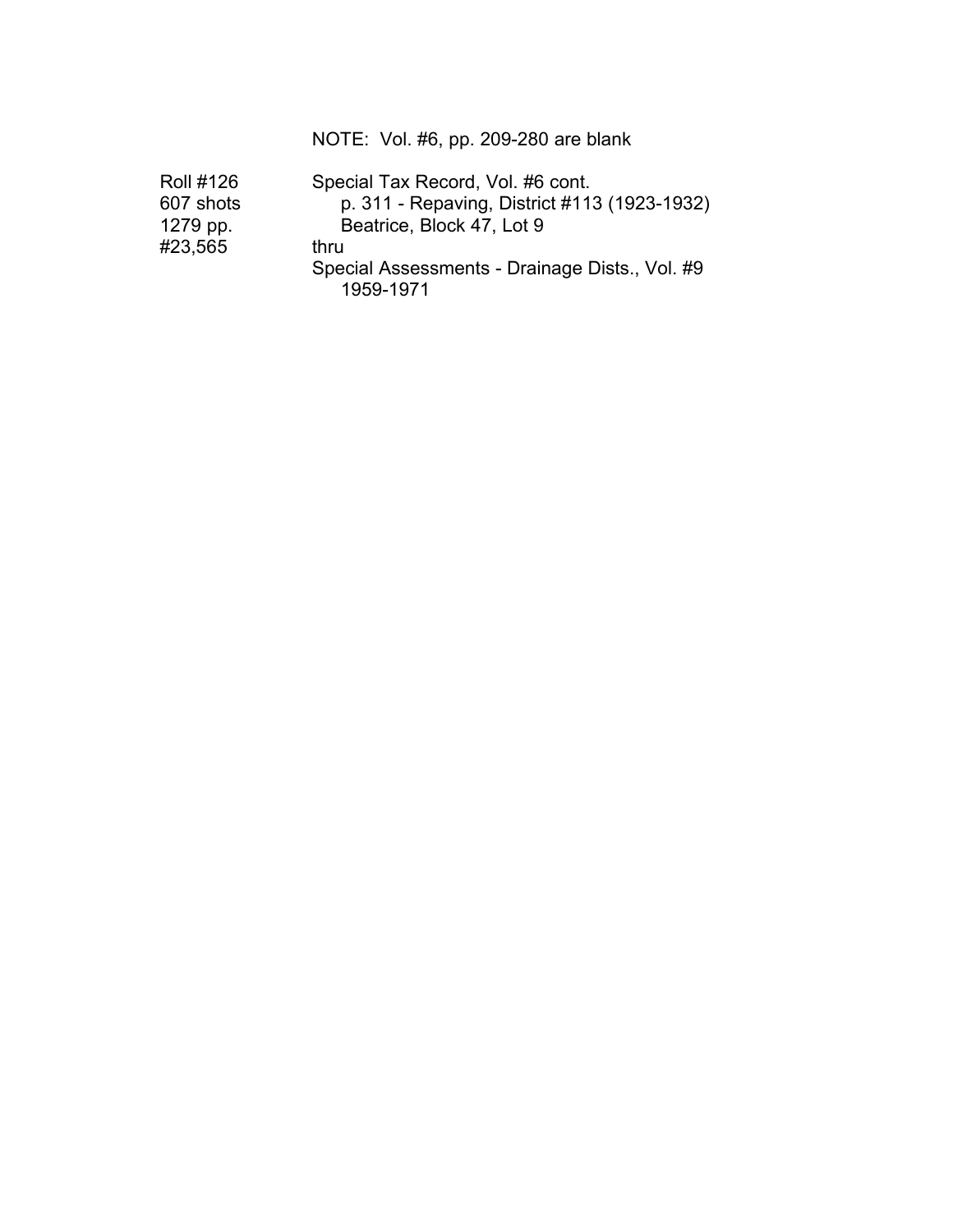### NOTE: Vol. #6, pp. 209-280 are blank

| <b>Roll #126</b> | Special Tax Record, Vol. #6 cont.                           |  |
|------------------|-------------------------------------------------------------|--|
| 607 shots        | p. 311 - Repaving, District #113 (1923-1932)                |  |
| 1279 pp.         | Beatrice, Block 47, Lot 9                                   |  |
| #23,565          | thru                                                        |  |
|                  | Special Assessments - Drainage Dists., Vol. #9<br>1959-1971 |  |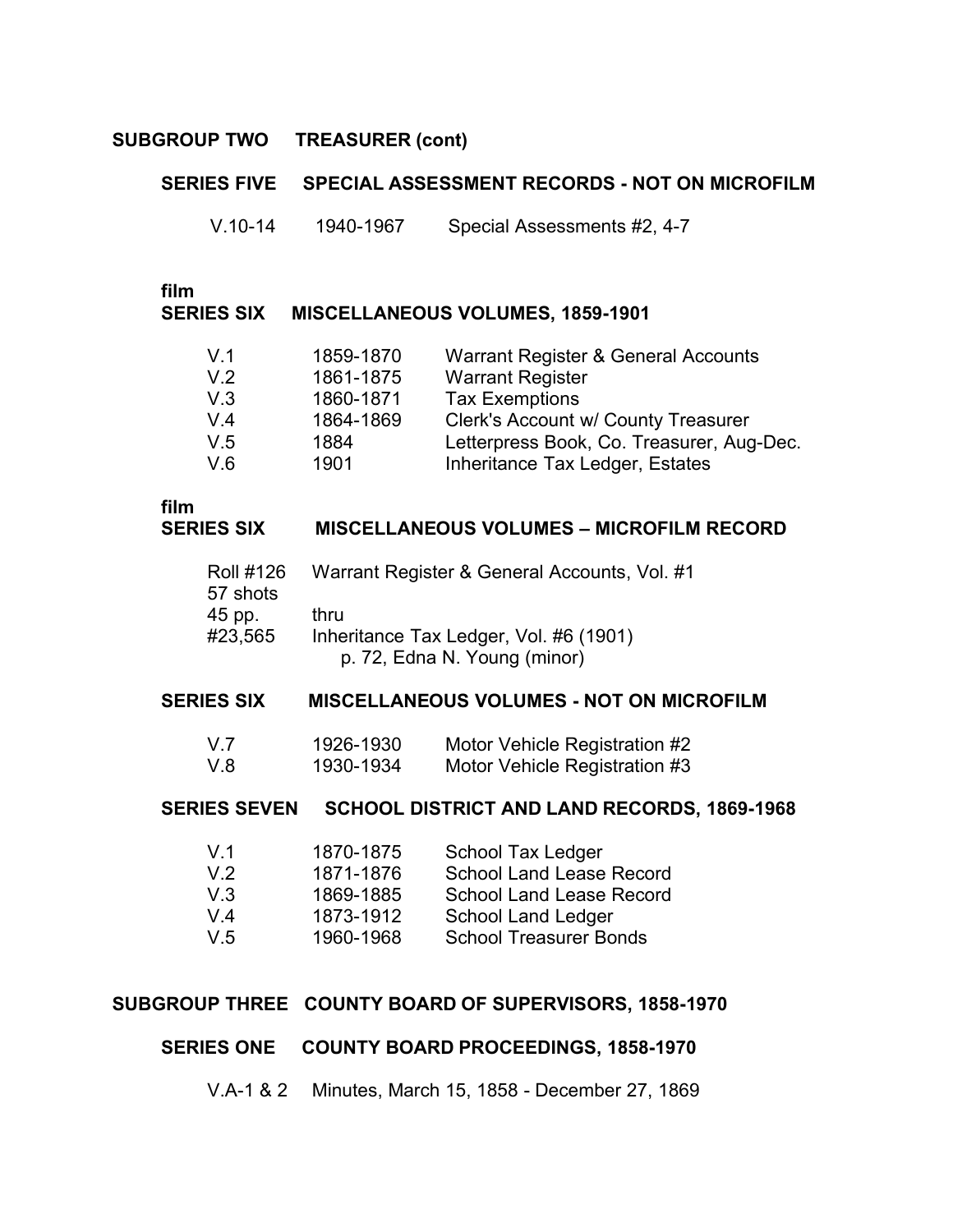# **SUBGROUP TWO TREASURER (cont)**

#### **SERIES FIVE SPECIAL ASSESSMENT RECORDS - NOT ON MICROFILM**

V.10-14 1940-1967 Special Assessments #2, 4-7

**SERIES SIX MISCELLANEOUS VOLUMES, 1859-1901**

| V.1 | 1859-1870 | Warrant Register & General Accounts       |
|-----|-----------|-------------------------------------------|
| V.2 | 1861-1875 | <b>Warrant Register</b>                   |
| V.3 | 1860-1871 | <b>Tax Exemptions</b>                     |
| V.4 | 1864-1869 | Clerk's Account w/ County Treasurer       |
| V.5 | 1884      | Letterpress Book, Co. Treasurer, Aug-Dec. |
| V.6 | 1901      | Inheritance Tax Ledger, Estates           |

# **film**

#### **SERIES SIX MISCELLANEOUS VOLUMES – MICROFILM RECORD**

| <b>Roll #126</b> | Warrant Register & General Accounts, Vol. #1 |
|------------------|----------------------------------------------|
| 57 shots         |                                              |
| 45 pp.           | thru                                         |
| #23,565          | Inheritance Tax Ledger, Vol. #6 (1901)       |
|                  | p. 72, Edna N. Young (minor)                 |

#### **SERIES SIX MISCELLANEOUS VOLUMES - NOT ON MICROFILM**

| V.7 | 1926-1930 | Motor Vehicle Registration #2 |
|-----|-----------|-------------------------------|
| V.8 | 1930-1934 | Motor Vehicle Registration #3 |

# **SERIES SEVEN SCHOOL DISTRICT AND LAND RECORDS, 1869-1968**

| V <sub>1</sub> | 1870-1875 | School Tax Ledger               |
|----------------|-----------|---------------------------------|
| V.2            | 1871-1876 | <b>School Land Lease Record</b> |
| V.3            | 1869-1885 | <b>School Land Lease Record</b> |
| V.4            | 1873-1912 | School Land Ledger              |
| V.5            | 1960-1968 | <b>School Treasurer Bonds</b>   |

#### **SUBGROUP THREE COUNTY BOARD OF SUPERVISORS, 1858-1970**

#### **SERIES ONE COUNTY BOARD PROCEEDINGS, 1858-1970**

V.A-1 & 2 Minutes, March 15, 1858 - December 27, 1869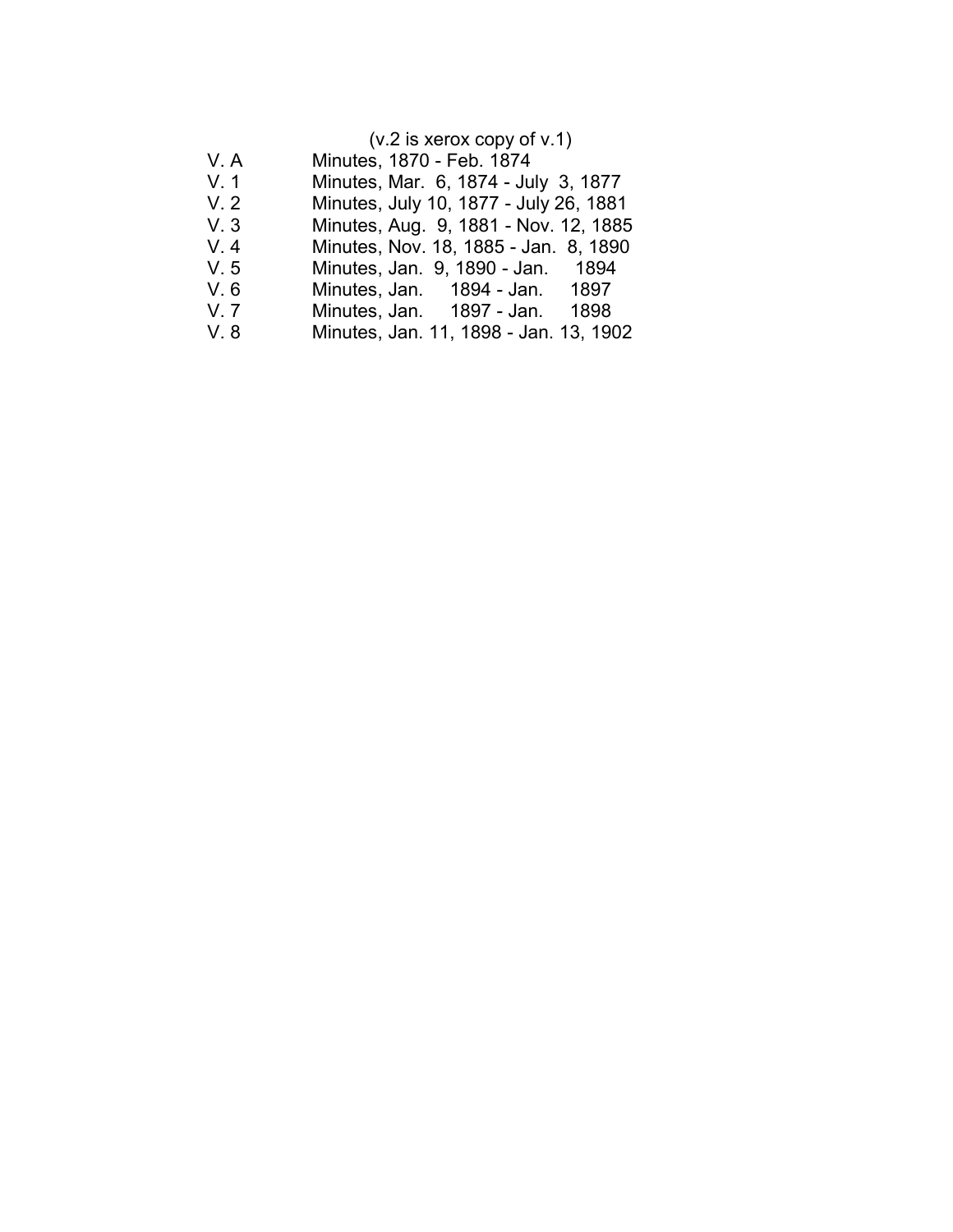|       | $(v.2$ is xerox copy of v.1)           |
|-------|----------------------------------------|
| V.A   | Minutes, 1870 - Feb. 1874              |
| V.1   | Minutes, Mar. 6, 1874 - July 3, 1877   |
| V.2   | Minutes, July 10, 1877 - July 26, 1881 |
| V.3   | Minutes, Aug. 9, 1881 - Nov. 12, 1885  |
| $V_4$ | Minutes, Nov. 18, 1885 - Jan. 8, 1890  |
| V.5   | Minutes, Jan. 9, 1890 - Jan. 1894      |
| V.6   | Minutes, Jan. 1894 - Jan. 1897         |
| V.7   | 1898<br>Minutes, Jan. 1897 - Jan.      |
| V.8   | Minutes, Jan. 11, 1898 - Jan. 13, 1902 |
|       |                                        |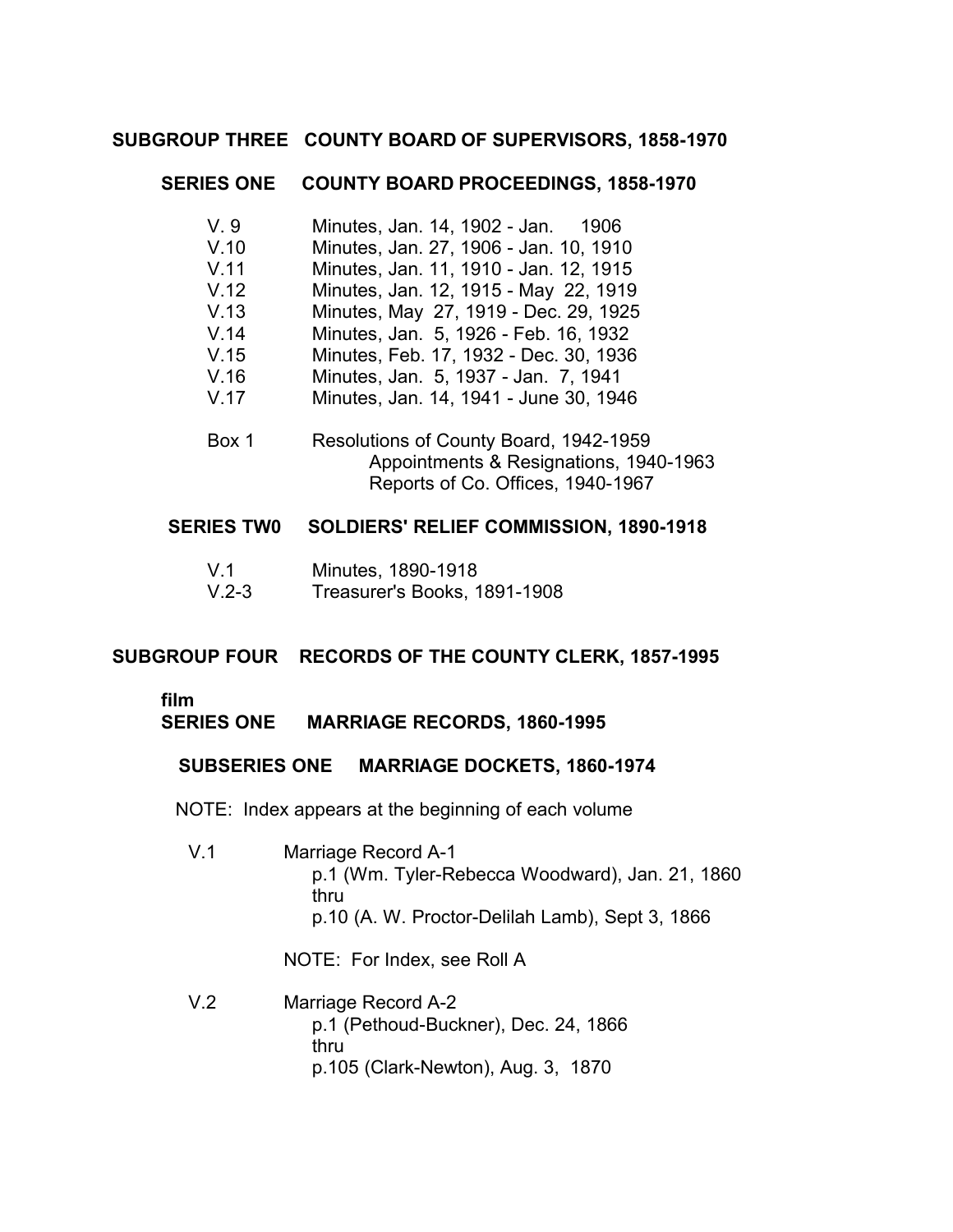#### **SUBGROUP THREE COUNTY BOARD OF SUPERVISORS, 1858-1970**

#### **SERIES ONE COUNTY BOARD PROCEEDINGS, 1858-1970**

- V. 9 V.10 V.11 V.12 V.13 V.14 V.15 V.16 V.17 Box 1 Minutes, Jan. 14, 1902 - Jan. 1906 Minutes, Jan. 27, 1906 - Jan. 10, 1910 Minutes, Jan. 11, 1910 - Jan. 12, 1915 Minutes, Jan. 12, 1915 - May 22, 1919 Minutes, May 27, 1919 - Dec. 29, 1925 Minutes, Jan. 5, 1926 - Feb. 16, 1932 � Minutes, Feb. 17, 1932 - Dec. 30, 1936 Minutes, Jan. 5, 1937 - Jan. 7, 1941 Minutes, Jan. 14, 1941 - June 30, 1946 Resolutions of County Board, 1942-1959
- Appointments & Resignations, 1940-1963 Reports of Co. Offices, 1940-1967

#### **SERIES TW0 SOLDIERS' RELIEF COMMISSION, 1890-1918**

| V.1       | Minutes, 1890-1918           |
|-----------|------------------------------|
| $V.2 - 3$ | Treasurer's Books, 1891-1908 |

#### **SUBGROUP FOUR RECORDS OF THE COUNTY CLERK, 1857-1995**

#### **film**

#### **SERIES ONE MARRIAGE RECORDS, 1860-1995**

#### **SUBSERIES ONE MARRIAGE DOCKETS, 1860-1974**

NOTE: Index appears at the beginning of each volume

V.1 Marriage Record A-1 p.1 (Wm. Tyler-Rebecca Woodward), Jan. 21, 1860 thru p.10 (A. W. Proctor-Delilah Lamb), Sept 3, 1866

NOTE: For Index, see Roll A

V.2 Marriage Record A-2 p.1 (Pethoud-Buckner), Dec. 24, 1866 thru p.105 (Clark-Newton), Aug. 3, 1870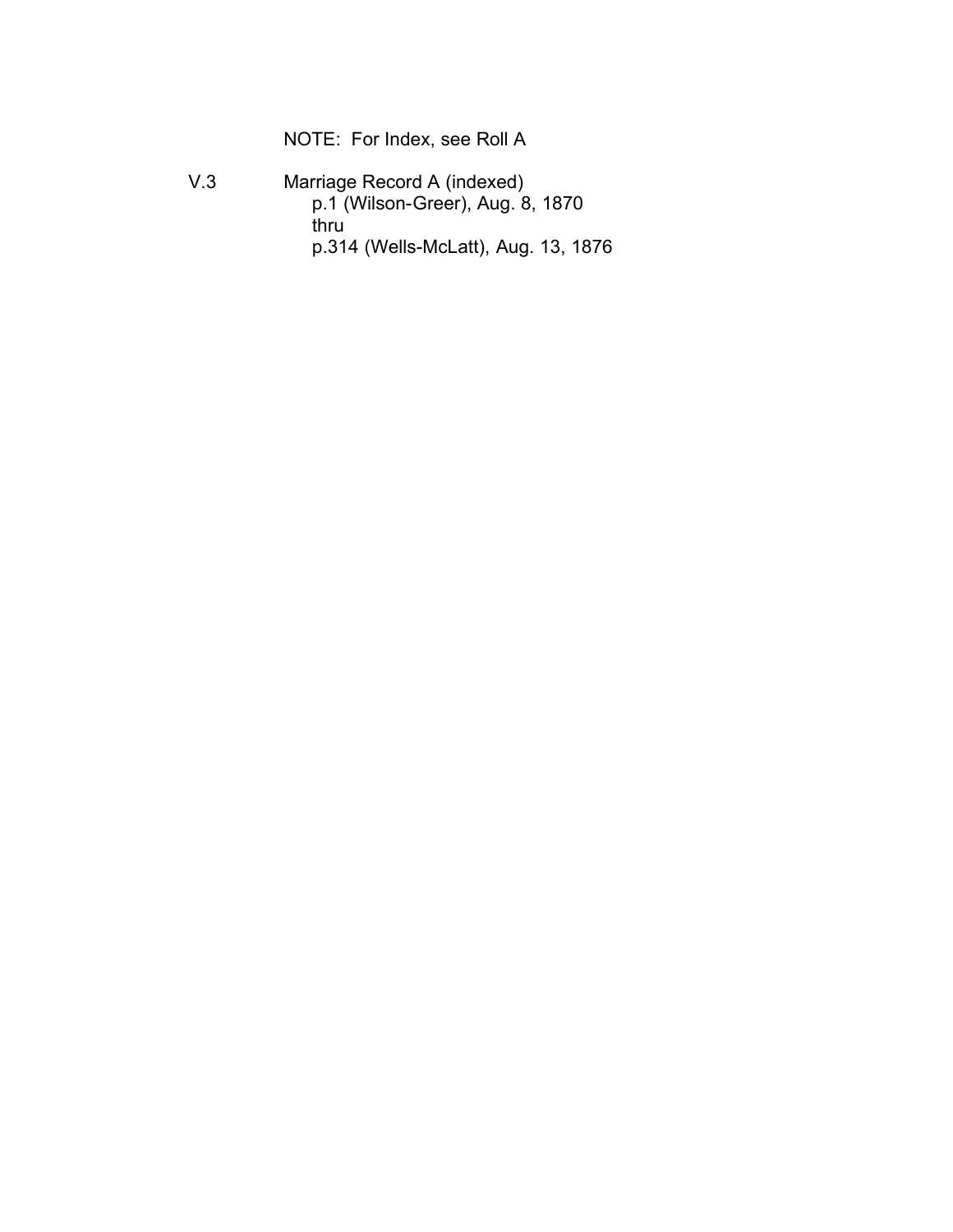NOTE: For Index, see Roll A

V.3 Marriage Record A (indexed) p.1 (Wilson-Greer), Aug. 8, 1870 thru p.314 (Wells-McLatt), Aug. 13, 1876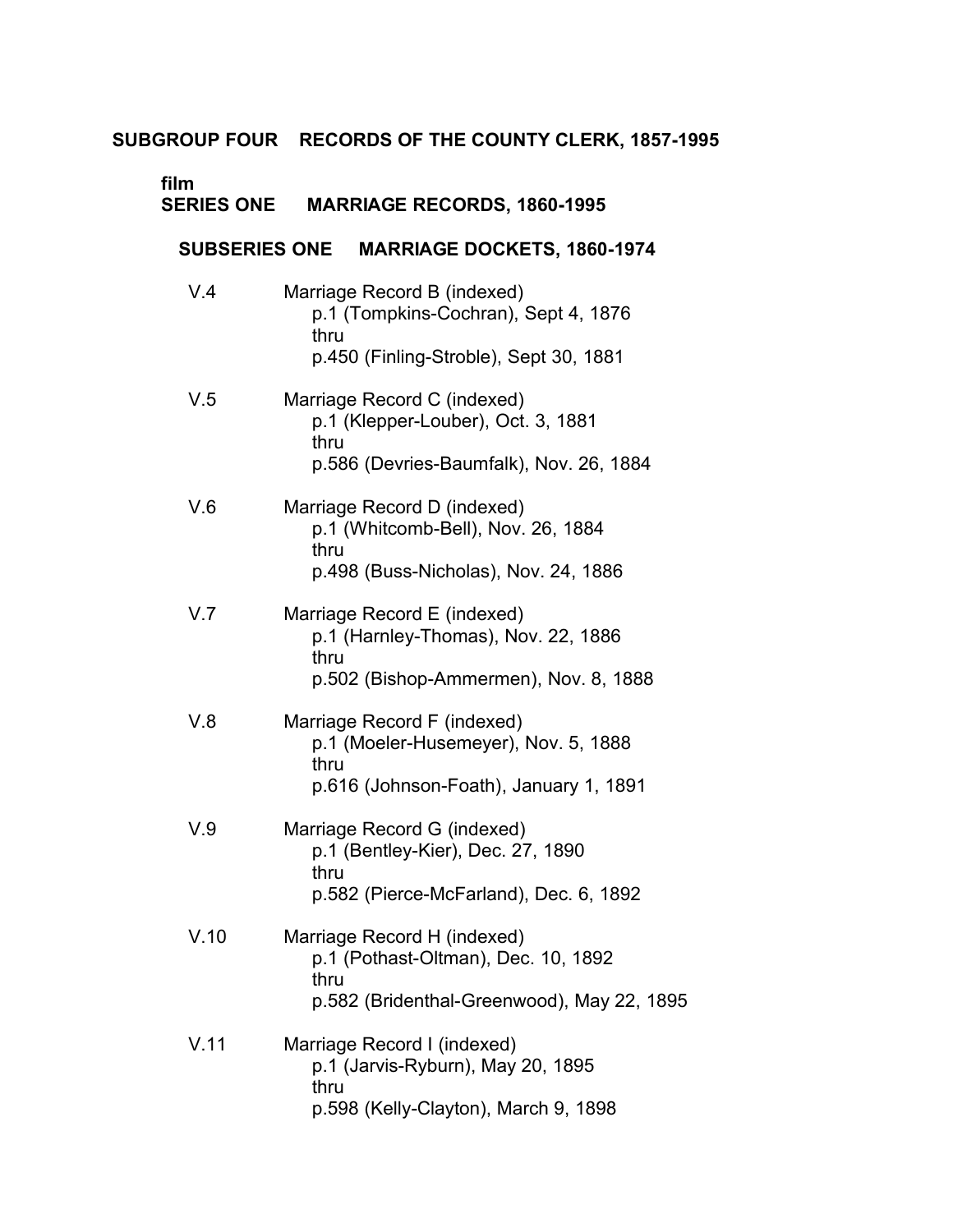# **SUBGROUP FOUR RECORDS OF THE COUNTY CLERK, 1857-1995**

**film** 

| <b>SERIES ONE</b>    | <b>MARRIAGE RECORDS, 1860-1995</b>                                                                                       |
|----------------------|--------------------------------------------------------------------------------------------------------------------------|
| <b>SUBSERIES ONE</b> | <b>MARRIAGE DOCKETS, 1860-1974</b>                                                                                       |
| V.4                  | Marriage Record B (indexed)<br>p.1 (Tompkins-Cochran), Sept 4, 1876<br>thru<br>p.450 (Finling-Stroble), Sept 30, 1881    |
| V.5                  | Marriage Record C (indexed)<br>p.1 (Klepper-Louber), Oct. 3, 1881<br>thru<br>p.586 (Devries-Baumfalk), Nov. 26, 1884     |
| V.6                  | Marriage Record D (indexed)<br>p.1 (Whitcomb-Bell), Nov. 26, 1884<br>thru<br>p.498 (Buss-Nicholas), Nov. 24, 1886        |
| V.7                  | Marriage Record E (indexed)<br>p.1 (Harnley-Thomas), Nov. 22, 1886<br>thru<br>p.502 (Bishop-Ammermen), Nov. 8, 1888      |
| V.8                  | Marriage Record F (indexed)<br>p.1 (Moeler-Husemeyer), Nov. 5, 1888<br>thru<br>p.616 (Johnson-Foath), January 1, 1891    |
| V.9                  | Marriage Record G (indexed)<br>p.1 (Bentley-Kier), Dec. 27, 1890<br>thru<br>p.582 (Pierce-McFarland), Dec. 6, 1892       |
| V.10                 | Marriage Record H (indexed)<br>p.1 (Pothast-Oltman), Dec. 10, 1892<br>thru<br>p.582 (Bridenthal-Greenwood), May 22, 1895 |
| V.11                 | Marriage Record I (indexed)<br>p.1 (Jarvis-Ryburn), May 20, 1895<br>thru<br>p.598 (Kelly-Clayton), March 9, 1898         |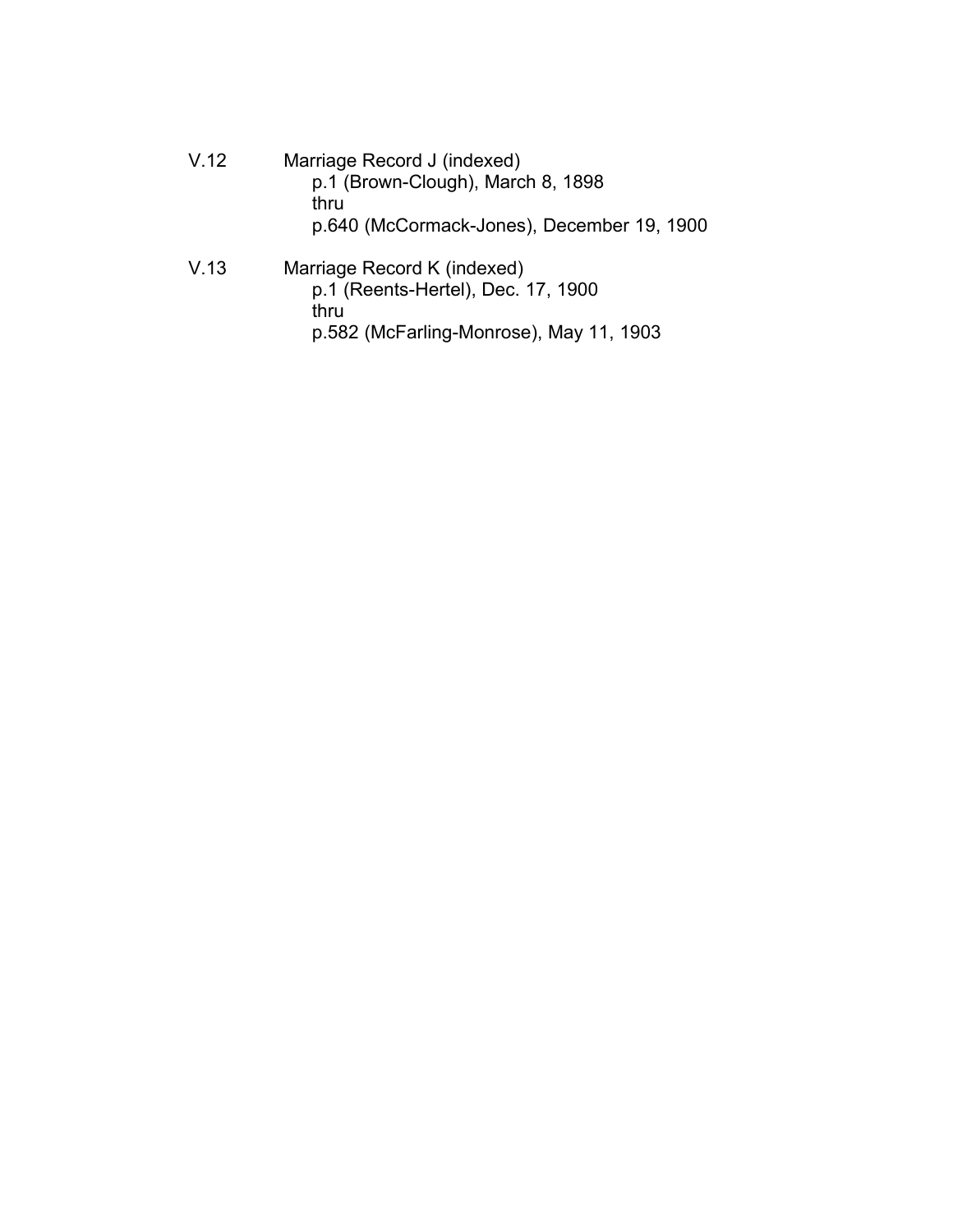V.12 Marriage Record J (indexed) p.1 (Brown-Clough), March 8, 1898 thru p.640 (McCormack-Jones), December 19, 1900 V.13 Marriage Record K (indexed) p.1 (Reents-Hertel), Dec. 17, 1900 thru

p.582 (McFarling-Monrose), May 11, 1903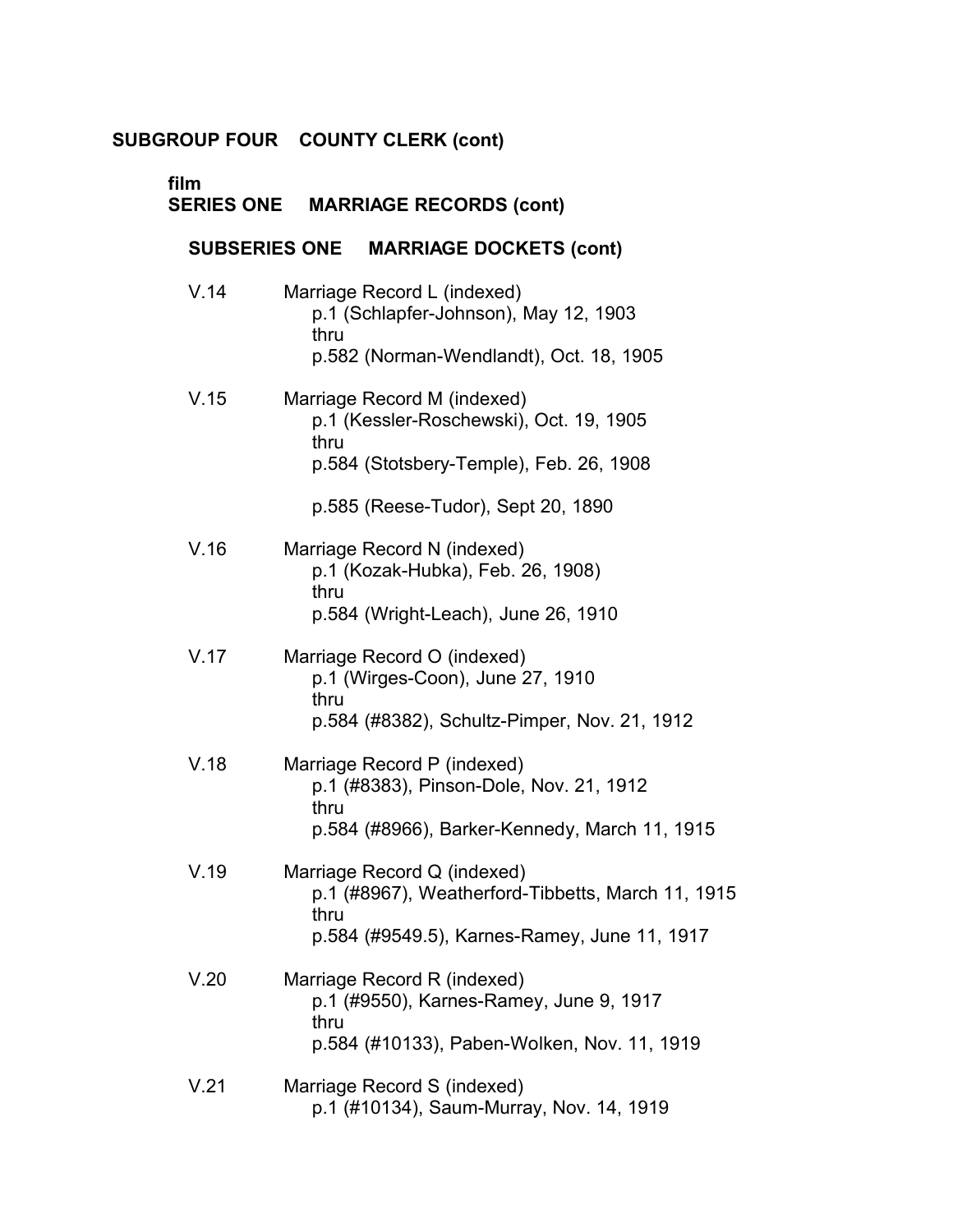| film | SERIES ONE MARRIAGE RECORDS (cont)                                                                                                       |
|------|------------------------------------------------------------------------------------------------------------------------------------------|
|      | <b>MARRIAGE DOCKETS (cont)</b><br><b>SUBSERIES ONE</b>                                                                                   |
| V.14 | Marriage Record L (indexed)<br>p.1 (Schlapfer-Johnson), May 12, 1903<br>thru<br>p.582 (Norman-Wendlandt), Oct. 18, 1905                  |
| V.15 | Marriage Record M (indexed)<br>p.1 (Kessler-Roschewski), Oct. 19, 1905<br>thru<br>p.584 (Stotsbery-Temple), Feb. 26, 1908                |
|      | p.585 (Reese-Tudor), Sept 20, 1890                                                                                                       |
| V.16 | Marriage Record N (indexed)<br>p.1 (Kozak-Hubka), Feb. 26, 1908)<br>thru<br>p.584 (Wright-Leach), June 26, 1910                          |
| V.17 | Marriage Record O (indexed)<br>p.1 (Wirges-Coon), June 27, 1910<br>thru<br>p.584 (#8382), Schultz-Pimper, Nov. 21, 1912                  |
| V.18 | Marriage Record P (indexed)<br>p.1 (#8383), Pinson-Dole, Nov. 21, 1912<br>thru<br>p.584 (#8966), Barker-Kennedy, March 11, 1915          |
| V.19 | Marriage Record Q (indexed)<br>p.1 (#8967), Weatherford-Tibbetts, March 11, 1915<br>thru<br>p.584 (#9549.5), Karnes-Ramey, June 11, 1917 |
| V.20 | Marriage Record R (indexed)<br>p.1 (#9550), Karnes-Ramey, June 9, 1917<br>thru<br>p.584 (#10133), Paben-Wolken, Nov. 11, 1919            |
| V.21 | Marriage Record S (indexed)<br>p.1 (#10134), Saum-Murray, Nov. 14, 1919                                                                  |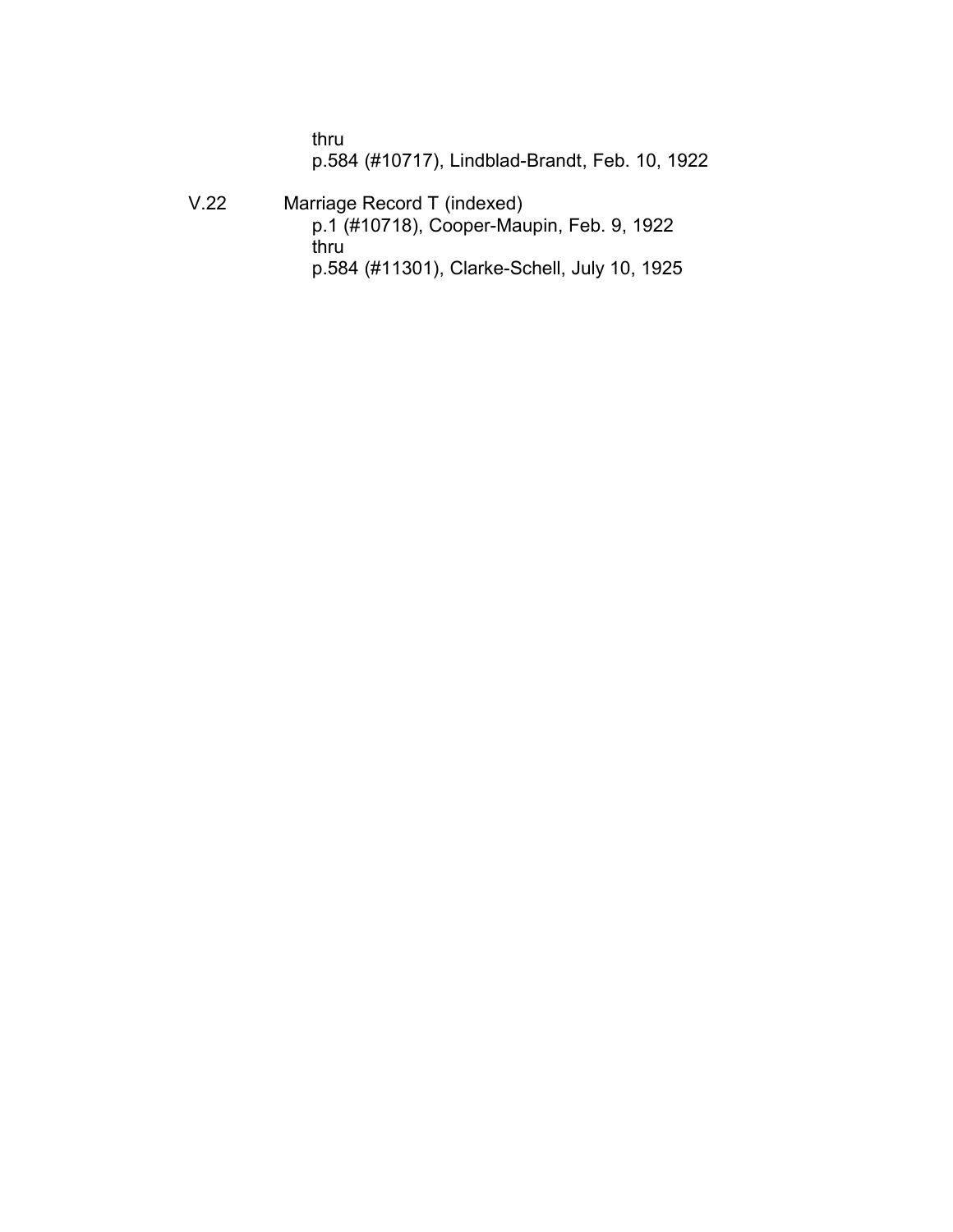thru p.584 (#10717), Lindblad-Brandt, Feb. 10, 1922

V.22 Marriage Record T (indexed) p.1 (#10718), Cooper-Maupin, Feb. 9, 1922 thru p.584 (#11301), Clarke-Schell, July 10, 1925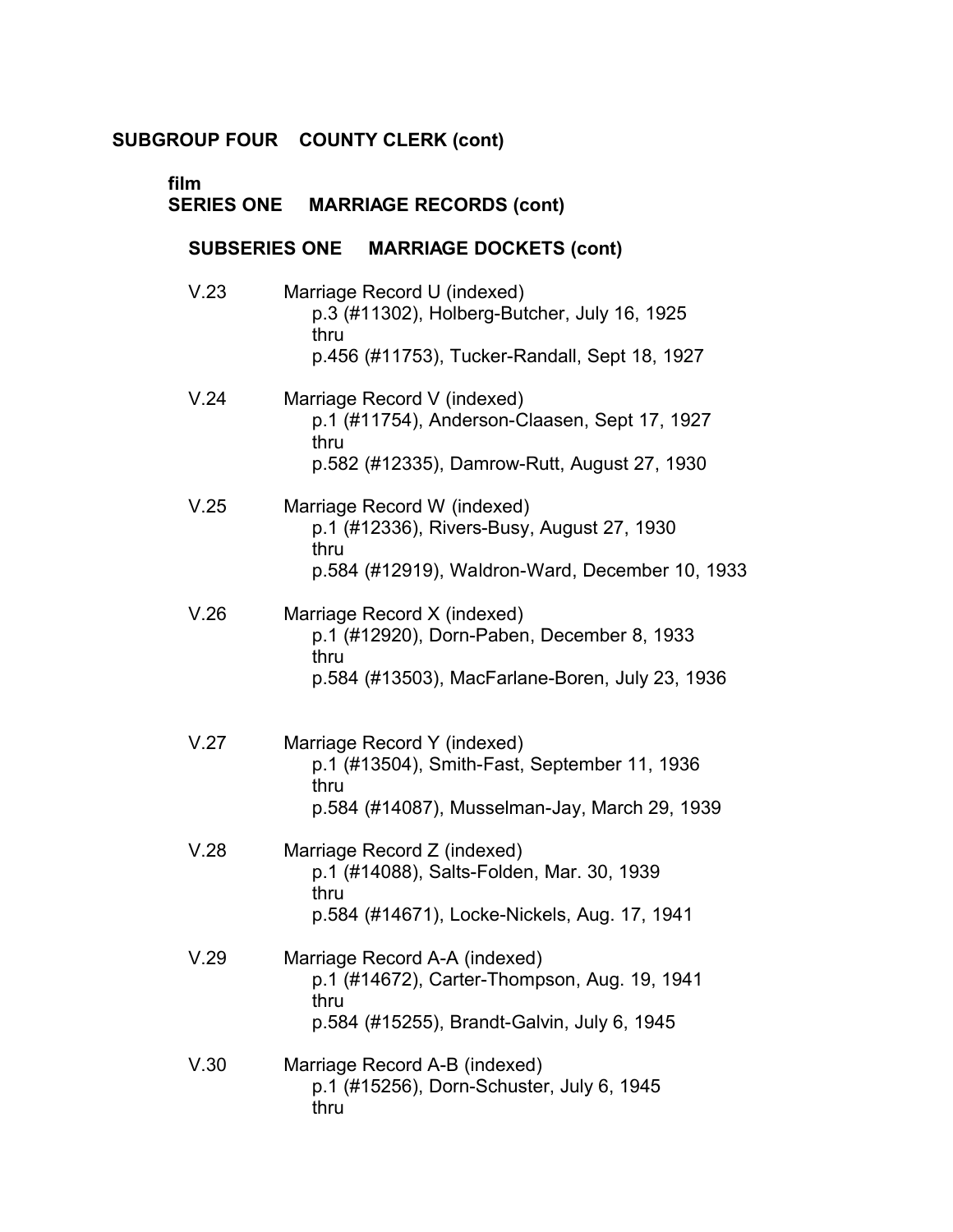| film<br><b>SERIES ONE</b> |      | <b>MARRIAGE RECORDS (cont)</b>                                                                                               |
|---------------------------|------|------------------------------------------------------------------------------------------------------------------------------|
| <b>SUBSERIES ONE</b>      |      | <b>MARRIAGE DOCKETS (cont)</b>                                                                                               |
| V.23                      | thru | Marriage Record U (indexed)<br>p.3 (#11302), Holberg-Butcher, July 16, 1925<br>p.456 (#11753), Tucker-Randall, Sept 18, 1927 |
| V.24                      | thru | Marriage Record V (indexed)<br>p.1 (#11754), Anderson-Claasen, Sept 17, 1927<br>p.582 (#12335), Damrow-Rutt, August 27, 1930 |
| V.25                      | thru | Marriage Record W (indexed)<br>p.1 (#12336), Rivers-Busy, August 27, 1930<br>p.584 (#12919), Waldron-Ward, December 10, 1933 |
| V.26                      | thru | Marriage Record X (indexed)<br>p.1 (#12920), Dorn-Paben, December 8, 1933<br>p.584 (#13503), MacFarlane-Boren, July 23, 1936 |
| V.27                      | thru | Marriage Record Y (indexed)<br>p.1 (#13504), Smith-Fast, September 11, 1936<br>p.584 (#14087), Musselman-Jay, March 29, 1939 |
| V.28                      | thru | Marriage Record Z (indexed)<br>p.1 (#14088), Salts-Folden, Mar. 30, 1939<br>p.584 (#14671), Locke-Nickels, Aug. 17, 1941     |
| V.29                      | thru | Marriage Record A-A (indexed)<br>p.1 (#14672), Carter-Thompson, Aug. 19, 1941<br>p.584 (#15255), Brandt-Galvin, July 6, 1945 |
| V.30                      | thru | Marriage Record A-B (indexed)<br>p.1 (#15256), Dorn-Schuster, July 6, 1945                                                   |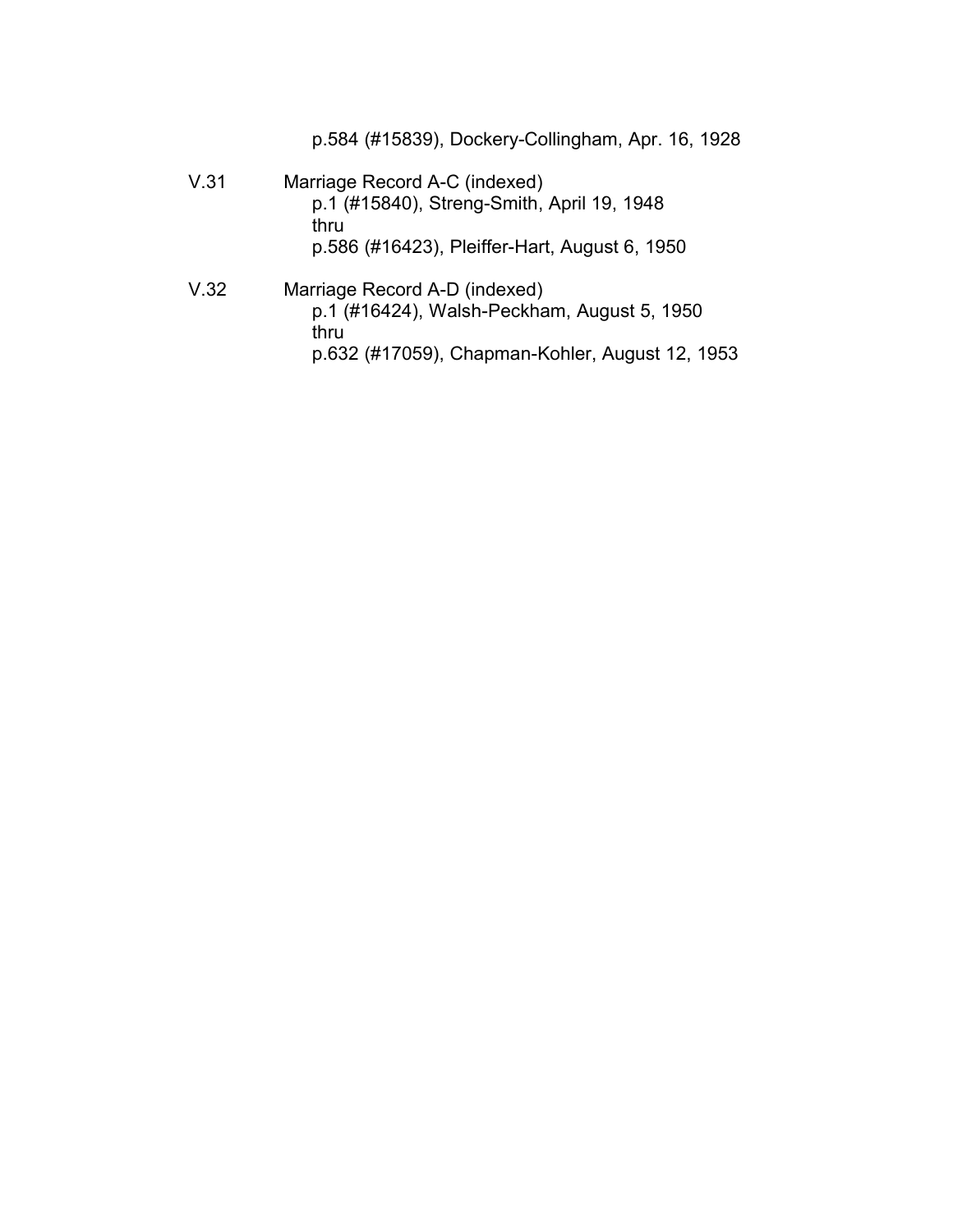p.584 (#15839), Dockery-Collingham, Apr. 16, 1928

- V.31 Marriage Record A-C (indexed) p.1 (#15840), Streng-Smith, April 19, 1948 thru p.586 (#16423), Pleiffer-Hart, August 6, 1950
- V.32 Marriage Record A-D (indexed) p.1 (#16424), Walsh-Peckham, August 5, 1950 thru p.632 (#17059), Chapman-Kohler, August 12, 1953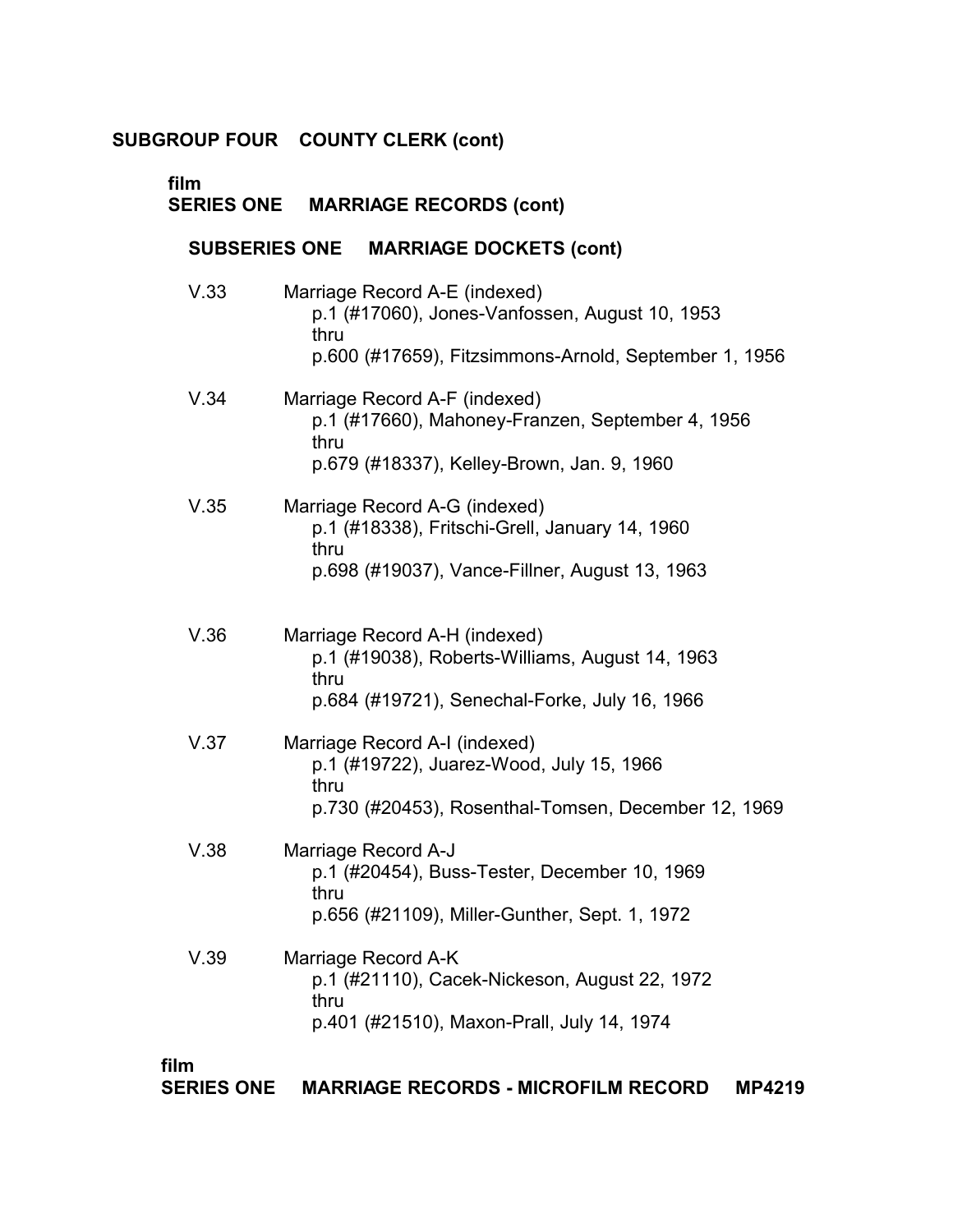| film<br><b>SERIES ONE</b> | <b>MARRIAGE RECORDS (cont)</b>                                                                                                                   |
|---------------------------|--------------------------------------------------------------------------------------------------------------------------------------------------|
| <b>SUBSERIES ONE</b>      | <b>MARRIAGE DOCKETS (cont)</b>                                                                                                                   |
| V.33                      | Marriage Record A-E (indexed)<br>p.1 (#17060), Jones-Vanfossen, August 10, 1953<br>thru<br>p.600 (#17659), Fitzsimmons-Arnold, September 1, 1956 |
| V.34                      | Marriage Record A-F (indexed)<br>p.1 (#17660), Mahoney-Franzen, September 4, 1956<br>thru<br>p.679 (#18337), Kelley-Brown, Jan. 9, 1960          |
| V.35                      | Marriage Record A-G (indexed)<br>p.1 (#18338), Fritschi-Grell, January 14, 1960<br>thru<br>p.698 (#19037), Vance-Fillner, August 13, 1963        |
| V.36                      | Marriage Record A-H (indexed)<br>p.1 (#19038), Roberts-Williams, August 14, 1963<br>thru<br>p.684 (#19721), Senechal-Forke, July 16, 1966        |
| V.37                      | Marriage Record A-I (indexed)<br>p.1 (#19722), Juarez-Wood, July 15, 1966<br>thru<br>p.730 (#20453), Rosenthal-Tomsen, December 12, 1969         |
| V.38                      | Marriage Record A-J<br>p.1 (#20454), Buss-Tester, December 10, 1969<br>thru<br>p.656 (#21109), Miller-Gunther, Sept. 1, 1972                     |
| V.39                      | Marriage Record A-K<br>p.1 (#21110), Cacek-Nickeson, August 22, 1972<br>thru<br>p.401 (#21510), Maxon-Prall, July 14, 1974                       |

# **film**

**SERIES ONE MARRIAGE RECORDS - MICROFILM RECORD MP4219**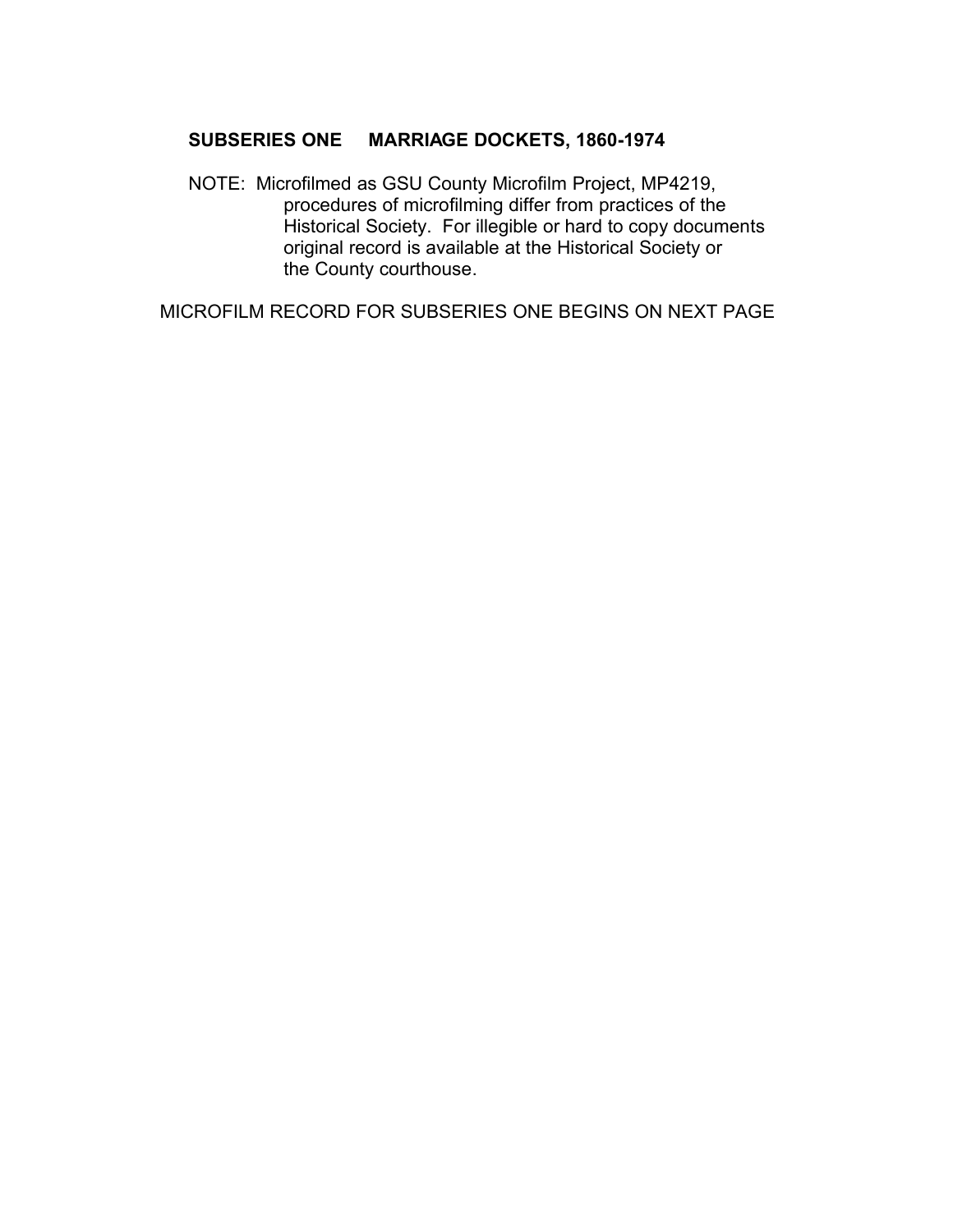# **SUBSERIES ONE MARRIAGE DOCKETS, 1860-1974** �

NOTE: Microfilmed as GSU County Microfilm Project, MP4219, procedures of microfilming differ from practices of the Historical Society. For illegible or hard to copy documents original record is available at the Historical Society or the County courthouse.

MICROFILM RECORD FOR SUBSERIES ONE BEGINS ON NEXT PAGE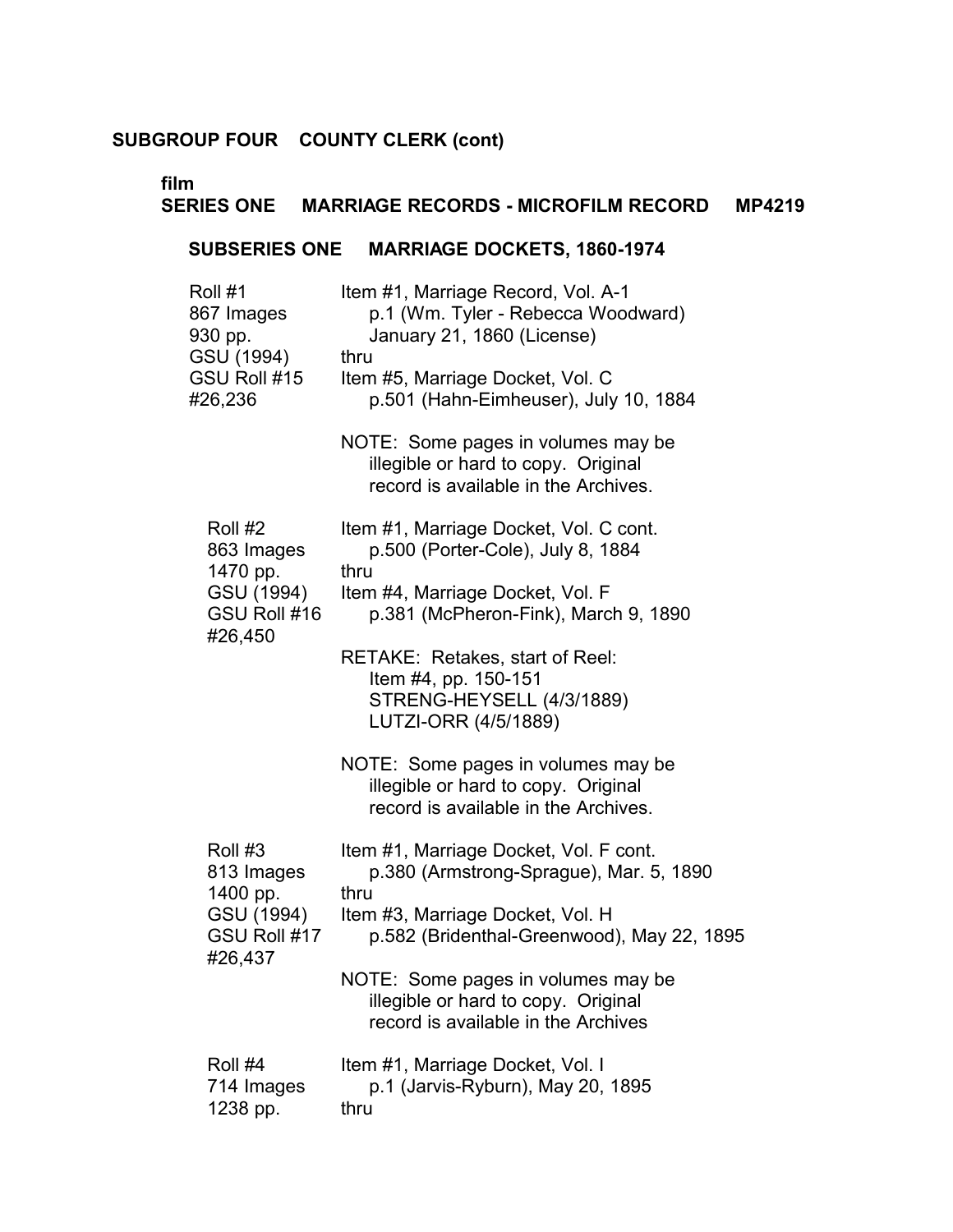# **film**

# **SERIES ONE MARRIAGE RECORDS - MICROFILM RECORD MP4219**

# **SUBSERIES ONE MARRIAGE DOCKETS, 1860-1974**

| Roll #1<br>867 Images<br>930 pp.<br>GSU (1994)<br>GSU Roll #15<br>#26,236 | Item #1, Marriage Record, Vol. A-1<br>p.1 (Wm. Tyler - Rebecca Woodward)<br>January 21, 1860 (License)<br>thru<br>Item #5, Marriage Docket, Vol. C<br>p.501 (Hahn-Eimheuser), July 10, 1884 |
|---------------------------------------------------------------------------|---------------------------------------------------------------------------------------------------------------------------------------------------------------------------------------------|
|                                                                           | NOTE: Some pages in volumes may be<br>illegible or hard to copy. Original<br>record is available in the Archives.                                                                           |
| Roll #2<br>863 Images<br>1470 pp.                                         | Item #1, Marriage Docket, Vol. C cont.<br>p.500 (Porter-Cole), July 8, 1884<br>thru                                                                                                         |
| GSU (1994)<br>GSU Roll #16<br>#26,450                                     | Item #4, Marriage Docket, Vol. F<br>p.381 (McPheron-Fink), March 9, 1890                                                                                                                    |
|                                                                           | RETAKE: Retakes, start of Reel:<br>Item #4, pp. 150-151<br>STRENG-HEYSELL (4/3/1889)<br>LUTZI-ORR (4/5/1889)                                                                                |
|                                                                           | NOTE: Some pages in volumes may be<br>illegible or hard to copy. Original<br>record is available in the Archives.                                                                           |
| Roll #3<br>813 Images<br>1400 pp.                                         | Item #1, Marriage Docket, Vol. F cont.<br>p.380 (Armstrong-Sprague), Mar. 5, 1890<br>thru                                                                                                   |
| GSU (1994)<br>GSU Roll #17<br>#26,437                                     | Item #3, Marriage Docket, Vol. H<br>p.582 (Bridenthal-Greenwood), May 22, 1895                                                                                                              |
|                                                                           | NOTE: Some pages in volumes may be<br>illegible or hard to copy. Original<br>record is available in the Archives                                                                            |
| Roll #4<br>714 Images<br>1238 pp.                                         | Item #1, Marriage Docket, Vol. I<br>p.1 (Jarvis-Ryburn), May 20, 1895<br>thru                                                                                                               |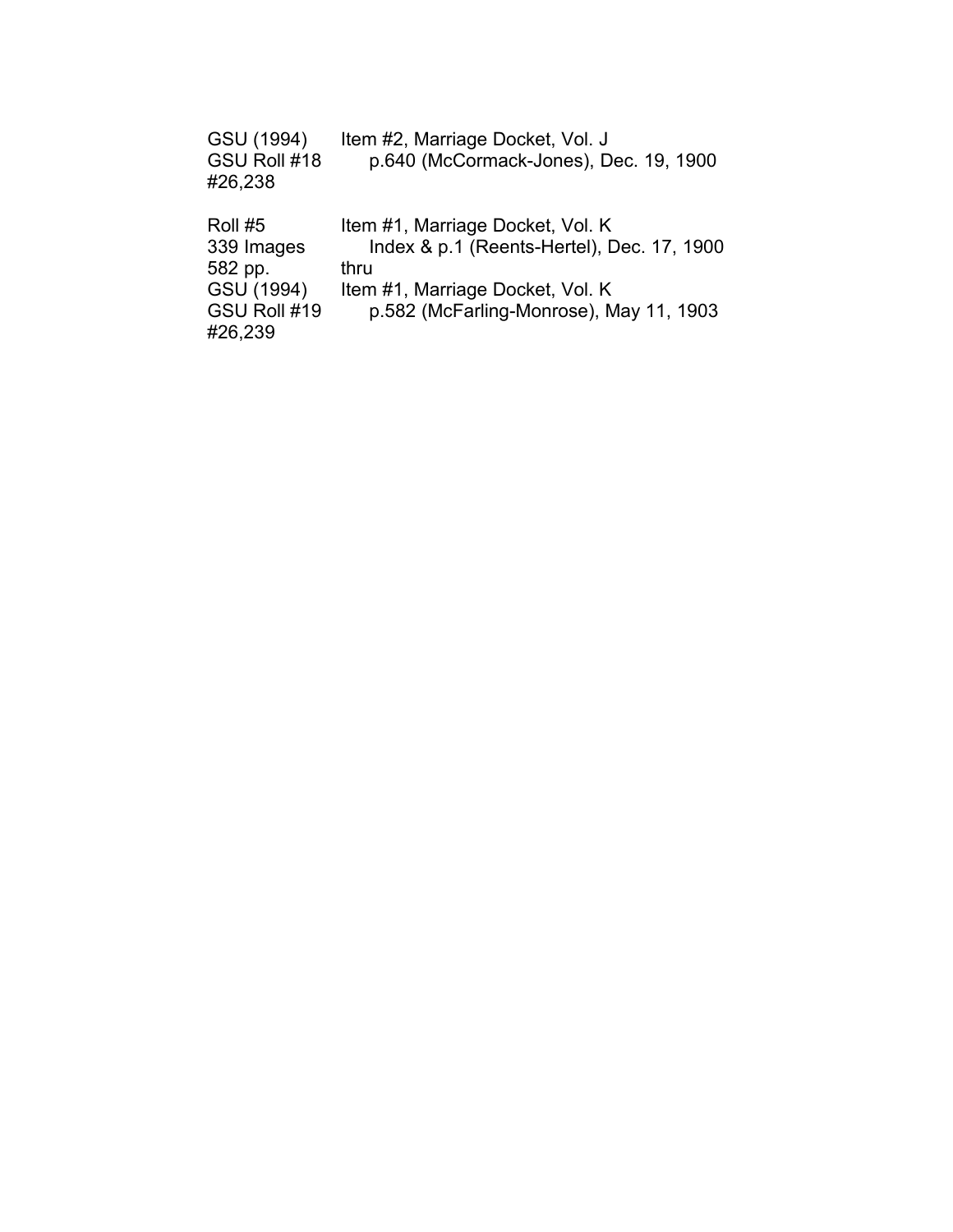| GSU (1994)<br>GSU Roll #18<br>#26,238 | Item #2, Marriage Docket, Vol. J<br>p.640 (McCormack-Jones), Dec. 19, 1900 |
|---------------------------------------|----------------------------------------------------------------------------|
| $R$ oll #5                            | <u>Itam #1 Marriana Dockat Vol. K</u>                                      |

| ROIL#5       | Item #1, Marriage Docket, Vol. K           |
|--------------|--------------------------------------------|
| 339 Images   | Index & p.1 (Reents-Hertel), Dec. 17, 1900 |
| 582 pp.      | thru                                       |
| GSU (1994)   | Item #1, Marriage Docket, Vol. K           |
| GSU Roll #19 | p.582 (McFarling-Monrose), May 11, 1903    |
| #26,239      |                                            |
|              |                                            |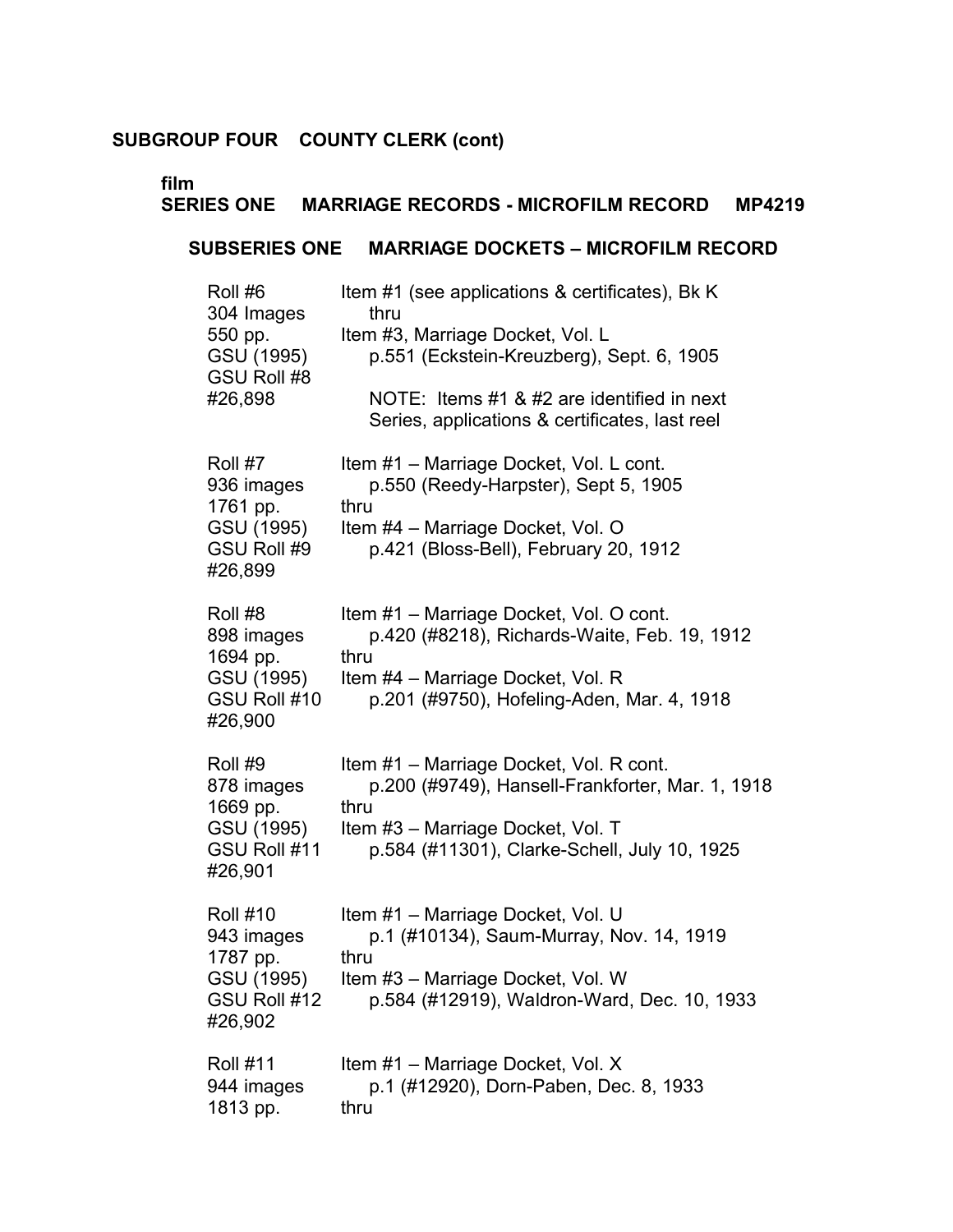# **film**

# **SERIES ONE MARRIAGE RECORDS - MICROFILM RECORD MP4219**

# **SUBSERIES ONE MARRIAGE DOCKETS – MICROFILM RECORD**

| Roll #6<br>304 Images<br>550 pp.<br>GSU (1995)<br>GSU Roll #8<br>#26,898           | Item #1 (see applications & certificates), Bk K<br>thru<br>Item #3, Marriage Docket, Vol. L<br>p.551 (Eckstein-Kreuzberg), Sept. 6, 1905<br>NOTE: Items #1 & #2 are identified in next<br>Series, applications & certificates, last reel |
|------------------------------------------------------------------------------------|------------------------------------------------------------------------------------------------------------------------------------------------------------------------------------------------------------------------------------------|
| Roll #7<br>936 images<br>1761 pp.<br>GSU (1995)<br>GSU Roll #9<br>#26,899          | Item #1 - Marriage Docket, Vol. L cont.<br>p.550 (Reedy-Harpster), Sept 5, 1905<br>thru<br>Item #4 - Marriage Docket, Vol. O<br>p.421 (Bloss-Bell), February 20, 1912                                                                    |
| Roll #8<br>898 images<br>1694 pp.<br>GSU (1995)<br>GSU Roll #10<br>#26,900         | Item #1 - Marriage Docket, Vol. O cont.<br>p.420 (#8218), Richards-Waite, Feb. 19, 1912<br>thru<br>Item #4 - Marriage Docket, Vol. R<br>p.201 (#9750), Hofeling-Aden, Mar. 4, 1918                                                       |
| Roll #9<br>878 images<br>1669 pp.<br>GSU (1995)<br>GSU Roll #11<br>#26,901         | Item #1 - Marriage Docket, Vol. R cont.<br>p.200 (#9749), Hansell-Frankforter, Mar. 1, 1918<br>thru<br>Item #3 - Marriage Docket, Vol. T<br>p.584 (#11301), Clarke-Schell, July 10, 1925                                                 |
| <b>Roll #10</b><br>943 images<br>1787 pp.<br>GSU (1995)<br>GSU Roll #12<br>#26,902 | Item #1 - Marriage Docket, Vol. U<br>p.1 (#10134), Saum-Murray, Nov. 14, 1919<br>thru<br>Item #3 – Marriage Docket, Vol. W<br>p.584 (#12919), Waldron-Ward, Dec. 10, 1933                                                                |
| <b>Roll #11</b><br>944 images<br>1813 pp.                                          | Item #1 - Marriage Docket, Vol. X<br>p.1 (#12920), Dorn-Paben, Dec. 8, 1933<br>thru                                                                                                                                                      |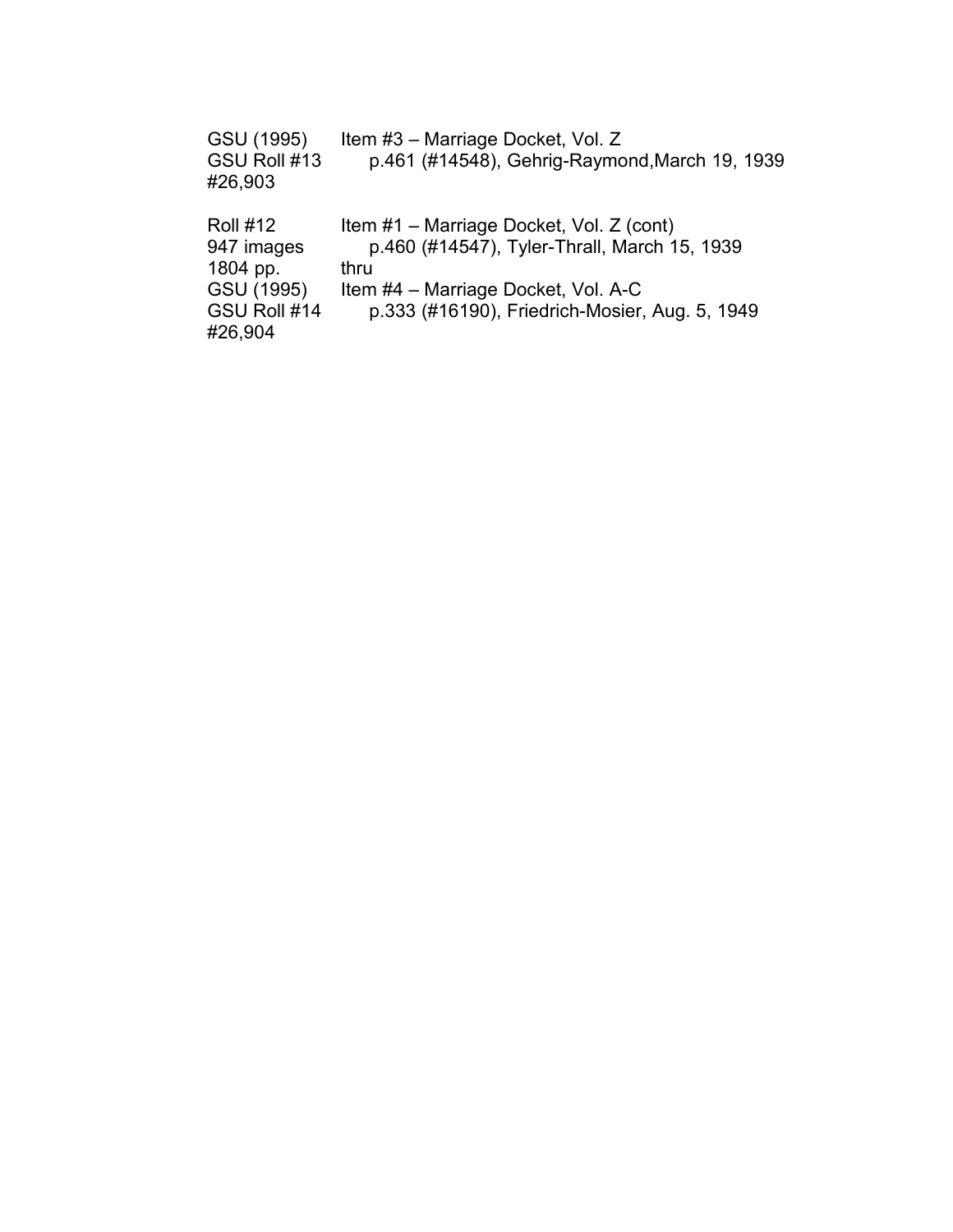| GSU (1995)<br>GSU Roll #13<br>#26,903 | Item #3 - Marriage Docket, Vol. Z<br>p.461 (#14548), Gehrig-Raymond, March 19, 1939 |
|---------------------------------------|-------------------------------------------------------------------------------------|
| <b>Roll #12</b>                       | Item #1 - Marriage Docket, Vol. Z (cont)                                            |
| 947 images                            | p.460 (#14547), Tyler-Thrall, March 15, 1939                                        |
| 1804 pp.                              | thru                                                                                |
| GSU (1995)                            | Item #4 - Marriage Docket, Vol. A-C                                                 |
| GSU Roll #14                          | p.333 (#16190), Friedrich-Mosier, Aug. 5, 1949                                      |
| #26,904                               |                                                                                     |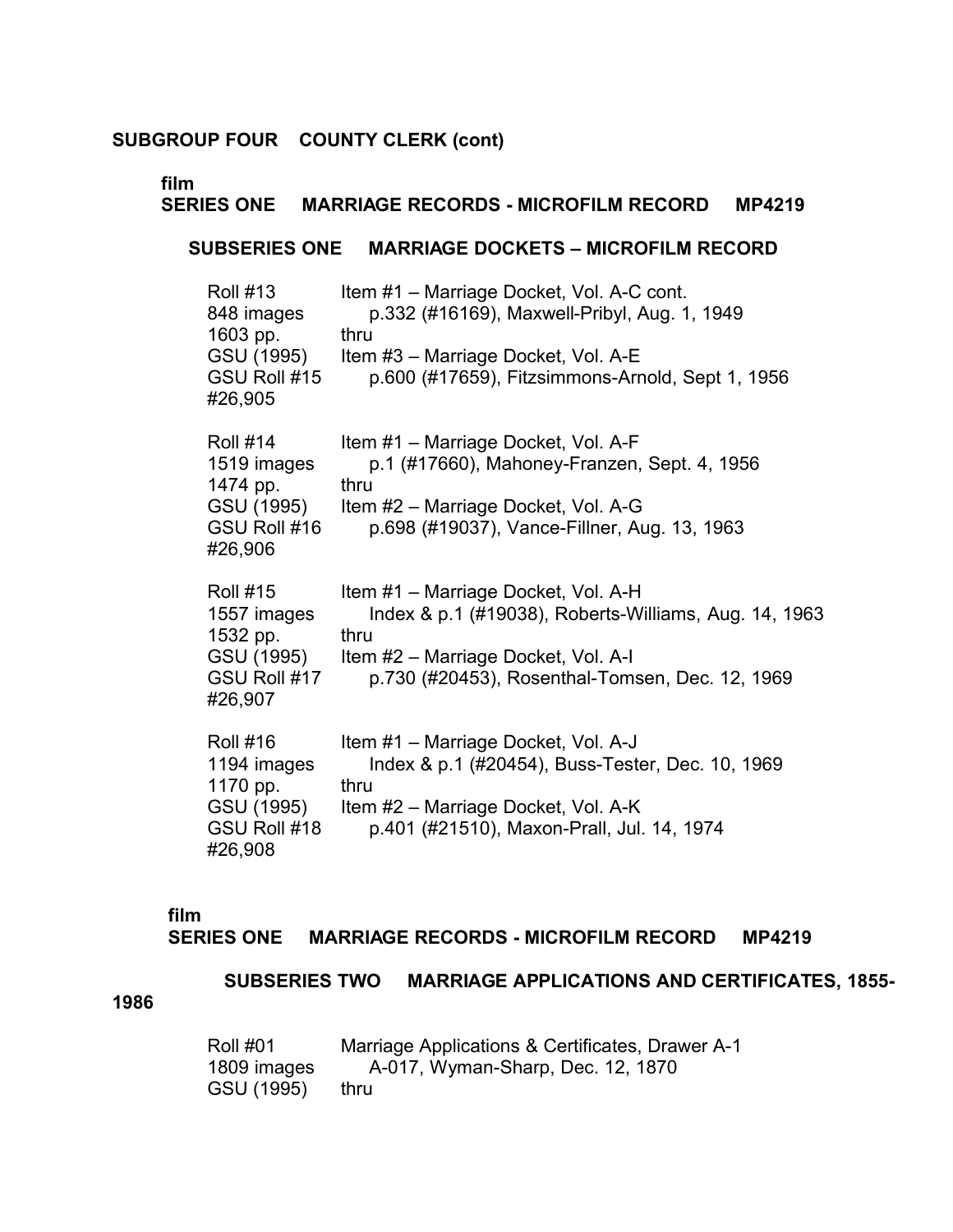# **film**

# **SERIES ONE MARRIAGE RECORDS - MICROFILM RECORD MP4219 SUBSERIES ONE MARRIAGE DOCKETS – MICROFILM RECORD**  Roll #13 Item #1 – Marriage Docket, Vol. A-C cont. 848 images p.332 (#16169), Maxwell-Pribyl, Aug. 1, 1949 1603 pp. thru GSU (1995) Item #3 – Marriage Docket, Vol. A-E GSU Roll #15 p.600 (#17659), Fitzsimmons-Arnold, Sept 1, 1956 #26,905 Roll #14 Item #1 – Marriage Docket, Vol. A-F 1519 images p.1 (#17660), Mahoney-Franzen, Sept. 4, 1956 1474 pp. thru GSU (1995) Item #2 – Marriage Docket, Vol. A-G GSU Roll #16 p.698 (#19037), Vance-Fillner, Aug. 13, 1963 #26,906 Roll #15 Item #1 – Marriage Docket, Vol. A-H 1557 images Index & p.1 (#19038), Roberts-Williams, Aug. 14, 1963 1532 pp. thru GSU (1995) Item #2 – Marriage Docket, Vol. A-I GSU Roll #17 p.730 (#20453), Rosenthal-Tomsen, Dec. 12, 1969 #26,907 Roll #16 Item #1 – Marriage Docket, Vol. A-J 1194 images Index & p.1 (#20454), Buss-Tester, Dec. 10, 1969 1170 pp. thru GSU (1995) Item #2 – Marriage Docket, Vol. A-K GSU Roll #18 p.401 (#21510), Maxon-Prall, Jul. 14, 1974 #26,908

#### **film**

#### **SERIES ONE MARRIAGE RECORDS - MICROFILM RECORD MP4219**

**SUBSERIES TWO MARRIAGE APPLICATIONS AND CERTIFICATES, 1855-**

**1986** 

| <b>Roll #01</b> | Marriage Applications & Certificates, Drawer A-1 |
|-----------------|--------------------------------------------------|
| 1809 images     | A-017, Wyman-Sharp, Dec. 12, 1870                |
| GSU (1995)      | thru                                             |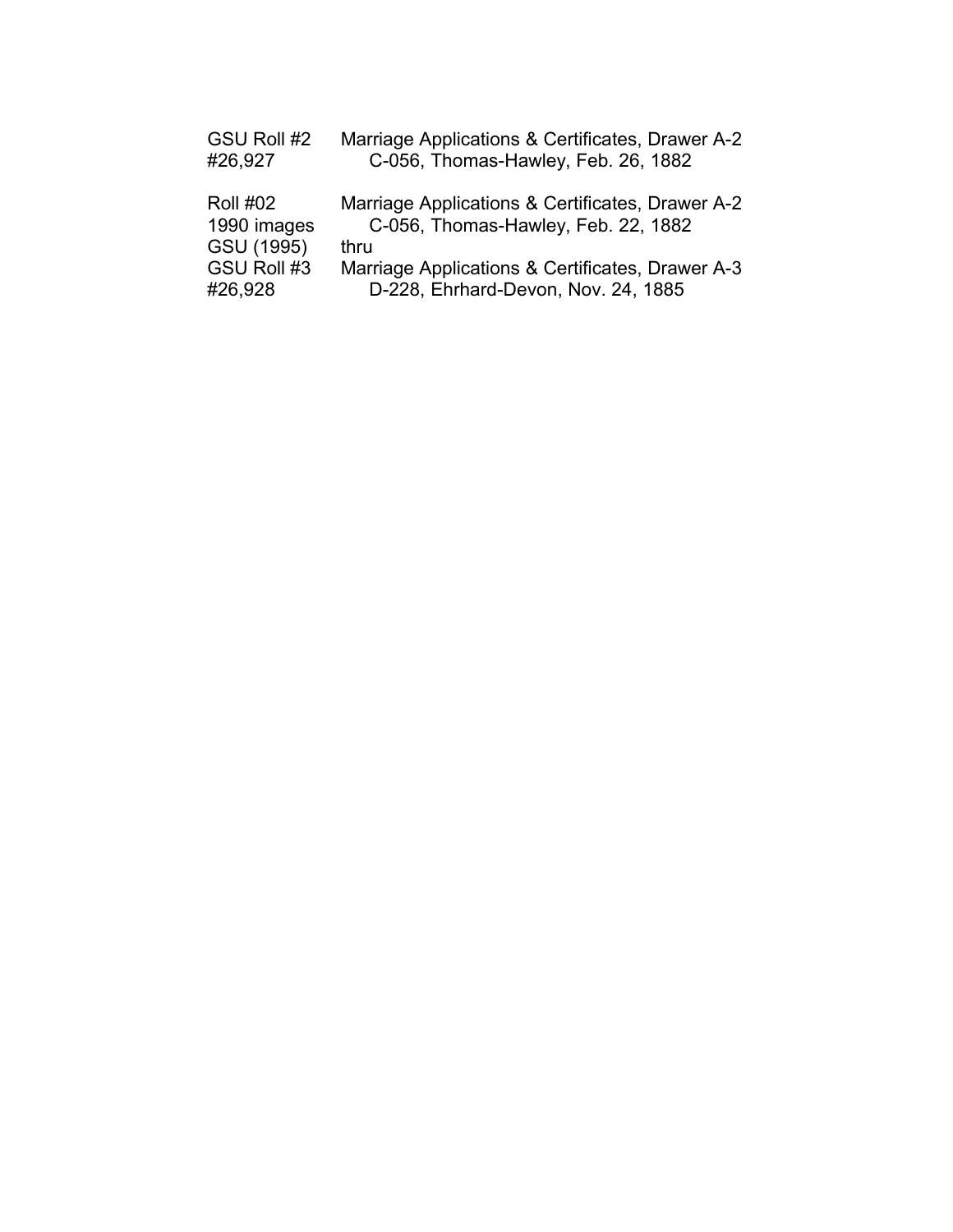| GSU Roll #2<br>#26,927         | Marriage Applications & Certificates, Drawer A-2<br>C-056, Thomas-Hawley, Feb. 26, 1882 |
|--------------------------------|-----------------------------------------------------------------------------------------|
| <b>Roll #02</b><br>1990 images | Marriage Applications & Certificates, Drawer A-2<br>C-056, Thomas-Hawley, Feb. 22, 1882 |
| GSU (1995)                     | thru                                                                                    |
| GSU Roll #3                    | Marriage Applications & Certificates, Drawer A-3                                        |
| #26,928                        | D-228, Ehrhard-Devon, Nov. 24, 1885                                                     |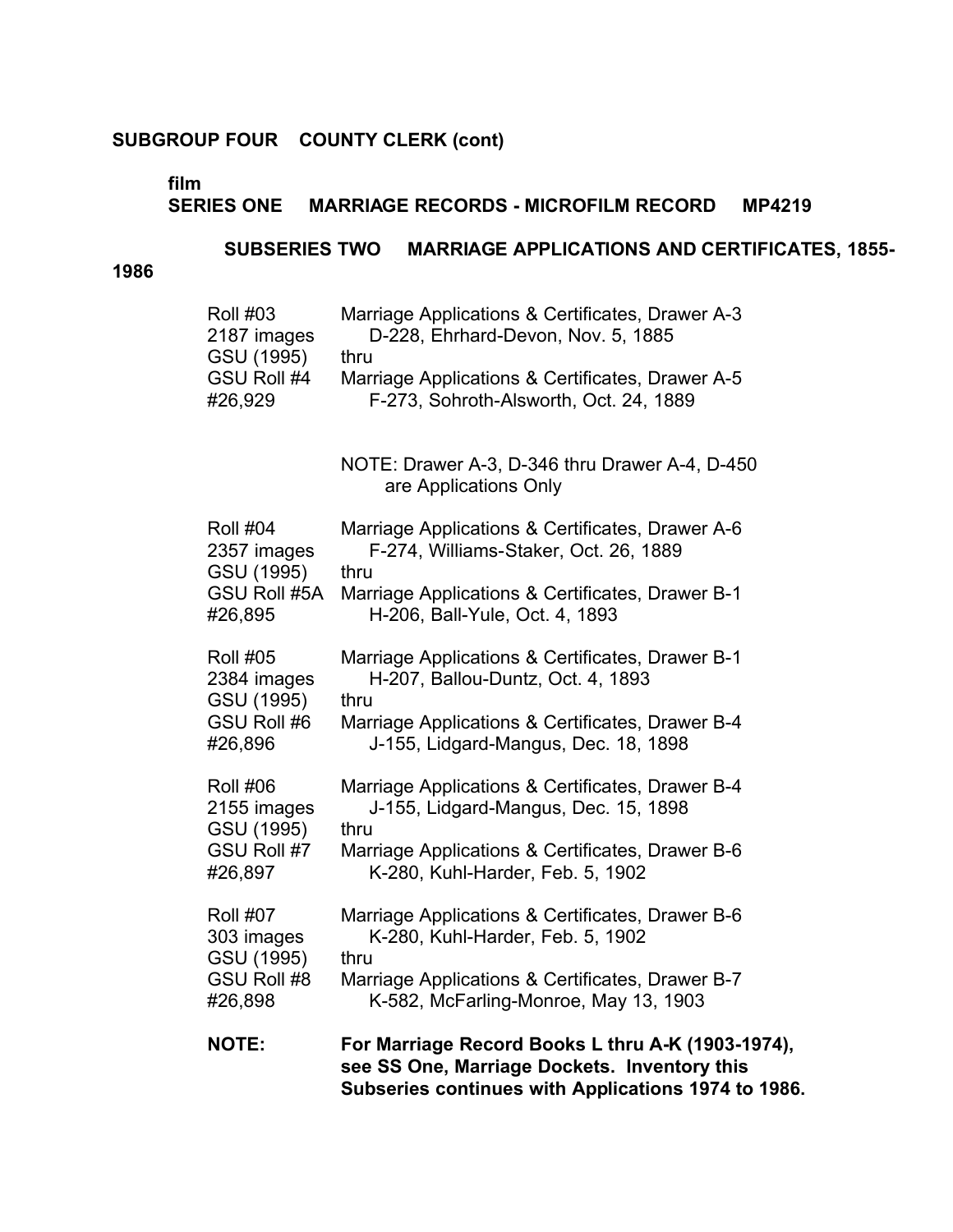# **film**

# **SERIES ONE MARRIAGE RECORDS - MICROFILM RECORD MP4219**

# **SUBSERIES TWO MARRIAGE APPLICATIONS AND CERTIFICATES, 1855-**

**1986** 

| <b>Roll #03</b>                                                                | Marriage Applications & Certificates, Drawer A-3                                                                                                         |
|--------------------------------------------------------------------------------|----------------------------------------------------------------------------------------------------------------------------------------------------------|
| 2187 images                                                                    | D-228, Ehrhard-Devon, Nov. 5, 1885                                                                                                                       |
| GSU (1995)                                                                     | thru                                                                                                                                                     |
| GSU Roll #4                                                                    | Marriage Applications & Certificates, Drawer A-5                                                                                                         |
| #26,929                                                                        | F-273, Sohroth-Alsworth, Oct. 24, 1889                                                                                                                   |
|                                                                                | NOTE: Drawer A-3, D-346 thru Drawer A-4, D-450<br>are Applications Only                                                                                  |
| <b>Roll #04</b><br>2357 images<br>GSU (1995)<br><b>GSU Roll #5A</b><br>#26,895 | Marriage Applications & Certificates, Drawer A-6<br>F-274, Williams-Staker, Oct. 26, 1889<br>thru                                                        |
|                                                                                | Marriage Applications & Certificates, Drawer B-1<br>H-206, Ball-Yule, Oct. 4, 1893                                                                       |
| <b>Roll #05</b>                                                                | Marriage Applications & Certificates, Drawer B-1                                                                                                         |
| 2384 images                                                                    | H-207, Ballou-Duntz, Oct. 4, 1893                                                                                                                        |
| GSU (1995)                                                                     | thru                                                                                                                                                     |
| GSU Roll #6                                                                    | Marriage Applications & Certificates, Drawer B-4                                                                                                         |
| #26,896                                                                        | J-155, Lidgard-Mangus, Dec. 18, 1898                                                                                                                     |
| <b>Roll #06</b>                                                                | Marriage Applications & Certificates, Drawer B-4                                                                                                         |
| 2155 images                                                                    | J-155, Lidgard-Mangus, Dec. 15, 1898                                                                                                                     |
| GSU (1995)                                                                     | thru                                                                                                                                                     |
| GSU Roll #7                                                                    | Marriage Applications & Certificates, Drawer B-6                                                                                                         |
| #26,897                                                                        | K-280, Kuhl-Harder, Feb. 5, 1902                                                                                                                         |
| <b>Roll #07</b>                                                                | Marriage Applications & Certificates, Drawer B-6                                                                                                         |
| 303 images                                                                     | K-280, Kuhl-Harder, Feb. 5, 1902                                                                                                                         |
| GSU (1995)                                                                     | thru                                                                                                                                                     |
| GSU Roll #8                                                                    | Marriage Applications & Certificates, Drawer B-7                                                                                                         |
| #26,898                                                                        | K-582, McFarling-Monroe, May 13, 1903                                                                                                                    |
| <b>NOTE:</b>                                                                   | For Marriage Record Books L thru A-K (1903-1974),<br>see SS One, Marriage Dockets. Inventory this<br>Subseries continues with Applications 1974 to 1986. |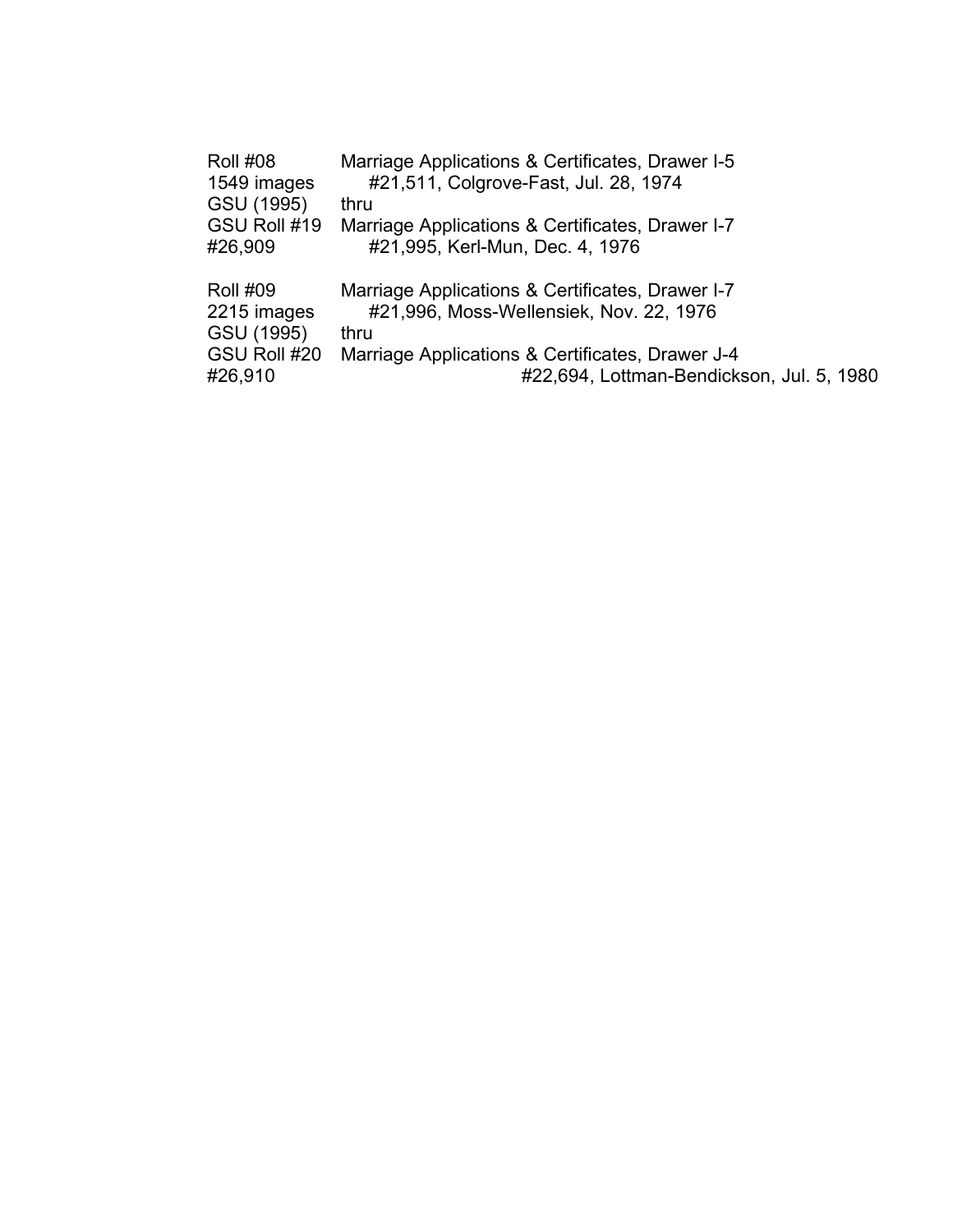| <b>Roll #08</b> | Marriage Applications & Certificates, Drawer I-5 |
|-----------------|--------------------------------------------------|
| 1549 images     | #21,511, Colgrove-Fast, Jul. 28, 1974            |
| GSU (1995)      | thru                                             |
| GSU Roll #19    | Marriage Applications & Certificates, Drawer I-7 |
| #26,909         | #21,995, Kerl-Mun, Dec. 4, 1976                  |
| <b>Roll #09</b> | Marriage Applications & Certificates, Drawer I-7 |
| 2215 images     | #21,996, Moss-Wellensiek, Nov. 22, 1976          |
| GSU (1995)      | thru                                             |
| GSU Roll #20    | Marriage Applications & Certificates, Drawer J-4 |
| #26,910         | #22,694, Lottman-Bendickson, Jul. 5, 1980        |
|                 |                                                  |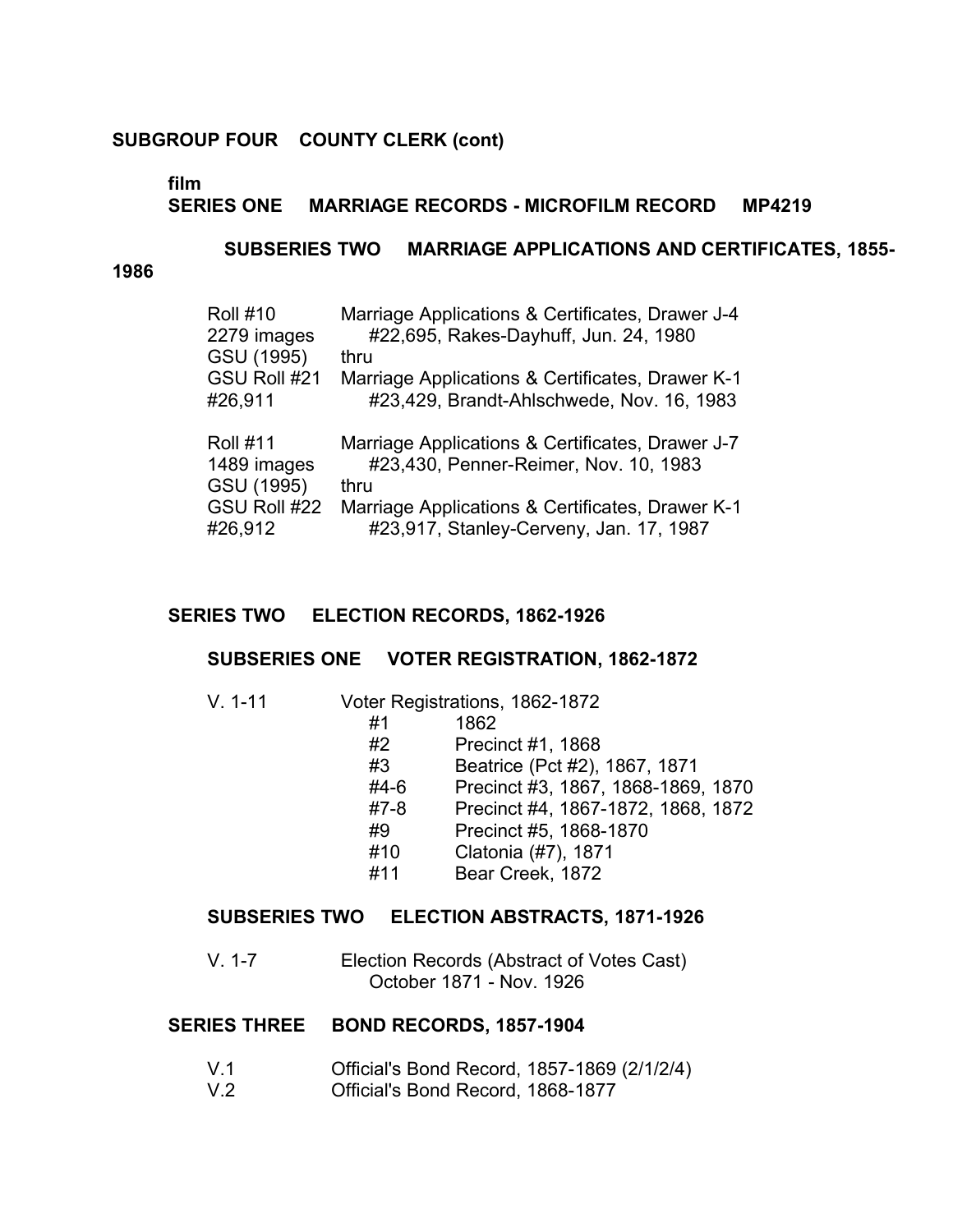# **film**

# **SERIES ONE MARRIAGE RECORDS - MICROFILM RECORD MP4219**

#### **SUBSERIES TWO MARRIAGE APPLICATIONS AND CERTIFICATES, 1855-**

#### **1986**

| <b>Roll #10</b><br>2279 images | Marriage Applications & Certificates, Drawer J-4<br>#22,695, Rakes-Dayhuff, Jun. 24, 1980 |
|--------------------------------|-------------------------------------------------------------------------------------------|
| GSU (1995)                     | thru                                                                                      |
| GSU Roll #21                   | Marriage Applications & Certificates, Drawer K-1                                          |
| #26,911                        | #23,429, Brandt-Ahlschwede, Nov. 16, 1983                                                 |
|                                |                                                                                           |
| <b>Roll #11</b>                | Marriage Applications & Certificates, Drawer J-7                                          |
| 1489 images                    | #23,430, Penner-Reimer, Nov. 10, 1983                                                     |
| GSU (1995)                     | thru                                                                                      |
| GSU Roll #22                   | Marriage Applications & Certificates, Drawer K-1                                          |

# **SERIES TWO ELECTION RECORDS, 1862-1926**

#### **SUBSERIES ONE VOTER REGISTRATION, 1862-1872**

V. 1-11 � Voter Registrations, 1862-1872

| #1     | 1862                               |
|--------|------------------------------------|
| #2     | Precinct #1, 1868                  |
| #3     | Beatrice (Pct #2), 1867, 1871      |
| $#4-6$ | Precinct #3, 1867, 1868-1869, 1870 |
| $#7-8$ | Precinct #4, 1867-1872, 1868, 1872 |
| #9     | Precinct #5, 1868-1870             |
| #10    | Clatonia (#7), 1871                |
| #11    | Bear Creek, 1872                   |

#### **SUBSERIES TWO ELECTION ABSTRACTS, 1871-1926**

V. 1-7 Election Records (Abstract of Votes Cast) October 1871 - Nov. 1926

#### **SERIES THREE BOND RECORDS, 1857-1904**

- V.1 Official's Bond Record, 1857-1869 (2/1/2/4)
- V.2 Official's Bond Record, 1868-1877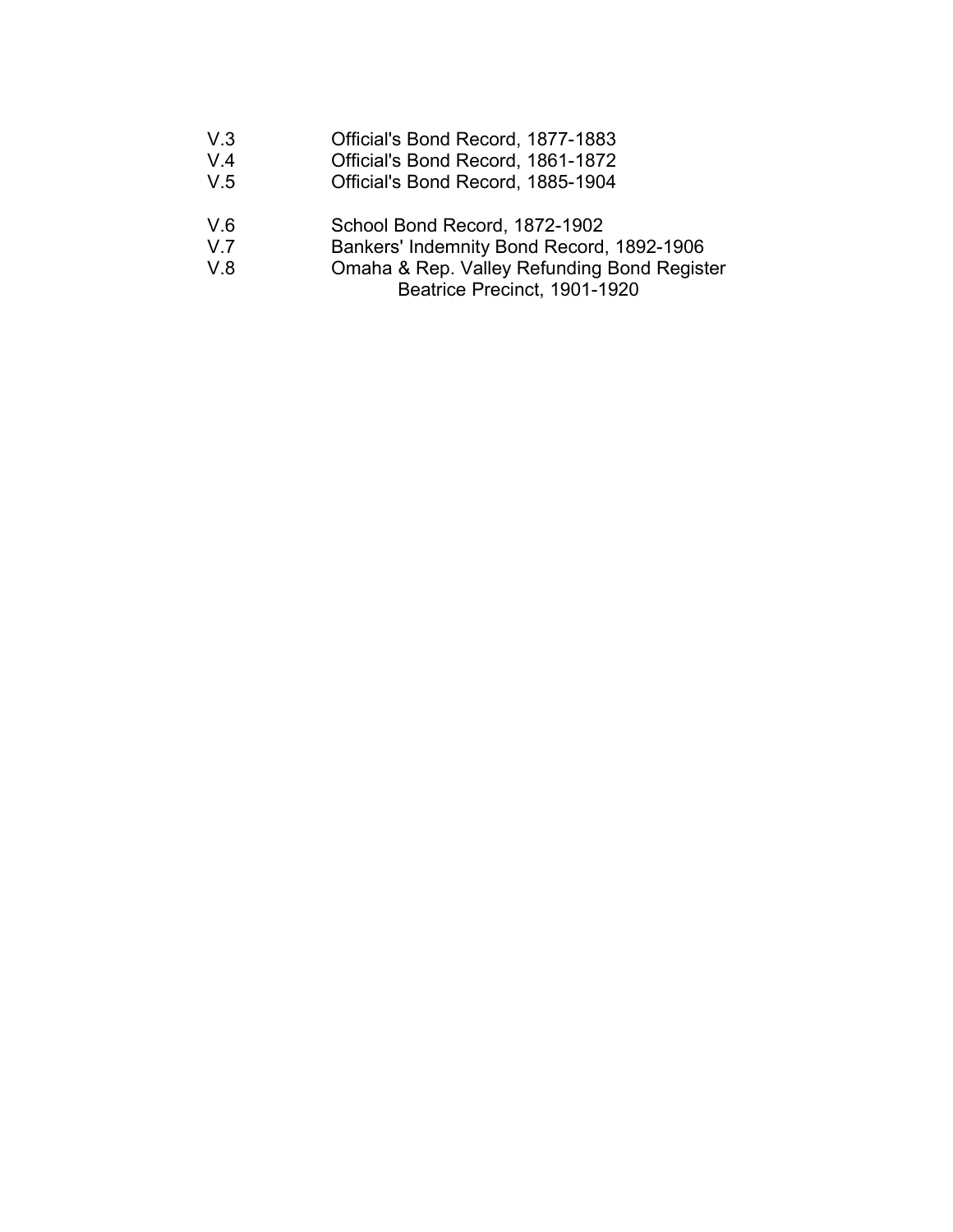| Official's Bond Record, 1877-1883<br>V.3 |
|------------------------------------------|
|------------------------------------------|

- V.4 **Official's Bond Record, 1861-1872**<br>V.5 **Official's Bond Record, 1885-1904**
- Official's Bond Record, 1885-1904
- V.6 School Bond Record, 1872-1902<br>V.7 Bankers' Indemnity Bond Record,
- V.7 Bankers' Indemnity Bond Record, 1892-1906<br>V.8 Omaha & Rep. Valley Refunding Bond Regist
- Omaha & Rep. Valley Refunding Bond Register
	- Beatrice Precinct, 1901-1920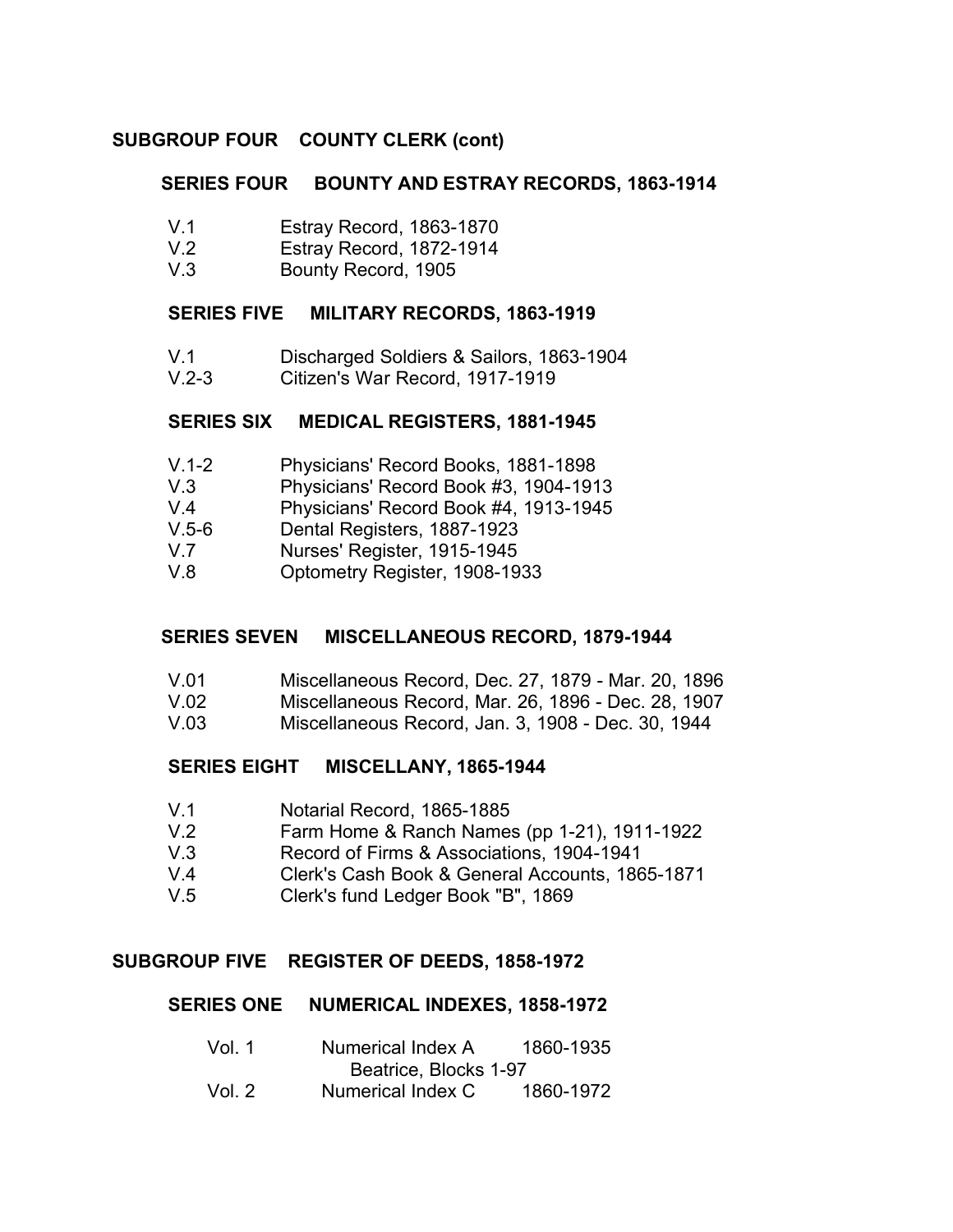### **SERIES FOUR BOUNTY AND ESTRAY RECORDS, 1863-1914**

- V.1 Estray Record, 1863-1870
- V.2 Estray Record, 1872-1914
- V.3 Bounty Record, 1905

#### **SERIES FIVE MILITARY RECORDS, 1863-1919**

- V.1 Discharged Soldiers & Sailors, 1863-1904
- V.2-3 Citizen's War Record, 1917-1919

#### **SERIES SIX MEDICAL REGISTERS, 1881-1945**

- V.1-2 Physicians' Record Books, 1881-1898
- V.3 Physicians' Record Book #3, 1904-1913
- V.4 Physicians' Record Book #4, 1913-1945
- V.5-6 Dental Registers, 1887-1923
- V.7 Nurses' Register, 1915-1945
- V.8 Optometry Register, 1908-1933

## **SERIES SEVEN MISCELLANEOUS RECORD, 1879-1944**

- V.01 Miscellaneous Record, Dec. 27, 1879 Mar. 20, 1896
- V.02 Miscellaneous Record, Mar. 26, 1896 Dec. 28, 1907
- V.03 Miscellaneous Record, Jan. 3, 1908 Dec. 30, 1944

## **SERIES EIGHT MISCELLANY, 1865-1944**

- V.1 Notarial Record, 1865-1885
- V.2 Farm Home & Ranch Names (pp 1-21), 1911-1922
- V.3 Record of Firms & Associations, 1904-1941
- V.4 Clerk's Cash Book & General Accounts, 1865-1871
- V.5 Clerk's fund Ledger Book "B", 1869

## **SUBGROUP FIVE REGISTER OF DEEDS, 1858-1972**

#### **SERIES ONE NUMERICAL INDEXES, 1858-1972**

Vol. 1 Numerical Index A 1860-1935 Beatrice, Blocks 1-97 Vol. 2 Numerical Index C 1860-1972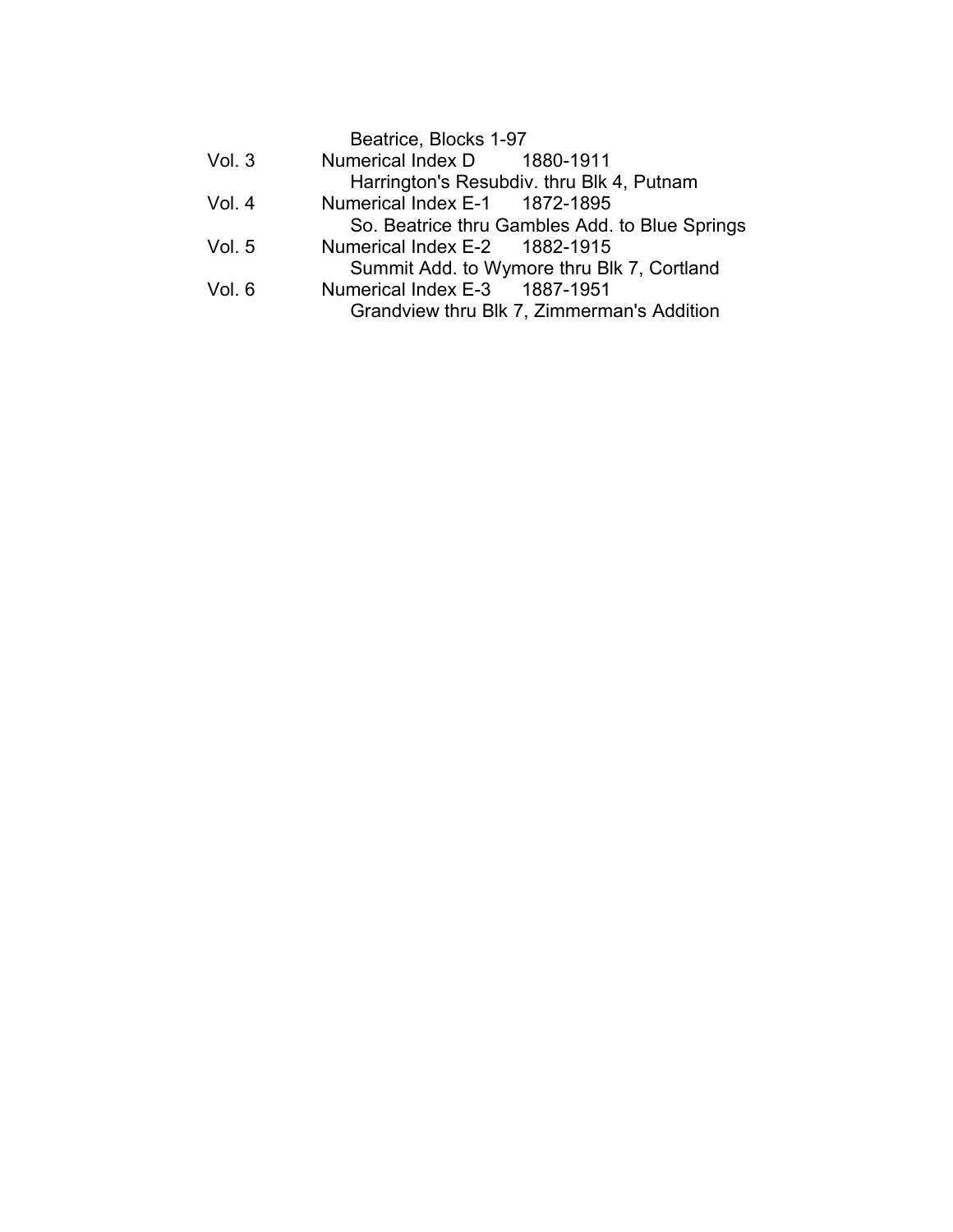|        | Beatrice, Blocks 1-97                          |
|--------|------------------------------------------------|
| Vol.3  | Numerical Index D 1880-1911                    |
|        | Harrington's Resubdiv. thru Blk 4, Putnam      |
| Vol. 4 | Numerical Index E-1 1872-1895                  |
|        | So. Beatrice thru Gambles Add. to Blue Springs |
| Vol. 5 | Numerical Index E-2 1882-1915                  |
|        | Summit Add. to Wymore thru Blk 7, Cortland     |
| Vol. 6 | Numerical Index E-3 1887-1951                  |
|        | Grandview thru Blk 7, Zimmerman's Addition     |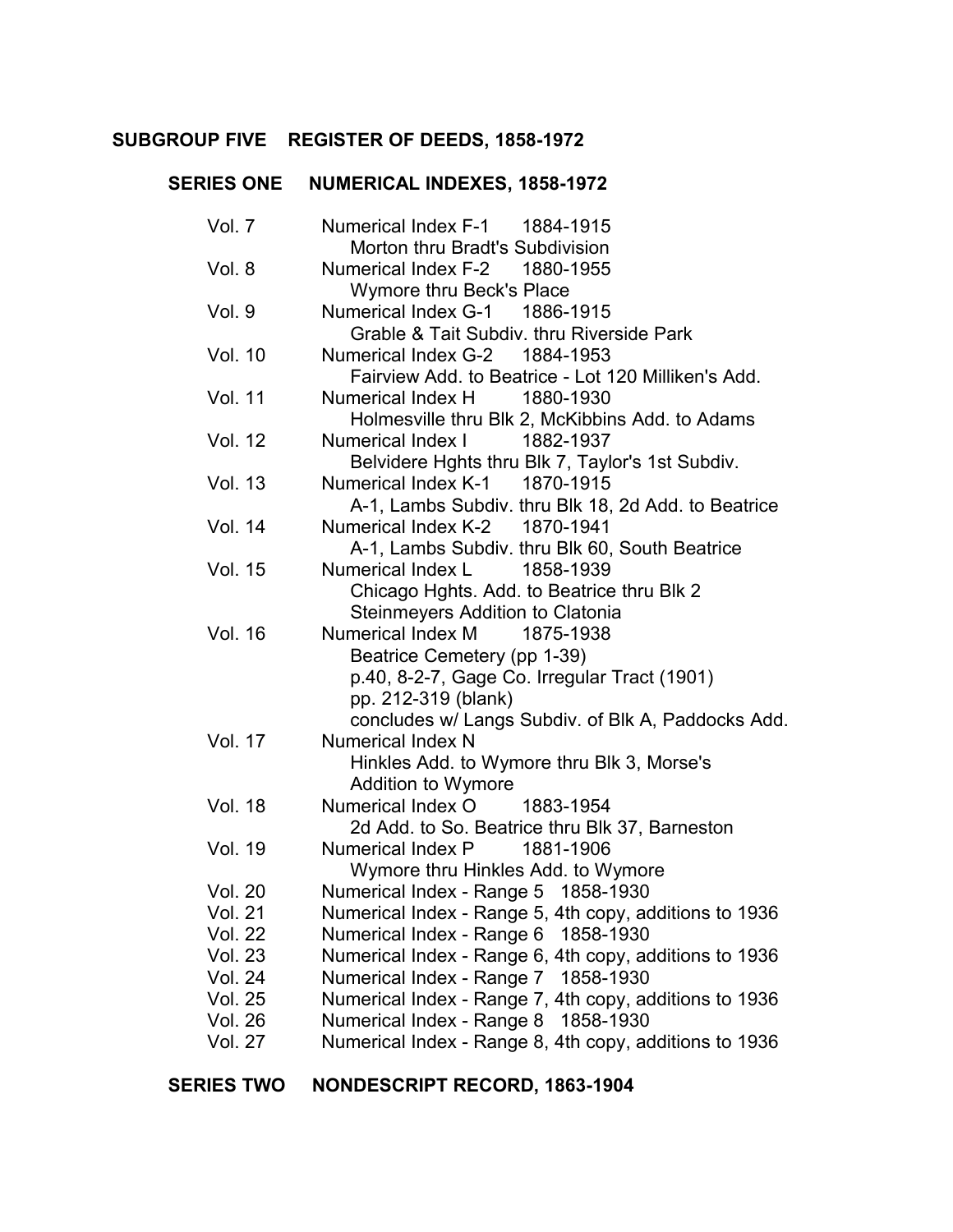## **SUBGROUP FIVE REGISTER OF DEEDS, 1858-1972** �

#### **SERIES ONE** � **NUMERICAL INDEXES, 1858-1972** �

| Vol. 7         | Numerical Index F-1 1884-1915                          |
|----------------|--------------------------------------------------------|
|                | Morton thru Bradt's Subdivision                        |
| Vol. 8         | Numerical Index F-2 1880-1955                          |
|                | Wymore thru Beck's Place                               |
| Vol. 9         | Numerical Index G-1 1886-1915                          |
|                | Grable & Tait Subdiv. thru Riverside Park              |
| <b>Vol. 10</b> | Numerical Index G-2 1884-1953                          |
|                | Fairview Add. to Beatrice - Lot 120 Milliken's Add.    |
| <b>Vol. 11</b> | Numerical Index H<br>1880-1930                         |
|                | Holmesville thru Blk 2, McKibbins Add. to Adams        |
| <b>Vol. 12</b> | <b>Numerical Index I</b><br>1882-1937                  |
|                | Belvidere Hghts thru Blk 7, Taylor's 1st Subdiv.       |
| <b>Vol. 13</b> | Numerical Index K-1 1870-1915                          |
|                | A-1, Lambs Subdiv. thru Blk 18, 2d Add. to Beatrice    |
| <b>Vol. 14</b> | Numerical Index K-2 1870-1941                          |
|                | A-1, Lambs Subdiv. thru Blk 60, South Beatrice         |
| <b>Vol. 15</b> | Numerical Index L 1858-1939                            |
|                | Chicago Hghts. Add. to Beatrice thru Blk 2             |
|                | Steinmeyers Addition to Clatonia                       |
| <b>Vol. 16</b> | Numerical Index M<br>1875-1938                         |
|                | Beatrice Cemetery (pp 1-39)                            |
|                | p.40, 8-2-7, Gage Co. Irregular Tract (1901)           |
|                | pp. 212-319 (blank)                                    |
|                | concludes w/ Langs Subdiv. of Blk A, Paddocks Add.     |
| <b>Vol. 17</b> | <b>Numerical Index N</b>                               |
|                | Hinkles Add. to Wymore thru Blk 3, Morse's             |
|                | <b>Addition to Wymore</b>                              |
| <b>Vol. 18</b> | Numerical Index O<br>1883-1954                         |
|                | 2d Add. to So. Beatrice thru Blk 37, Barneston         |
| Vol. 19        | Numerical Index P 1881-1906                            |
|                | Wymore thru Hinkles Add. to Wymore                     |
| <b>Vol. 20</b> | Numerical Index - Range 5 1858-1930                    |
| <b>Vol. 21</b> | Numerical Index - Range 5, 4th copy, additions to 1936 |
| Vol. 22        | Numerical Index - Range 6 1858-1930                    |
| <b>Vol. 23</b> | Numerical Index - Range 6, 4th copy, additions to 1936 |
| <b>Vol. 24</b> | Numerical Index - Range 7 1858-1930                    |
| <b>Vol. 25</b> | Numerical Index - Range 7, 4th copy, additions to 1936 |
| <b>Vol. 26</b> | Numerical Index - Range 8 1858-1930                    |
| <b>Vol. 27</b> | Numerical Index - Range 8, 4th copy, additions to 1936 |

#### **SERIES TWO NONDESCRIPT RECORD, 1863-1904** �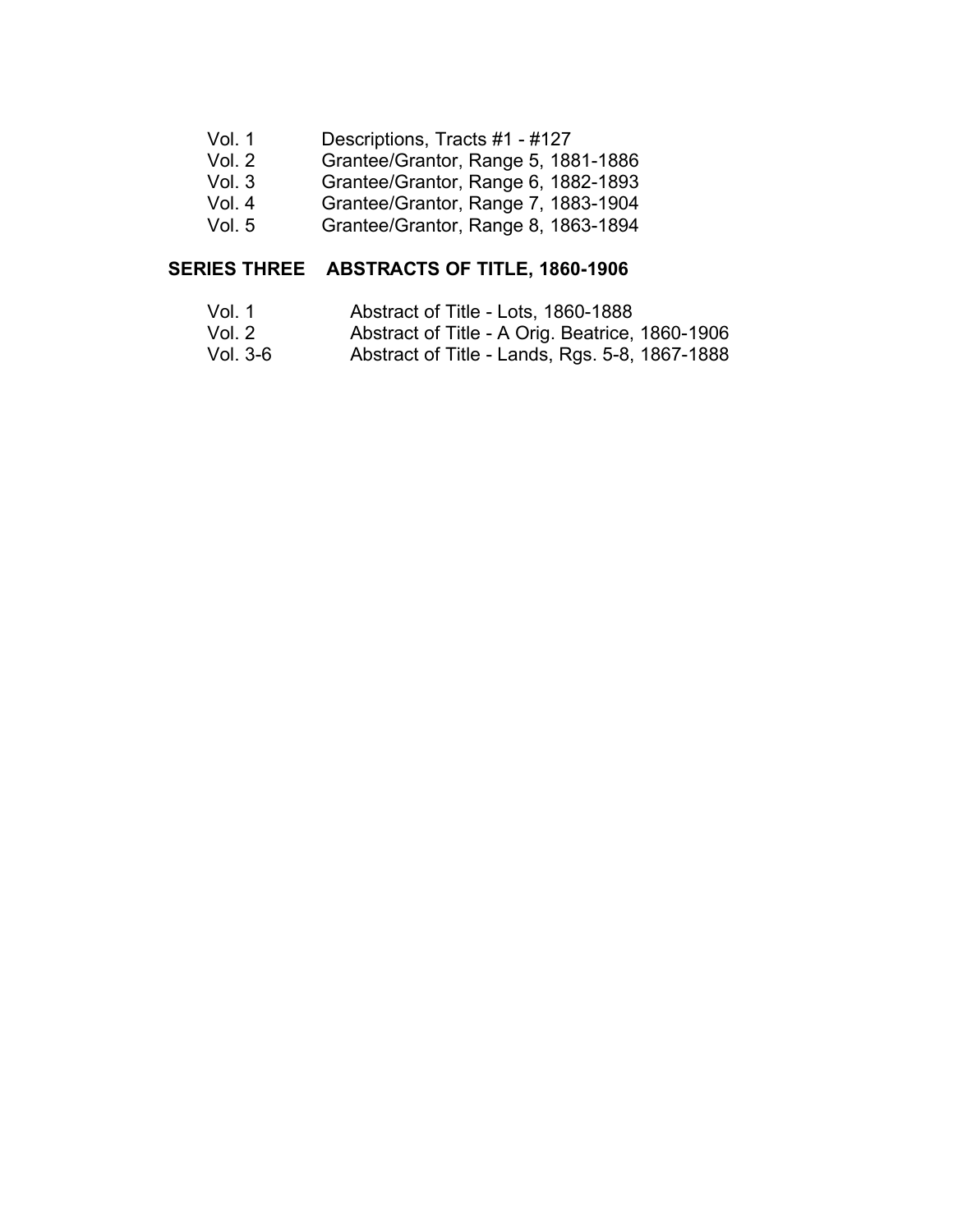- Vol. 1 Descriptions, Tracts #1 - #127
- Vol. 2 � Grantee/Grantor, Range 5, 1881-1886
- [Vol. 3](#page-100-0) � Grantee/Grantor, Range 6, 1882-1893
- Vol. 4 � Grantee/Grantor, Range 7, 1883-1904
- Vol. 5 � Grantee/Grantor, Range 8, 1863-1894

#### **SERIES THREE ABSTRACTS OF TITLE, 1860-1906** �

- Vol. 1 Abstract of Title - Lots, 1860-1888 �
- Vol. 2 � Abstract of Title - A Orig. Beatrice, 1860-1906
- Vol. 3-6 � Abstract of Title - Lands, Rgs. 5-8, 1867-1888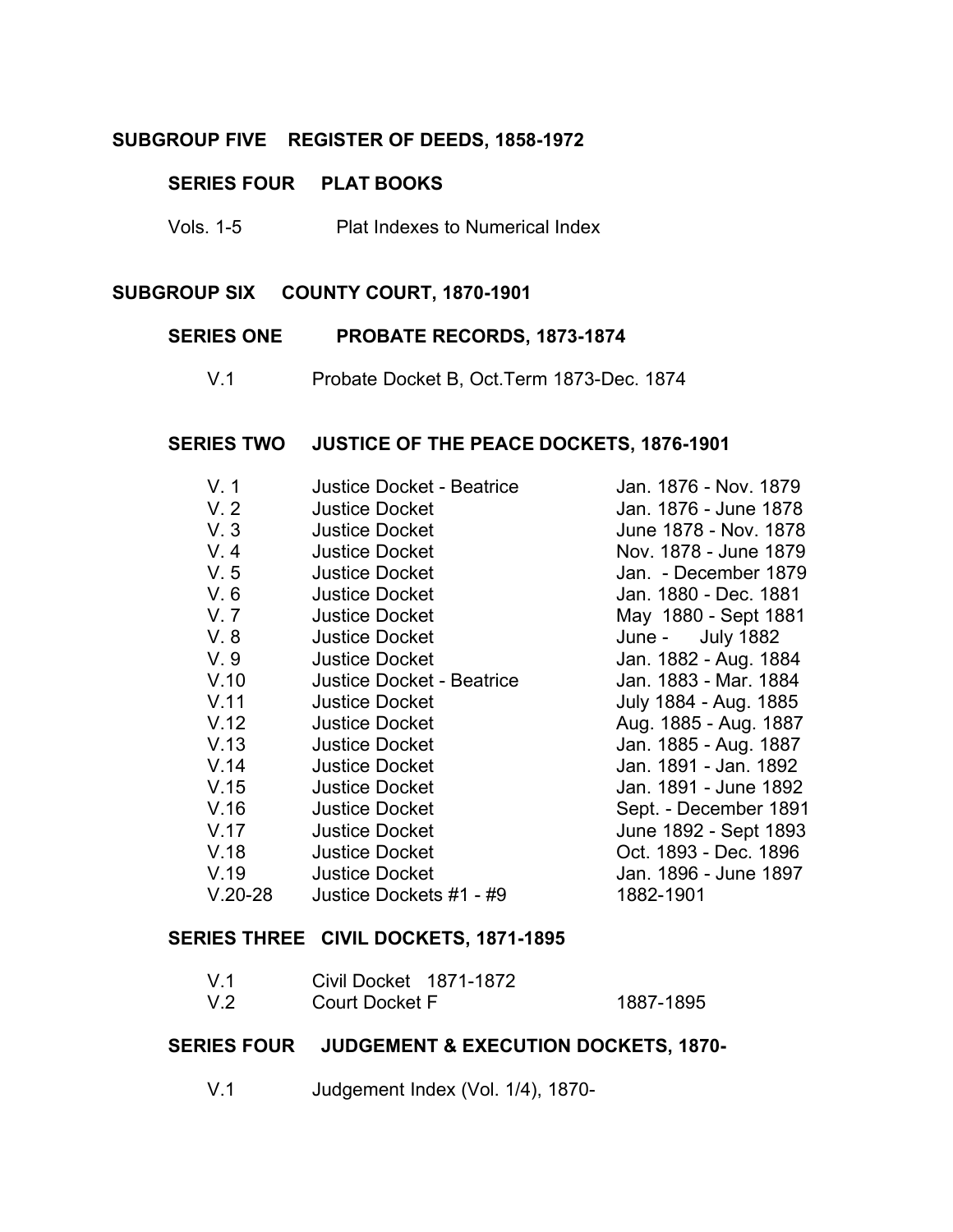# **SUBGROUP FIVE REGISTER OF DEEDS, 1858-1972** �

#### **SERIES FOUR PLAT BOOKS**

Vols. 1-5 Plat Indexes to Numerical Index

# **SUBGROUP SIX COUNTY COURT, 1870-1901**

#### **SERIES ONE PROBATE RECORDS, 1873-1874** �

V.1 Probate Docket B, Oct.Term 1873-Dec. 1874

#### **SERIES TWO JUSTICE OF THE PEACE DOCKETS, 1876-1901**

| V.1       | <b>Justice Docket - Beatrice</b> | Jan. 1876 - Nov. 1879 |
|-----------|----------------------------------|-----------------------|
| V.2       | <b>Justice Docket</b>            | Jan. 1876 - June 1878 |
| V.3       | <b>Justice Docket</b>            | June 1878 - Nov. 1878 |
| V.4       | <b>Justice Docket</b>            | Nov. 1878 - June 1879 |
| V.5       | <b>Justice Docket</b>            | Jan. - December 1879  |
| V.6       | <b>Justice Docket</b>            | Jan. 1880 - Dec. 1881 |
| V.7       | <b>Justice Docket</b>            | May 1880 - Sept 1881  |
| V.8       | <b>Justice Docket</b>            | June - July 1882      |
| V.9       | <b>Justice Docket</b>            | Jan. 1882 - Aug. 1884 |
| V.10      | <b>Justice Docket - Beatrice</b> | Jan. 1883 - Mar. 1884 |
| V.11      | <b>Justice Docket</b>            | July 1884 - Aug. 1885 |
| V.12      | <b>Justice Docket</b>            | Aug. 1885 - Aug. 1887 |
| V.13      | <b>Justice Docket</b>            | Jan. 1885 - Aug. 1887 |
| V.14      | <b>Justice Docket</b>            | Jan. 1891 - Jan. 1892 |
| V.15      | <b>Justice Docket</b>            | Jan. 1891 - June 1892 |
| V.16      | <b>Justice Docket</b>            | Sept. - December 1891 |
| V.17      | <b>Justice Docket</b>            | June 1892 - Sept 1893 |
| V.18      | <b>Justice Docket</b>            | Oct. 1893 - Dec. 1896 |
| V.19      | <b>Justice Docket</b>            | Jan. 1896 - June 1897 |
| $V.20-28$ | Justice Dockets #1 - #9          | 1882-1901             |

#### **SERIES THREE CIVIL DOCKETS, 1871-1895** �

| V.1 | Civil Docket 1871-1872 |           |
|-----|------------------------|-----------|
| V.2 | <b>Court Docket F</b>  | 1887-1895 |

# **SERIES FOUR JUDGEMENT & EXECUTION DOCKETS, 1870-**

V.1 Judgement Index (Vol. 1/4), 1870-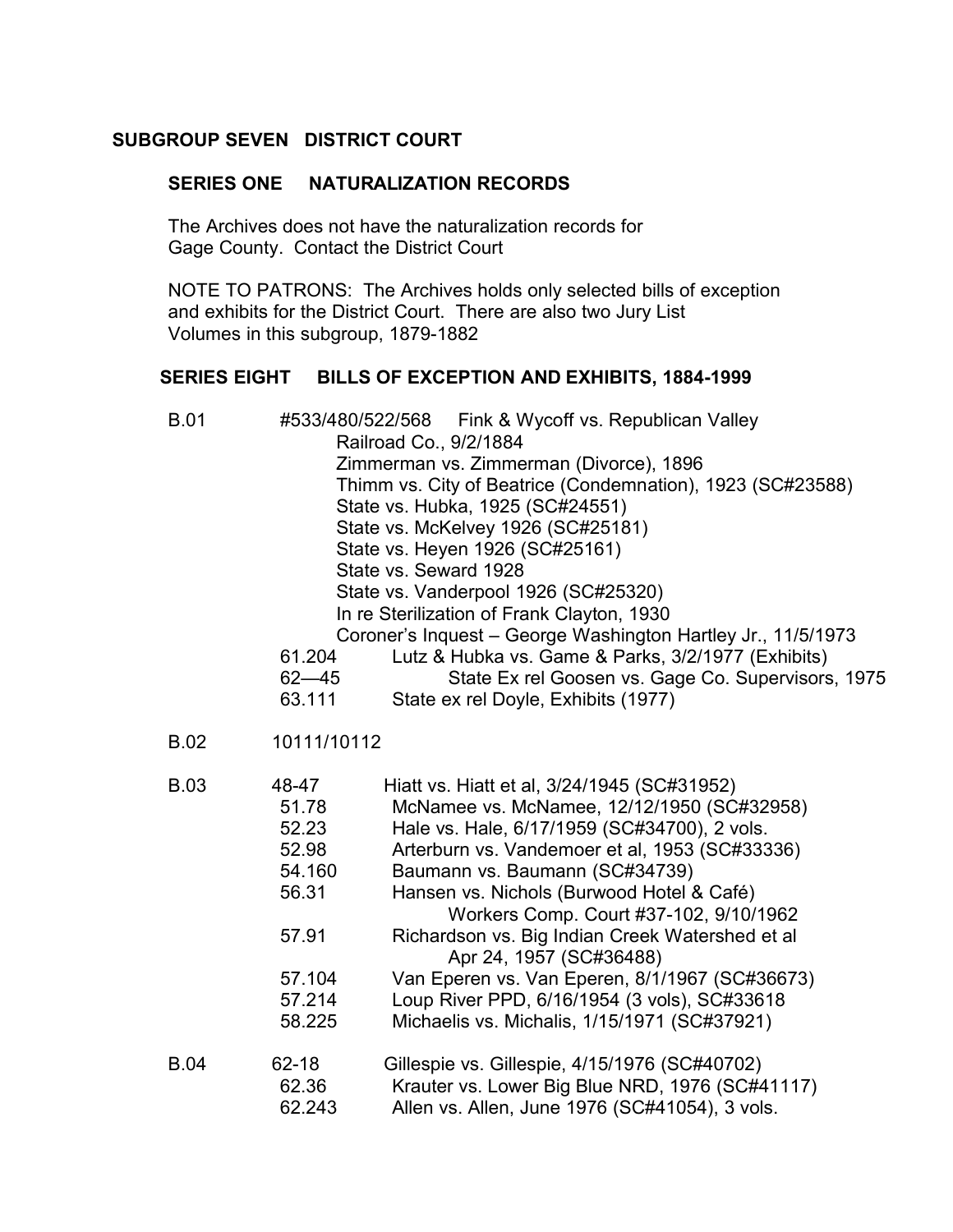# <span id="page-100-0"></span>**SUBGROUP SEVEN DISTRICT COURT**

## **SERIES ONE NATURALIZATION RECORDS**

The Archives does not have the naturalization records for Gage County. Contact the District Court �

NOTE TO PATRONS: The Archives holds only selected bills of exception and exhibits for the District Court. There are also two Jury List Volumes in this subgroup, 1879-1882

# **SERIES EIGHT BILLS OF EXCEPTION AND EXHIBITS, 1884-1999**

| <b>B.01</b> | Fink & Wycoff vs. Republican Valley<br>#533/480/522/568<br>Railroad Co., 9/2/1884<br>Zimmerman vs. Zimmerman (Divorce), 1896<br>Thimm vs. City of Beatrice (Condemnation), 1923 (SC#23588)<br>State vs. Hubka, 1925 (SC#24551)<br>State vs. McKelvey 1926 (SC#25181)<br>State vs. Heyen 1926 (SC#25161)<br>State vs. Seward 1928<br>State vs. Vanderpool 1926 (SC#25320)<br>In re Sterilization of Frank Clayton, 1930<br>Coroner's Inquest - George Washington Hartley Jr., 11/5/1973<br>Lutz & Hubka vs. Game & Parks, 3/2/1977 (Exhibits)<br>61.204<br>State Ex rel Goosen vs. Gage Co. Supervisors, 1975<br>$62 - 45$<br>63.111<br>State ex rel Doyle, Exhibits (1977) |                                                                                                                                                                                                                                                                                                                                                                                                                                                                                                                                                      |  |
|-------------|----------------------------------------------------------------------------------------------------------------------------------------------------------------------------------------------------------------------------------------------------------------------------------------------------------------------------------------------------------------------------------------------------------------------------------------------------------------------------------------------------------------------------------------------------------------------------------------------------------------------------------------------------------------------------|------------------------------------------------------------------------------------------------------------------------------------------------------------------------------------------------------------------------------------------------------------------------------------------------------------------------------------------------------------------------------------------------------------------------------------------------------------------------------------------------------------------------------------------------------|--|
| <b>B.02</b> | 10111/10112                                                                                                                                                                                                                                                                                                                                                                                                                                                                                                                                                                                                                                                                |                                                                                                                                                                                                                                                                                                                                                                                                                                                                                                                                                      |  |
| <b>B.03</b> | 48-47<br>51.78<br>52.23<br>52.98<br>54.160<br>56.31<br>57.91<br>57.104<br>57.214<br>58.225                                                                                                                                                                                                                                                                                                                                                                                                                                                                                                                                                                                 | Hiatt vs. Hiatt et al, 3/24/1945 (SC#31952)<br>McNamee vs. McNamee, 12/12/1950 (SC#32958)<br>Hale vs. Hale, 6/17/1959 (SC#34700), 2 vols.<br>Arterburn vs. Vandemoer et al, 1953 (SC#33336)<br>Baumann vs. Baumann (SC#34739)<br>Hansen vs. Nichols (Burwood Hotel & Café)<br>Workers Comp. Court #37-102, 9/10/1962<br>Richardson vs. Big Indian Creek Watershed et al<br>Apr 24, 1957 (SC#36488)<br>Van Eperen vs. Van Eperen, 8/1/1967 (SC#36673)<br>Loup River PPD, 6/16/1954 (3 vols), SC#33618<br>Michaelis vs. Michalis, 1/15/1971 (SC#37921) |  |
| <b>B.04</b> | $62 - 18$<br>62.36<br>62.243                                                                                                                                                                                                                                                                                                                                                                                                                                                                                                                                                                                                                                               | Gillespie vs. Gillespie, 4/15/1976 (SC#40702)<br>Krauter vs. Lower Big Blue NRD, 1976 (SC#41117)<br>Allen vs. Allen, June 1976 (SC#41054), 3 vols.                                                                                                                                                                                                                                                                                                                                                                                                   |  |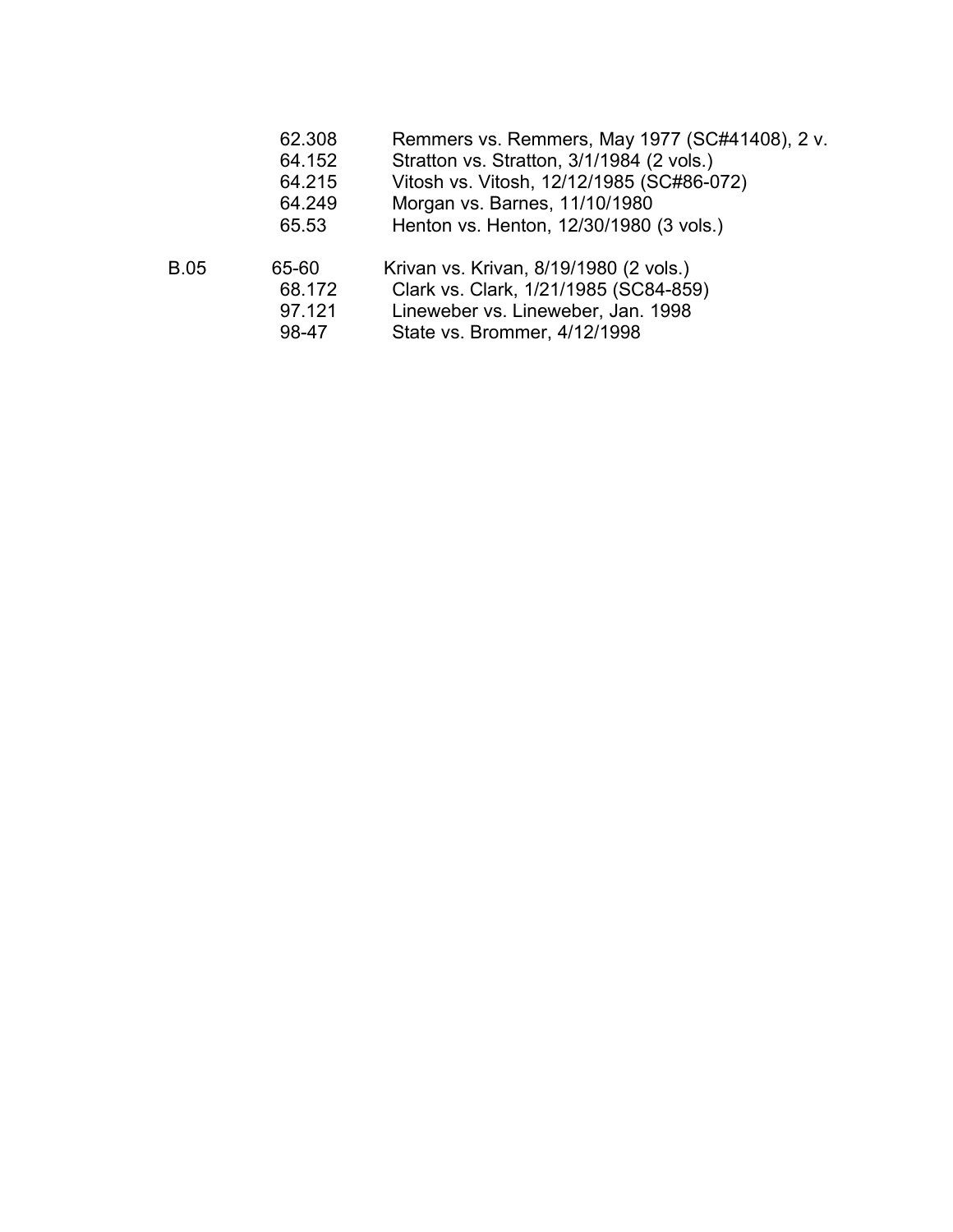| 62.308 | Remmers vs. Remmers, May 1977 (SC#41408), 2 v. |  |  |
|--------|------------------------------------------------|--|--|
|--------|------------------------------------------------|--|--|

- 64.152 Stratton vs. Stratton, 3/1/1984 (2 vols.)
- 64.215 Vitosh vs. Vitosh, 12/12/1985 (SC#86-072) �
- 64.249 Morgan vs. Barnes, 11/10/1980
- 65.53 Henton vs. Henton, 12/30/1980 (3 vols.)
- B.05 65-60 Krivan vs. Krivan, 8/19/1980 (2 vols.) �
	- 68.172 Clark vs. Clark, 1/21/1985 (SC84-859) �
		- 97.121 Lineweber vs. Lineweber, Jan. 1998 �
		- 98-47 State vs. Brommer, 4/12/1998 �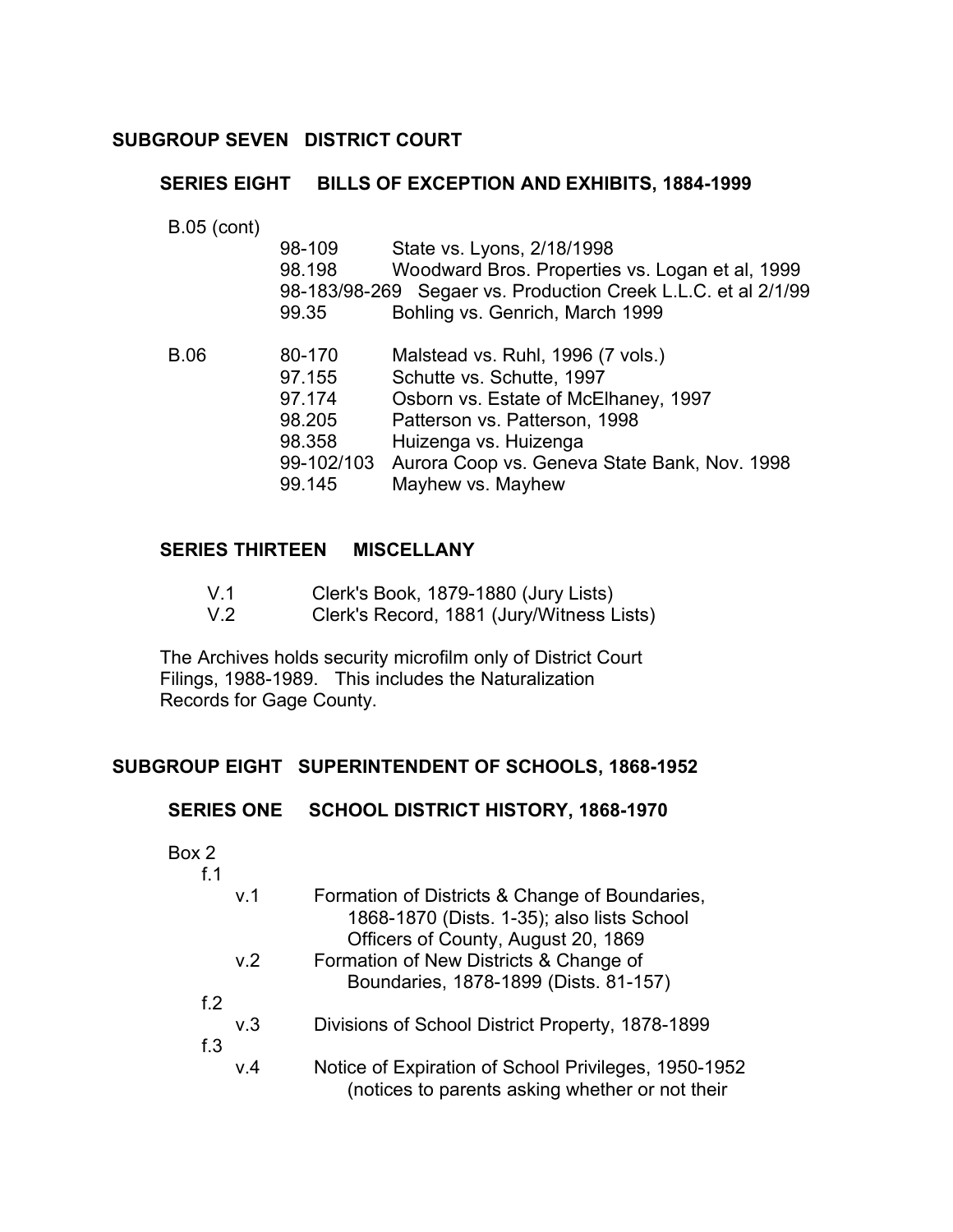# **SUBGROUP SEVEN DISTRICT COURT**

# **SERIES EIGHT BILLS OF EXCEPTION AND EXHIBITS, 1884-1999**

B.05 (cont) �

|      | 98-109     | State vs. Lyons, 2/18/1998                                    |
|------|------------|---------------------------------------------------------------|
|      | 98.198     | Woodward Bros. Properties vs. Logan et al, 1999               |
|      |            | 98-183/98-269 Segaer vs. Production Creek L.L.C. et al 2/1/99 |
|      | 99.35      | Bohling vs. Genrich, March 1999                               |
| B.06 | 80-170     | Malstead vs. Ruhl, 1996 (7 vols.)                             |
|      | 97.155     | Schutte vs. Schutte, 1997                                     |
|      | 97.174     | Osborn vs. Estate of McElhaney, 1997                          |
|      | 98.205     | Patterson vs. Patterson, 1998                                 |
|      | 98.358     | Huizenga vs. Huizenga                                         |
|      | 99-102/103 | Aurora Coop vs. Geneva State Bank, Nov. 1998                  |
|      | 99.145     | Mayhew vs. Mayhew                                             |
|      |            |                                                               |

# **SERIES THIRTEEN MISCELLANY**

| V.1 | Clerk's Book, 1879-1880 (Jury Lists) |  |  |
|-----|--------------------------------------|--|--|
|-----|--------------------------------------|--|--|

V.2 Clerk's Record, 1881 (Jury/Witness Lists)

The Archives holds security microfilm only of District Court � Filings, 1988-1989. This includes the Naturalization Records for Gage County.

# **SUBGROUP EIGHT SUPERINTENDENT OF SCHOOLS, 1868-1952**

#### **SERIES ONE SCHOOL DISTRICT HISTORY, 1868-1970**

Box 2

| f 1           |                |                                                                                                                        |
|---------------|----------------|------------------------------------------------------------------------------------------------------------------------|
|               | V <sub>1</sub> | Formation of Districts & Change of Boundaries,<br>1868-1870 (Dists. 1-35); also lists School                           |
|               | v.2            | Officers of County, August 20, 1869<br>Formation of New Districts & Change of<br>Boundaries, 1878-1899 (Dists. 81-157) |
| f. $2$<br>f.3 | v.3            | Divisions of School District Property, 1878-1899                                                                       |
|               | V.4            | Notice of Expiration of School Privileges, 1950-1952<br>(notices to parents asking whether or not their                |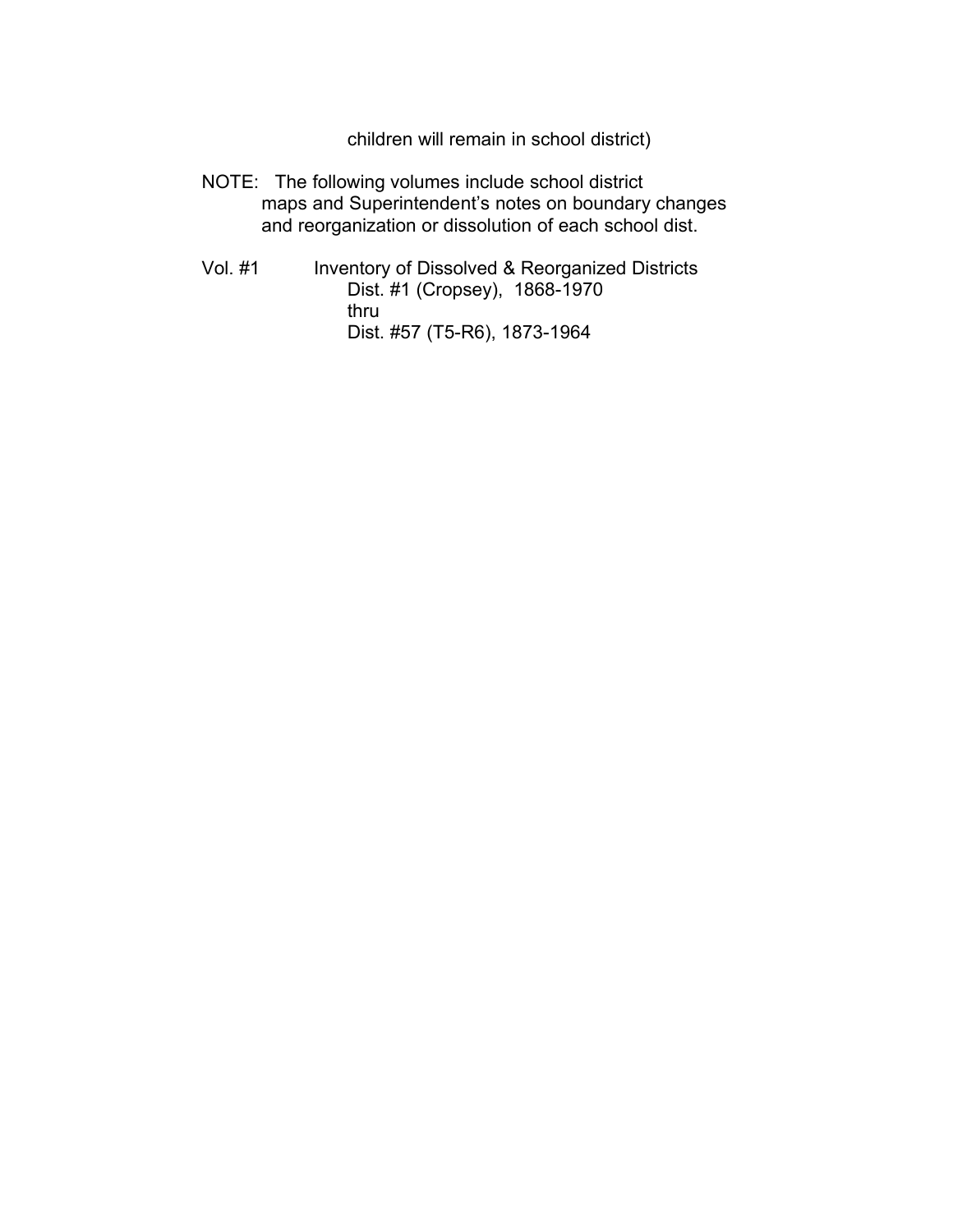children will remain in school district)

- NOTE: The following volumes include school district maps and Superintendent's notes on boundary changes and reorganization or dissolution of each school dist.
- Vol. #1 Inventory of Dissolved & Reorganized Districts Dist. #1 (Cropsey), 1868-1970 thru Dist. #57 (T5-R6), 1873-1964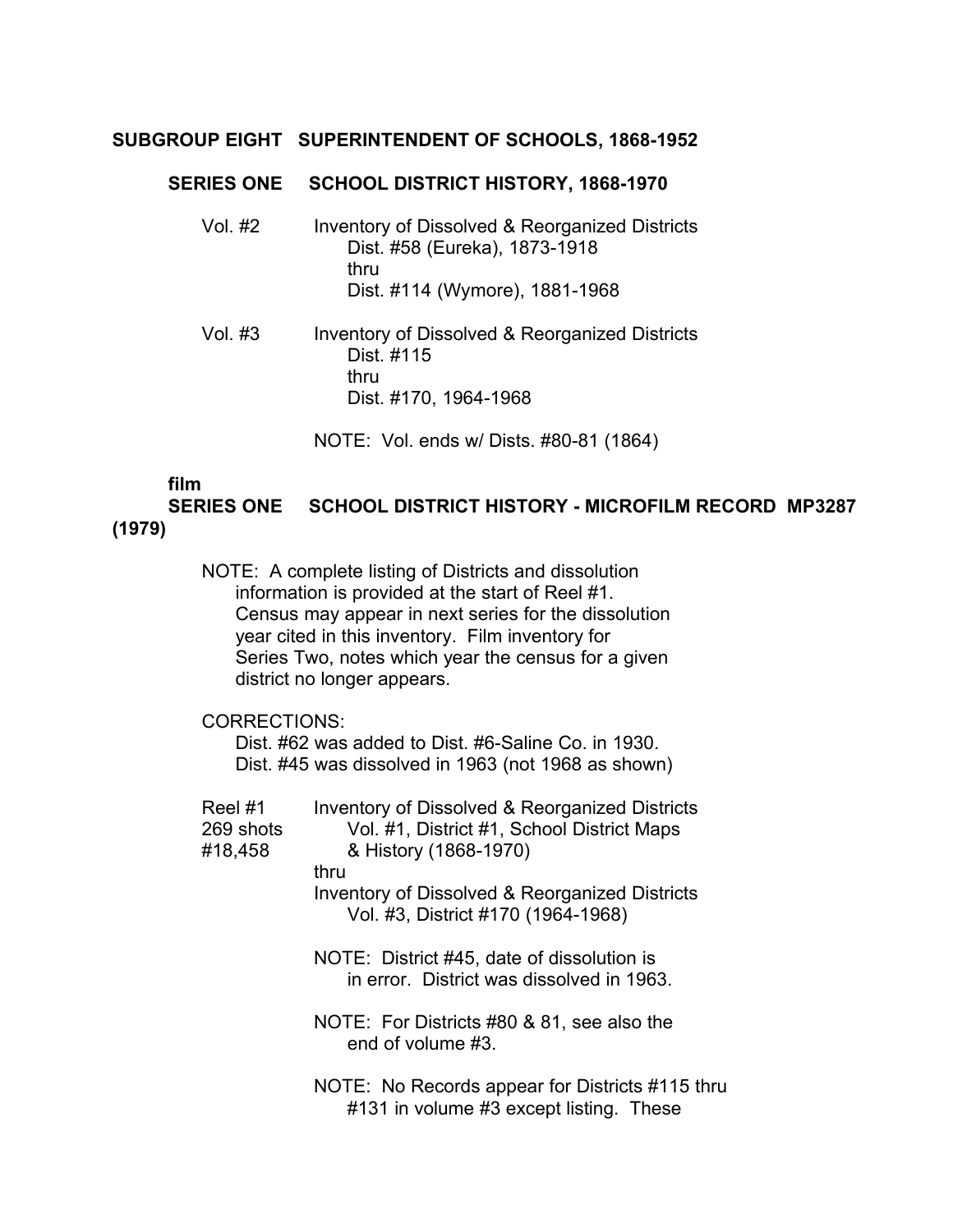# **SUBGROUP EIGHT SUPERINTENDENT OF SCHOOLS, 1868-1952**

#### **SERIES ONE SCHOOL DISTRICT HISTORY, 1868-1970**

| Vol. #2 | Inventory of Dissolved & Reorganized Districts |
|---------|------------------------------------------------|
|         | Dist. #58 (Eureka), 1873-1918                  |
|         | thru                                           |
|         | Dist. #114 (Wymore), 1881-1968                 |
|         |                                                |

Vol. #3 Inventory of Dissolved & Reorganized Districts Dist. #115 thru Dist. #170, 1964-1968

NOTE: Vol. ends w/ Dists. #80-81 (1864)

#### **film**

**SERIES ONE SCHOOL DISTRICT HISTORY - MICROFILM RECORD MP3287 (1979)** 

> NOTE: A complete listing of Districts and dissolution information is provided at the start of Reel #1. Census may appear in next series for the dissolution year cited in this inventory. Film inventory for Series Two, notes which year the census for a given district no longer appears.

# CORRECTIONS:

Dist. #62 was added to Dist. #6-Saline Co. in 1930. Dist. #45 was dissolved in 1963 (not 1968 as shown)

| Reel #1<br>269 shots<br>#18,458 | Inventory of Dissolved & Reorganized Districts<br>Vol. #1, District #1, School District Maps<br>& History (1868-1970) |
|---------------------------------|-----------------------------------------------------------------------------------------------------------------------|
|                                 | thru                                                                                                                  |
|                                 | Inventory of Dissolved & Reorganized Districts<br>Vol. #3, District #170 (1964-1968)                                  |
|                                 | NOTE: District #45, date of dissolution is<br>in error. District was dissolved in 1963.                               |
|                                 | NOTE: For Districts #80 & 81, see also the<br>end of volume #3.                                                       |
|                                 | NOTE: No Records appear for Districts #115 thru<br>#131 in volume #3 except listing. These                            |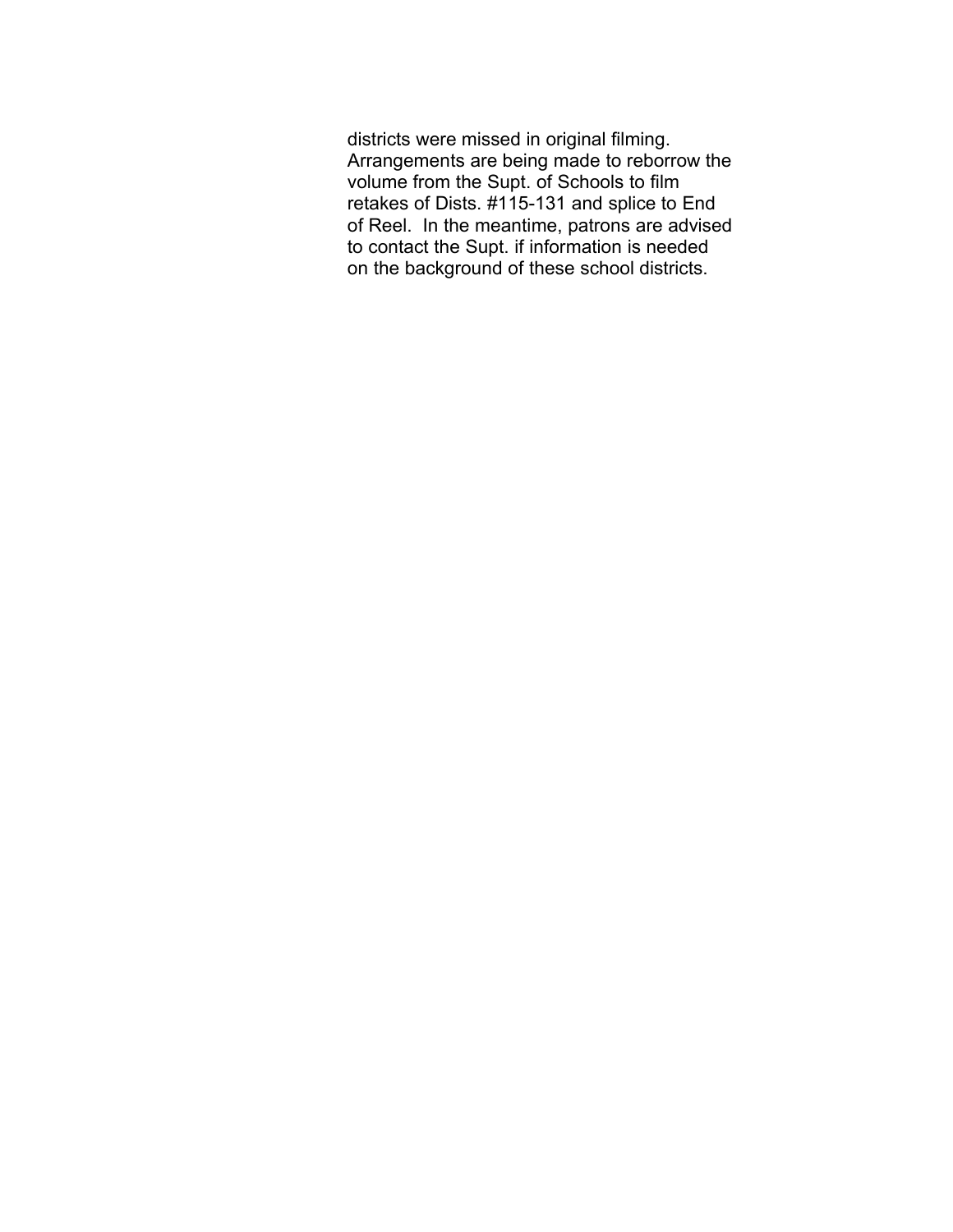districts were missed in original filming. Arrangements are being made to reborrow the volume from the Supt. of Schools to film retakes of Dists. #115-131 and splice to End of Reel. In the meantime, patrons are advised to contact the Supt. if information is needed on the background of these school districts.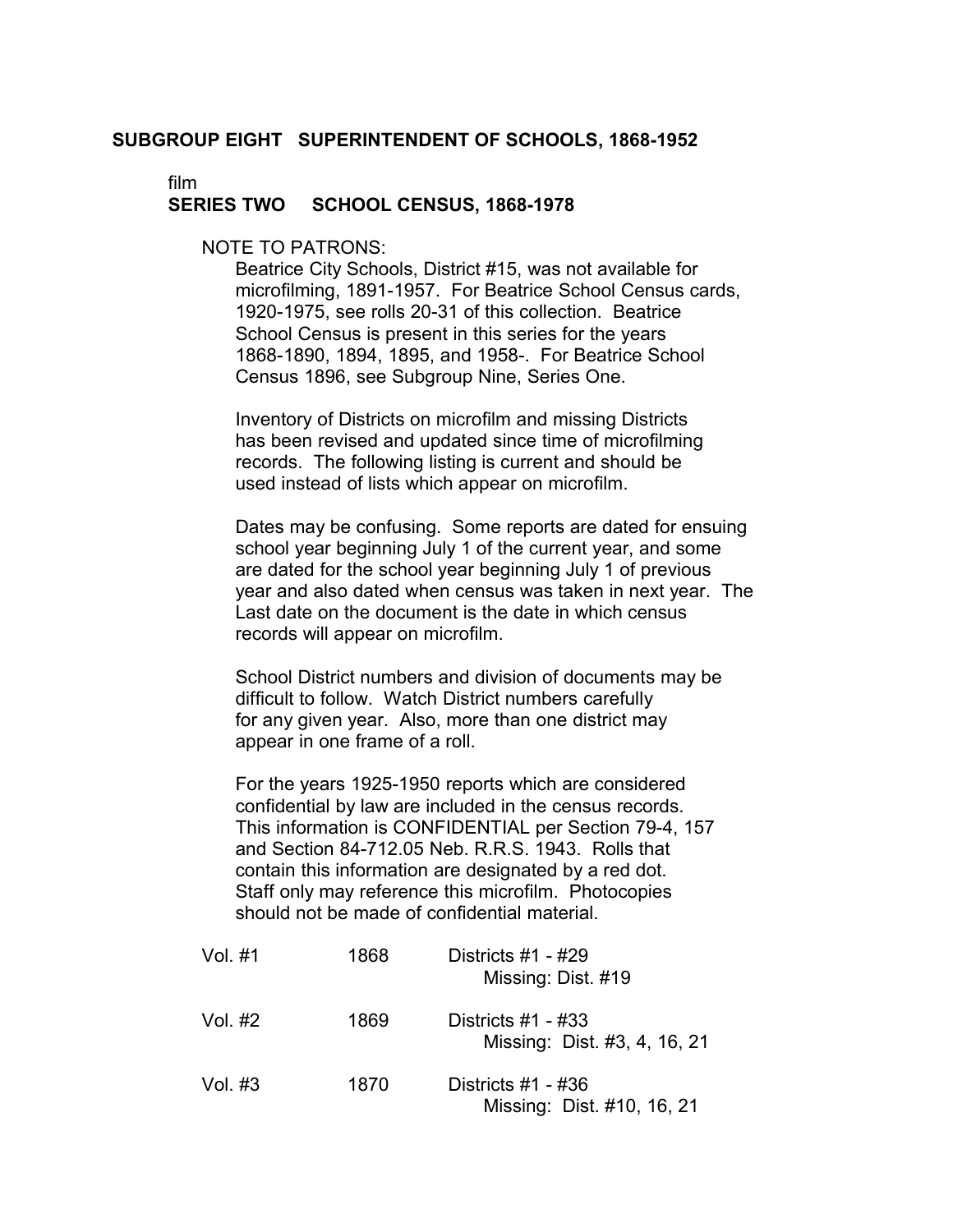#### **SUBGROUP EIGHT SUPERINTENDENT OF SCHOOLS, 1868-1952**

film

#### **SERIES TWO SCHOOL CENSUS, 1868-1978**

NOTE TO PATRONS:

Beatrice City Schools, District #15, was not available for microfilming, 1891-1957. For Beatrice School Census cards, 1920-1975, see rolls 20-31 of this collection. Beatrice School Census is present in this series for the years 1868-1890, 1894, 1895, and 1958-. For Beatrice School Census 1896, see Subgroup Nine, Series One.

Inventory of Districts on microfilm and missing Districts has been revised and updated since time of microfilming records. The following listing is current and should be used instead of lists which appear on microfilm.

Dates may be confusing. Some reports are dated for ensuing school year beginning July 1 of the current year, and some are dated for the school year beginning July 1 of previous year and also dated when census was taken in next year. The Last date on the document is the date in which census records will appear on microfilm.

School District numbers and division of documents may be difficult to follow. Watch District numbers carefully for any given year. Also, more than one district may appear in one frame of a roll.

For the years 1925-1950 reports which are considered confidential by law are included in the census records. This information is CONFIDENTIAL per Section 79-4, 157 and Section 84-712.05 Neb. R.R.S. 1943. Rolls that contain this information are designated by a red dot. Staff only may reference this microfilm. Photocopies should not be made of confidential material.

| Vol. #1 | 1868 | Districts $#1 - #29$<br>Missing: Dist. #19           |
|---------|------|------------------------------------------------------|
| Vol. #2 | 1869 | Districts $#1 - #33$<br>Missing: Dist. #3, 4, 16, 21 |
| Vol. #3 | 1870 | Districts $#1 - #36$<br>Missing: Dist. #10, 16, 21   |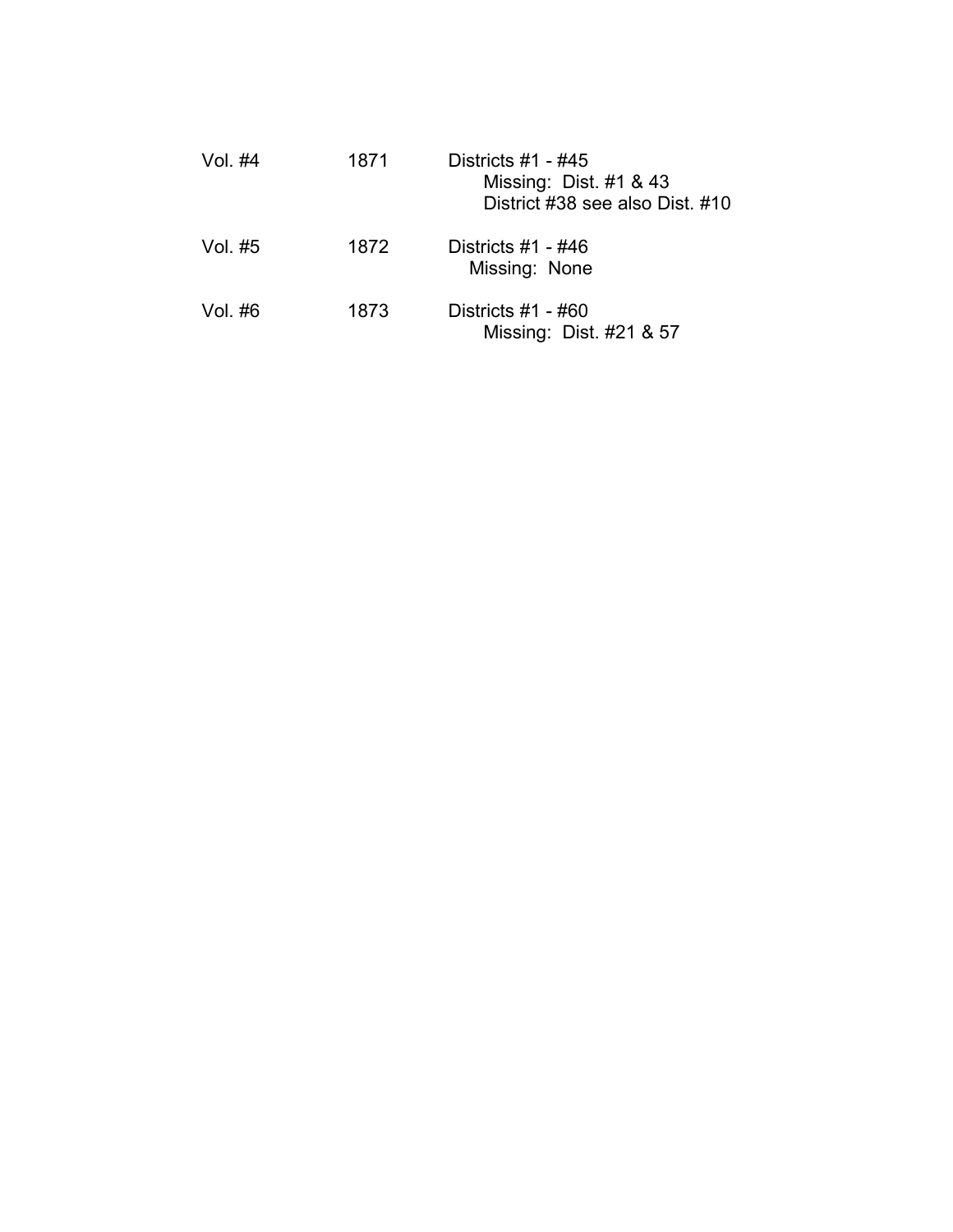| Vol. #4 | 1871 | Districts $#1 - #45$<br>Missing: Dist. #1 & 43<br>District #38 see also Dist. #10 |
|---------|------|-----------------------------------------------------------------------------------|
| Vol. #5 | 1872 | Districts $#1 - #46$<br>Missing: None                                             |
| Vol. #6 | 1873 | Districts $#1 - #60$<br>Missing: Dist. #21 & 57                                   |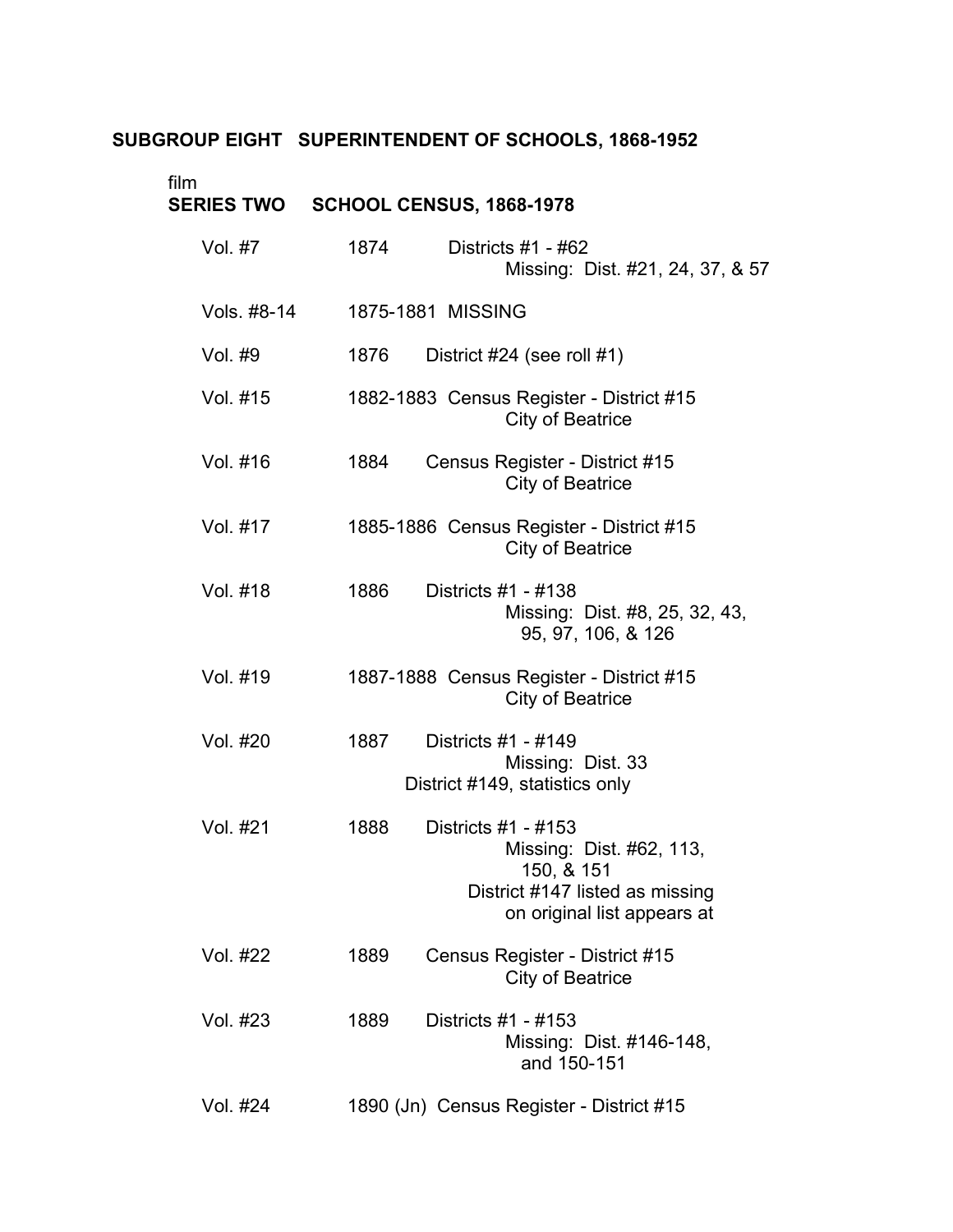#### **SUBGROUP EIGHT SUPERINTENDENT OF SCHOOLS, 1868-1952**

| film<br><b>SERIES TWO</b> | <b>SCHOOL CENSUS, 1868-1978</b>                                                                                                         |
|---------------------------|-----------------------------------------------------------------------------------------------------------------------------------------|
| Vol. #7                   | 1874<br>Districts $#1 - #62$<br>Missing: Dist. #21, 24, 37, & 57                                                                        |
| Vols. #8-14               | 1875-1881 MISSING                                                                                                                       |
| Vol. #9                   | 1876<br>District #24 (see roll #1)                                                                                                      |
| Vol. #15                  | 1882-1883 Census Register - District #15<br>City of Beatrice                                                                            |
| Vol. #16                  | 1884<br>Census Register - District #15<br><b>City of Beatrice</b>                                                                       |
| Vol. #17                  | 1885-1886 Census Register - District #15<br><b>City of Beatrice</b>                                                                     |
| Vol. #18                  | 1886<br>Districts #1 - #138<br>Missing: Dist. #8, 25, 32, 43,<br>95, 97, 106, & 126                                                     |
| Vol. #19                  | 1887-1888 Census Register - District #15<br><b>City of Beatrice</b>                                                                     |
| Vol. #20                  | 1887<br>Districts #1 - #149<br>Missing: Dist. 33<br>District #149, statistics only                                                      |
| Vol. #21                  | Districts #1 - #153<br>1888<br>Missing: Dist. #62, 113,<br>150, & 151<br>District #147 listed as missing<br>on original list appears at |
| Vol. #22                  | 1889<br>Census Register - District #15<br><b>City of Beatrice</b>                                                                       |
| Vol. #23                  | Districts #1 - #153<br>1889<br>Missing: Dist. #146-148,<br>and 150-151                                                                  |
| Vol. #24                  | 1890 (Jn) Census Register - District #15                                                                                                |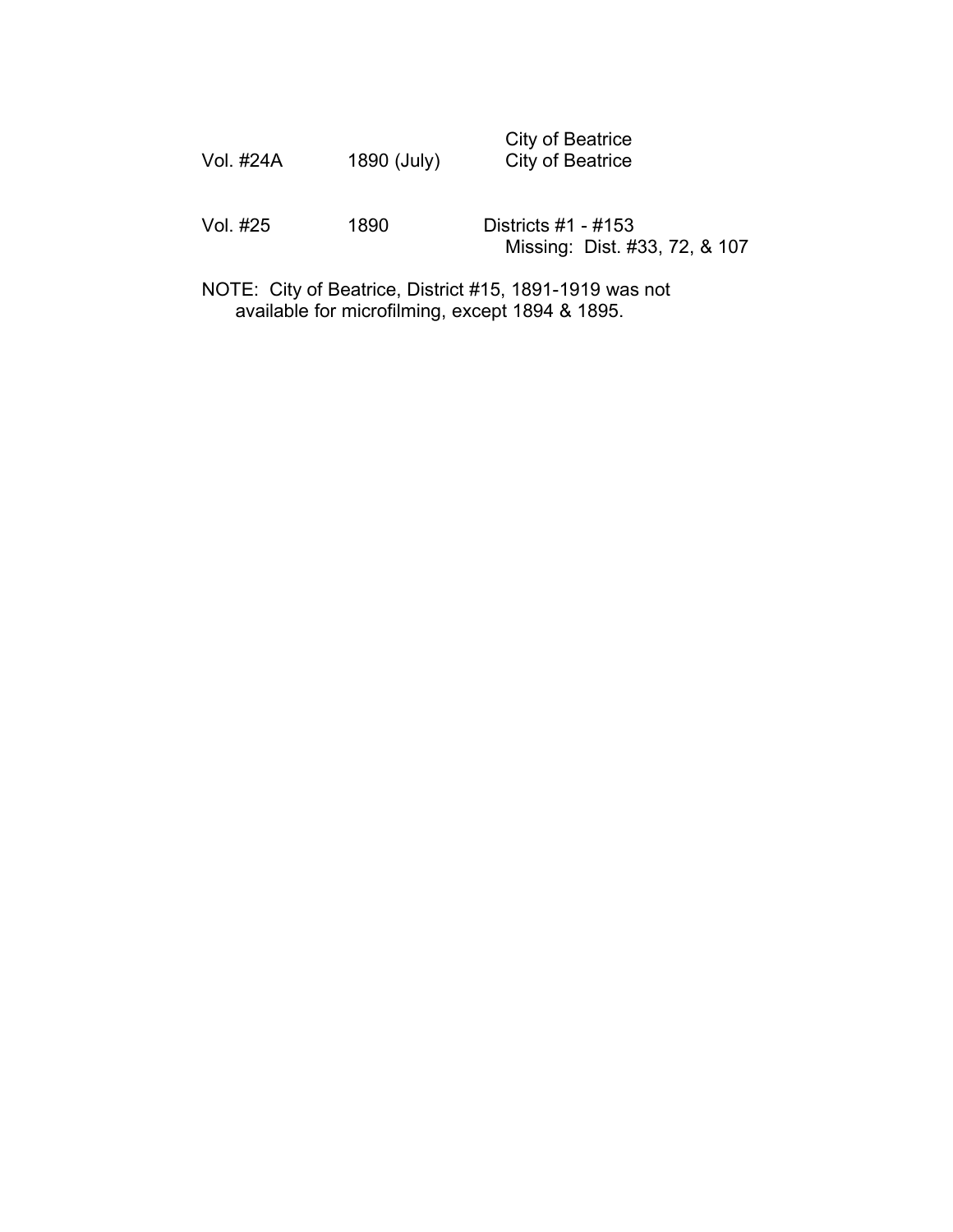|           |             | City of Beatrice |
|-----------|-------------|------------------|
| Vol. #24A | 1890 (July) | City of Beatrice |

Vol. #25 1890 Districts #1 - #153 Missing: Dist. #33, 72, & 107

NOTE: City of Beatrice, District #15, 1891-1919 was not available for microfilming, except 1894 & 1895.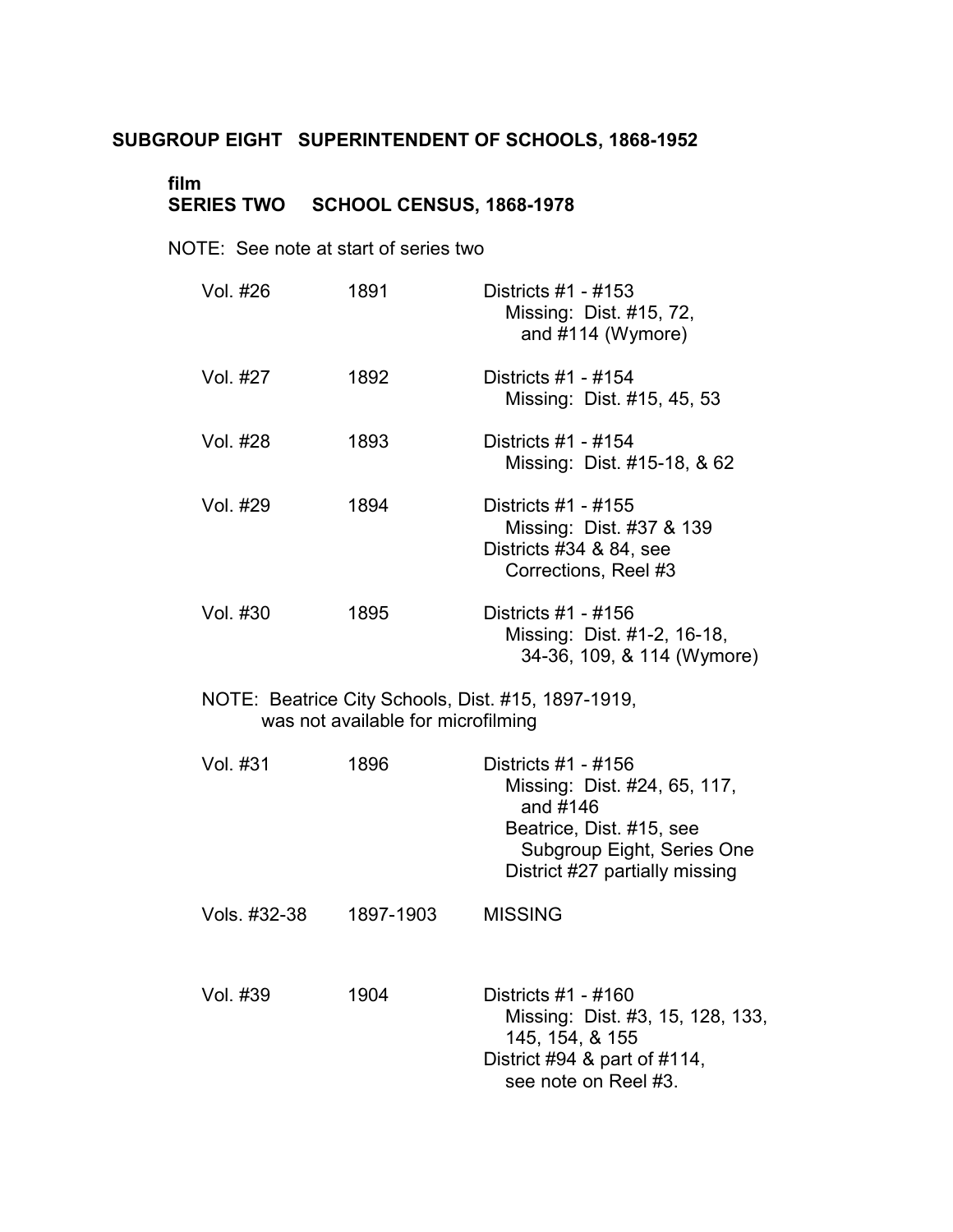# **SUBGROUP EIGHT SUPERINTENDENT OF SCHOOLS, 1868-1952**

### **film** � **SERIES TWO SCHOOL CENSUS, 1868-1978** �

NOTE: See note at start of series two

| Vol. #26     | 1891                               | Districts #1 - #153<br>Missing: Dist. #15, 72,<br>and #114 (Wymore)                                                                                         |
|--------------|------------------------------------|-------------------------------------------------------------------------------------------------------------------------------------------------------------|
| Vol. #27     | 1892                               | Districts #1 - #154<br>Missing: Dist. #15, 45, 53                                                                                                           |
| Vol. #28     | 1893                               | Districts #1 - #154<br>Missing: Dist. #15-18, & 62                                                                                                          |
| Vol. #29     | 1894                               | Districts #1 - #155<br>Missing: Dist. #37 & 139<br>Districts #34 & 84, see<br>Corrections, Reel #3                                                          |
| Vol. #30     | 1895                               | Districts #1 - #156<br>Missing: Dist. #1-2, 16-18,<br>34-36, 109, & 114 (Wymore)                                                                            |
|              | was not available for microfilming | NOTE: Beatrice City Schools, Dist. #15, 1897-1919,                                                                                                          |
| Vol. #31     | 1896                               | Districts #1 - #156<br>Missing: Dist. #24, 65, 117,<br>and #146<br>Beatrice, Dist. #15, see<br>Subgroup Eight, Series One<br>District #27 partially missing |
| Vols. #32-38 | 1897-1903                          | <b>MISSING</b>                                                                                                                                              |
| Vol. #39     | 1904                               | Districts #1 - #160<br>Missing: Dist. #3, 15, 128, 133,<br>145, 154, & 155<br>District #94 & part of #114,<br>see note on Reel #3.                          |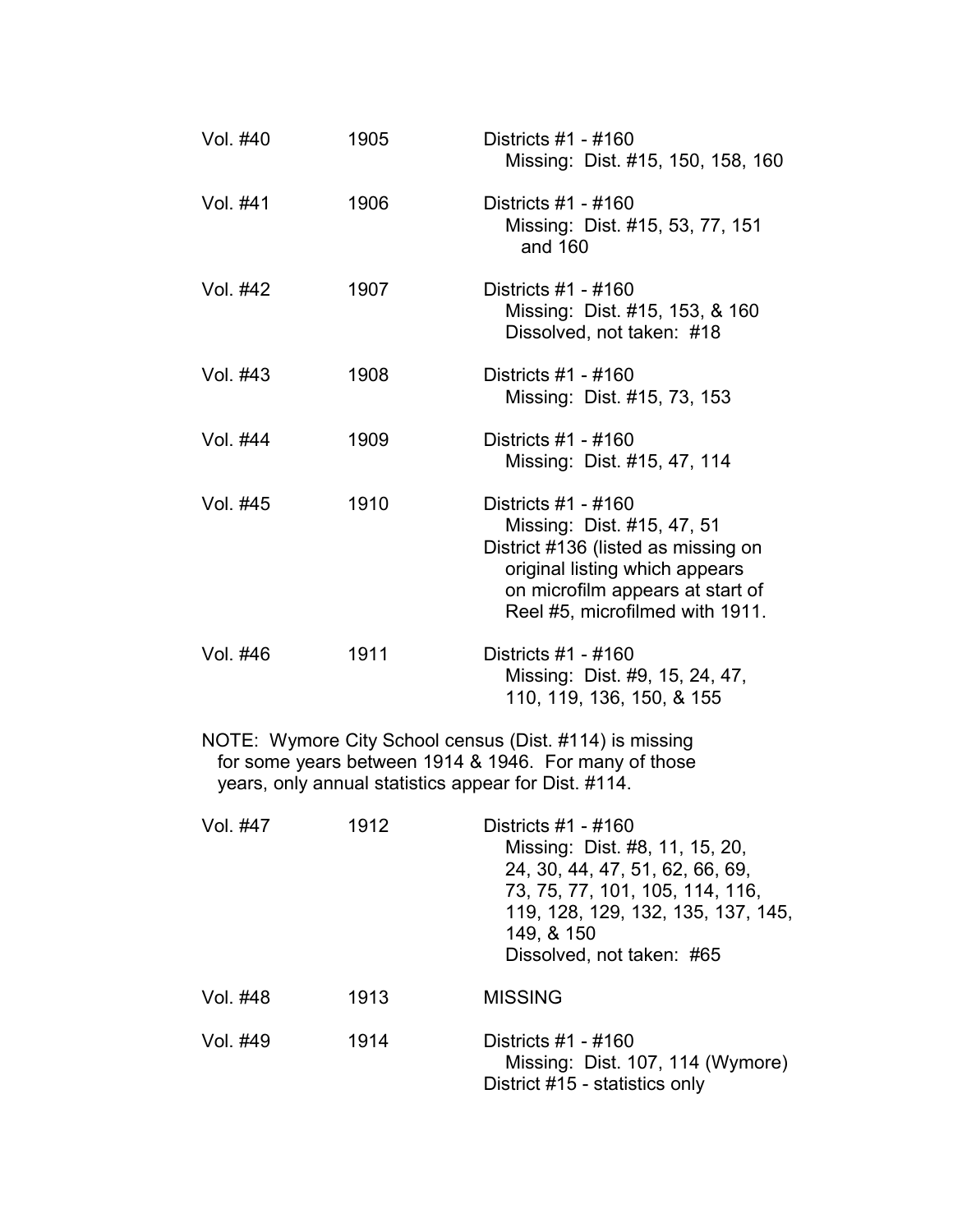| Vol. #40 | 1905 | Districts #1 - #160<br>Missing: Dist. #15, 150, 158, 160                                                                                                                                          |
|----------|------|---------------------------------------------------------------------------------------------------------------------------------------------------------------------------------------------------|
| Vol. #41 | 1906 | Districts #1 - #160<br>Missing: Dist. #15, 53, 77, 151<br>and 160                                                                                                                                 |
| Vol. #42 | 1907 | Districts #1 - #160<br>Missing: Dist. #15, 153, & 160<br>Dissolved, not taken: #18                                                                                                                |
| Vol. #43 | 1908 | Districts #1 - #160<br>Missing: Dist. #15, 73, 153                                                                                                                                                |
| Vol. #44 | 1909 | Districts #1 - #160<br>Missing: Dist. #15, 47, 114                                                                                                                                                |
| Vol. #45 | 1910 | Districts #1 - #160<br>Missing: Dist. #15, 47, 51<br>District #136 (listed as missing on<br>original listing which appears<br>on microfilm appears at start of<br>Reel #5, microfilmed with 1911. |
| Vol. #46 | 1911 | Districts #1 - #160<br>Missing: Dist. #9, 15, 24, 47,<br>110, 119, 136, 150, & 155                                                                                                                |

NOTE: Wymore City School census (Dist. #114) is missing for some years between 1914 & 1946. For many of those years, only annual statistics appear for Dist. #114.

| Vol. #47 | 1912 | Districts #1 - #160<br>Missing: Dist. #8, 11, 15, 20,<br>24, 30, 44, 47, 51, 62, 66, 69,<br>73, 75, 77, 101, 105, 114, 116,<br>119, 128, 129, 132, 135, 137, 145,<br>149, & 150<br>Dissolved, not taken: #65 |  |
|----------|------|--------------------------------------------------------------------------------------------------------------------------------------------------------------------------------------------------------------|--|
| Vol. #48 | 1913 | <b>MISSING</b>                                                                                                                                                                                               |  |
| Vol. #49 | 1914 | Districts #1 - #160<br>Missing: Dist. 107, 114 (Wymore)<br>District #15 - statistics only                                                                                                                    |  |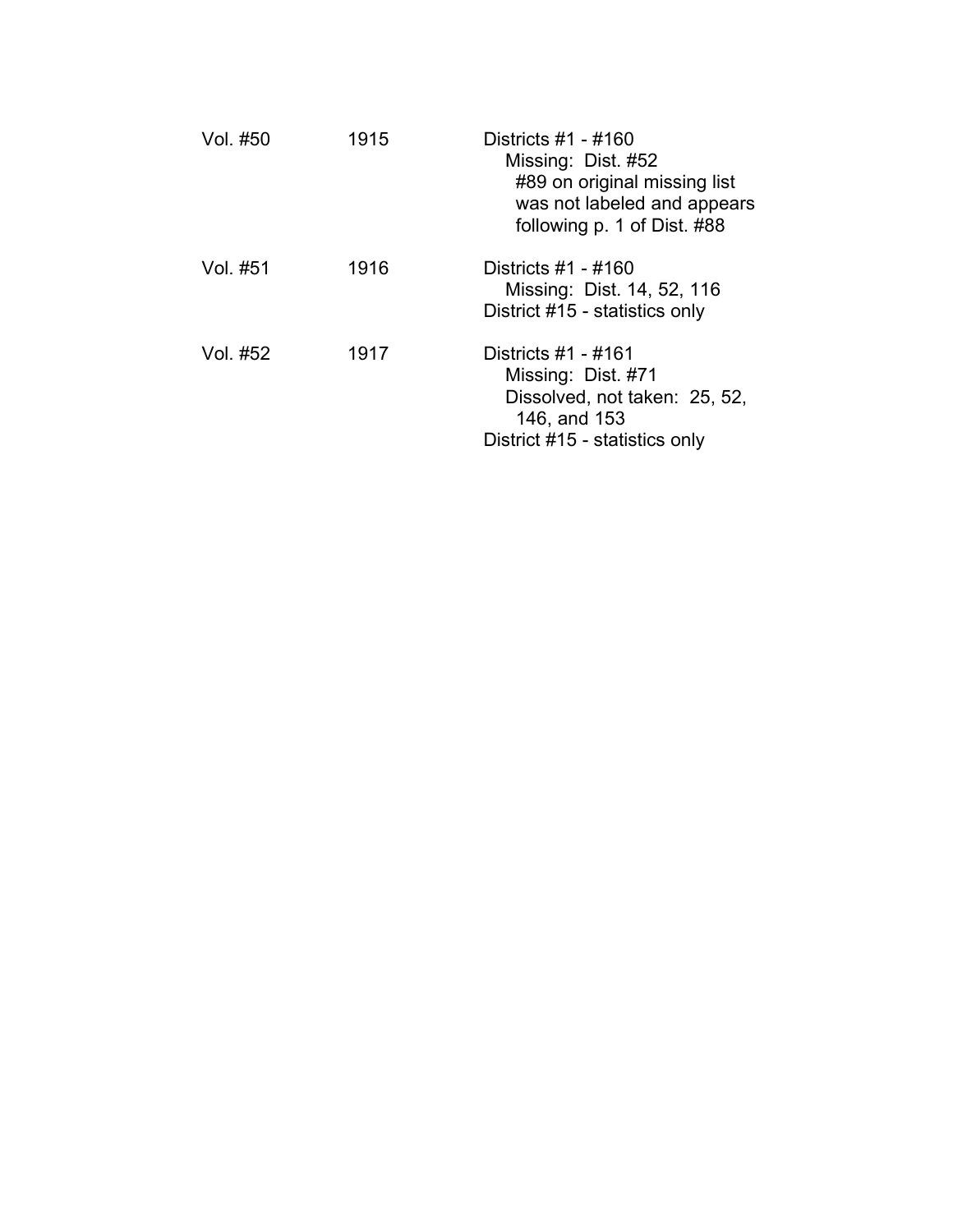| Vol. #50 | 1915 | Districts #1 - #160<br>Missing: Dist. #52<br>#89 on original missing list<br>was not labeled and appears<br>following p. 1 of Dist. #88 |
|----------|------|-----------------------------------------------------------------------------------------------------------------------------------------|
| Vol. #51 | 1916 | Districts #1 - #160<br>Missing: Dist. 14, 52, 116<br>District #15 - statistics only                                                     |
| Vol. #52 | 1917 | Districts #1 - #161<br>Missing: Dist. #71<br>Dissolved, not taken: 25, 52,<br>146, and 153<br>District #15 - statistics only            |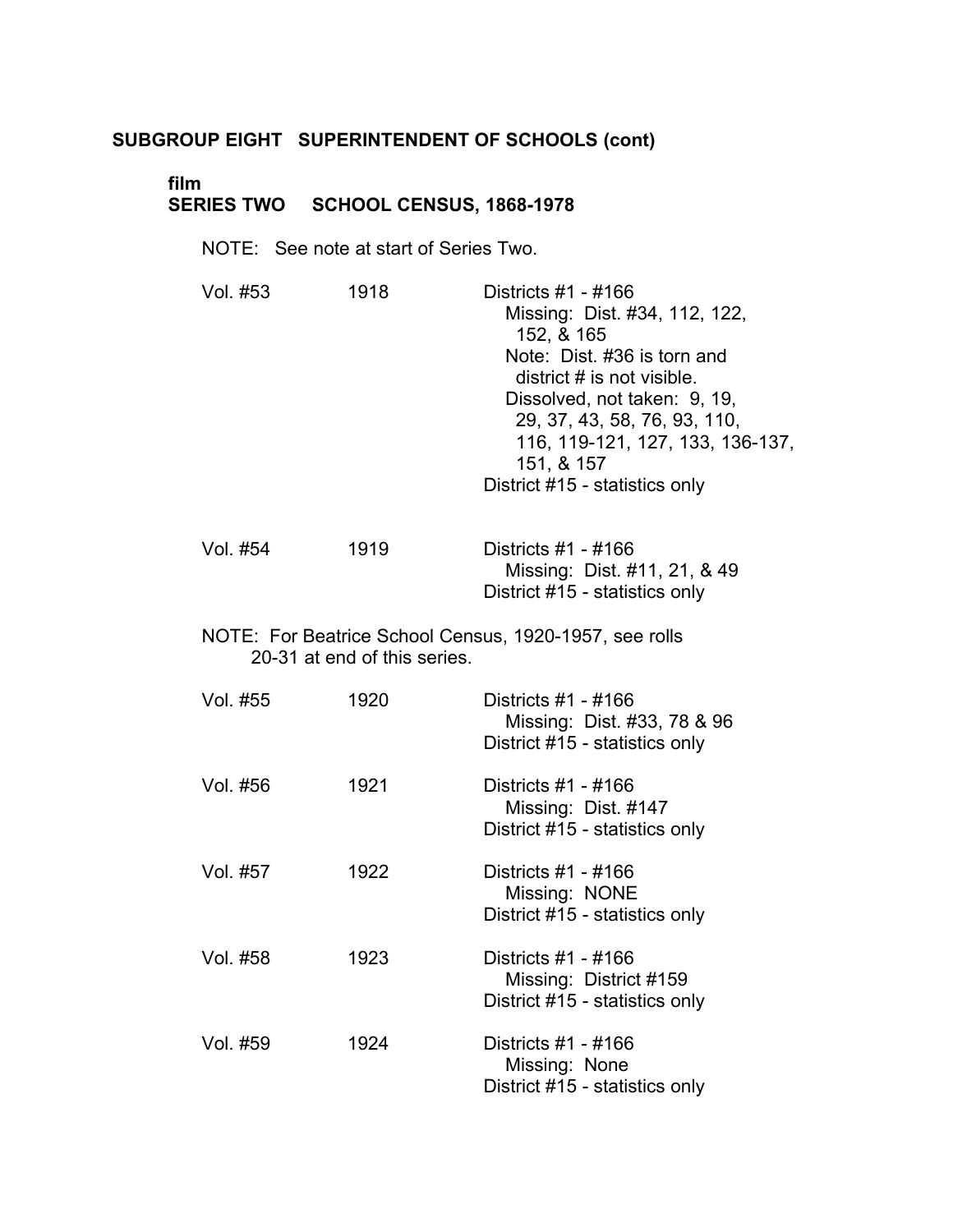### **film** � **SERIES TWO SCHOOL CENSUS, 1868-1978** �

NOTE: See note at start of Series Two.

| Vol. #53 | 1918                         | Districts #1 - #166<br>Missing: Dist. #34, 112, 122,<br>152, & 165<br>Note: Dist. #36 is torn and<br>district $#$ is not visible.<br>Dissolved, not taken: 9, 19,<br>29, 37, 43, 58, 76, 93, 110,<br>116, 119-121, 127, 133, 136-137,<br>151, & 157<br>District #15 - statistics only |
|----------|------------------------------|---------------------------------------------------------------------------------------------------------------------------------------------------------------------------------------------------------------------------------------------------------------------------------------|
| Vol. #54 | 1919                         | Districts #1 - #166<br>Missing: Dist. #11, 21, & 49<br>District #15 - statistics only                                                                                                                                                                                                 |
|          | 20-31 at end of this series. | NOTE: For Beatrice School Census, 1920-1957, see rolls                                                                                                                                                                                                                                |
| Vol. #55 | 1920                         | Districts #1 - #166<br>Missing: Dist. #33, 78 & 96<br>District #15 - statistics only                                                                                                                                                                                                  |
| Vol. #56 | 1921                         | Districts #1 - #166<br>Missing: Dist. #147<br>District #15 - statistics only                                                                                                                                                                                                          |
| Vol. #57 | 1922                         | Districts #1 - #166<br>Missing: NONE<br>District #15 - statistics only                                                                                                                                                                                                                |
| Vol. #58 | 1923                         | Districts #1 - #166<br>Missing: District #159<br>District #15 - statistics only                                                                                                                                                                                                       |
| Vol. #59 | 1924                         | Districts #1 - #166<br>Missing: None<br>District #15 - statistics only                                                                                                                                                                                                                |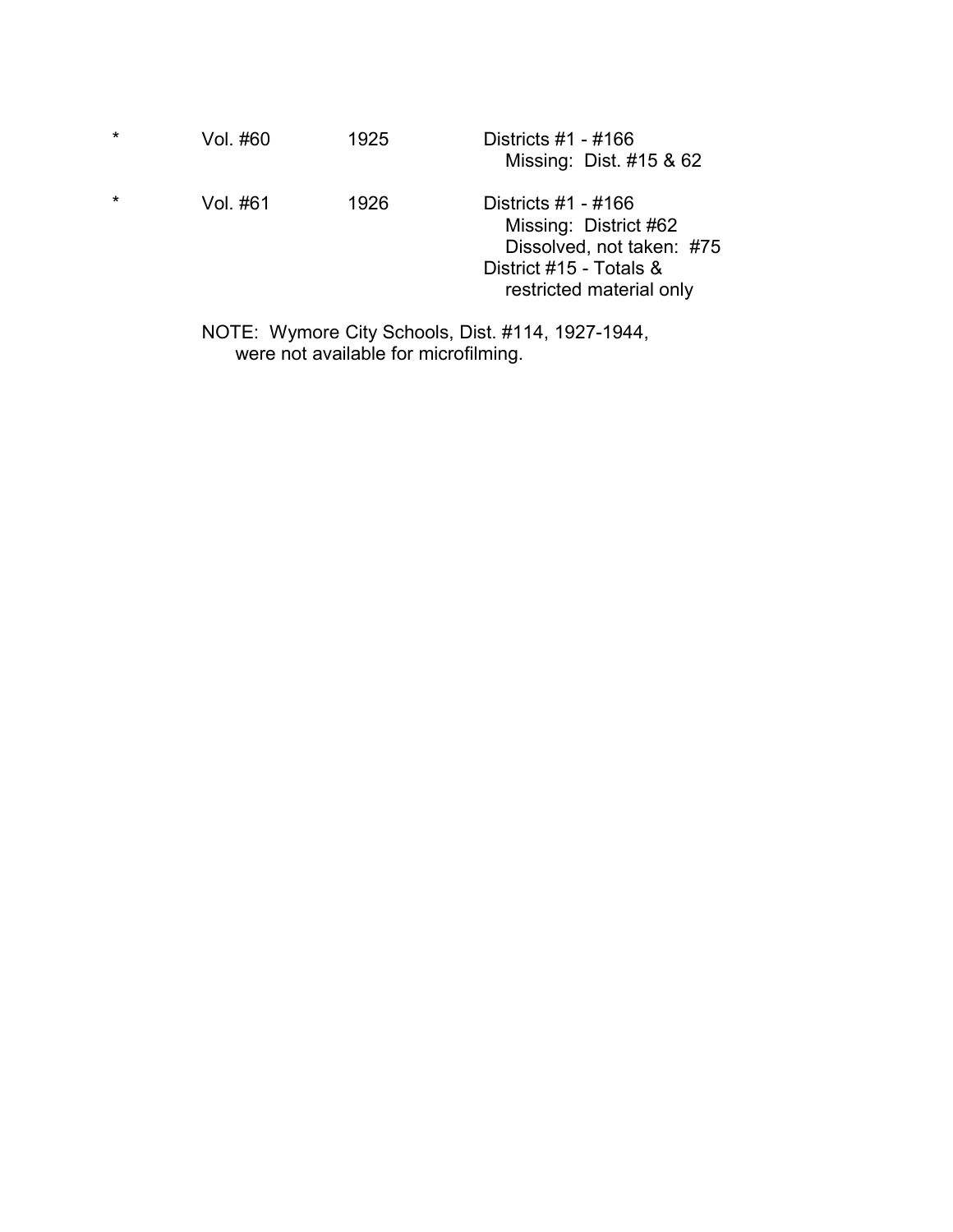| $\star$ | Vol. #60 | 1925 | Districts $#1 - #166$<br>Missing: Dist. #15 & 62                                                                                   |
|---------|----------|------|------------------------------------------------------------------------------------------------------------------------------------|
| $\star$ | Vol. #61 | 1926 | Districts $#1 - #166$<br>Missing: District #62<br>Dissolved, not taken: #75<br>District #15 - Totals &<br>restricted material only |

NOTE: Wymore City Schools, Dist. #114, 1927-1944, were not available for microfilming.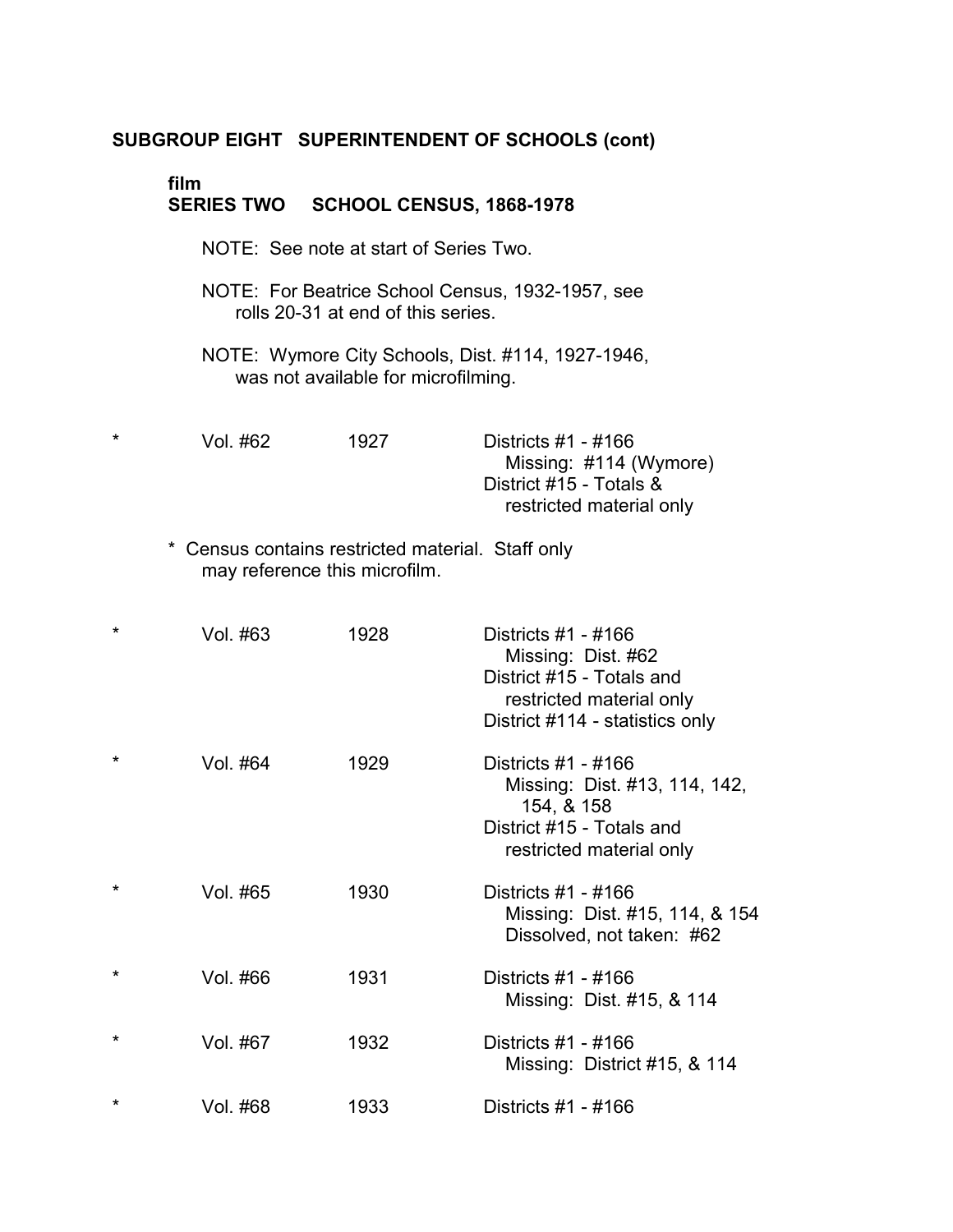# **film** �

### **SERIES TWO SCHOOL CENSUS, 1868-1978**

- NOTE: See note at start of Series Two.
- NOTE: For Beatrice School Census, 1932-1957, see rolls 20-31 at end of this series.
- NOTE: Wymore City Schools, Dist. #114, 1927-1946, was not available for microfilming.
- \* � Vol. #62 1927 Districts #1 #166 Missing: #114 (Wymore) District #15 - Totals & restricted material only
	- \* Census contains restricted material. Staff only may reference this microfilm.

| $\star$ | Vol. #63 | 1928 | Districts #1 - #166<br>Missing: Dist. #62<br>District #15 - Totals and<br>restricted material only<br>District #114 - statistics only |
|---------|----------|------|---------------------------------------------------------------------------------------------------------------------------------------|
| $\star$ | Vol. #64 | 1929 | Districts #1 - #166<br>Missing: Dist. #13, 114, 142,<br>154, & 158<br>District #15 - Totals and<br>restricted material only           |
| $\star$ | Vol. #65 | 1930 | Districts #1 - #166<br>Missing: Dist. #15, 114, & 154<br>Dissolved, not taken: #62                                                    |
| $\star$ | Vol. #66 | 1931 | Districts #1 - #166<br>Missing: Dist. #15, & 114                                                                                      |
| $\star$ | Vol. #67 | 1932 | Districts #1 - #166<br>Missing: District #15, & 114                                                                                   |
| $\star$ | Vol. #68 | 1933 | Districts #1 - #166                                                                                                                   |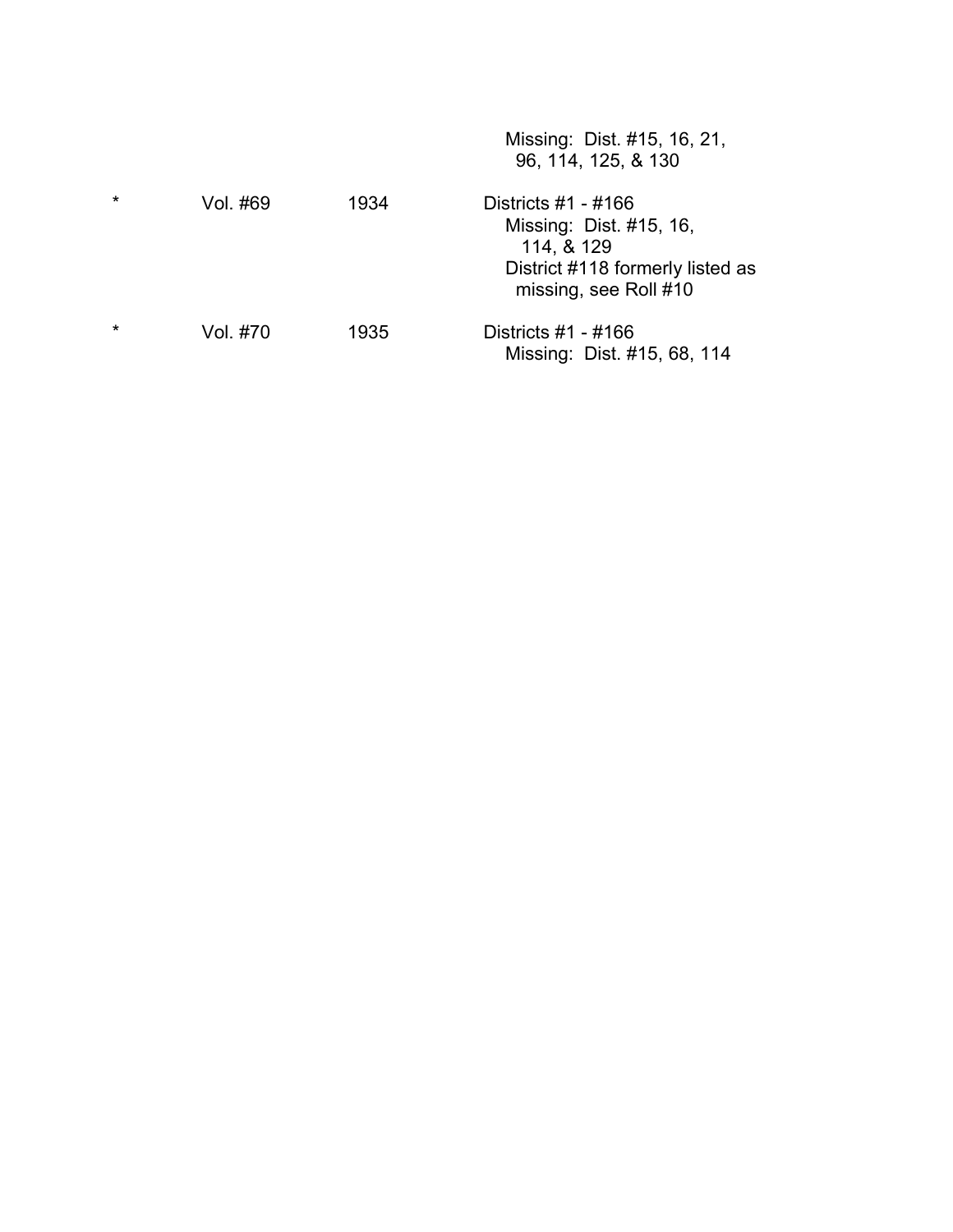|         |          |      | Missing: Dist. #15, 16, 21,<br>96, 114, 125, & 130                                                                          |
|---------|----------|------|-----------------------------------------------------------------------------------------------------------------------------|
| $\star$ | Vol. #69 | 1934 | Districts $#1 - #166$<br>Missing: Dist. #15, 16,<br>114, & 129<br>District #118 formerly listed as<br>missing, see Roll #10 |
| $\star$ | Vol. #70 | 1935 | Districts #1 - #166<br>Missing: Dist. #15, 68, 114                                                                          |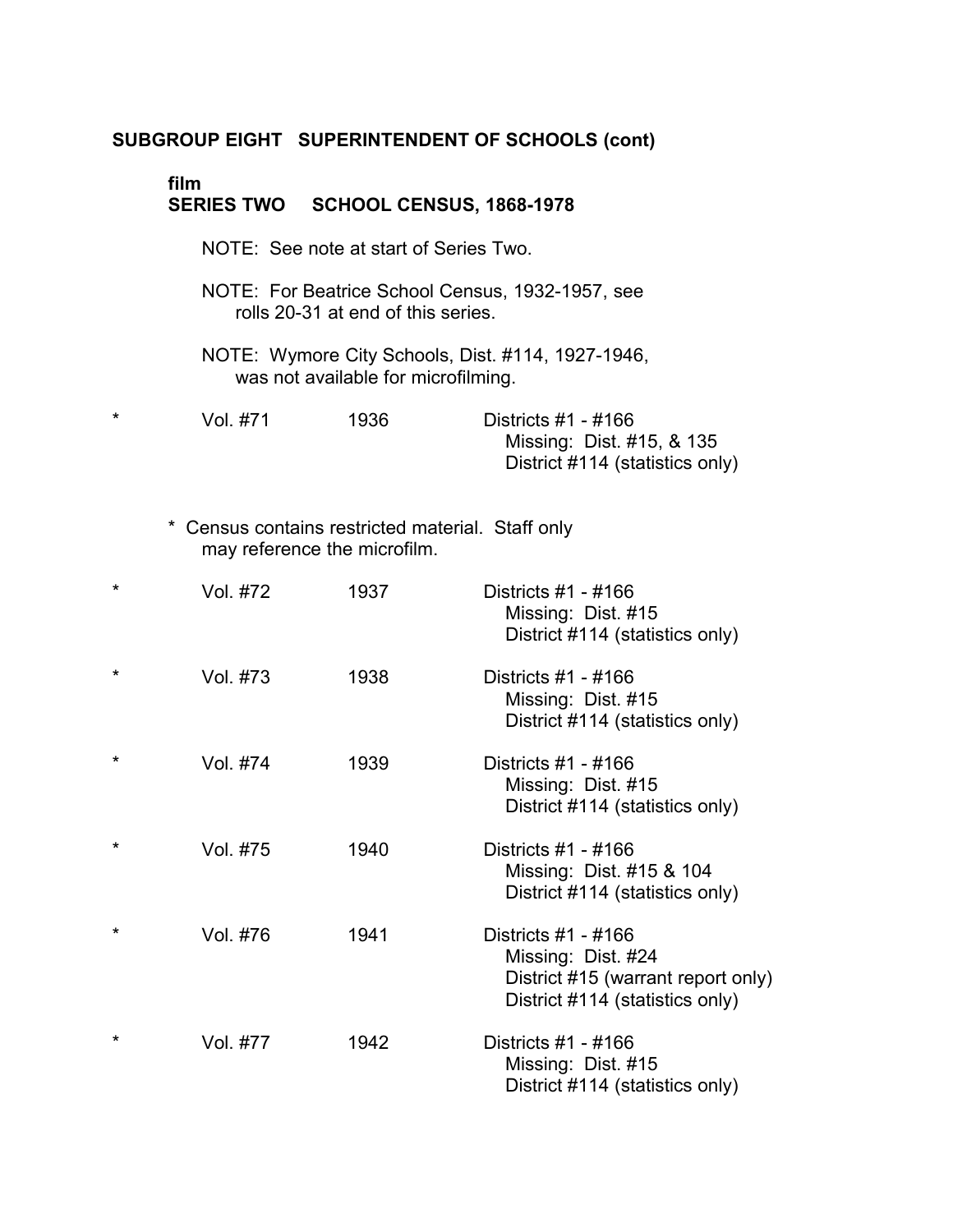# **film** �

### **SERIES TWO SCHOOL CENSUS, 1868-1978**

- NOTE: See note at start of Series Two.
- NOTE: For Beatrice School Census, 1932-1957, see rolls 20-31 at end of this series.
- NOTE: Wymore City Schools, Dist. #114, 1927-1946, was not available for microfilming.

| Vol. #71 | 1936 | Districts #1 - #166             |
|----------|------|---------------------------------|
|          |      | Missing: Dist. #15, & 135       |
|          |      | District #114 (statistics only) |

\* Census contains restricted material. Staff only may reference the microfilm.

| $\star$ | Vol. #72 | 1937 | Districts #1 - #166<br>Missing: Dist. #15<br>District #114 (statistics only)                                       |
|---------|----------|------|--------------------------------------------------------------------------------------------------------------------|
| $\star$ | Vol. #73 | 1938 | Districts #1 - #166<br>Missing: Dist. #15<br>District #114 (statistics only)                                       |
| $\star$ | Vol. #74 | 1939 | Districts #1 - #166<br>Missing: Dist. #15<br>District #114 (statistics only)                                       |
| $\star$ | Vol. #75 | 1940 | Districts #1 - #166<br>Missing: Dist. #15 & 104<br>District #114 (statistics only)                                 |
| $\star$ | Vol. #76 | 1941 | Districts #1 - #166<br>Missing: Dist. #24<br>District #15 (warrant report only)<br>District #114 (statistics only) |
| $\star$ | Vol. #77 | 1942 | Districts #1 - #166<br>Missing: Dist. #15<br>District #114 (statistics only)                                       |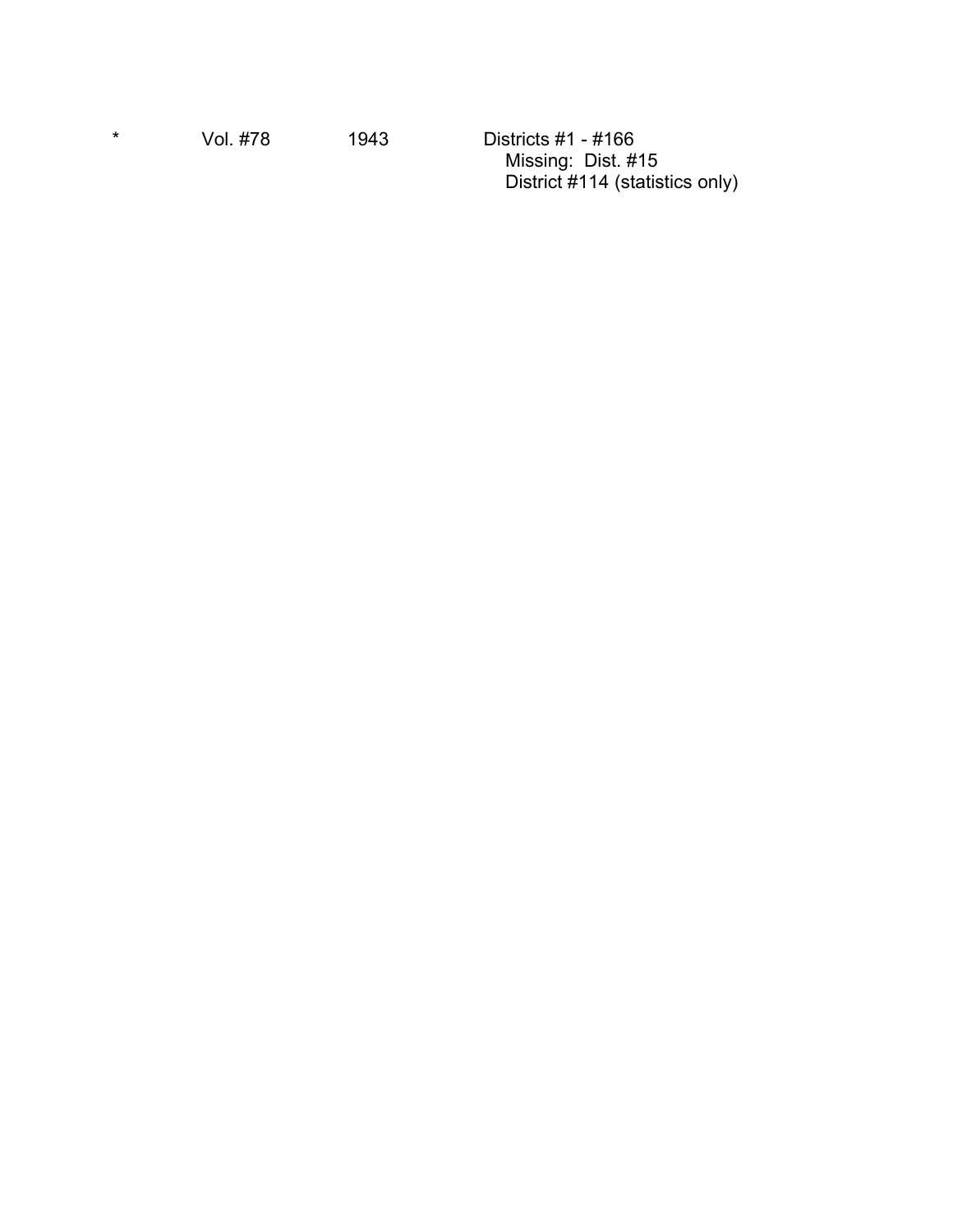\* � Vol. #78 1943 Districts #1 - #166 Missing: Dist. #15 District #114 (statistics only)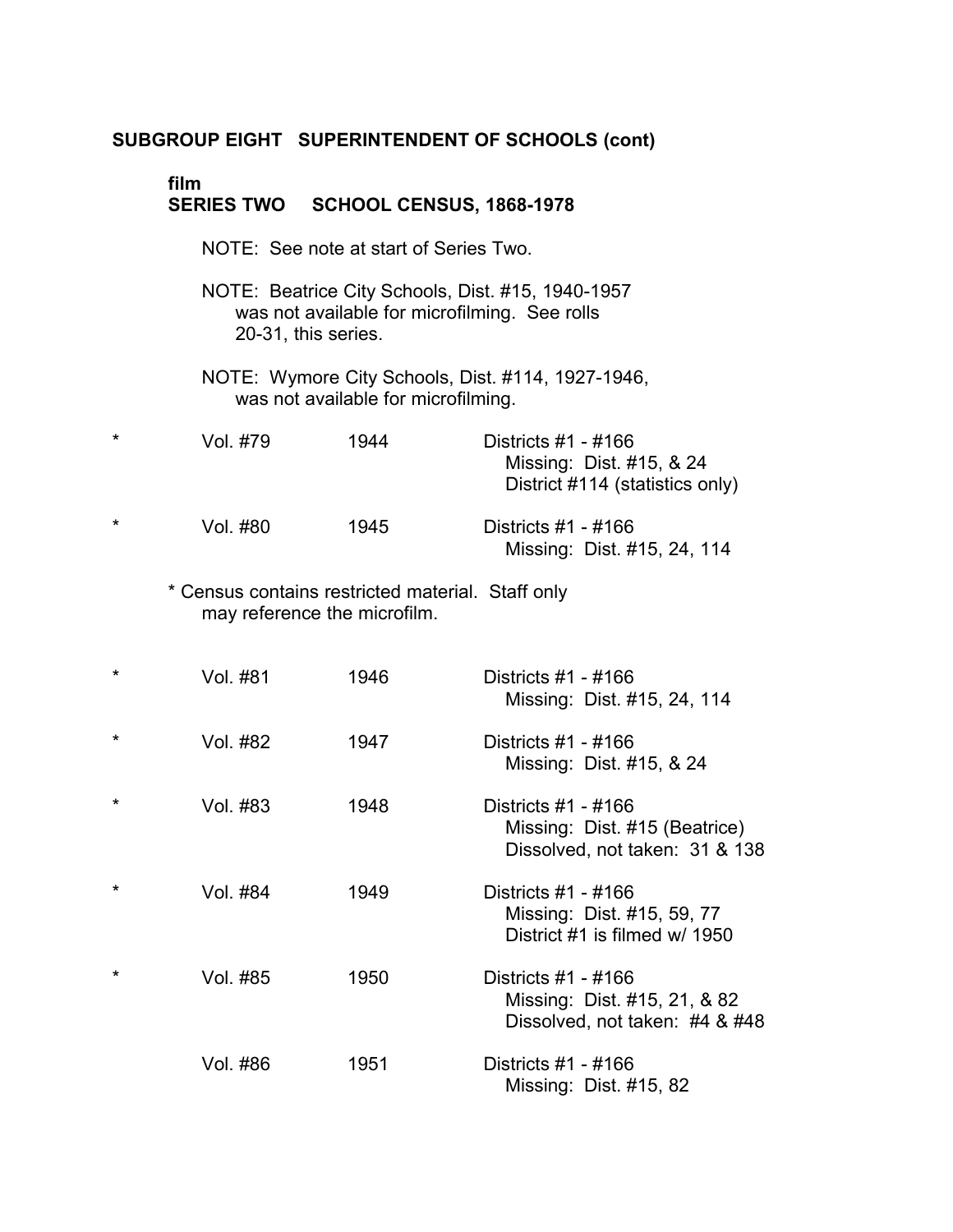# **film**

# **SERIES TWO SCHOOL CENSUS, 1868-1978** NOTE: See note at start of Series Two. NOTE: Beatrice City Schools, Dist. #15, 1940-1957 was not available for microfilming. See rolls 20-31, this series. NOTE: Wymore City Schools, Dist. #114, 1927-1946, was not available for microfilming. \* � Vol. #79 1944 Districts #1 - #166 Missing: Dist. #15, & 24 District #114 (statistics only) \* � Vol. #80 1945 Districts #1 - #166 Missing: Dist. #15, 24, 114 \* Census contains restricted material. Staff only may reference the microfilm. \* Vol. #81 1946 \* Vol. #82 1947 \* Vol. #83 1948 \* Vol. #84 1949 \* Vol. #85 1950 Vol. #86 1951 Districts #1 - #166 Missing: Dist. #15, 24, 114 Districts #1 - #166 Missing: Dist. #15, & 24 Districts #1 - #166 Missing: Dist. #15 (Beatrice) Dissolved, not taken: 31 & 138 Districts #1 - #166 Missing: Dist. #15, 59, 77 District #1 is filmed w/ 1950 Districts #1 - #166 Missing: Dist. #15, 21, & 82 Dissolved, not taken: #4 & #48 Districts #1 - #166 Missing: Dist. #15, 82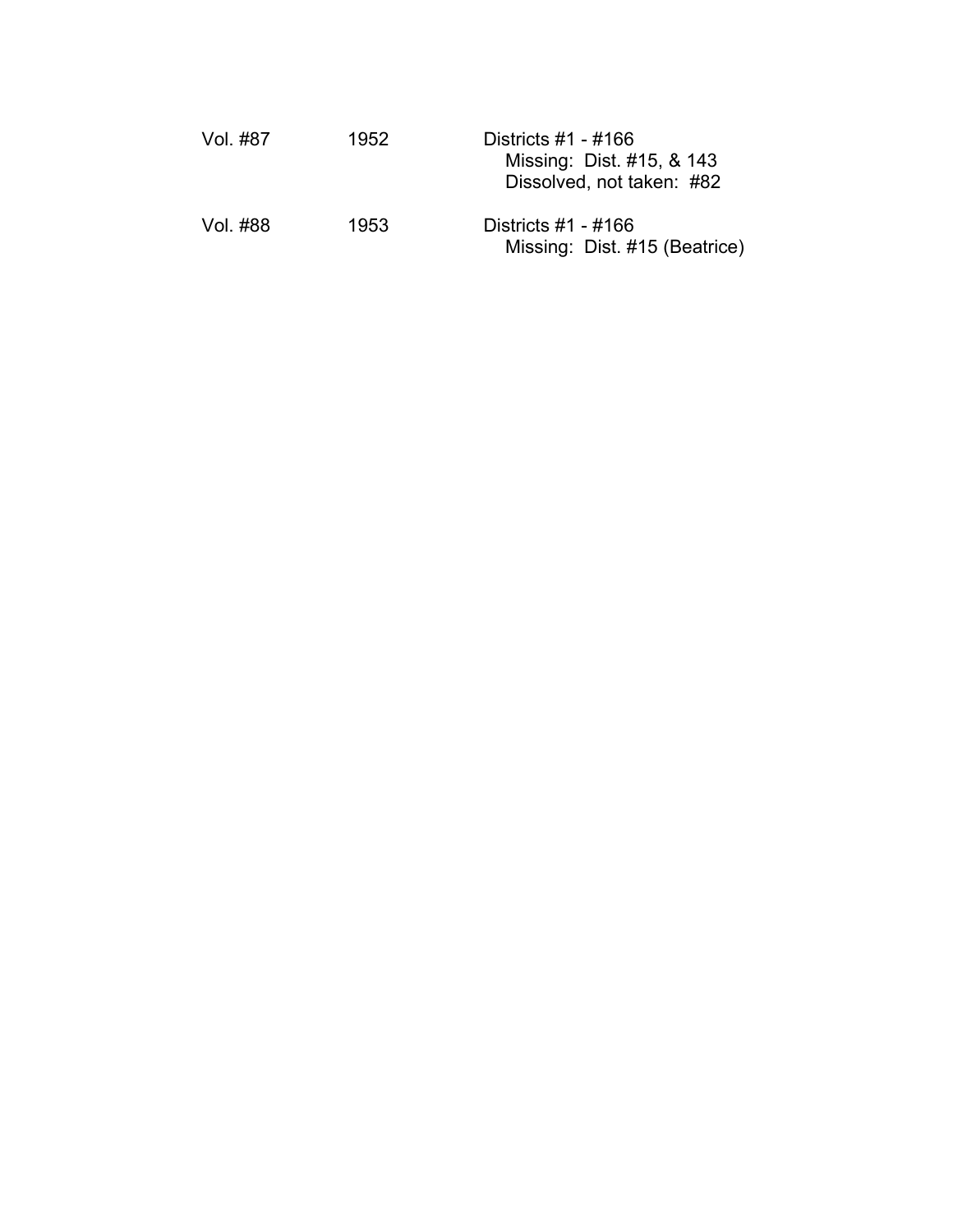| -Vol. #87 | 1952 | Districts $#1 - #166$<br>Missing: Dist. #15, & 143<br>Dissolved, not taken: #82 |
|-----------|------|---------------------------------------------------------------------------------|
| Vol. #88  | 1953 | Districts #1 - #166<br>Missing: Dist. #15 (Beatrice)                            |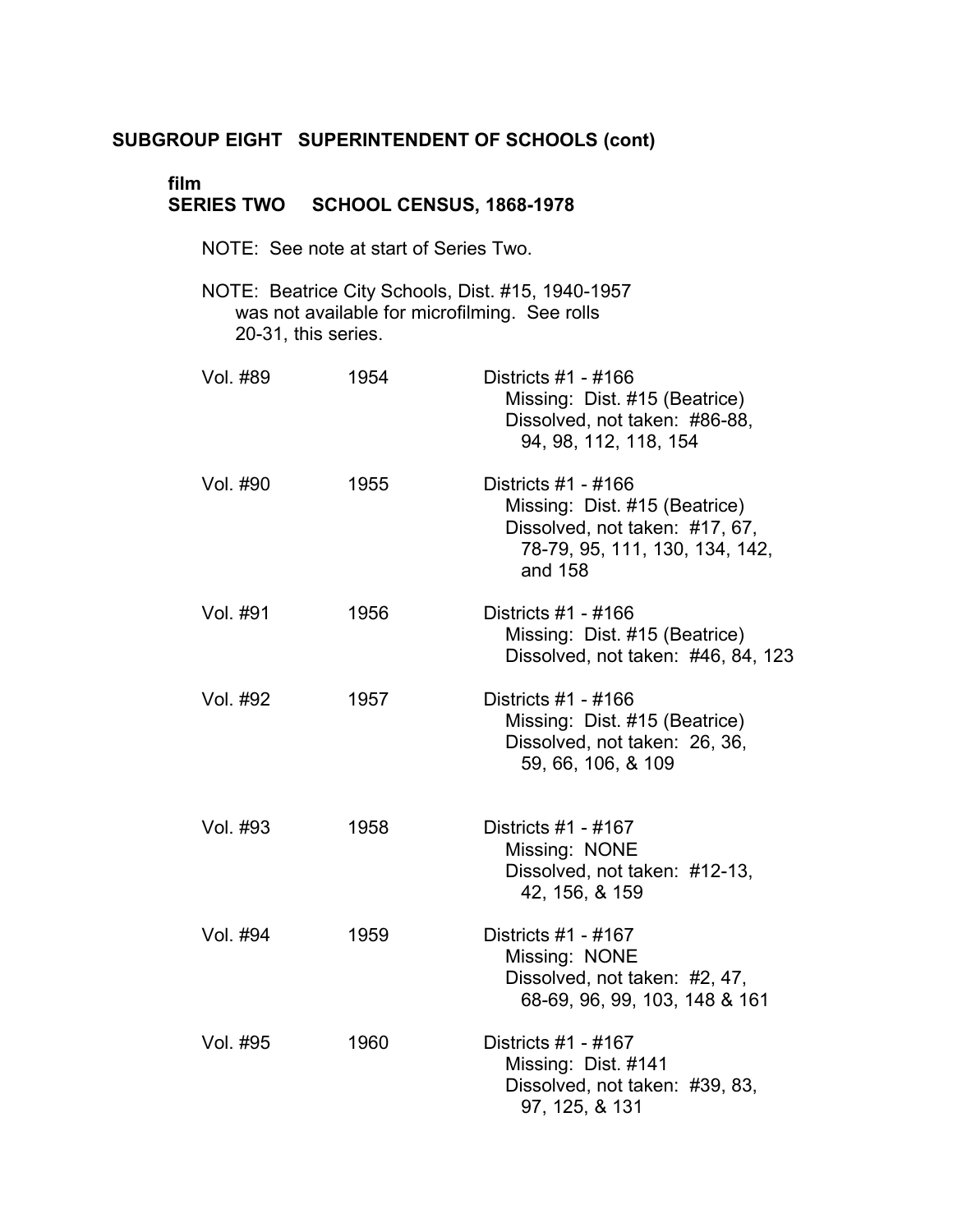# **film** �

## **SERIES TWO SCHOOL CENSUS, 1868-1978**

- NOTE: See note at start of Series Two.
- NOTE: Beatrice City Schools, Dist. #15, 1940-1957 was not available for microfilming. See rolls 20-31, this series. �

| Vol. #89 | 1954 | Districts #1 - #166<br>Missing: Dist. #15 (Beatrice)<br>Dissolved, not taken: #86-88,<br>94, 98, 112, 118, 154                      |
|----------|------|-------------------------------------------------------------------------------------------------------------------------------------|
| Vol. #90 | 1955 | Districts #1 - #166<br>Missing: Dist. #15 (Beatrice)<br>Dissolved, not taken: #17, 67,<br>78-79, 95, 111, 130, 134, 142,<br>and 158 |
| Vol. #91 | 1956 | Districts #1 - #166<br>Missing: Dist. #15 (Beatrice)<br>Dissolved, not taken: #46, 84, 123                                          |
| Vol. #92 | 1957 | Districts #1 - #166<br>Missing: Dist. #15 (Beatrice)<br>Dissolved, not taken: 26, 36,<br>59, 66, 106, & 109                         |
| Vol. #93 | 1958 | Districts #1 - #167<br>Missing: NONE<br>Dissolved, not taken: #12-13,<br>42, 156, & 159                                             |
| Vol. #94 | 1959 | Districts #1 - #167<br>Missing: NONE<br>Dissolved, not taken: #2, 47,<br>68-69, 96, 99, 103, 148 & 161                              |
| Vol. #95 | 1960 | Districts #1 - #167<br>Missing: Dist. #141<br>Dissolved, not taken: #39, 83,<br>97, 125, & 131                                      |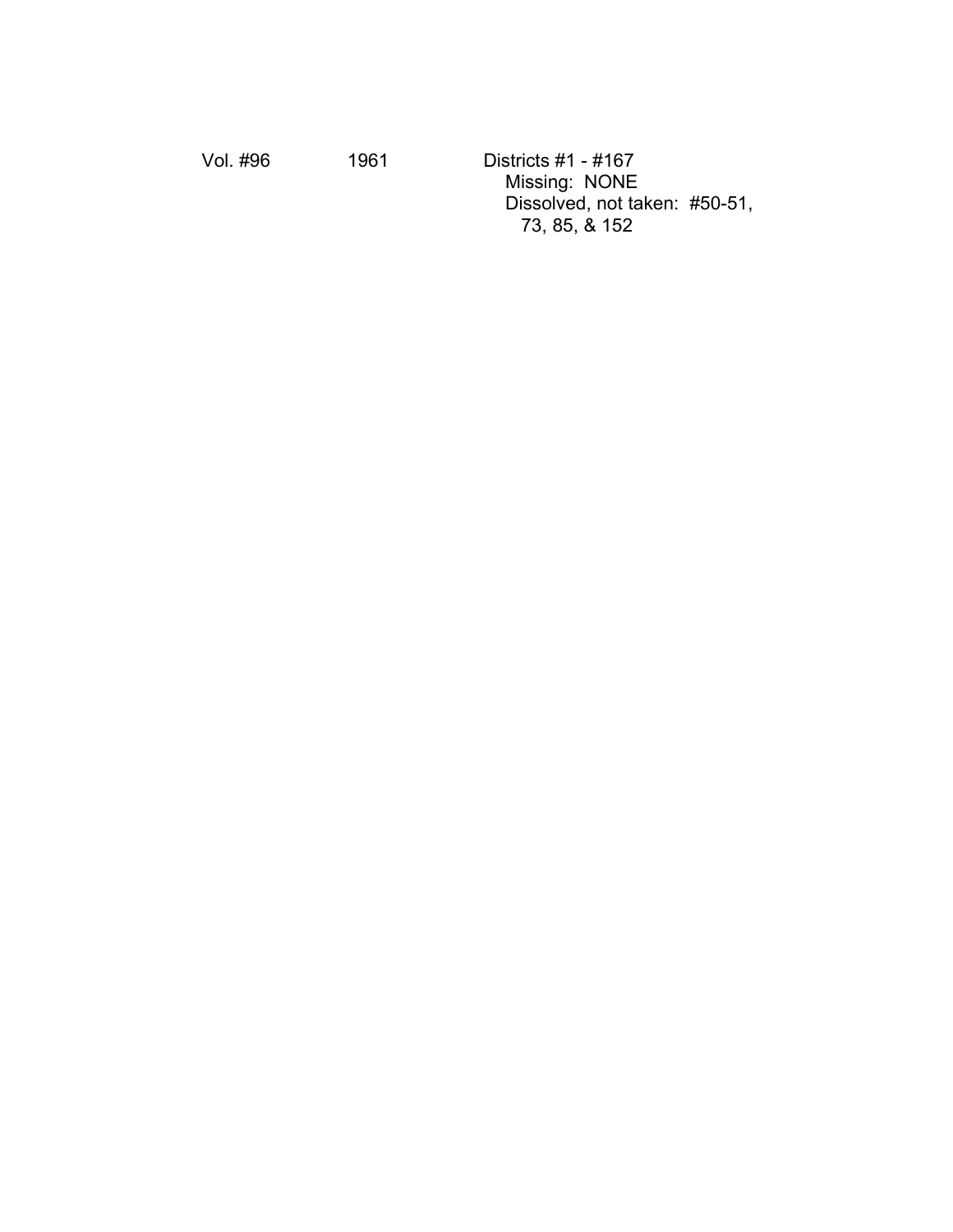Vol. #96 1961 Districts #1 - #167 Missing: NONE Dissolved, not taken: #50-51, 73, 85, & 152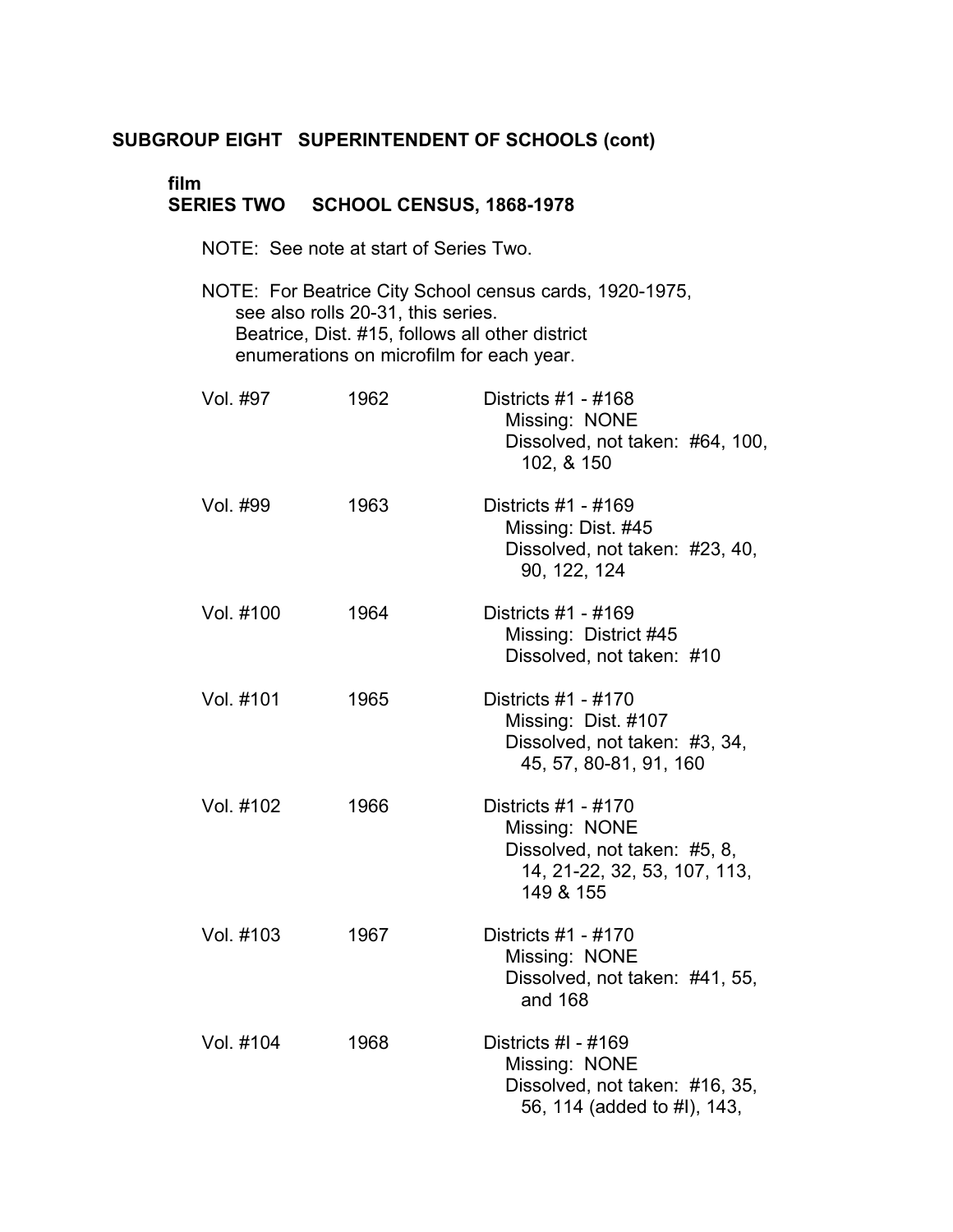# **film** �

## **SERIES TWO SCHOOL CENSUS, 1868-1978**

- NOTE: See note at start of Series Two.
- NOTE: For Beatrice City School census cards, 1920-1975, see also rolls 20-31, this series. Beatrice, Dist. #15, follows all other district enumerations on microfilm for each year.

| Vol. #97  | 1962 | Districts #1 - #168<br>Missing: NONE<br>Dissolved, not taken: #64, 100,<br>102, & 150                             |
|-----------|------|-------------------------------------------------------------------------------------------------------------------|
| Vol. #99  | 1963 | Districts #1 - #169<br>Missing: Dist. #45<br>Dissolved, not taken: #23, 40,<br>90, 122, 124                       |
| Vol. #100 | 1964 | Districts #1 - #169<br>Missing: District #45<br>Dissolved, not taken: #10                                         |
| Vol. #101 | 1965 | Districts #1 - #170<br>Missing: Dist. #107<br>Dissolved, not taken: #3, 34,<br>45, 57, 80-81, 91, 160             |
| Vol. #102 | 1966 | Districts #1 - #170<br>Missing: NONE<br>Dissolved, not taken: #5, 8,<br>14, 21-22, 32, 53, 107, 113,<br>149 & 155 |
| Vol. #103 | 1967 | Districts #1 - #170<br>Missing: NONE<br>Dissolved, not taken: #41, 55,<br>and 168                                 |
| Vol. #104 | 1968 | Districts #I - #169<br>Missing: NONE<br>Dissolved, not taken: #16, 35,<br>56, 114 (added to #I), 143,             |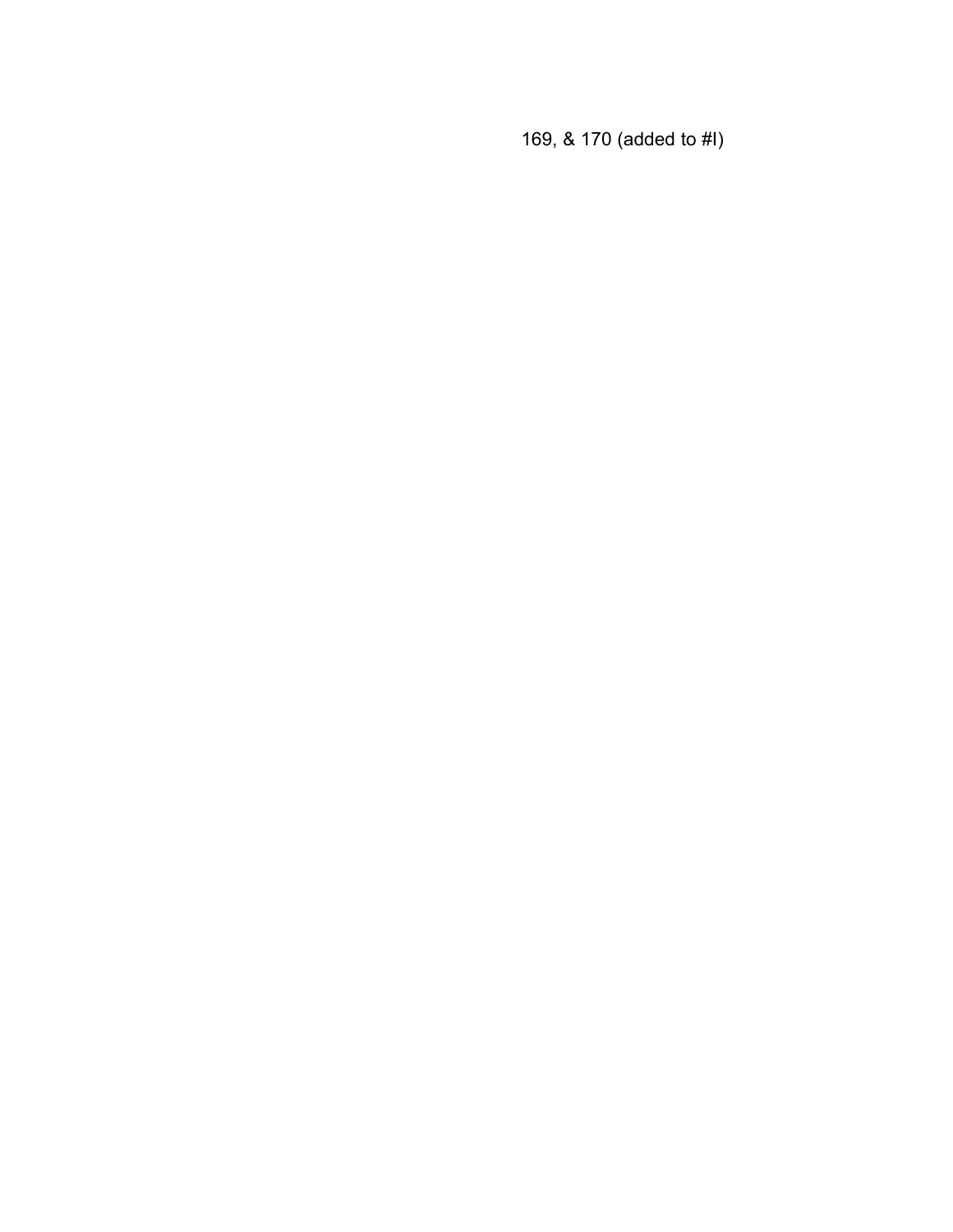169, & 170 (added to #I)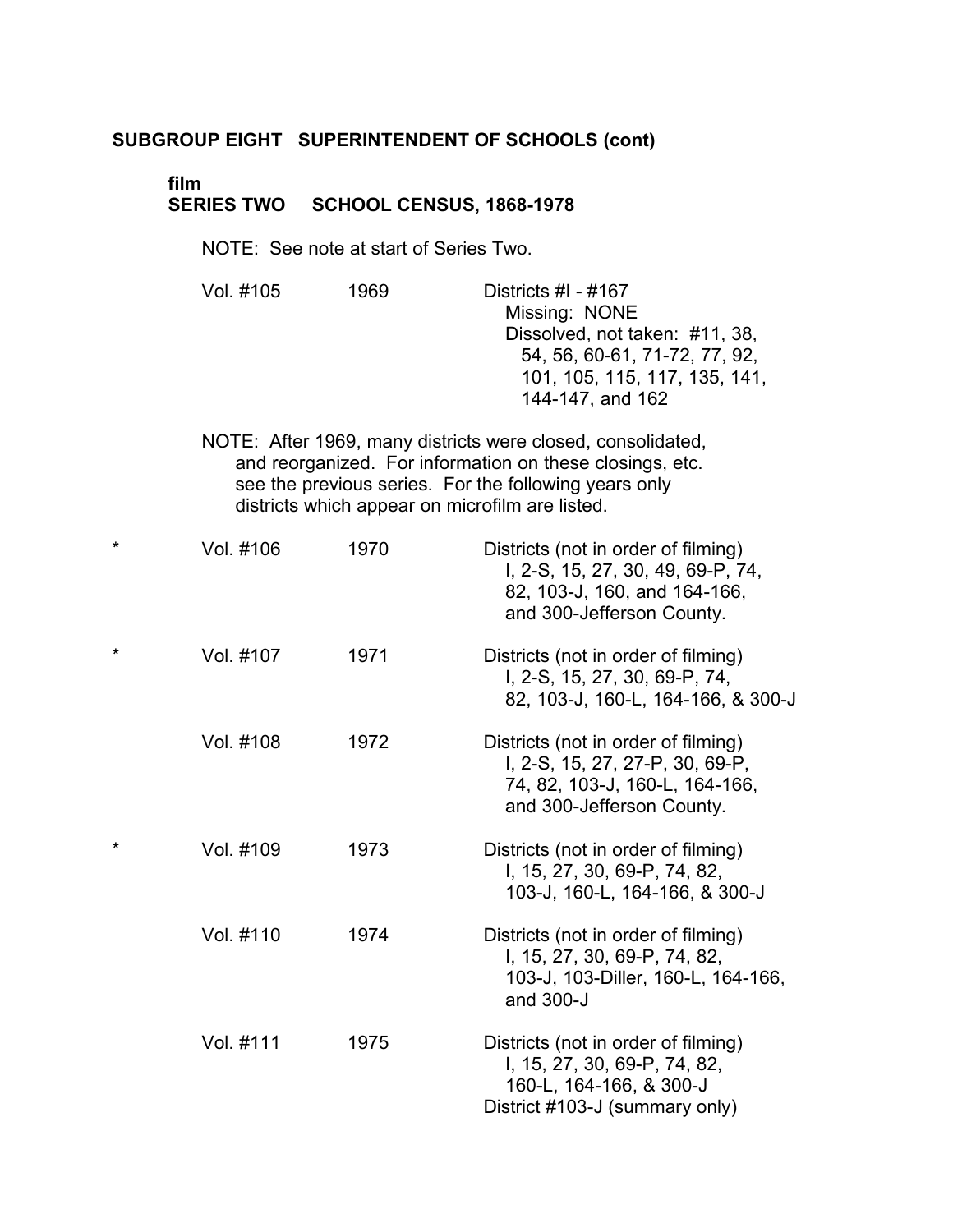# **film** �

#### **SERIES TWO SCHOOL CENSUS, 1868-1978** �

NOTE: See note at start of Series Two.

| Vol. #105 | 1969 | Districts #I - $#167$          |
|-----------|------|--------------------------------|
|           |      | Missing: NONE                  |
|           |      | Dissolved, not taken: #11, 38, |
|           |      | 54, 56, 60-61, 71-72, 77, 92,  |
|           |      | 101, 105, 115, 117, 135, 141,  |
|           |      | 144-147, and 162               |

NOTE: After 1969, many districts were closed, consolidated, and reorganized. For information on these closings, etc. see the previous series. For the following years only districts which appear on microfilm are listed.

| *       | Vol. #106 | 1970 | Districts (not in order of filming)<br>I, 2-S, 15, 27, 30, 49, 69-P, 74,<br>82, 103-J, 160, and 164-166,<br>and 300-Jefferson County. |
|---------|-----------|------|---------------------------------------------------------------------------------------------------------------------------------------|
| $\star$ | Vol. #107 | 1971 | Districts (not in order of filming)<br>I, 2-S, 15, 27, 30, 69-P, 74,<br>82, 103-J, 160-L, 164-166, & 300-J                            |
|         | Vol. #108 | 1972 | Districts (not in order of filming)<br>I, 2-S, 15, 27, 27-P, 30, 69-P,<br>74, 82, 103-J, 160-L, 164-166,<br>and 300-Jefferson County. |
| $\star$ | Vol. #109 | 1973 | Districts (not in order of filming)<br>I, 15, 27, 30, 69-P, 74, 82,<br>103-J, 160-L, 164-166, & 300-J                                 |
|         | Vol. #110 | 1974 | Districts (not in order of filming)<br>I, 15, 27, 30, 69-P, 74, 82,<br>103-J, 103-Diller, 160-L, 164-166,<br>and 300-J                |
|         | Vol. #111 | 1975 | Districts (not in order of filming)<br>I, 15, 27, 30, 69-P, 74, 82,<br>160-L, 164-166, & 300-J<br>District #103-J (summary only)      |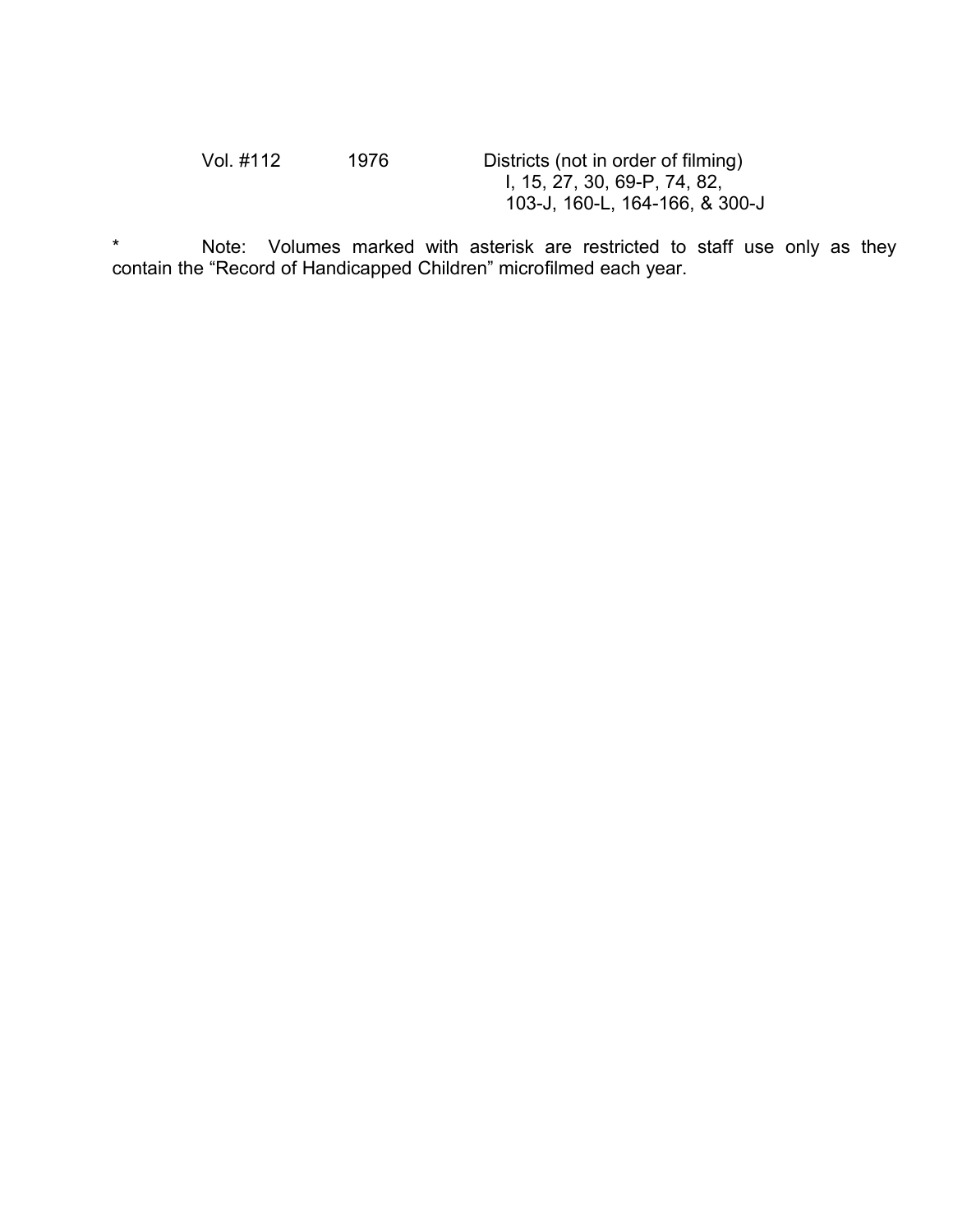| Vol. #112 | 1976 | Districts (not in order of filming) |
|-----------|------|-------------------------------------|
|           |      | I, 15, 27, 30, 69-P, 74, 82,        |
|           |      | 103-J, 160-L, 164-166, & 300-J      |

\* Note: Volumes marked with asterisk are restricted to staff use only as they contain the "Record of Handicapped Children" microfilmed each year.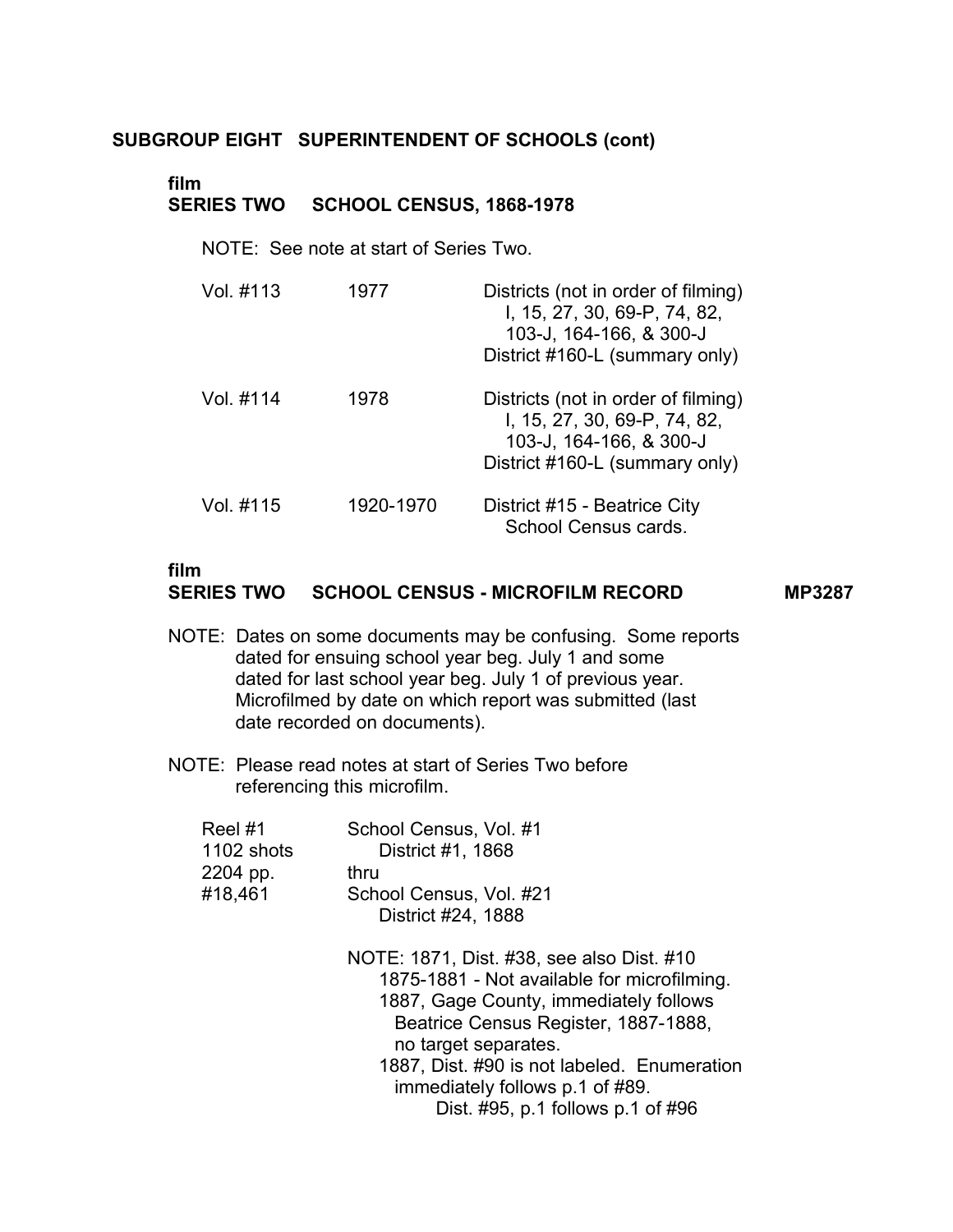### **film SERIES TWO SCHOOL CENSUS, 1868-1978**

NOTE: See note at start of Series Two.

| Vol. #113 | 1977      | Districts (not in order of filming)<br>I, 15, 27, 30, 69-P, 74, 82,<br>103-J, 164-166, & 300-J<br>District #160-L (summary only) |
|-----------|-----------|----------------------------------------------------------------------------------------------------------------------------------|
| Vol. #114 | 1978      | Districts (not in order of filming)<br>I, 15, 27, 30, 69-P, 74, 82,<br>103-J, 164-166, & 300-J<br>District #160-L (summary only) |
| Vol. #115 | 1920-1970 | District #15 - Beatrice City<br>School Census cards.                                                                             |

## **film**

### **SERIES TWO SCHOOL CENSUS - MICROFILM RECORD MP3287**

- NOTE: Dates on some documents may be confusing. Some reports � dated for ensuing school year beg. July 1 and some dated for last school year beg. July 1 of previous year. Microfilmed by date on which report was submitted (last date recorded on documents).
- NOTE: Please read notes at start of Series Two before referencing this microfilm.

| Reel #1    | School Census, Vol. #1  |
|------------|-------------------------|
| 1102 shots | District #1, 1868       |
| 2204 pp.   | thru                    |
| #18,461    | School Census, Vol. #21 |
|            | District #24, 1888      |

NOTE: 1871, Dist. #38, see also Dist. #10 1875-1881 - Not available for microfilming. 1887, Gage County, immediately follows Beatrice Census Register, 1887-1888, no target separates. 1887, Dist. #90 is not labeled. Enumeration immediately follows p.1 of #89. Dist. #95, p.1 follows p.1 of #96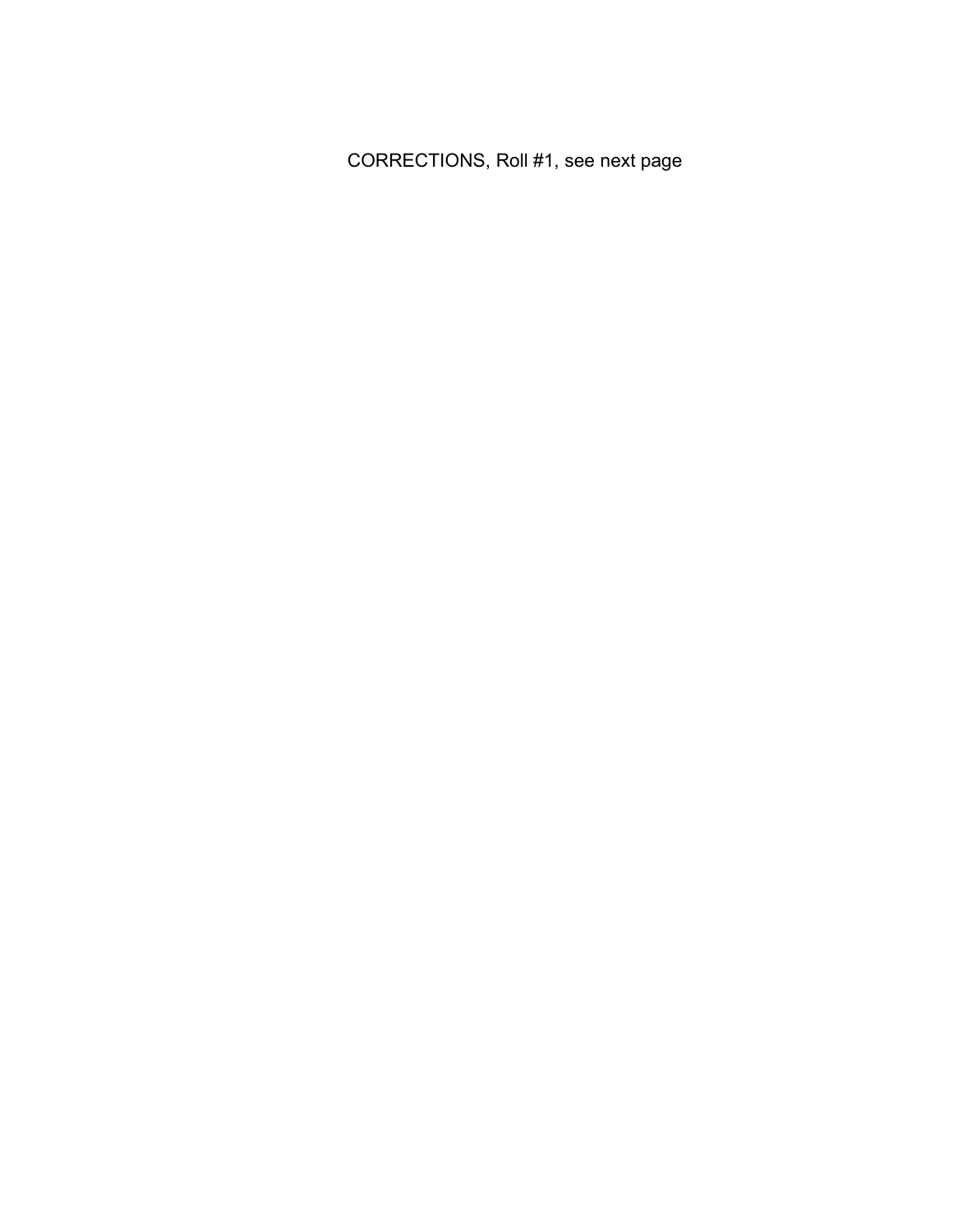CORRECTIONS, Roll #1, see next page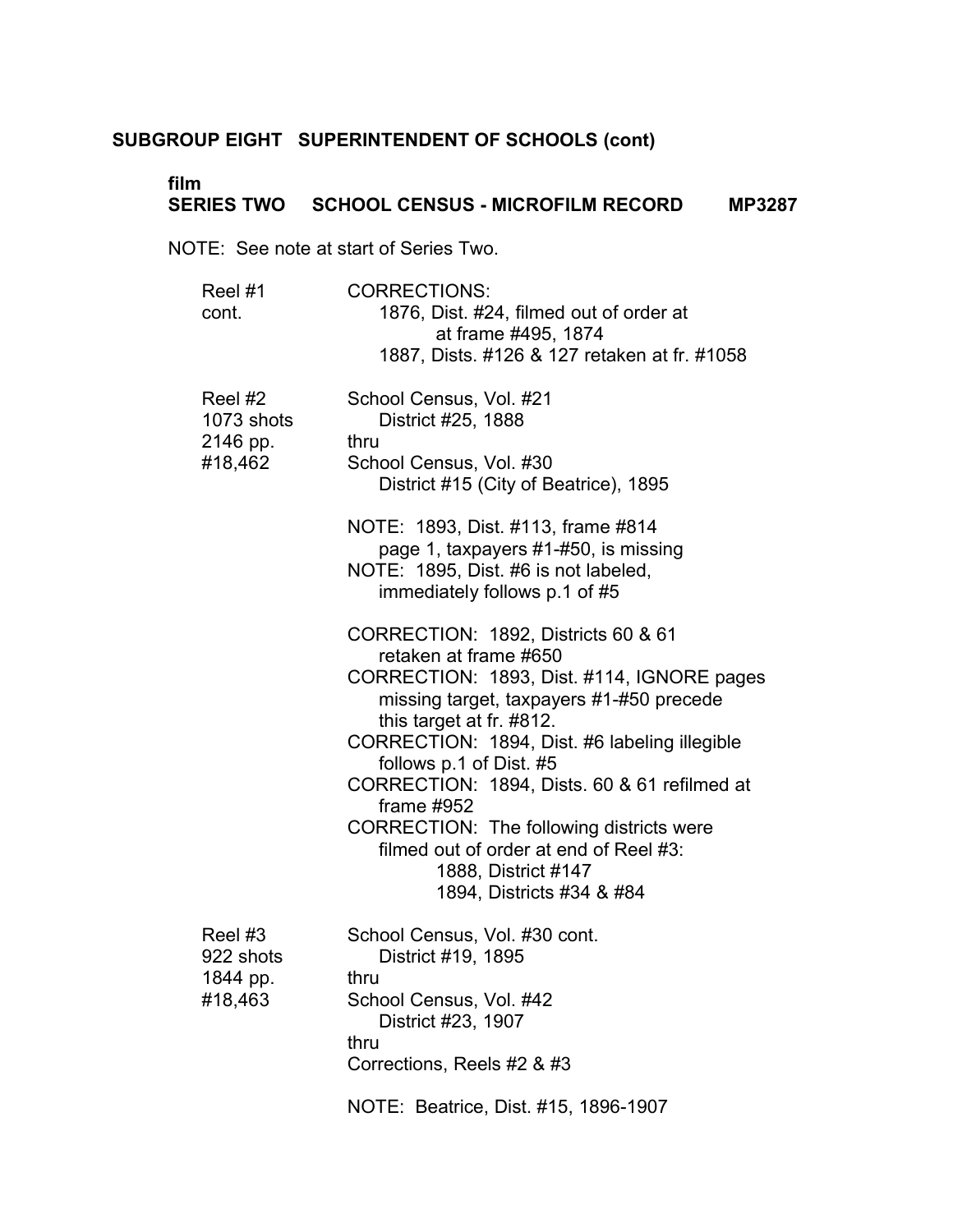# **film**

# **SERIES TWO SCHOOL CENSUS - MICROFILM RECORD MP3287**

NOTE: See note at start of Series Two.

| Reel #1<br>cont.                             | <b>CORRECTIONS:</b><br>1876, Dist. #24, filmed out of order at<br>at frame #495, 1874<br>1887, Dists. #126 & 127 retaken at fr. #1058                                                                                                                                                                                                                                                                                                                                    |
|----------------------------------------------|--------------------------------------------------------------------------------------------------------------------------------------------------------------------------------------------------------------------------------------------------------------------------------------------------------------------------------------------------------------------------------------------------------------------------------------------------------------------------|
| Reel #2<br>1073 shots<br>2146 pp.<br>#18,462 | School Census, Vol. #21<br>District #25, 1888<br>thru<br>School Census, Vol. #30<br>District #15 (City of Beatrice), 1895                                                                                                                                                                                                                                                                                                                                                |
|                                              | NOTE: 1893, Dist. #113, frame #814<br>page 1, taxpayers #1-#50, is missing<br>NOTE: 1895, Dist. #6 is not labeled,<br>immediately follows p.1 of #5                                                                                                                                                                                                                                                                                                                      |
|                                              | CORRECTION: 1892, Districts 60 & 61<br>retaken at frame #650<br>CORRECTION: 1893, Dist. #114, IGNORE pages<br>missing target, taxpayers #1-#50 precede<br>this target at fr. #812.<br>CORRECTION: 1894, Dist. #6 labeling illegible<br>follows p.1 of Dist. #5<br>CORRECTION: 1894, Dists. 60 & 61 refilmed at<br>frame $#952$<br>CORRECTION: The following districts were<br>filmed out of order at end of Reel #3:<br>1888, District #147<br>1894, Districts #34 & #84 |
| Reel #3<br>922 shots<br>1844 pp.<br>#18,463  | School Census, Vol. #30 cont.<br>District #19, 1895<br>thru<br>School Census, Vol. #42<br>District #23, 1907<br>thru<br>Corrections, Reels #2 & #3                                                                                                                                                                                                                                                                                                                       |
|                                              | NOTE: Beatrice, Dist. #15, 1896-1907                                                                                                                                                                                                                                                                                                                                                                                                                                     |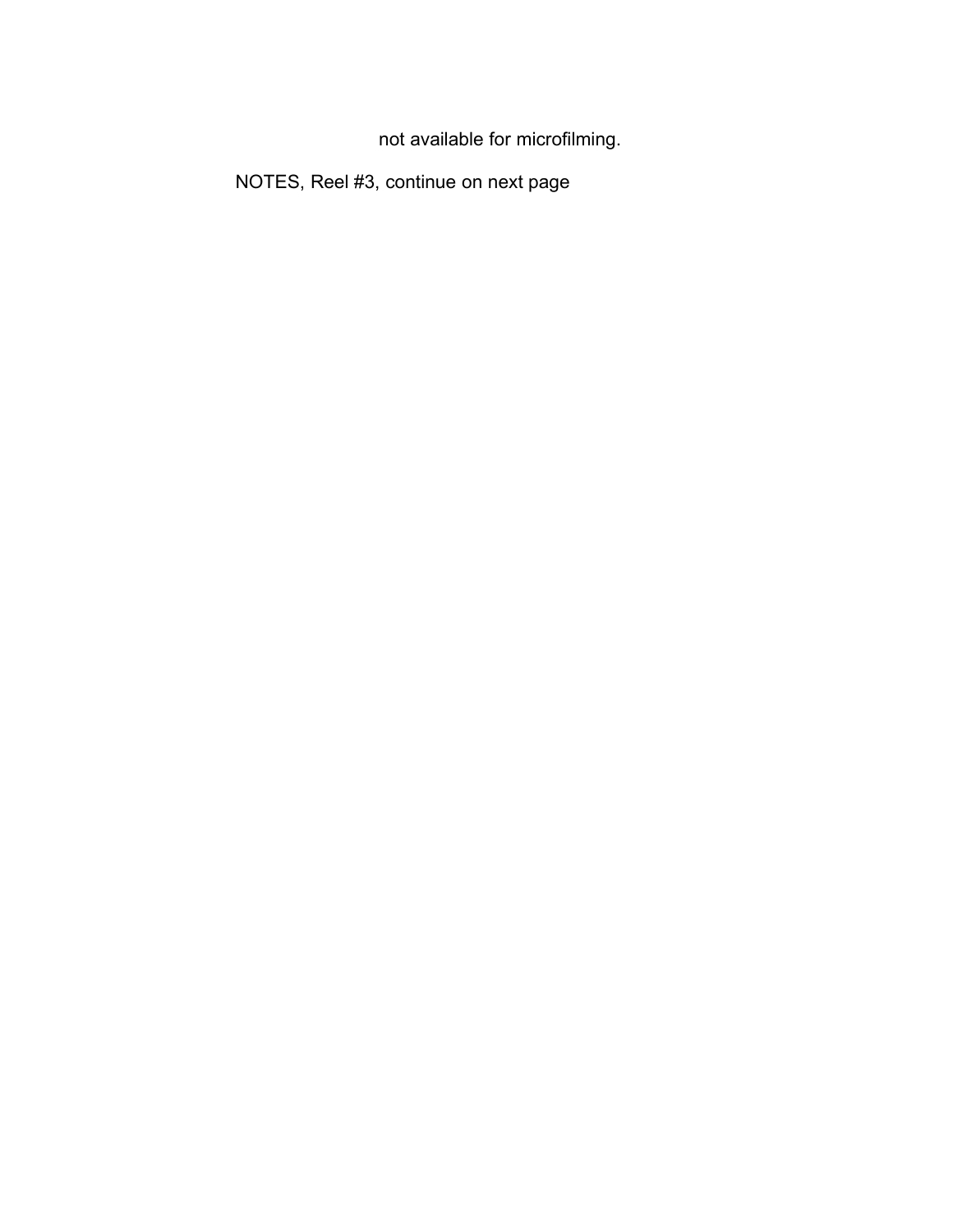not available for microfilming.

NOTES, Reel #3, continue on next page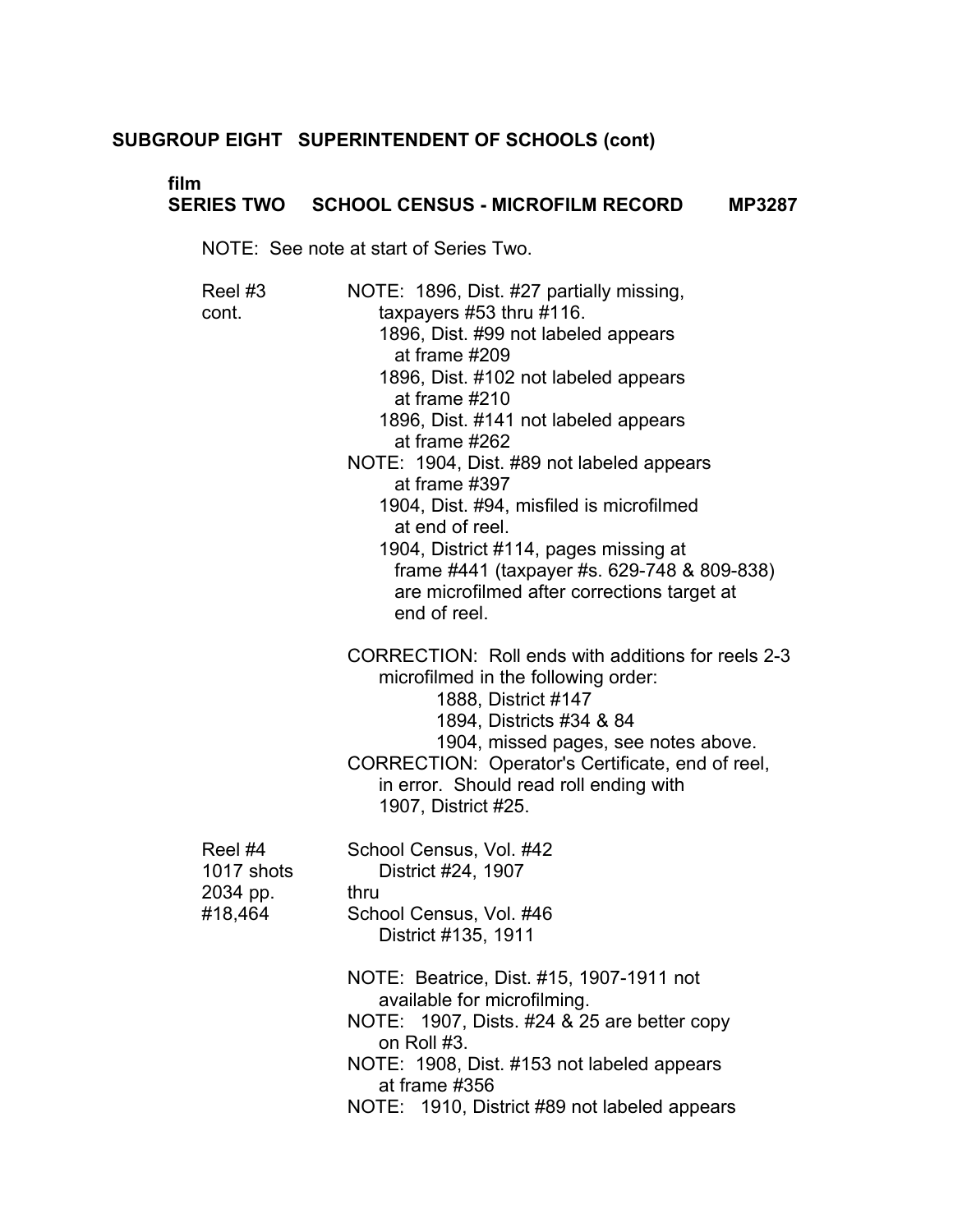# **film**

# **SERIES TWO SCHOOL CENSUS - MICROFILM RECORD MP3287**

NOTE: See note at start of Series Two.

| Reel #3<br>cont.                             | NOTE: 1896, Dist. #27 partially missing,<br>taxpayers #53 thru #116.<br>1896, Dist. #99 not labeled appears<br>at frame #209<br>1896, Dist. #102 not labeled appears<br>at frame $#210$<br>1896, Dist. #141 not labeled appears<br>at frame #262<br>NOTE: 1904, Dist. #89 not labeled appears<br>at frame #397<br>1904, Dist. #94, misfiled is microfilmed<br>at end of reel.<br>1904, District #114, pages missing at<br>frame #441 (taxpayer #s. 629-748 & 809-838)<br>are microfilmed after corrections target at<br>end of reel. |
|----------------------------------------------|--------------------------------------------------------------------------------------------------------------------------------------------------------------------------------------------------------------------------------------------------------------------------------------------------------------------------------------------------------------------------------------------------------------------------------------------------------------------------------------------------------------------------------------|
|                                              | CORRECTION: Roll ends with additions for reels 2-3<br>microfilmed in the following order:<br>1888, District #147<br>1894, Districts #34 & 84<br>1904, missed pages, see notes above.<br>CORRECTION: Operator's Certificate, end of reel,<br>in error. Should read roll ending with<br>1907, District #25.                                                                                                                                                                                                                            |
| Reel #4<br>1017 shots<br>2034 pp.<br>#18,464 | School Census, Vol. #42<br>District #24, 1907<br>thru<br>School Census, Vol. #46<br>District #135, 1911                                                                                                                                                                                                                                                                                                                                                                                                                              |
|                                              | NOTE: Beatrice, Dist. #15, 1907-1911 not<br>available for microfilming.<br>NOTE: 1907, Dists. #24 & 25 are better copy<br>on Roll #3.<br>NOTE: 1908, Dist. #153 not labeled appears<br>at frame #356<br>NOTE: 1910, District #89 not labeled appears                                                                                                                                                                                                                                                                                 |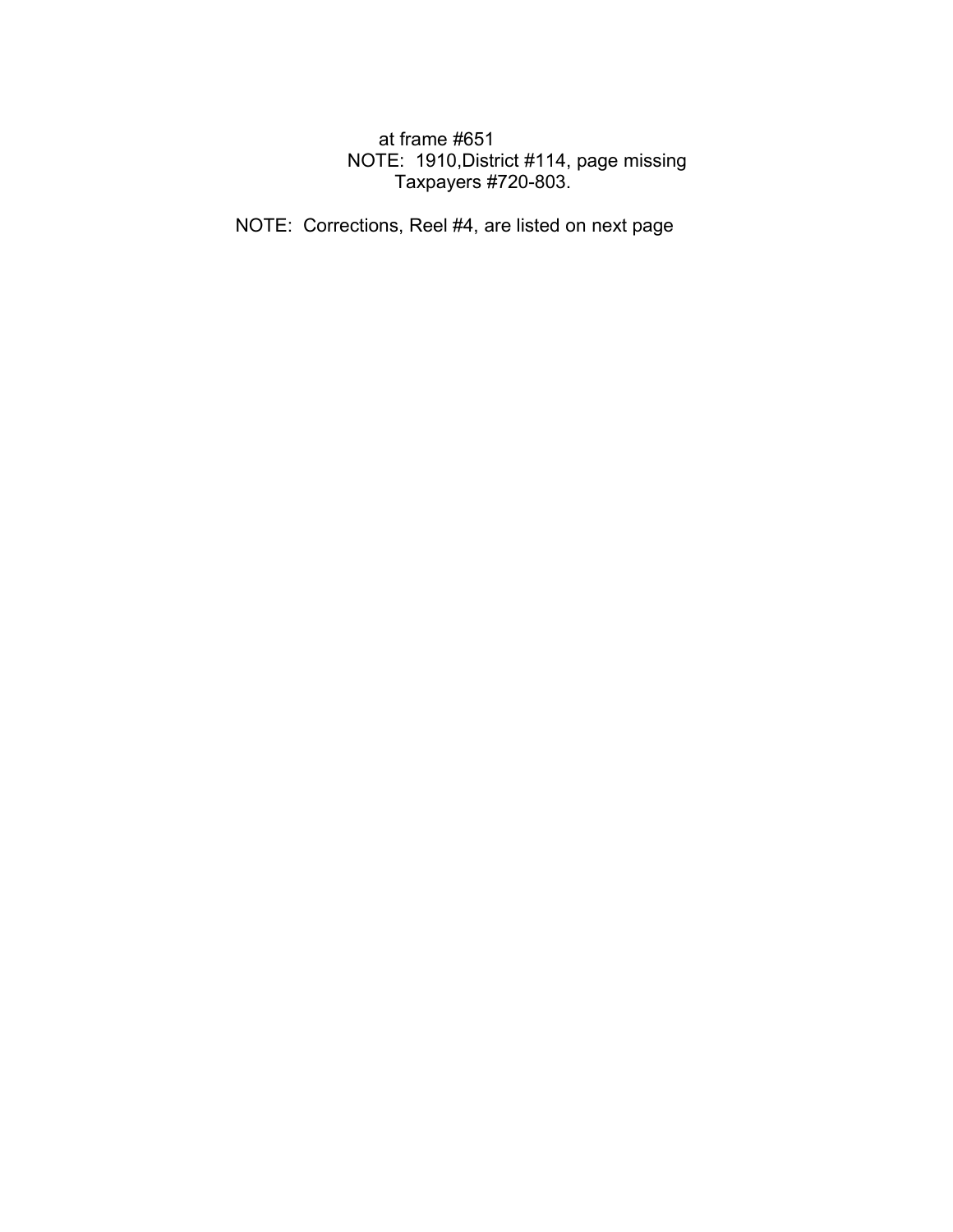# at frame #651 NOTE: 1910,District #114, page missing Taxpayers #720-803.

NOTE: Corrections, Reel #4, are listed on next page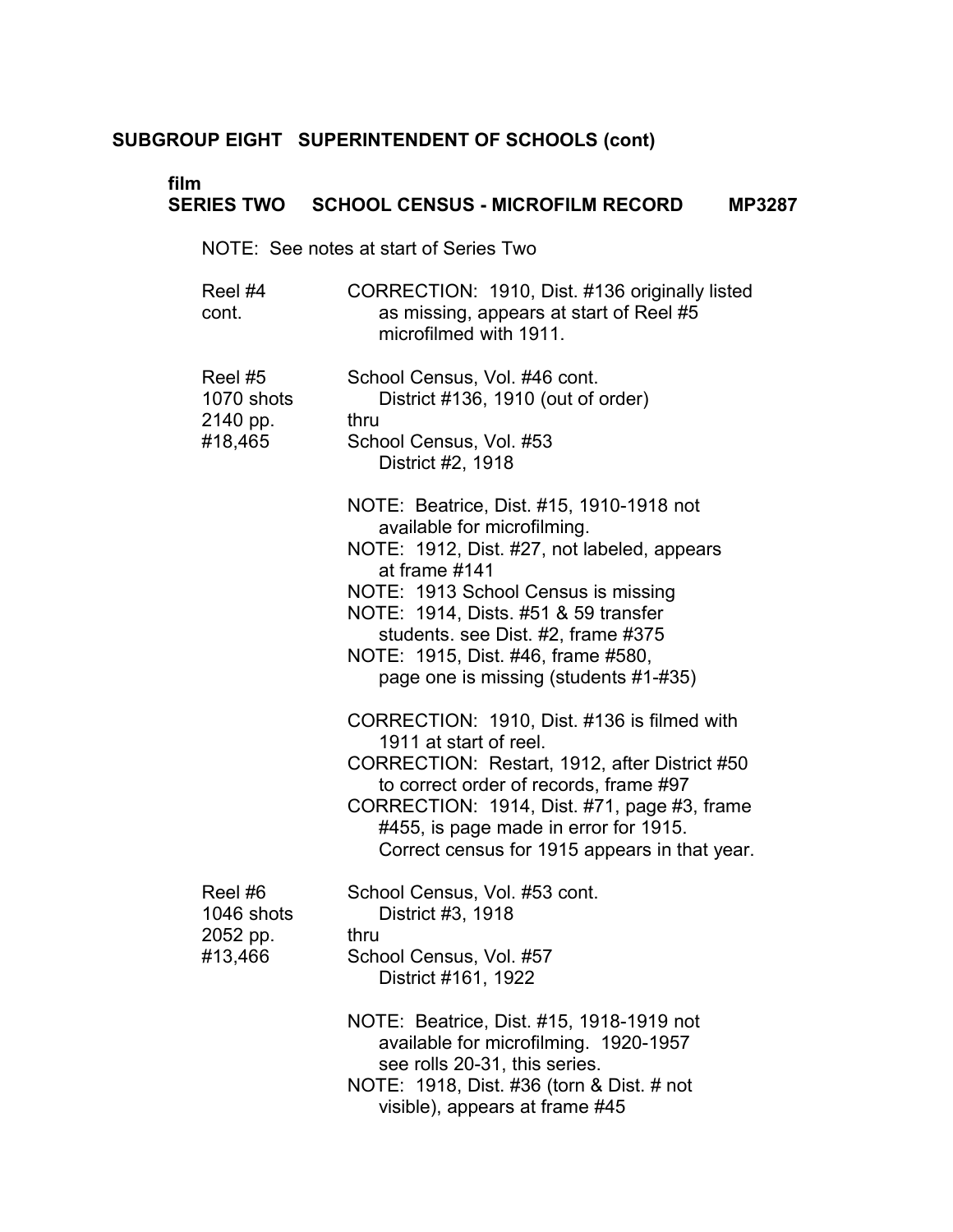# **film**

# **SERIES TWO SCHOOL CENSUS - MICROFILM RECORD MP3287**

NOTE: See notes at start of Series Two

| Reel #4 | CORRECTION: 1910, Dist. #136 originally listed |
|---------|------------------------------------------------|
| cont.   | as missing, appears at start of Reel #5        |
|         | microfilmed with 1911.                         |

| Reel #5<br>1070 shots<br>2140 pp.<br>#18,465 | School Census, Vol. #46 cont.<br>District #136, 1910 (out of order)<br>thru<br>School Census, Vol. #53<br>District #2, 1918                                                                                                                                                                                                                 |
|----------------------------------------------|---------------------------------------------------------------------------------------------------------------------------------------------------------------------------------------------------------------------------------------------------------------------------------------------------------------------------------------------|
|                                              | NOTE: Beatrice, Dist. #15, 1910-1918 not<br>available for microfilming.<br>NOTE: 1912, Dist. #27, not labeled, appears<br>at frame #141<br>NOTE: 1913 School Census is missing<br>NOTE: 1914, Dists. #51 & 59 transfer<br>students. see Dist. #2, frame #375<br>NOTE: 1915, Dist. #46, frame #580,<br>page one is missing (students #1-#35) |
|                                              | CORRECTION: 1910, Dist. #136 is filmed with<br>1911 at start of reel.<br>CORRECTION: Restart, 1912, after District #50<br>to correct order of records, frame #97<br>CORRECTION: 1914, Dist. #71, page #3, frame<br>#455, is page made in error for 1915.<br>Correct census for 1915 appears in that year.                                   |
| Reel#6<br>1046 shots<br>2052 pp.<br>#13,466  | School Census, Vol. #53 cont.<br>District #3, 1918<br>thru<br>School Census, Vol. #57<br>District #161, 1922<br>NOTE: Beatrice, Dist. #15, 1918-1919 not<br>available for microfilming. 1920-1957<br>see rolls 20-31, this series.                                                                                                          |
|                                              |                                                                                                                                                                                                                                                                                                                                             |

NOTE: 1918, Dist. #36 (torn & Dist. # not visible), appears at frame #45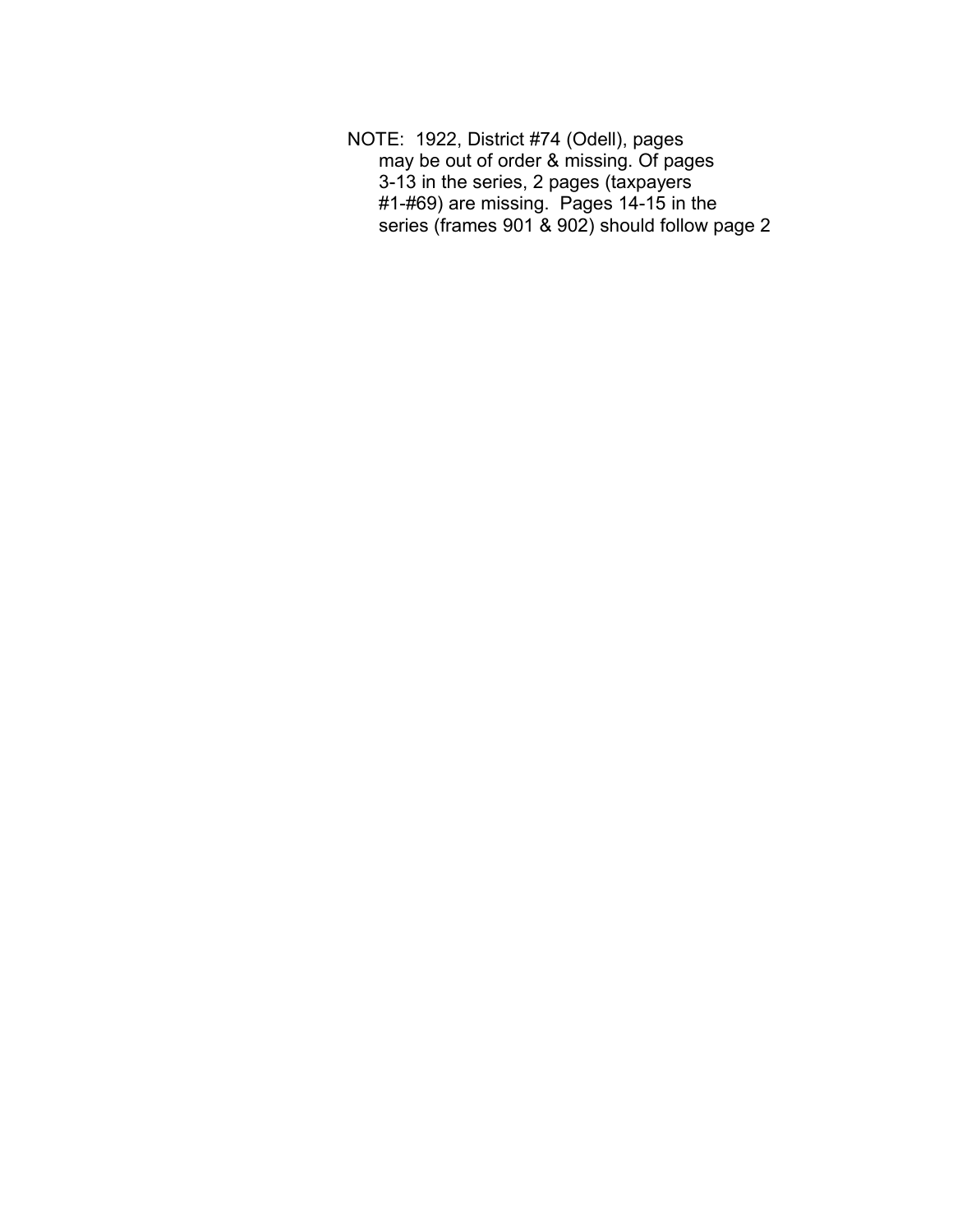NOTE: 1922, District #74 (Odell), pages may be out of order & missing. Of pages 3-13 in the series, 2 pages (taxpayers #1-#69) are missing. Pages 14-15 in the series (frames 901 & 902) should follow page 2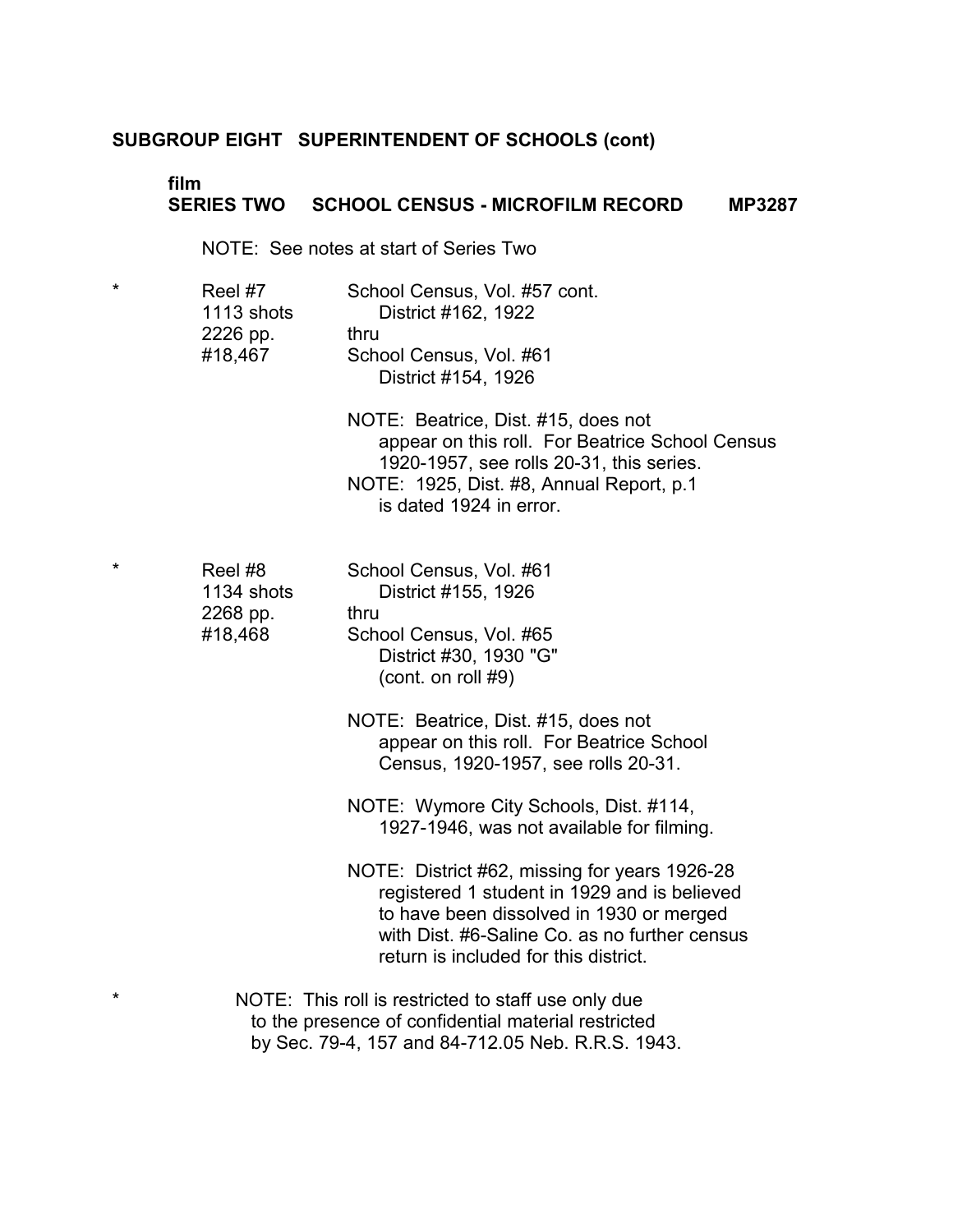#### **film SERIES TWO SCHOOL CENSUS - MICROFILM RECORD MP3287**

NOTE: See notes at start of Series Two

| $\star$ | Reel #7    | School Census, Vol. #57 cont.                  |  |
|---------|------------|------------------------------------------------|--|
|         | 1113 shots | District #162, 1922                            |  |
|         | 2226 pp.   | thru                                           |  |
|         | #18,467    | School Census, Vol. #61<br>District #154, 1926 |  |
|         |            |                                                |  |

NOTE: Beatrice, Dist. #15, does not appear on this roll. For Beatrice School Census 1920-1957, see rolls 20-31, this series. NOTE: 1925, Dist. #8, Annual Report, p.1 is dated 1924 in error.

| $\star$ | Reel #8    | School Census, Vol. #61 |
|---------|------------|-------------------------|
|         | 1134 shots | District #155, 1926     |
|         | 2268 pp.   | thru                    |
|         | #18,468    | School Census, Vol. #65 |
|         |            | District #30, 1930 "G"  |
|         |            | (cont. on roll $#9$ )   |

NOTE: Beatrice, Dist. #15, does not appear on this roll. For Beatrice School Census, 1920-1957, see rolls 20-31.

NOTE: Wymore City Schools, Dist. #114, 1927-1946, was not available for filming.

NOTE: District #62, missing for years 1926-28 registered 1 student in 1929 and is believed to have been dissolved in 1930 or merged with Dist. #6-Saline Co. as no further census return is included for this district.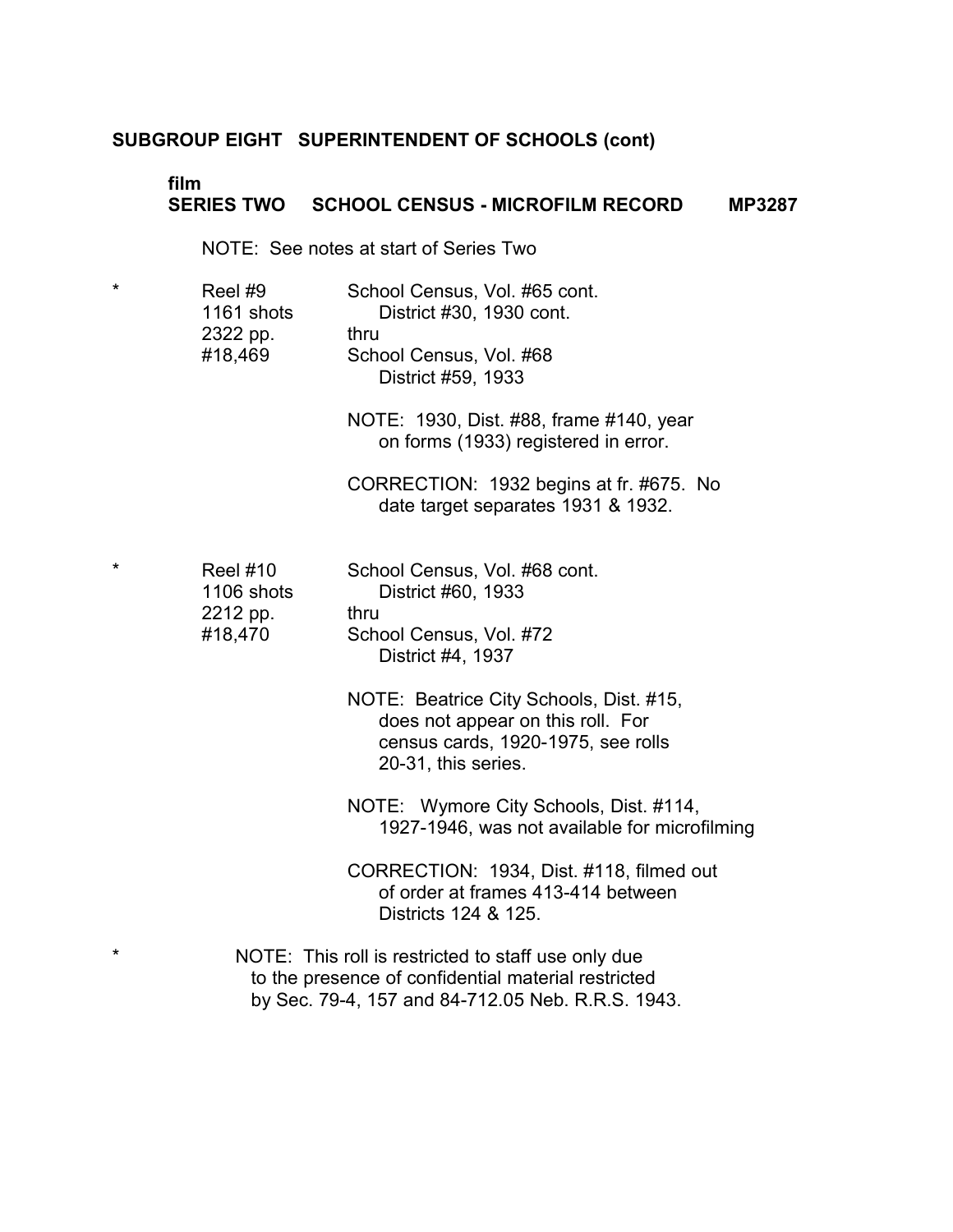#### **film SERIES TWO SCHOOL CENSUS - MICROFILM RECORD MP3287**

NOTE: See notes at start of Series Two

| $\star$ | Reel #9    | School Census, Vol. #65 cont. |
|---------|------------|-------------------------------|
|         | 1161 shots | District #30, 1930 cont.      |
|         | 2322 pp.   | thru                          |
|         | #18,469    | School Census, Vol. #68       |
|         |            | District #59, 1933            |
|         |            |                               |

NOTE: 1930, Dist. #88, frame #140, year on forms (1933) registered in error.

CORRECTION: 1932 begins at fr. #675. No date target separates 1931 & 1932.

| $\star$ | Reel $#10$ | School Census, Vol. #68 cont. |
|---------|------------|-------------------------------|
|         | 1106 shots | District #60, 1933            |
|         | 2212 pp.   | thru                          |
|         | #18,470    | School Census, Vol. #72       |
|         |            | District #4, 1937             |

- NOTE: Beatrice City Schools, Dist. #15, does not appear on this roll. For census cards, 1920-1975, see rolls 20-31, this series.
- NOTE: Wymore City Schools, Dist. #114, 1927-1946, was not available for microfilming

CORRECTION: 1934, Dist. #118, filmed out of order at frames 413-414 between Districts 124 & 125.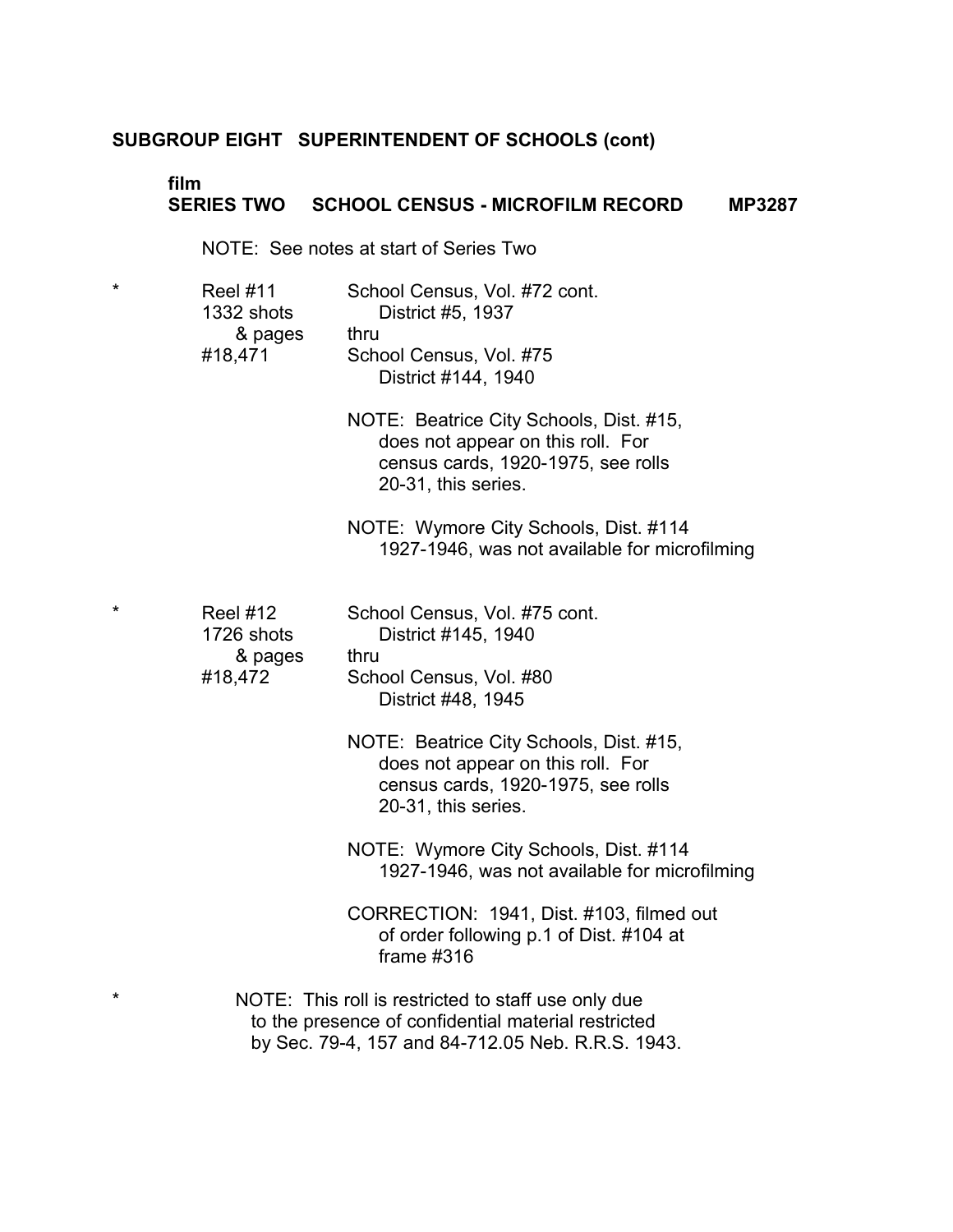### **film SERIES TWO SCHOOL CENSUS - MICROFILM RECORD MP3287**

NOTE: See notes at start of Series Two

| <b>Reel #11</b> | School Census, Vol. #72 cont. |
|-----------------|-------------------------------|
| 1332 shots      | District #5, 1937             |
| & pages         | thru                          |
| #18,471         | School Census, Vol. #75       |
|                 | District #144, 1940           |
|                 |                               |

NOTE: Beatrice City Schools, Dist. #15, does not appear on this roll. For census cards, 1920-1975, see rolls 20-31, this series.

NOTE: Wymore City Schools, Dist. #114 1927-1946, was not available for microfilming

| $\star$ | <b>Reel #12</b> | School Census, Vol. #75 cont. |
|---------|-----------------|-------------------------------|
|         | 1726 shots      | District #145, 1940           |
|         | & pages         | thru                          |
|         | #18,472         | School Census, Vol. #80       |
|         |                 | District #48, 1945            |

NOTE: Beatrice City Schools, Dist. #15, does not appear on this roll. For census cards, 1920-1975, see rolls 20-31, this series.

NOTE: Wymore City Schools, Dist. #114 1927-1946, was not available for microfilming

CORRECTION: 1941, Dist. #103, filmed out of order following p.1 of Dist. #104 at frame #316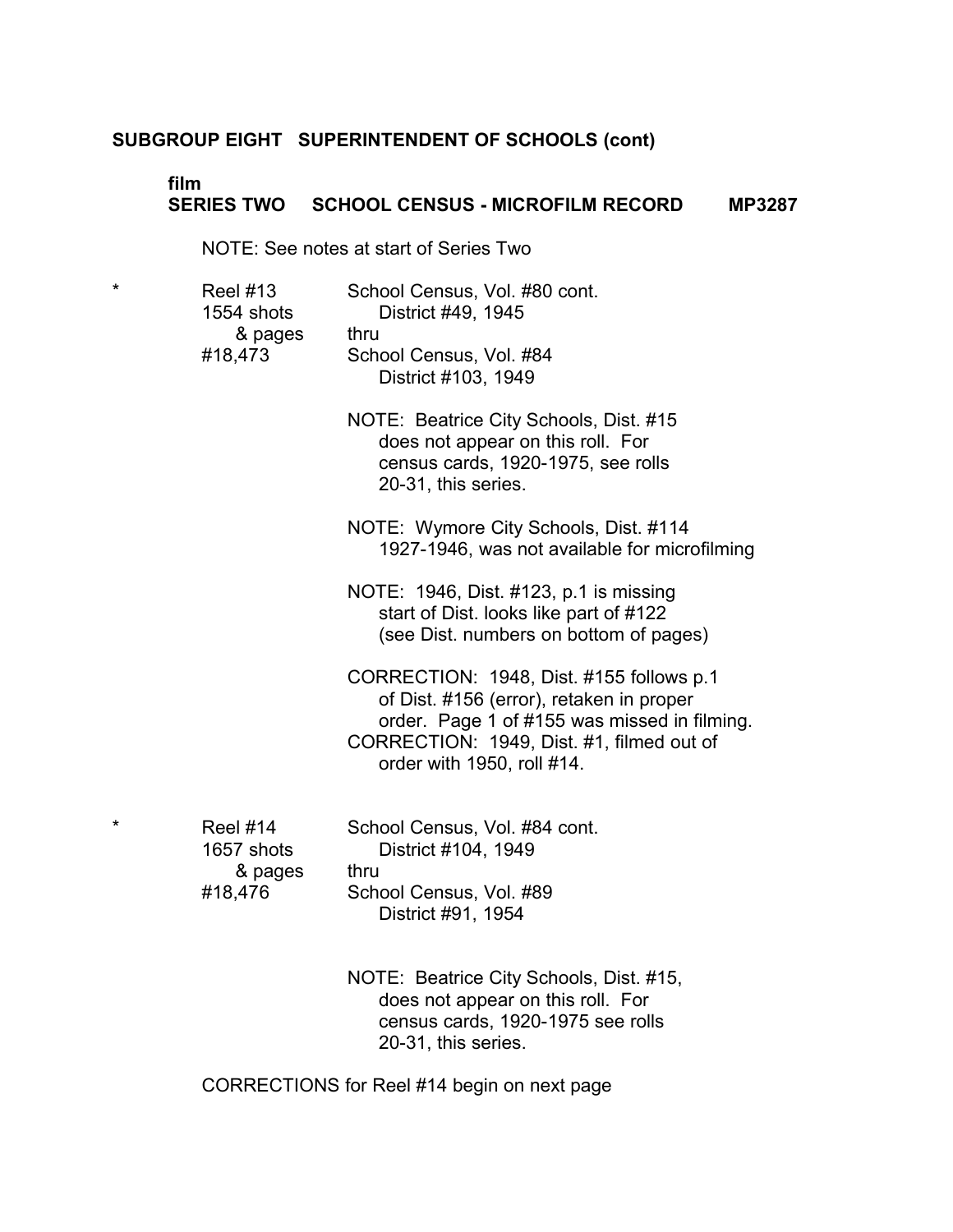### **film SERIES TWO SCHOOL CENSUS - MICROFILM RECORD MP3287**

NOTE: See notes at start of Series Two

| * | <b>Reel #13</b><br>1554 shots<br>& pages<br>#18,473 | School Census, Vol. #80 cont.<br>District #49, 1945<br>thru<br>School Census, Vol. #84<br>District #103, 1949                                                                                                   |
|---|-----------------------------------------------------|-----------------------------------------------------------------------------------------------------------------------------------------------------------------------------------------------------------------|
|   |                                                     | NOTE: Beatrice City Schools, Dist. #15<br>does not appear on this roll. For<br>census cards, 1920-1975, see rolls<br>20-31, this series.                                                                        |
|   |                                                     | NOTE: Wymore City Schools, Dist. #114<br>1927-1946, was not available for microfilming                                                                                                                          |
|   |                                                     | NOTE: 1946, Dist. #123, p.1 is missing<br>start of Dist. looks like part of #122<br>(see Dist. numbers on bottom of pages)                                                                                      |
|   |                                                     | CORRECTION: 1948, Dist. #155 follows p.1<br>of Dist. #156 (error), retaken in proper<br>order. Page 1 of #155 was missed in filming.<br>CORRECTION: 1949, Dist. #1, filmed out of<br>order with 1950, roll #14. |
| * | <b>Reel #14</b><br>1657 shots<br>& pages<br>#18,476 | School Census, Vol. #84 cont.<br>District #104, 1949<br>thru<br>School Census, Vol. #89<br>District #91, 1954                                                                                                   |

NOTE: Beatrice City Schools, Dist. #15, does not appear on this roll. For census cards, 1920-1975 see rolls 20-31, this series.

CORRECTIONS for Reel #14 begin on next page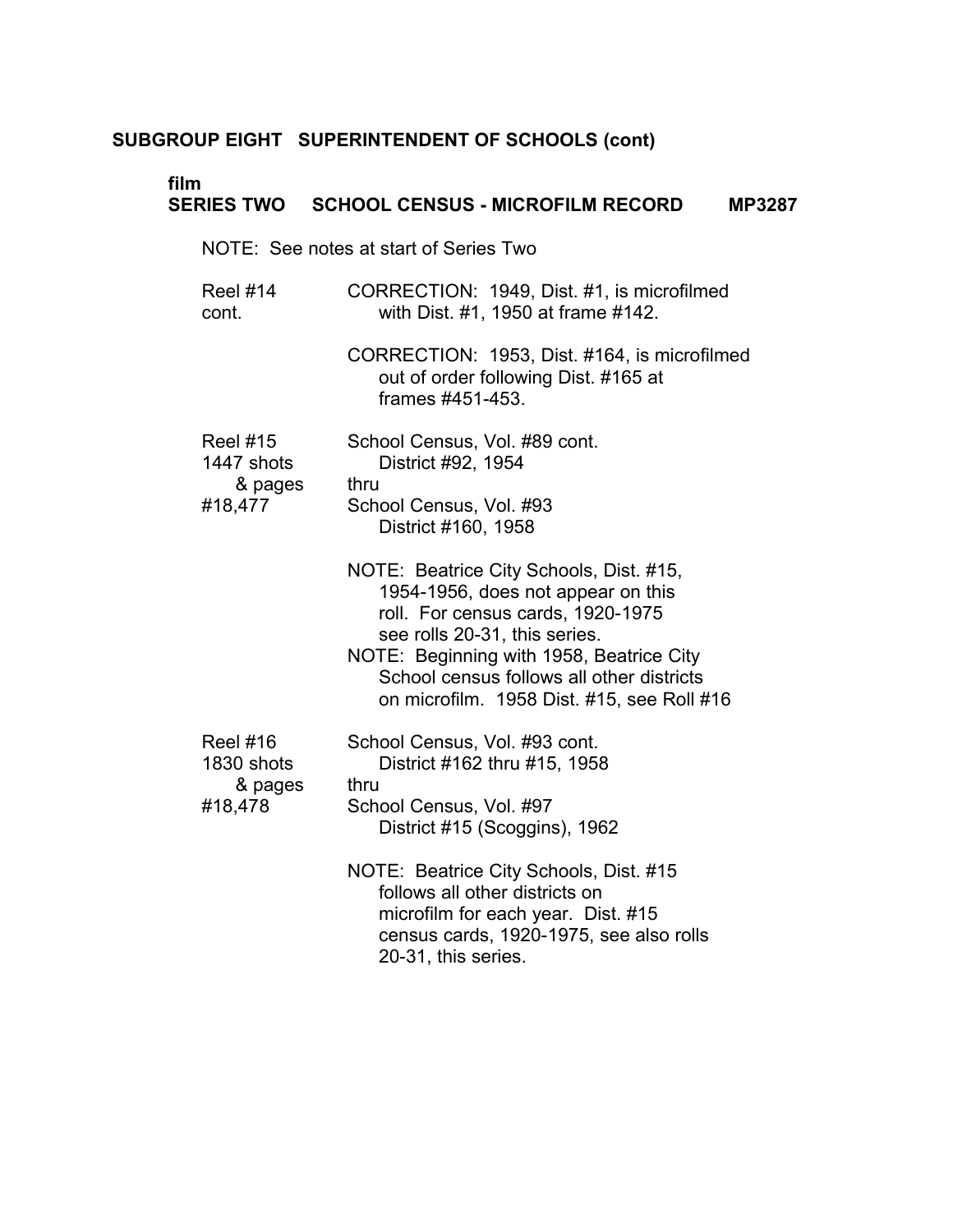# **film**

# **SERIES TWO SCHOOL CENSUS - MICROFILM RECORD MP3287**

NOTE: See notes at start of Series Two

Reel #14 cont. CORRECTION: 1949, Dist. #1, is microfilmed with Dist. #1, 1950 at frame #142.

> CORRECTION: 1953, Dist. #164, is microfilmed out of order following Dist. #165 at frames #451-453.

| <b>Reel #15</b> | School Census, Vol. #89 cont. |
|-----------------|-------------------------------|
| 1447 shots      | District #92, 1954            |
| & pages         | thru                          |
| #18,477         | School Census, Vol. #93       |
|                 | District #160, 1958           |

NOTE: Beatrice City Schools, Dist. #15, 1954-1956, does not appear on this roll. For census cards, 1920-1975 see rolls 20-31, this series.

NOTE: Beginning with 1958, Beatrice City School census follows all other districts on microfilm. 1958 Dist. #15, see Roll #16

| Reel $#16$ | School Census, Vol. #93 cont. |
|------------|-------------------------------|
| 1830 shots | District #162 thru #15, 1958  |
| & pages    | thru                          |
| #18,478    | School Census, Vol. #97       |
|            | District #15 (Scoggins), 1962 |

NOTE: Beatrice City Schools, Dist. #15 follows all other districts on microfilm for each year. Dist. #15 census cards, 1920-1975, see also rolls 20-31, this series.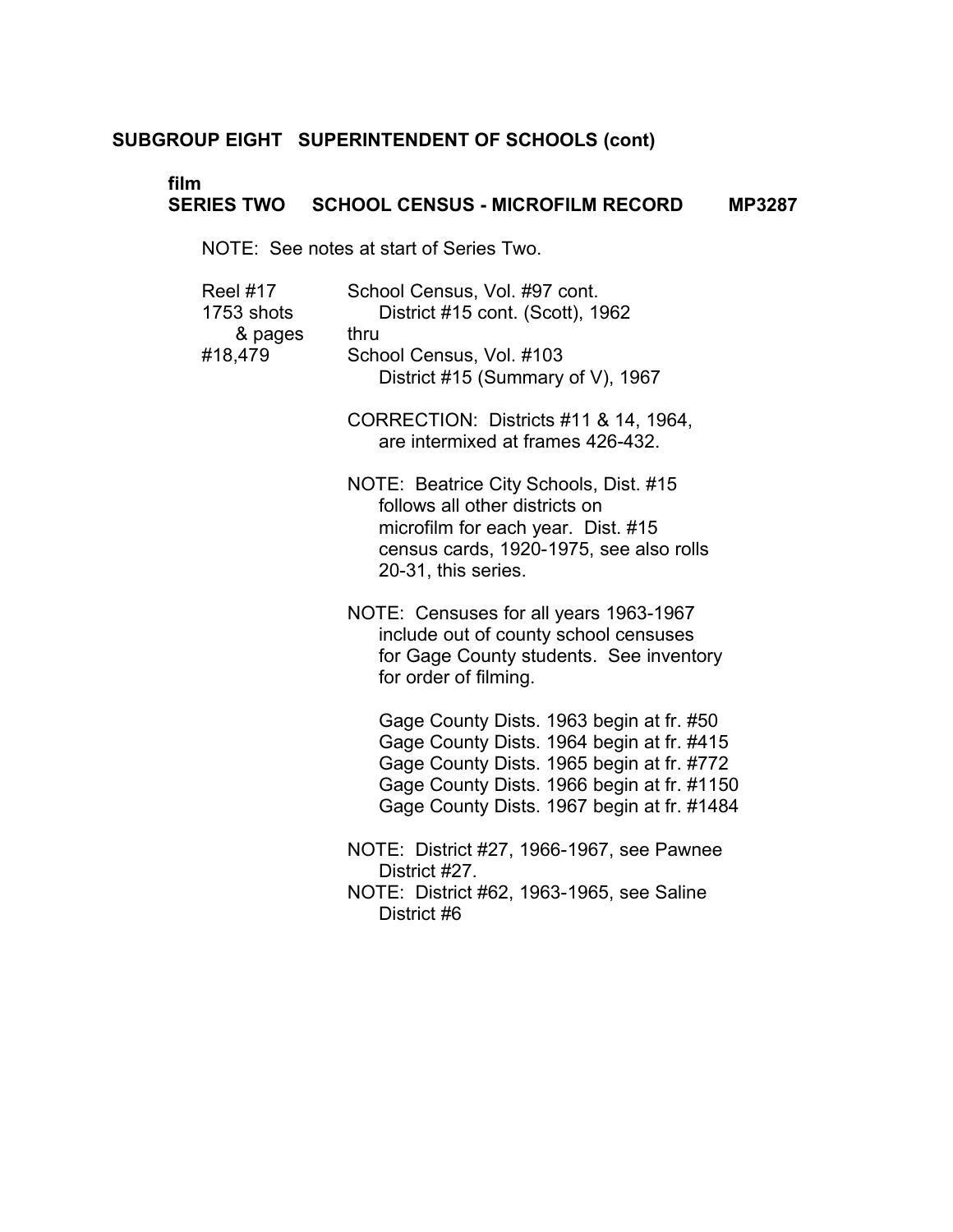### **film SERIES TWO SCHOOL CENSUS - MICROFILM RECORD MP3287**

NOTE: See notes at start of Series Two.

| Reel #17<br>1753 shots<br>& pages | School Census, Vol. #97 cont.<br>District #15 cont. (Scott), 1962<br>thru                                                                                                                                                      |
|-----------------------------------|--------------------------------------------------------------------------------------------------------------------------------------------------------------------------------------------------------------------------------|
| #18,479                           | School Census, Vol. #103<br>District #15 (Summary of V), 1967                                                                                                                                                                  |
|                                   | CORRECTION: Districts #11 & 14, 1964,<br>are intermixed at frames 426-432.                                                                                                                                                     |
|                                   | NOTE: Beatrice City Schools, Dist. #15<br>follows all other districts on<br>microfilm for each year. Dist. #15<br>census cards, 1920-1975, see also rolls<br>20-31, this series.                                               |
|                                   | NOTE: Censuses for all years 1963-1967<br>include out of county school censuses<br>for Gage County students. See inventory<br>for order of filming.                                                                            |
|                                   | Gage County Dists. 1963 begin at fr. #50<br>Gage County Dists. 1964 begin at fr. #415<br>Gage County Dists. 1965 begin at fr. #772<br>Gage County Dists. 1966 begin at fr. #1150<br>Gage County Dists. 1967 begin at fr. #1484 |
|                                   | NOTE: District #27, 1966-1967, see Pawnee<br>District #27.<br>NOTE: District #62, 1963-1965, see Saline<br>District #6                                                                                                         |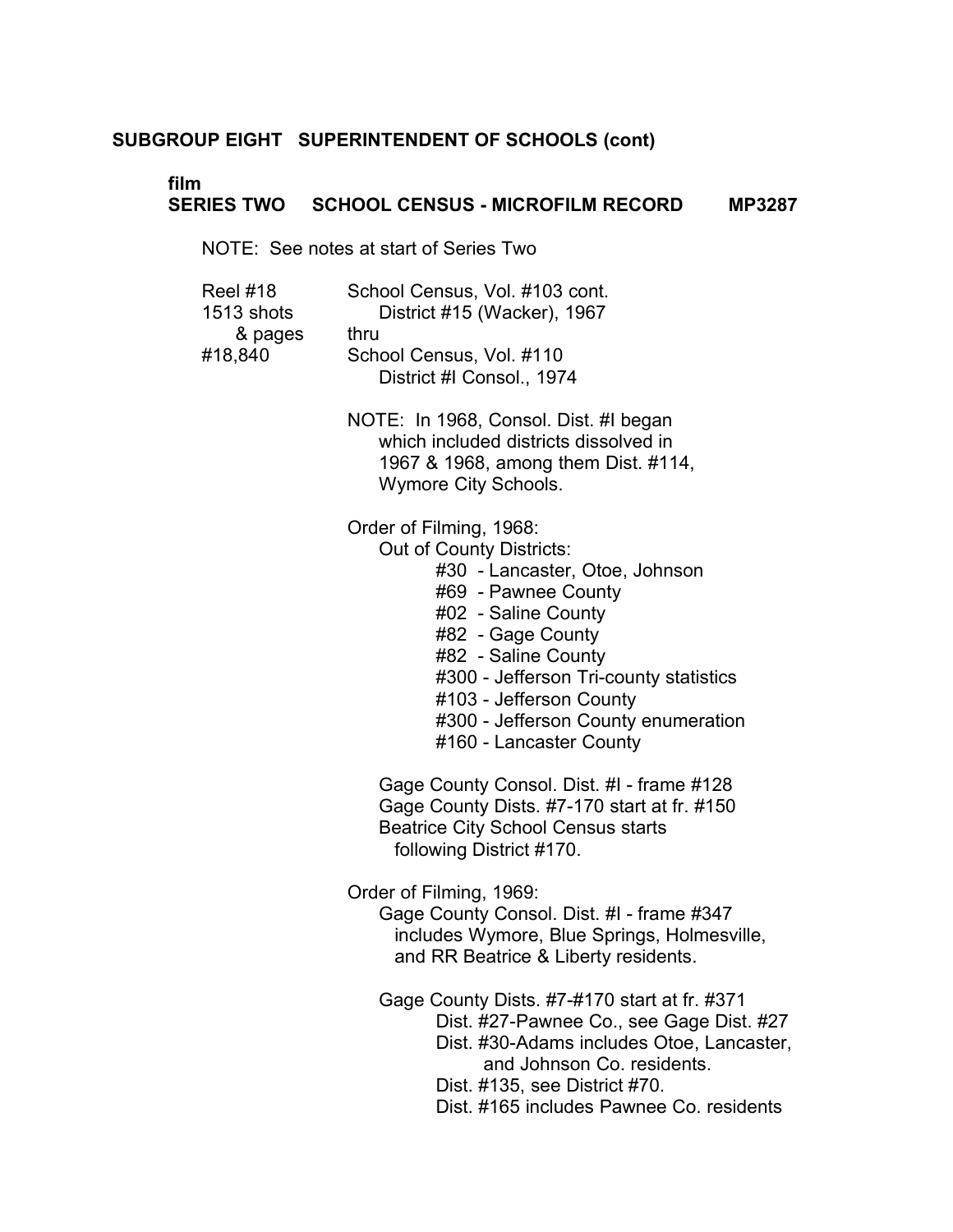# **film**

### **SERIES TWO SCHOOL CENSUS - MICROFILM RECORD MP3287**

NOTE: See notes at start of Series Two

| <b>Reel #18</b> | School Census, Vol. #103 cont. |
|-----------------|--------------------------------|
| 1513 shots      | District #15 (Wacker), 1967    |
| & pages         | thru                           |
| #18,840         | School Census, Vol. #110       |
|                 | District #I Consol., 1974      |

NOTE: In 1968, Consol. Dist. #I began which included districts dissolved in 1967 & 1968, among them Dist. #114, Wymore City Schools.

Order of Filming, 1968:

Out of County Districts:

- #30 Lancaster, Otoe, Johnson
- #69 Pawnee County
- #02 Saline County
- #82 Gage County
- #82 Saline County
- #300 Jefferson Tri-county statistics
- #103 Jefferson County
- #300 Jefferson County enumeration
- #160 Lancaster County

Gage County Consol. Dist. #I - frame #128 Gage County Dists. #7-170 start at fr. #150 Beatrice City School Census starts following District #170.

Order of Filming, 1969:

Gage County Consol. Dist. #I - frame #347 includes Wymore, Blue Springs, Holmesville, and RR Beatrice & Liberty residents.

Gage County Dists. #7-#170 start at fr. #371 Dist. #27-Pawnee Co., see Gage Dist. #27 Dist. #30-Adams includes Otoe, Lancaster, and Johnson Co. residents. Dist. #135, see District #70. Dist. #165 includes Pawnee Co. residents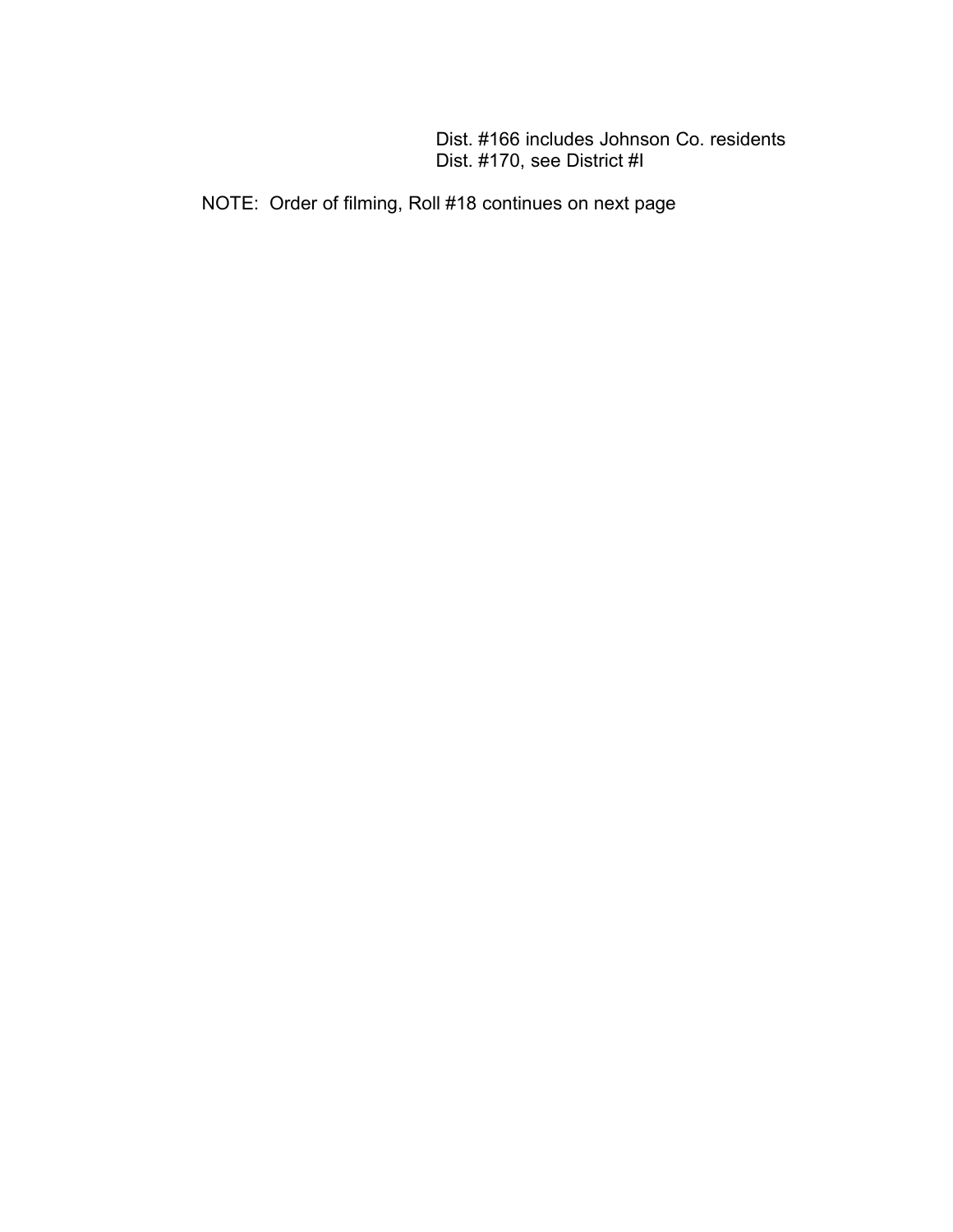Dist. #166 includes Johnson Co. residents Dist. #170, see District #I

NOTE: Order of filming, Roll #18 continues on next page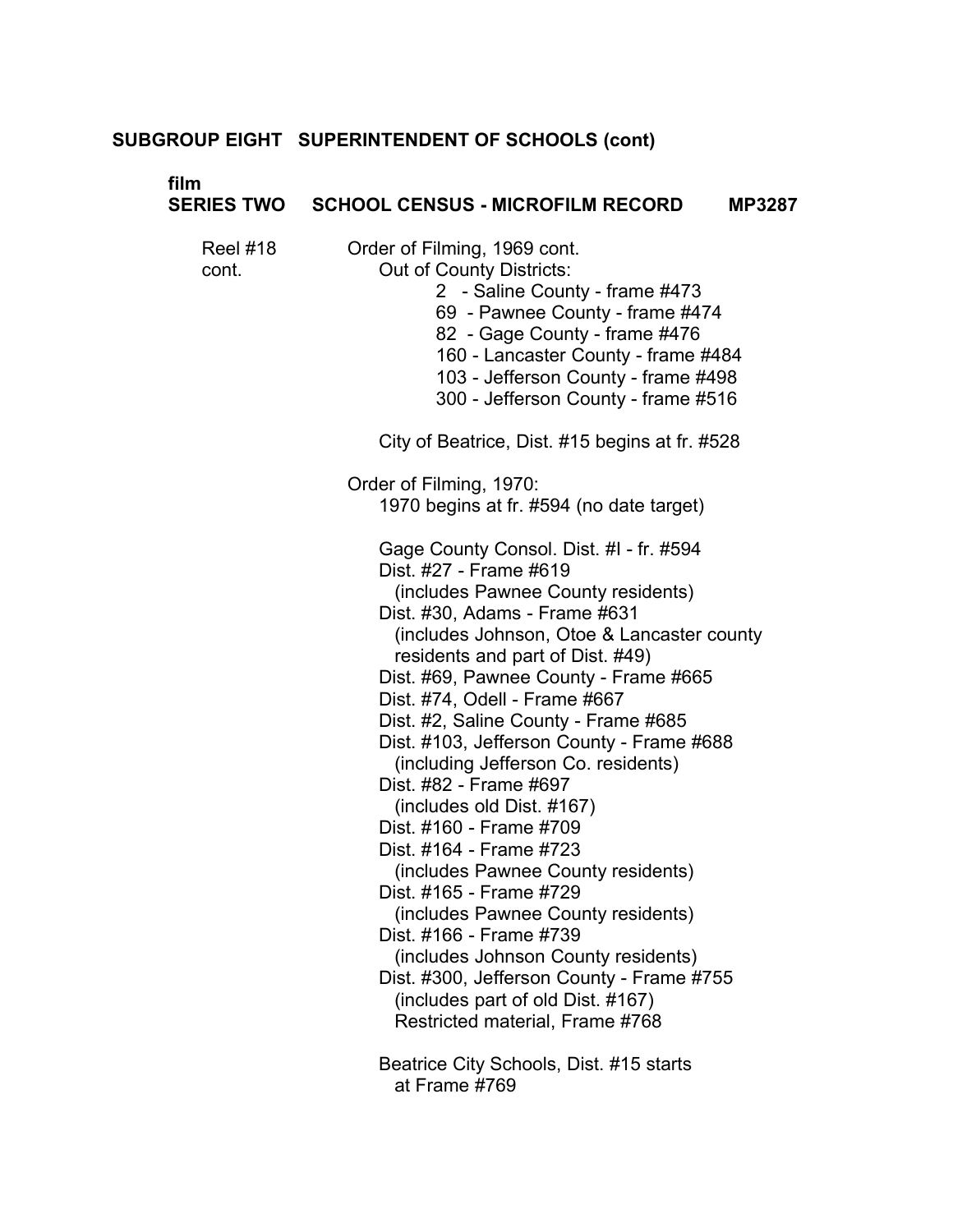# **film SE**

| <b>ERIES TWO</b>  | <b>SCHOOL CENSUS - MICROFILM RECORD</b><br><b>MP3287</b>                                                                                                                                                                                                                                                                                                                                                                                                                                                                                                                                                                                                                                                                                                                                                                                                                               |
|-------------------|----------------------------------------------------------------------------------------------------------------------------------------------------------------------------------------------------------------------------------------------------------------------------------------------------------------------------------------------------------------------------------------------------------------------------------------------------------------------------------------------------------------------------------------------------------------------------------------------------------------------------------------------------------------------------------------------------------------------------------------------------------------------------------------------------------------------------------------------------------------------------------------|
| Reel #18<br>cont. | Order of Filming, 1969 cont.<br>Out of County Districts:<br>2 - Saline County - frame #473<br>69 - Pawnee County - frame #474<br>82 - Gage County - frame #476<br>160 - Lancaster County - frame #484<br>103 - Jefferson County - frame #498<br>300 - Jefferson County - frame #516                                                                                                                                                                                                                                                                                                                                                                                                                                                                                                                                                                                                    |
|                   | City of Beatrice, Dist. #15 begins at fr. #528                                                                                                                                                                                                                                                                                                                                                                                                                                                                                                                                                                                                                                                                                                                                                                                                                                         |
|                   | Order of Filming, 1970:<br>1970 begins at fr. #594 (no date target)                                                                                                                                                                                                                                                                                                                                                                                                                                                                                                                                                                                                                                                                                                                                                                                                                    |
|                   | Gage County Consol. Dist. #I - fr. #594<br>Dist. #27 - Frame #619<br>(includes Pawnee County residents)<br>Dist. #30, Adams - Frame #631<br>(includes Johnson, Otoe & Lancaster county<br>residents and part of Dist. #49)<br>Dist. #69, Pawnee County - Frame #665<br>Dist. #74, Odell - Frame #667<br>Dist. #2, Saline County - Frame #685<br>Dist. #103, Jefferson County - Frame #688<br>(including Jefferson Co. residents)<br>Dist. #82 - Frame #697<br>(includes old Dist. #167)<br>Dist. #160 - Frame #709<br>Dist. #164 - Frame #723<br>(includes Pawnee County residents)<br>Dist. #165 - Frame #729<br>(includes Pawnee County residents)<br>Dist. #166 - Frame #739<br>(includes Johnson County residents)<br>Dist. #300, Jefferson County - Frame #755<br>(includes part of old Dist. #167)<br>Restricted material, Frame #768<br>Beatrice City Schools, Dist. #15 starts |
|                   | at Frame #769                                                                                                                                                                                                                                                                                                                                                                                                                                                                                                                                                                                                                                                                                                                                                                                                                                                                          |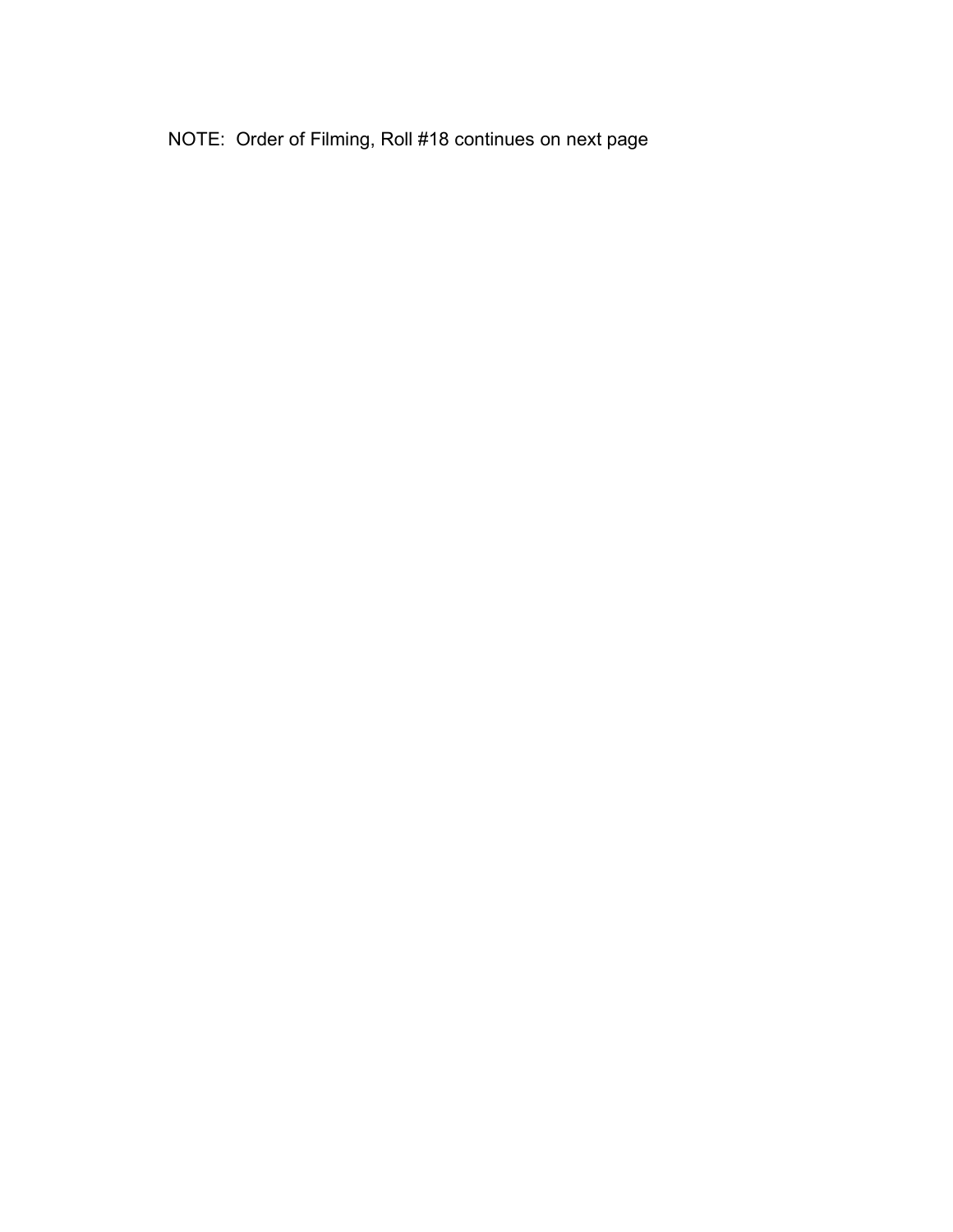NOTE: Order of Filming, Roll #18 continues on next page �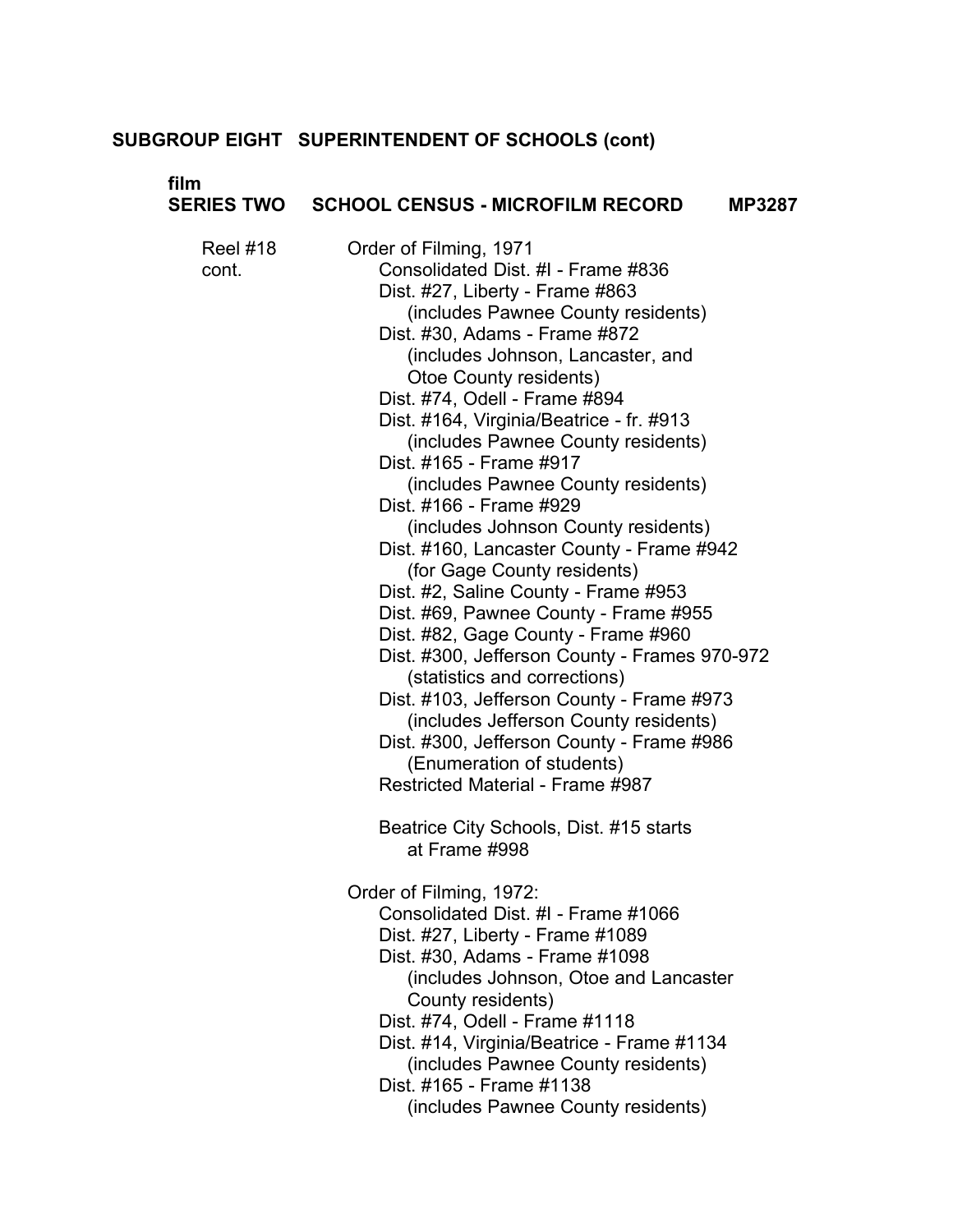| film<br><b>SERIES TWO</b> | <b>SCHOOL CENSUS - MICROFILM RECORD</b><br><b>MP3287</b>                                                                                                                                                                                                                                                                                                                                                                                                                                                                                                                                                                                                                                                                                                                                                                                                                                                                                                                                                                                         |
|---------------------------|--------------------------------------------------------------------------------------------------------------------------------------------------------------------------------------------------------------------------------------------------------------------------------------------------------------------------------------------------------------------------------------------------------------------------------------------------------------------------------------------------------------------------------------------------------------------------------------------------------------------------------------------------------------------------------------------------------------------------------------------------------------------------------------------------------------------------------------------------------------------------------------------------------------------------------------------------------------------------------------------------------------------------------------------------|
| <b>Reel #18</b><br>cont.  | Order of Filming, 1971<br>Consolidated Dist. #I - Frame #836<br>Dist. #27, Liberty - Frame #863<br>(includes Pawnee County residents)<br>Dist. #30, Adams - Frame #872<br>(includes Johnson, Lancaster, and<br>Otoe County residents)<br>Dist. #74, Odell - Frame #894<br>Dist. #164, Virginia/Beatrice - fr. #913<br>(includes Pawnee County residents)<br>Dist. #165 - Frame #917<br>(includes Pawnee County residents)<br>Dist. #166 - Frame #929<br>(includes Johnson County residents)<br>Dist. #160, Lancaster County - Frame #942<br>(for Gage County residents)<br>Dist. #2, Saline County - Frame #953<br>Dist. #69, Pawnee County - Frame #955<br>Dist. #82, Gage County - Frame #960<br>Dist. #300, Jefferson County - Frames 970-972<br>(statistics and corrections)<br>Dist. #103, Jefferson County - Frame #973<br>(includes Jefferson County residents)<br>Dist. #300, Jefferson County - Frame #986<br>(Enumeration of students)<br>Restricted Material - Frame #987<br>Beatrice City Schools, Dist. #15 starts<br>at Frame #998 |
|                           | Order of Filming, 1972:<br>Consolidated Dist. #I - Frame #1066<br>Dist. #27, Liberty - Frame #1089<br>Dist. #30, Adams - Frame #1098<br>(includes Johnson, Otoe and Lancaster<br>County residents)<br>Dist. #74, Odell - Frame #1118<br>Dist. #14, Virginia/Beatrice - Frame #1134<br>(includes Pawnee County residents)<br>Dist. #165 - Frame #1138<br>(includes Pawnee County residents)                                                                                                                                                                                                                                                                                                                                                                                                                                                                                                                                                                                                                                                       |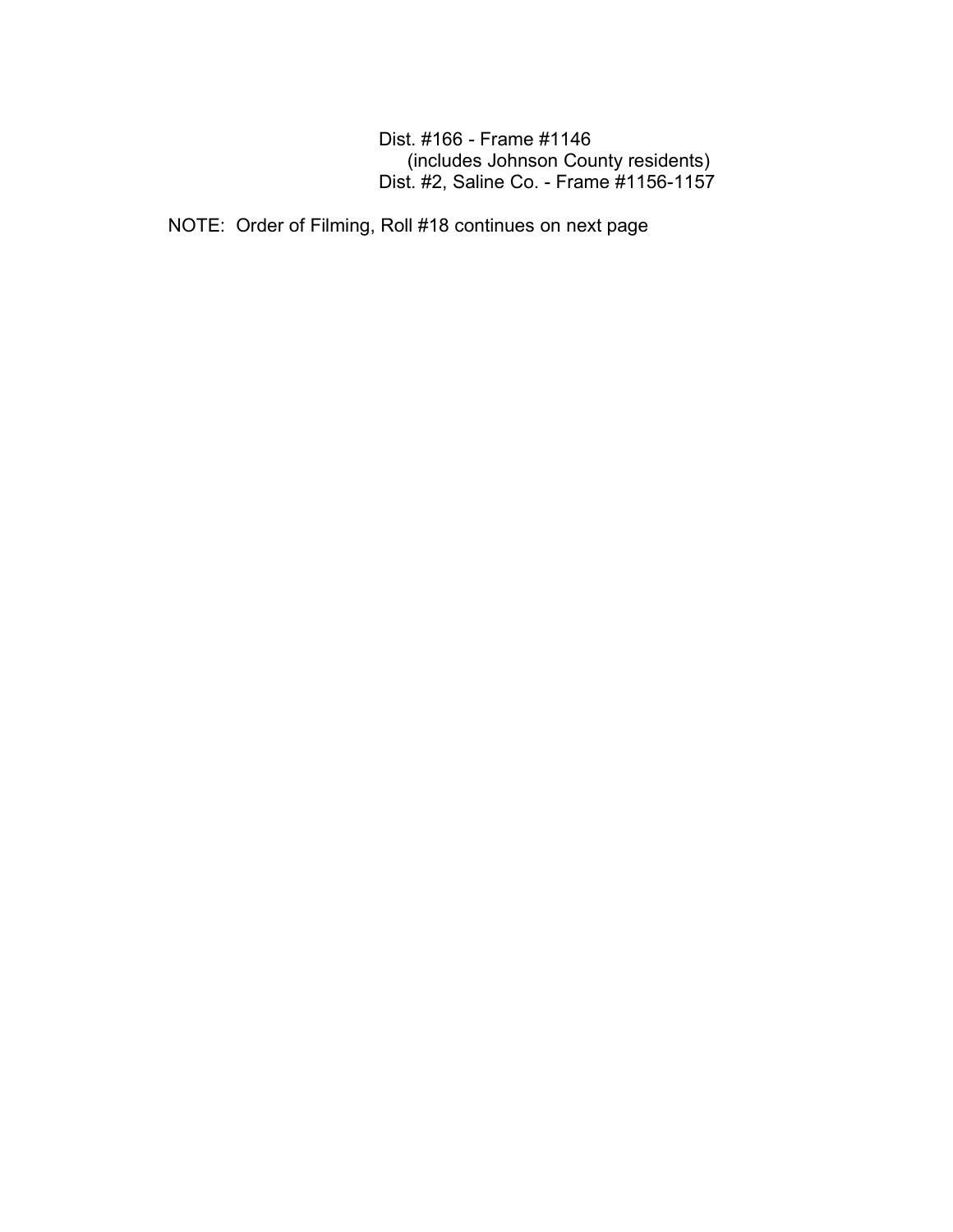Dist. #166 - Frame #1146 (includes Johnson County residents) Dist. #2, Saline Co. - Frame #1156-1157

NOTE: Order of Filming, Roll #18 continues on next page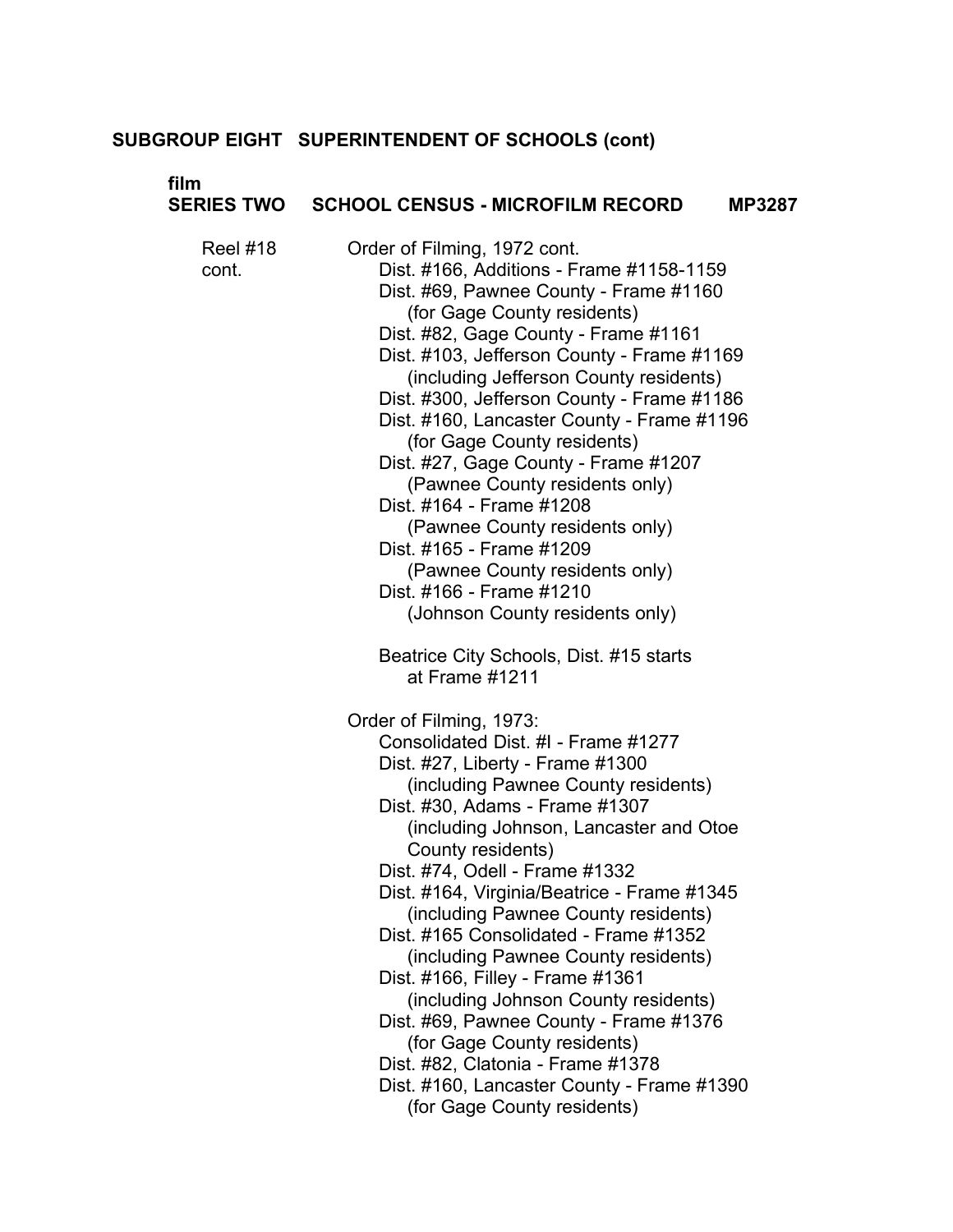# **film**

|                   | SERIES TWO  SCHOOL CENSUS - MICROFILM RECORD<br><b>MP3287</b>                                                                                                                                                                                                                                                                                                                                                                                                                                                                                                                                                                                                                                                             |  |
|-------------------|---------------------------------------------------------------------------------------------------------------------------------------------------------------------------------------------------------------------------------------------------------------------------------------------------------------------------------------------------------------------------------------------------------------------------------------------------------------------------------------------------------------------------------------------------------------------------------------------------------------------------------------------------------------------------------------------------------------------------|--|
| Reel #18<br>cont. | Order of Filming, 1972 cont.<br>Dist. #166, Additions - Frame #1158-1159<br>Dist. #69, Pawnee County - Frame #1160<br>(for Gage County residents)<br>Dist. #82, Gage County - Frame #1161<br>Dist. #103, Jefferson County - Frame #1169<br>(including Jefferson County residents)<br>Dist. #300, Jefferson County - Frame #1186<br>Dist. #160, Lancaster County - Frame #1196<br>(for Gage County residents)<br>Dist. #27, Gage County - Frame #1207<br>(Pawnee County residents only)<br>Dist. #164 - Frame #1208<br>(Pawnee County residents only)<br>Dist. #165 - Frame #1209<br>(Pawnee County residents only)<br>Dist. #166 - Frame #1210<br>(Johnson County residents only)                                         |  |
|                   | Beatrice City Schools, Dist. #15 starts<br>at Frame #1211                                                                                                                                                                                                                                                                                                                                                                                                                                                                                                                                                                                                                                                                 |  |
|                   | Order of Filming, 1973:<br>Consolidated Dist. #I - Frame #1277<br>Dist. #27, Liberty - Frame #1300<br>(including Pawnee County residents)<br>Dist. #30, Adams - Frame #1307<br>(including Johnson, Lancaster and Otoe<br>County residents)<br>Dist. #74, Odell - Frame #1332<br>Dist. #164, Virginia/Beatrice - Frame #1345<br>(including Pawnee County residents)<br>Dist. #165 Consolidated - Frame #1352<br>(including Pawnee County residents)<br>Dist. #166, Filley - Frame #1361<br>(including Johnson County residents)<br>Dist. #69, Pawnee County - Frame #1376<br>(for Gage County residents)<br>Dist. #82, Clatonia - Frame #1378<br>Dist. #160, Lancaster County - Frame #1390<br>(for Gage County residents) |  |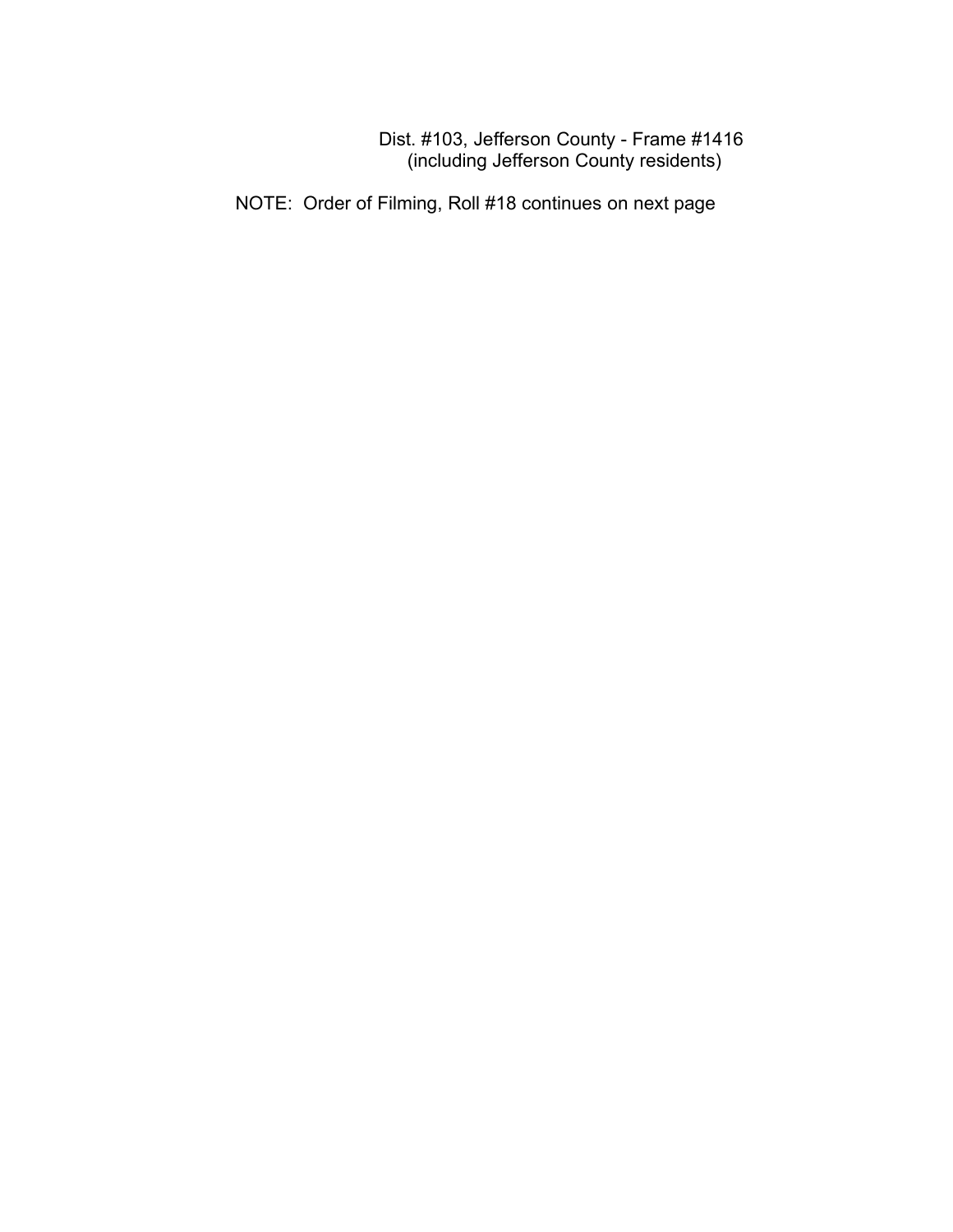Dist. #103, Jefferson County - Frame #1416 (including Jefferson County residents)

NOTE: Order of Filming, Roll #18 continues on next page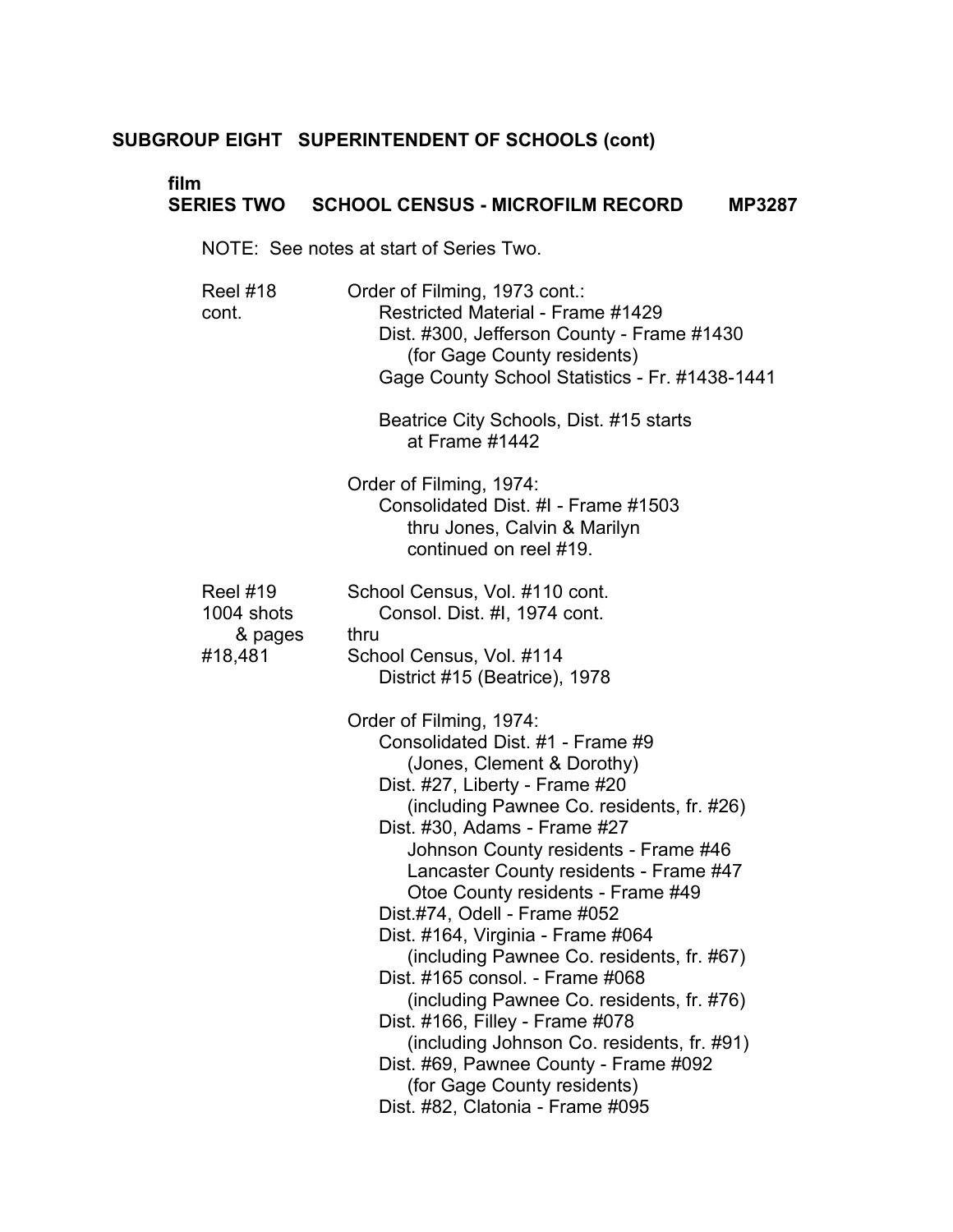# **film**

# **SERIES TWO SCHOOL CENSUS - MICROFILM RECORD MP3287**

NOTE: See notes at start of Series Two.

| <b>Reel #18</b><br>cont.                 | Order of Filming, 1973 cont.:<br>Restricted Material - Frame #1429<br>Dist. #300, Jefferson County - Frame #1430<br>(for Gage County residents)<br>Gage County School Statistics - Fr. #1438-1441                                                                                                                                                                                                                                                                                                                                                                                                                                                                                                                              |
|------------------------------------------|--------------------------------------------------------------------------------------------------------------------------------------------------------------------------------------------------------------------------------------------------------------------------------------------------------------------------------------------------------------------------------------------------------------------------------------------------------------------------------------------------------------------------------------------------------------------------------------------------------------------------------------------------------------------------------------------------------------------------------|
|                                          | Beatrice City Schools, Dist. #15 starts<br>at Frame #1442                                                                                                                                                                                                                                                                                                                                                                                                                                                                                                                                                                                                                                                                      |
|                                          | Order of Filming, 1974:<br>Consolidated Dist. #I - Frame #1503<br>thru Jones, Calvin & Marilyn<br>continued on reel #19.                                                                                                                                                                                                                                                                                                                                                                                                                                                                                                                                                                                                       |
| <b>Reel #19</b><br>1004 shots<br>& pages | School Census, Vol. #110 cont.<br>Consol. Dist. #I, 1974 cont.<br>thru                                                                                                                                                                                                                                                                                                                                                                                                                                                                                                                                                                                                                                                         |
| #18,481                                  | School Census, Vol. #114<br>District #15 (Beatrice), 1978                                                                                                                                                                                                                                                                                                                                                                                                                                                                                                                                                                                                                                                                      |
|                                          | Order of Filming, 1974:<br>Consolidated Dist. #1 - Frame #9<br>(Jones, Clement & Dorothy)<br>Dist. #27, Liberty - Frame #20<br>(including Pawnee Co. residents, fr. #26)<br>Dist. #30, Adams - Frame #27<br>Johnson County residents - Frame #46<br>Lancaster County residents - Frame #47<br>Otoe County residents - Frame #49<br>Dist.#74, Odell - Frame #052<br>Dist. #164, Virginia - Frame #064<br>(including Pawnee Co. residents, fr. #67)<br>Dist. #165 consol. - Frame #068<br>(including Pawnee Co. residents, fr. #76)<br>Dist. #166, Filley - Frame #078<br>(including Johnson Co. residents, fr. #91)<br>Dist. #69, Pawnee County - Frame #092<br>(for Gage County residents)<br>Dist. #82, Clatonia - Frame #095 |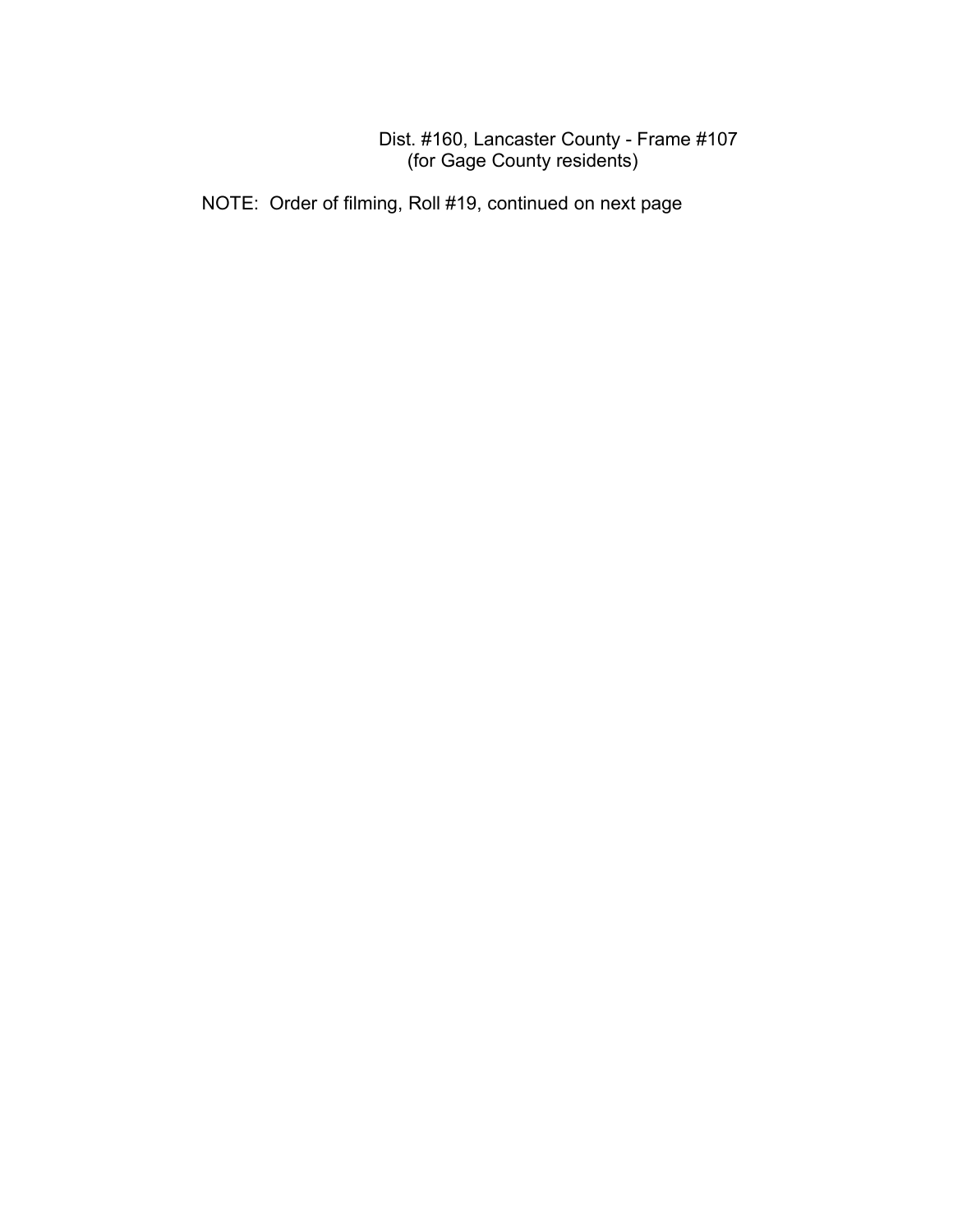## Dist. #160, Lancaster County - Frame #107 (for Gage County residents)

NOTE: Order of filming, Roll #19, continued on next page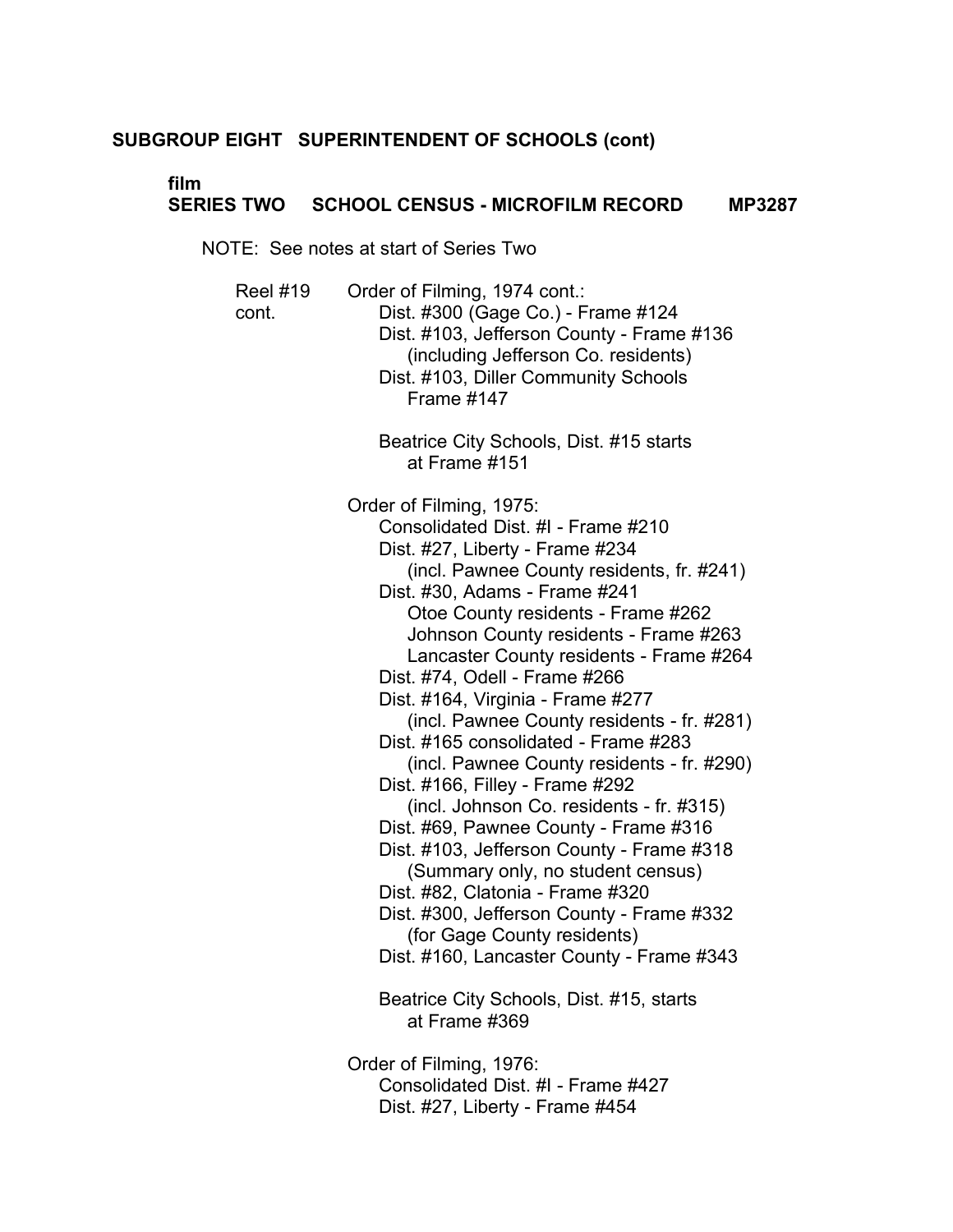# **film**

# **SERIES TWO SCHOOL CENSUS - MICROFILM RECORD MP3287**

NOTE: See notes at start of Series Two

| <b>Reel #19</b><br>cont. | Order of Filming, 1974 cont.:<br>Dist. #300 (Gage Co.) - Frame #124<br>Dist. #103, Jefferson County - Frame #136<br>(including Jefferson Co. residents)<br>Dist. #103, Diller Community Schools<br><b>Frame #147</b>                                                                                                                                                                                                                                                                                                                                                                                                                                                                                                                                                                                                                                                                                                                                   |
|--------------------------|--------------------------------------------------------------------------------------------------------------------------------------------------------------------------------------------------------------------------------------------------------------------------------------------------------------------------------------------------------------------------------------------------------------------------------------------------------------------------------------------------------------------------------------------------------------------------------------------------------------------------------------------------------------------------------------------------------------------------------------------------------------------------------------------------------------------------------------------------------------------------------------------------------------------------------------------------------|
|                          | Beatrice City Schools, Dist. #15 starts<br>at Frame #151                                                                                                                                                                                                                                                                                                                                                                                                                                                                                                                                                                                                                                                                                                                                                                                                                                                                                               |
|                          | Order of Filming, 1975:<br>Consolidated Dist. #I - Frame #210<br>Dist. #27, Liberty - Frame #234<br>(incl. Pawnee County residents, fr. #241)<br>Dist. #30, Adams - Frame #241<br>Otoe County residents - Frame #262<br>Johnson County residents - Frame #263<br>Lancaster County residents - Frame #264<br>Dist. #74, Odell - Frame #266<br>Dist. #164, Virginia - Frame #277<br>(incl. Pawnee County residents - fr. #281)<br>Dist. #165 consolidated - Frame #283<br>(incl. Pawnee County residents - fr. #290)<br>Dist. #166, Filley - Frame #292<br>(incl. Johnson Co. residents - fr. #315)<br>Dist. #69, Pawnee County - Frame #316<br>Dist. #103, Jefferson County - Frame #318<br>(Summary only, no student census)<br>Dist. #82, Clatonia - Frame #320<br>Dist. #300, Jefferson County - Frame #332<br>(for Gage County residents)<br>Dist. #160, Lancaster County - Frame #343<br>Beatrice City Schools, Dist. #15, starts<br>at Frame #369 |
|                          | Order of Filming, 1976:                                                                                                                                                                                                                                                                                                                                                                                                                                                                                                                                                                                                                                                                                                                                                                                                                                                                                                                                |

Consolidated Dist. #I - Frame #427 Dist. #27, Liberty - Frame #454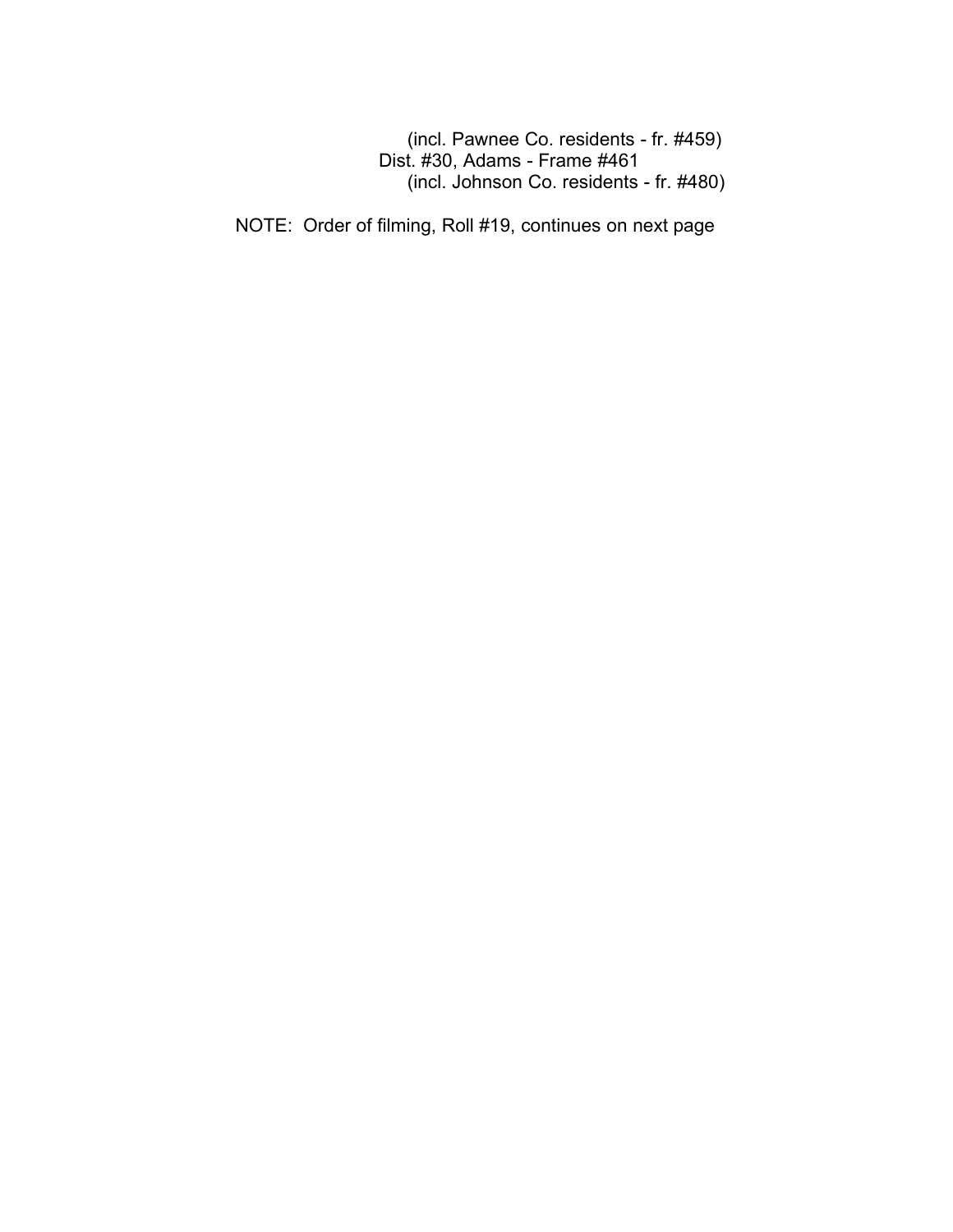(incl. Pawnee Co. residents - fr. #459) Dist. #30, Adams - Frame #461 (incl. Johnson Co. residents - fr. #480)

NOTE: Order of filming, Roll #19, continues on next page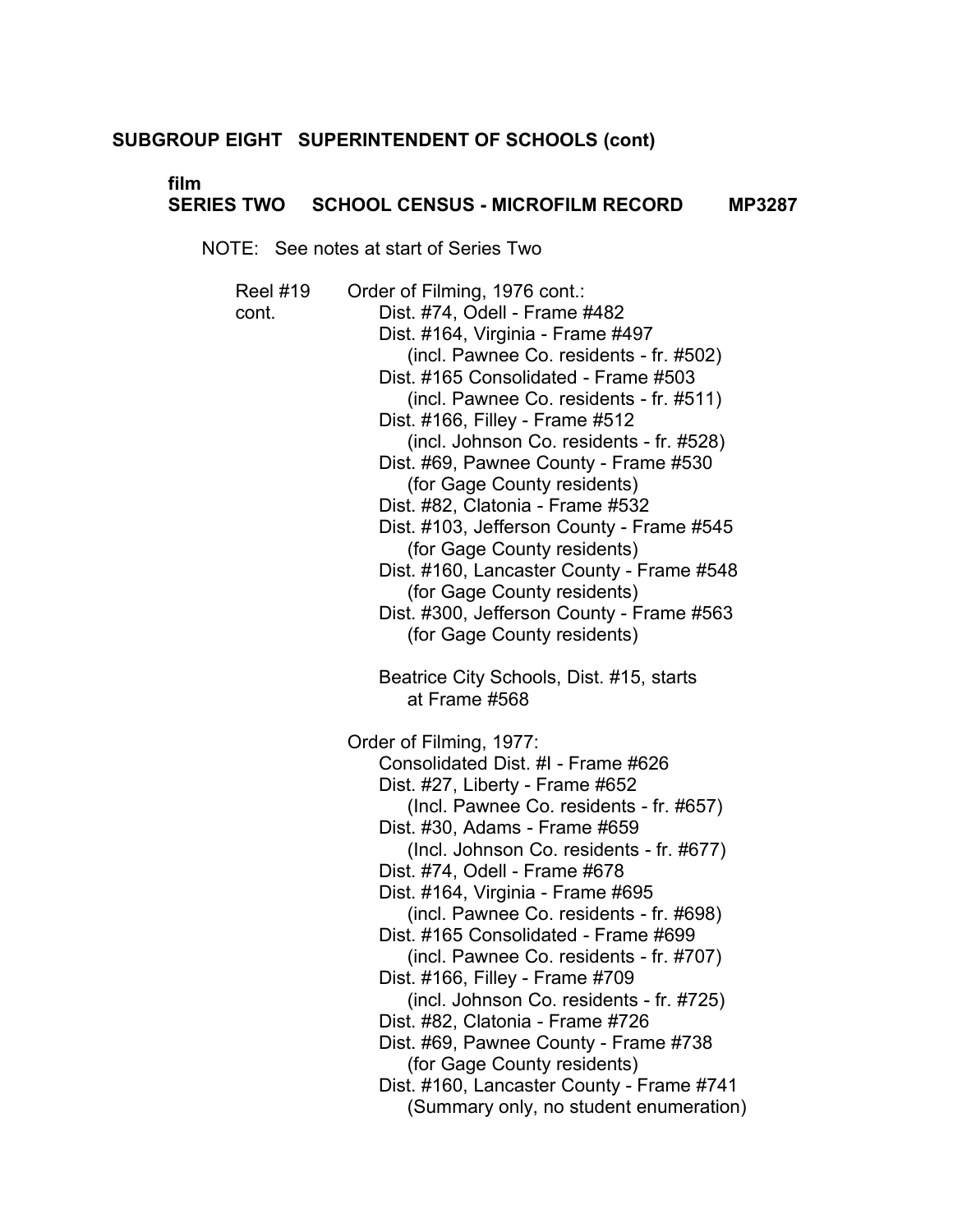# **film**

# **SERIES TWO SCHOOL CENSUS - MICROFILM RECORD MP3287**

NOTE: See notes at start of Series Two

Reel #19 Order of Filming, 1976 cont.: cont. Dist. #74, Odell - Frame #482 Dist. #164, Virginia - Frame #497 (incl. Pawnee Co. residents - fr. #502) Dist. #165 Consolidated - Frame #503 (incl. Pawnee Co. residents - fr. #511) Dist. #166, Filley - Frame #512 (incl. Johnson Co. residents - fr. #528) Dist. #69, Pawnee County - Frame #530 (for Gage County residents) Dist. #82, Clatonia - Frame #532 Dist. #103, Jefferson County - Frame #545 (for Gage County residents) Dist. #160, Lancaster County - Frame #548 (for Gage County residents) Dist. #300, Jefferson County - Frame #563 (for Gage County residents) Beatrice City Schools, Dist. #15, starts at Frame #568 Order of Filming, 1977: Consolidated Dist. #I - Frame #626 Dist. #27, Liberty - Frame #652 (Incl. Pawnee Co. residents - fr. #657) Dist. #30, Adams - Frame #659 (Incl. Johnson Co. residents - fr. #677) Dist. #74, Odell - Frame #678 Dist. #164, Virginia - Frame #695 (incl. Pawnee Co. residents - fr. #698) Dist. #165 Consolidated - Frame #699 (incl. Pawnee Co. residents - fr. #707) Dist. #166, Filley - Frame #709 (incl. Johnson Co. residents - fr. #725) Dist. #82, Clatonia - Frame #726 Dist. #69, Pawnee County - Frame #738 (for Gage County residents) Dist. #160, Lancaster County - Frame #741 (Summary only, no student enumeration)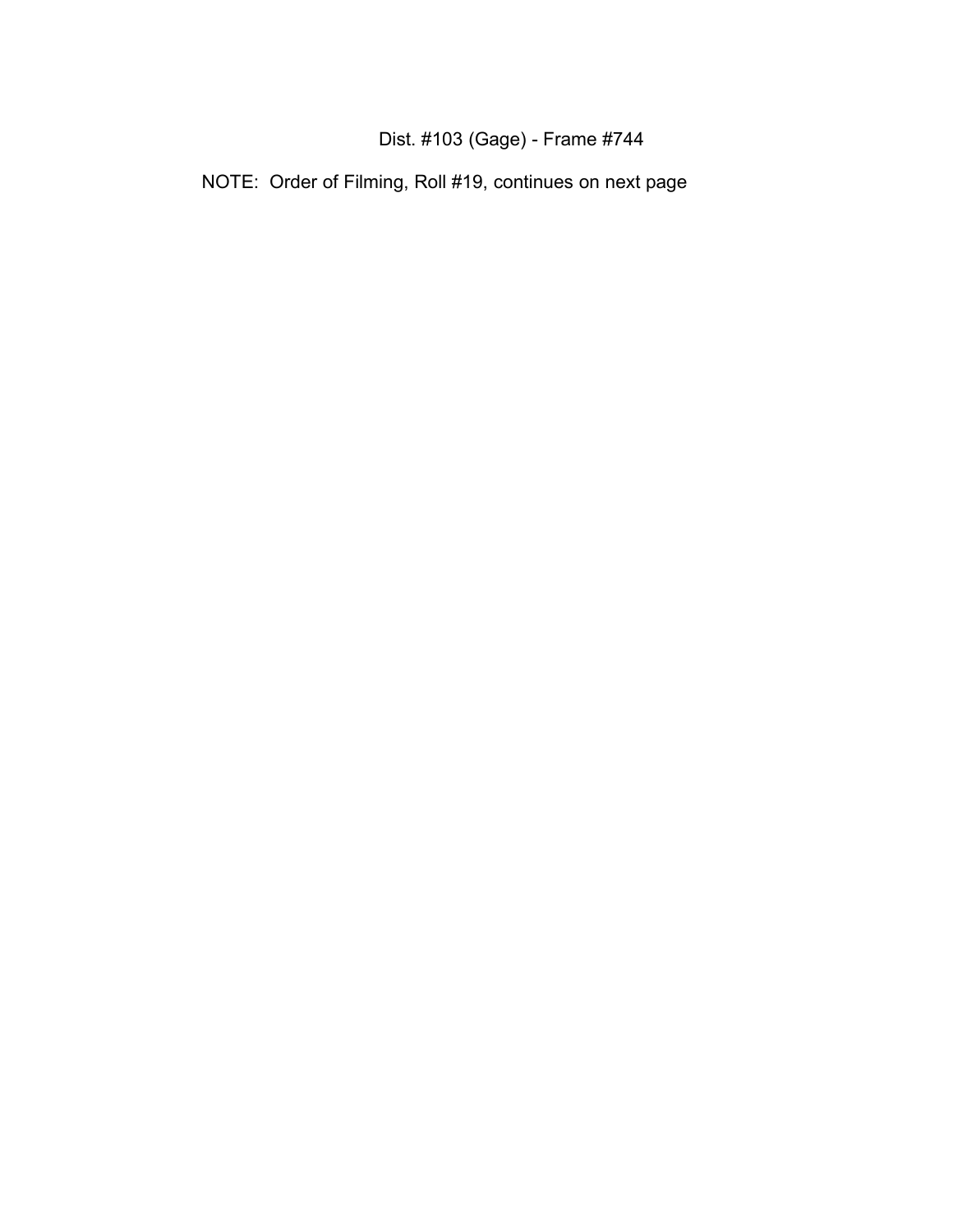# Dist. #103 (Gage) - Frame #744

NOTE: Order of Filming, Roll #19, continues on next page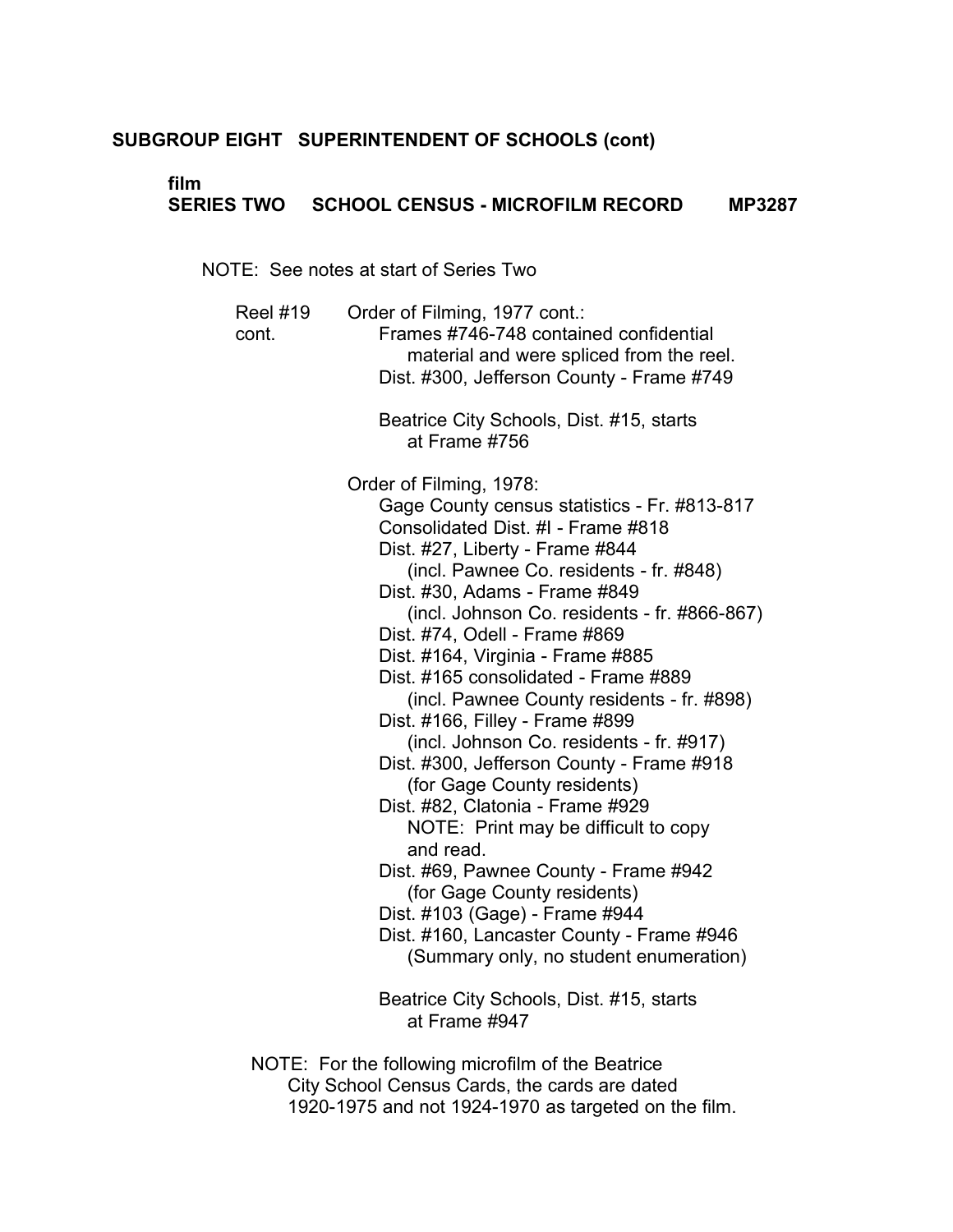# **film**

# **SERIES TWO SCHOOL CENSUS - MICROFILM RECORD MP3287**

NOTE: See notes at start of Series Two

| <b>Reel #19</b><br>cont. | Order of Filming, 1977 cont.:<br>Frames #746-748 contained confidential<br>material and were spliced from the reel.<br>Dist. #300, Jefferson County - Frame #749                                                                                                                                                                                                                                                                                                                                                                                                                                                                                                                                                                      |
|--------------------------|---------------------------------------------------------------------------------------------------------------------------------------------------------------------------------------------------------------------------------------------------------------------------------------------------------------------------------------------------------------------------------------------------------------------------------------------------------------------------------------------------------------------------------------------------------------------------------------------------------------------------------------------------------------------------------------------------------------------------------------|
|                          | Beatrice City Schools, Dist. #15, starts<br>at Frame #756                                                                                                                                                                                                                                                                                                                                                                                                                                                                                                                                                                                                                                                                             |
|                          | Order of Filming, 1978:<br>Gage County census statistics - Fr. #813-817<br>Consolidated Dist. #I - Frame #818<br>Dist. #27, Liberty - Frame #844<br>(incl. Pawnee Co. residents - fr. #848)<br>Dist. #30, Adams - Frame #849<br>(incl. Johnson Co. residents - fr. #866-867)<br>Dist. #74, Odell - Frame #869<br>Dist. #164, Virginia - Frame #885<br>Dist. #165 consolidated - Frame #889<br>(incl. Pawnee County residents - fr. #898)<br>Dist. #166, Filley - Frame #899<br>(incl. Johnson Co. residents - fr. #917)<br>Dist. #300, Jefferson County - Frame #918<br>(for Gage County residents)<br>Dist. #82, Clatonia - Frame #929<br>NOTE: Print may be difficult to copy<br>and read.<br>Dist. #69, Pawnee County - Frame #942 |
|                          | (for Gage County residents)<br>Dist. #103 (Gage) - Frame #944<br>Dist. #160, Lancaster County - Frame #946<br>(Summary only, no student enumeration)                                                                                                                                                                                                                                                                                                                                                                                                                                                                                                                                                                                  |
|                          | Beatrice City Schools, Dist. #15, starts<br>at Frame #947                                                                                                                                                                                                                                                                                                                                                                                                                                                                                                                                                                                                                                                                             |
| $1 \cap T$               | $\mathbf{u}$ cuts in the cuts of $\mathbf{u}$                                                                                                                                                                                                                                                                                                                                                                                                                                                                                                                                                                                                                                                                                         |

NOTE: For the following microfilm of the Beatrice City School Census Cards, the cards are dated 1920-1975 and not 1924-1970 as targeted on the film.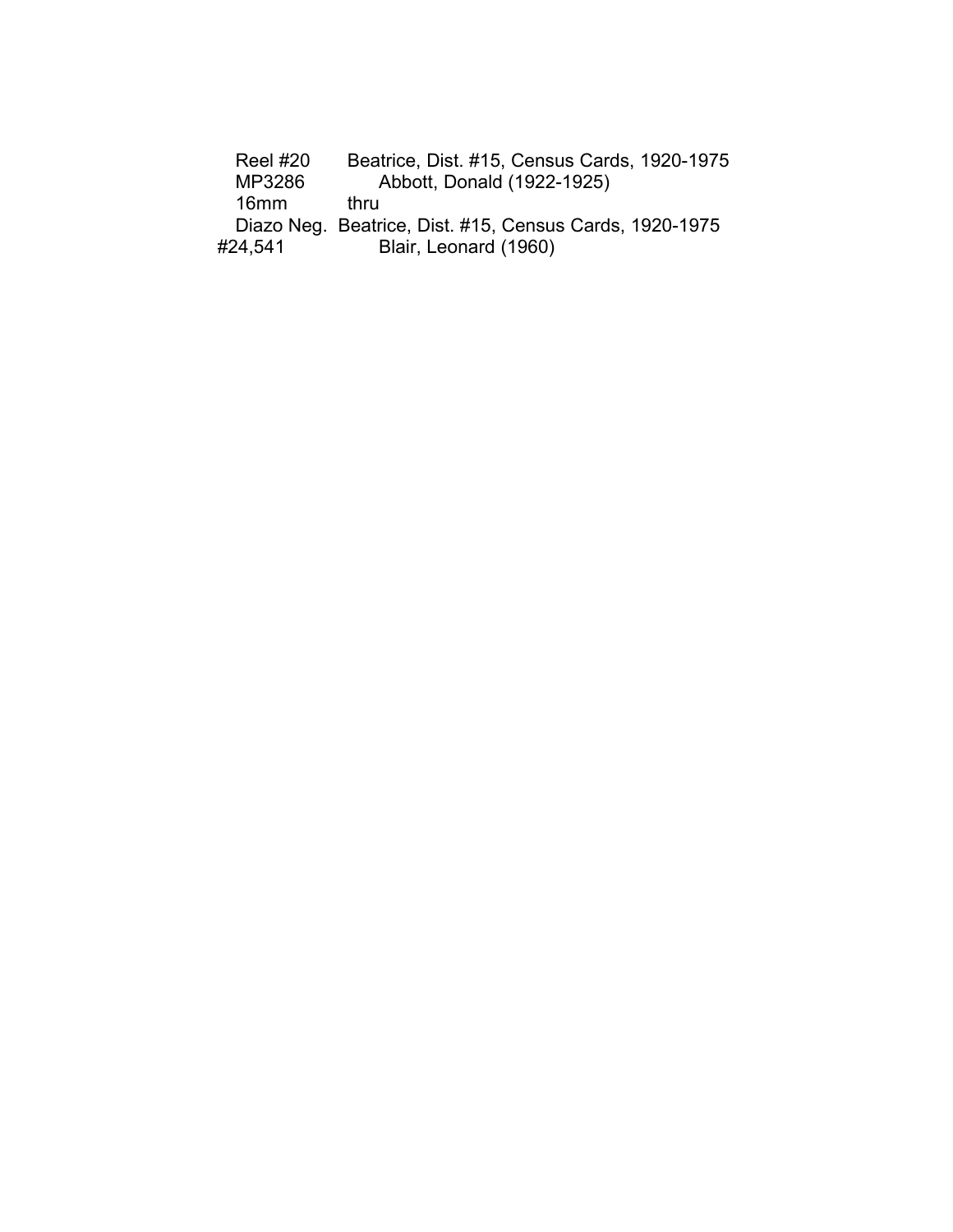| <b>Reel #20</b> | Beatrice, Dist. #15, Census Cards, 1920-1975            |
|-----------------|---------------------------------------------------------|
| MP3286          | Abbott, Donald (1922-1925)                              |
| 16mm            | thru                                                    |
|                 | Diazo Neg. Beatrice, Dist. #15, Census Cards, 1920-1975 |
| #24,541         | Blair, Leonard (1960)                                   |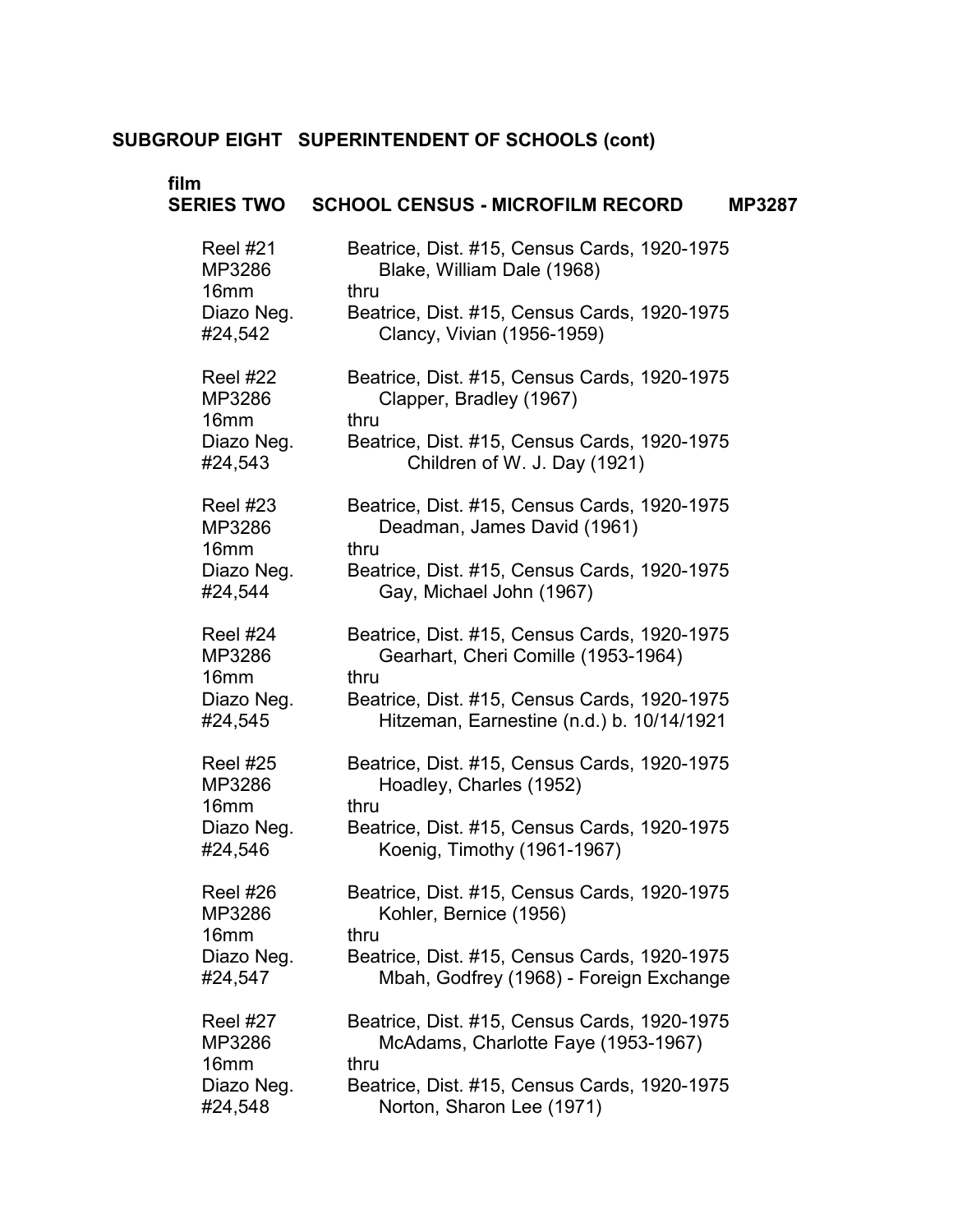| film                                          | SERIES TWO  SCHOOL CENSUS - MICROFILM RECORD<br><b>MP3287</b>                               |  |
|-----------------------------------------------|---------------------------------------------------------------------------------------------|--|
| <b>Reel #21</b><br>MP3286<br>16 <sub>mm</sub> | Beatrice, Dist. #15, Census Cards, 1920-1975<br>Blake, William Dale (1968)<br>thru          |  |
| Diazo Neg.<br>#24,542                         | Beatrice, Dist. #15, Census Cards, 1920-1975<br>Clancy, Vivian (1956-1959)                  |  |
| Reel #22<br>MP3286<br>16 <sub>mm</sub>        | Beatrice, Dist. #15, Census Cards, 1920-1975<br>Clapper, Bradley (1967)<br>thru             |  |
| Diazo Neg.<br>#24,543                         | Beatrice, Dist. #15, Census Cards, 1920-1975<br>Children of W. J. Day (1921)                |  |
| Reel #23<br>MP3286<br>16 <sub>mm</sub>        | Beatrice, Dist. #15, Census Cards, 1920-1975<br>Deadman, James David (1961)<br>thru         |  |
| Diazo Neg.<br>#24,544                         | Beatrice, Dist. #15, Census Cards, 1920-1975<br>Gay, Michael John (1967)                    |  |
| Reel #24<br>MP3286<br>16 <sub>mm</sub>        | Beatrice, Dist. #15, Census Cards, 1920-1975<br>Gearhart, Cheri Comille (1953-1964)<br>thru |  |
| Diazo Neg.<br>#24,545                         | Beatrice, Dist. #15, Census Cards, 1920-1975<br>Hitzeman, Earnestine (n.d.) b. 10/14/1921   |  |
| <b>Reel #25</b><br>MP3286<br>16 <sub>mm</sub> | Beatrice, Dist. #15, Census Cards, 1920-1975<br>Hoadley, Charles (1952)<br>thru             |  |
| Diazo Neg.<br>#24,546                         | Beatrice, Dist. #15, Census Cards, 1920-1975<br>Koenig, Timothy (1961-1967)                 |  |
| Reel #26<br>MP3286<br>16 <sub>mm</sub>        | Beatrice, Dist. #15, Census Cards, 1920-1975<br>Kohler, Bernice (1956)<br>thru              |  |
| Diazo Neg.<br>#24,547                         | Beatrice, Dist. #15, Census Cards, 1920-1975<br>Mbah, Godfrey (1968) - Foreign Exchange     |  |
| <b>Reel #27</b><br>MP3286<br>16 <sub>mm</sub> | Beatrice, Dist. #15, Census Cards, 1920-1975<br>McAdams, Charlotte Faye (1953-1967)<br>thru |  |
| Diazo Neg.<br>#24,548                         | Beatrice, Dist. #15, Census Cards, 1920-1975<br>Norton, Sharon Lee (1971)                   |  |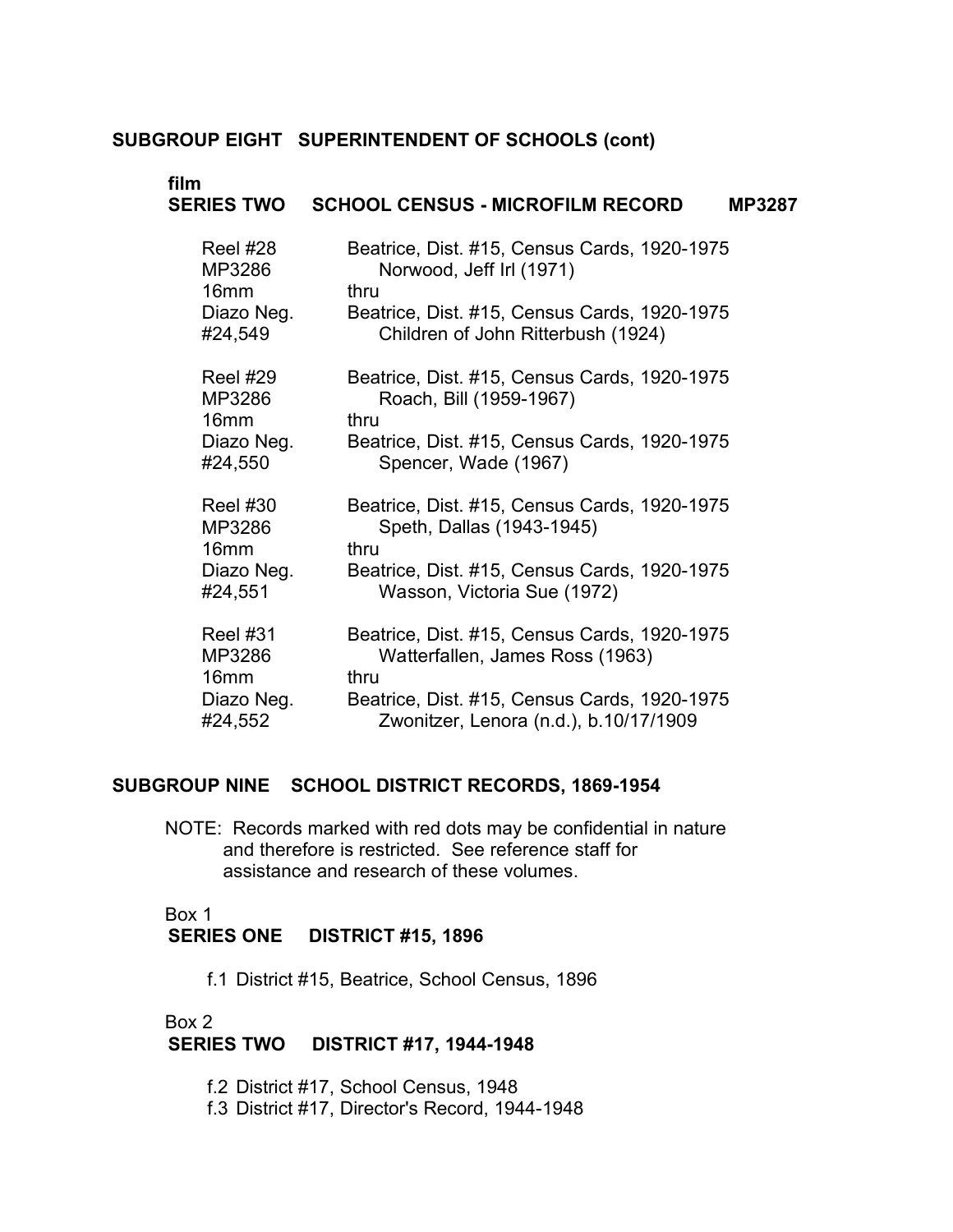| film              | <b>SCHOOL CENSUS - MICROFILM RECORD</b>      |
|-------------------|----------------------------------------------|
| <b>SERIES TWO</b> | <b>MP3287</b>                                |
| <b>Reel #28</b>   | Beatrice, Dist. #15, Census Cards, 1920-1975 |
| MP3286            | Norwood, Jeff Irl (1971)                     |
| 16 <sub>mm</sub>  | thru                                         |
| Diazo Neg.        | Beatrice, Dist. #15, Census Cards, 1920-1975 |
| #24,549           | Children of John Ritterbush (1924)           |
| <b>Reel #29</b>   | Beatrice, Dist. #15, Census Cards, 1920-1975 |
| MP3286            | Roach, Bill (1959-1967)                      |
| 16 <sub>mm</sub>  | thru                                         |
| Diazo Neg.        | Beatrice, Dist. #15, Census Cards, 1920-1975 |
| #24,550           | Spencer, Wade (1967)                         |
| <b>Reel #30</b>   | Beatrice, Dist. #15, Census Cards, 1920-1975 |
| MP3286            | Speth, Dallas (1943-1945)                    |
| 16 <sub>mm</sub>  | thru                                         |
| Diazo Neg.        | Beatrice, Dist. #15, Census Cards, 1920-1975 |
| #24,551           | Wasson, Victoria Sue (1972)                  |
| <b>Reel #31</b>   | Beatrice, Dist. #15, Census Cards, 1920-1975 |
| MP3286            | Watterfallen, James Ross (1963)              |
| 16 <sub>mm</sub>  | thru                                         |
| Diazo Neg.        | Beatrice, Dist. #15, Census Cards, 1920-1975 |
| #24,552           | Zwonitzer, Lenora (n.d.), b.10/17/1909       |

# **SUBGROUP NINE SCHOOL DISTRICT RECORDS, 1869-1954**

NOTE: Records marked with red dots may be confidential in nature and therefore is restricted. See reference staff for assistance and research of these volumes.

# Box 1 **SERIES ONE DISTRICT #15, 1896**

f.1 District #15, Beatrice, School Census, 1896

# Box 2 � **SERIES TWO DISTRICT #17, 1944-1948**

- f.2 District #17, School Census, 1948
- f.3 District #17, Director's Record, 1944-1948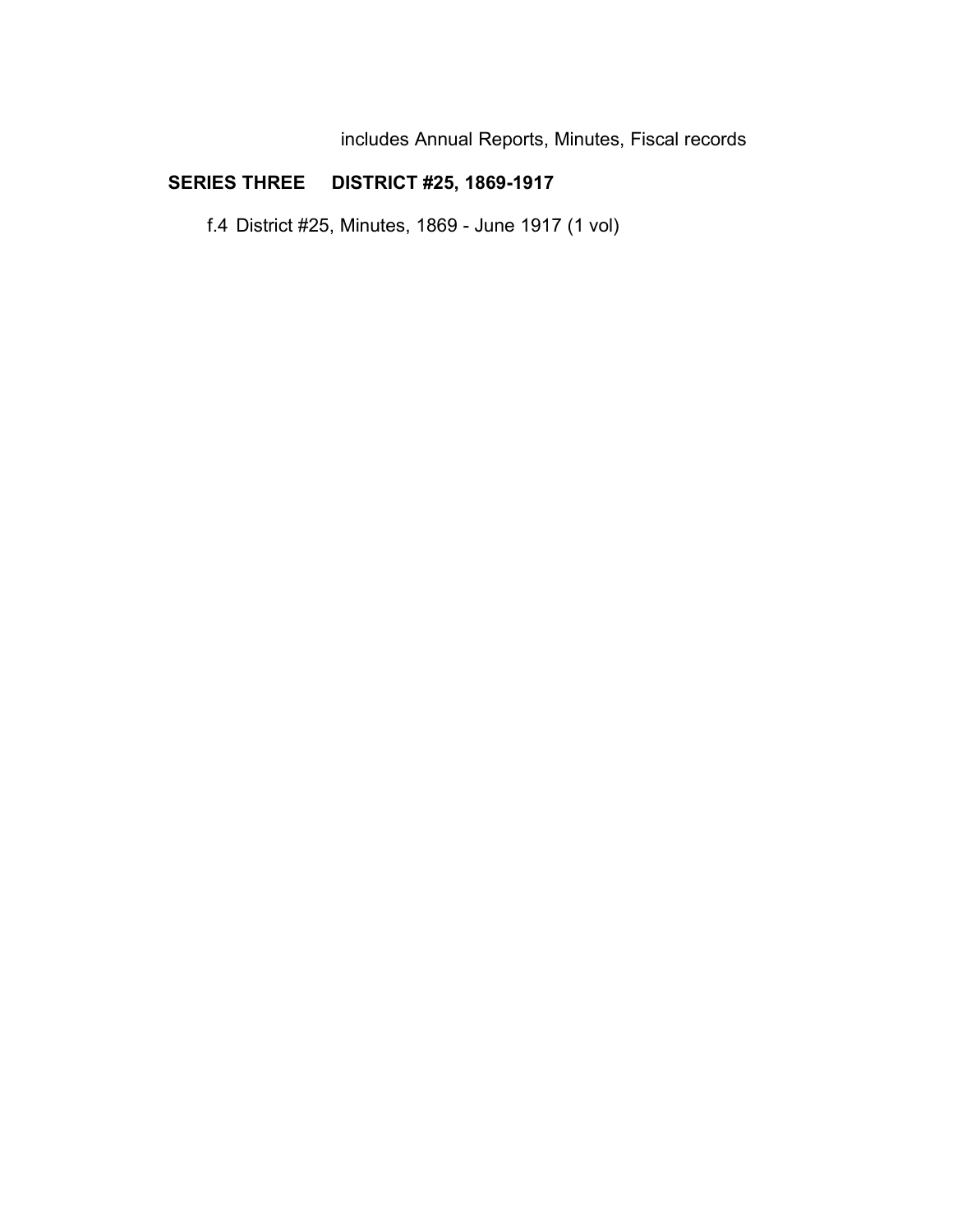includes Annual Reports, Minutes, Fiscal records

# **SERIES THREE DISTRICT #25, 1869-1917**

f.4 District #25, Minutes, 1869 - June 1917 (1 vol)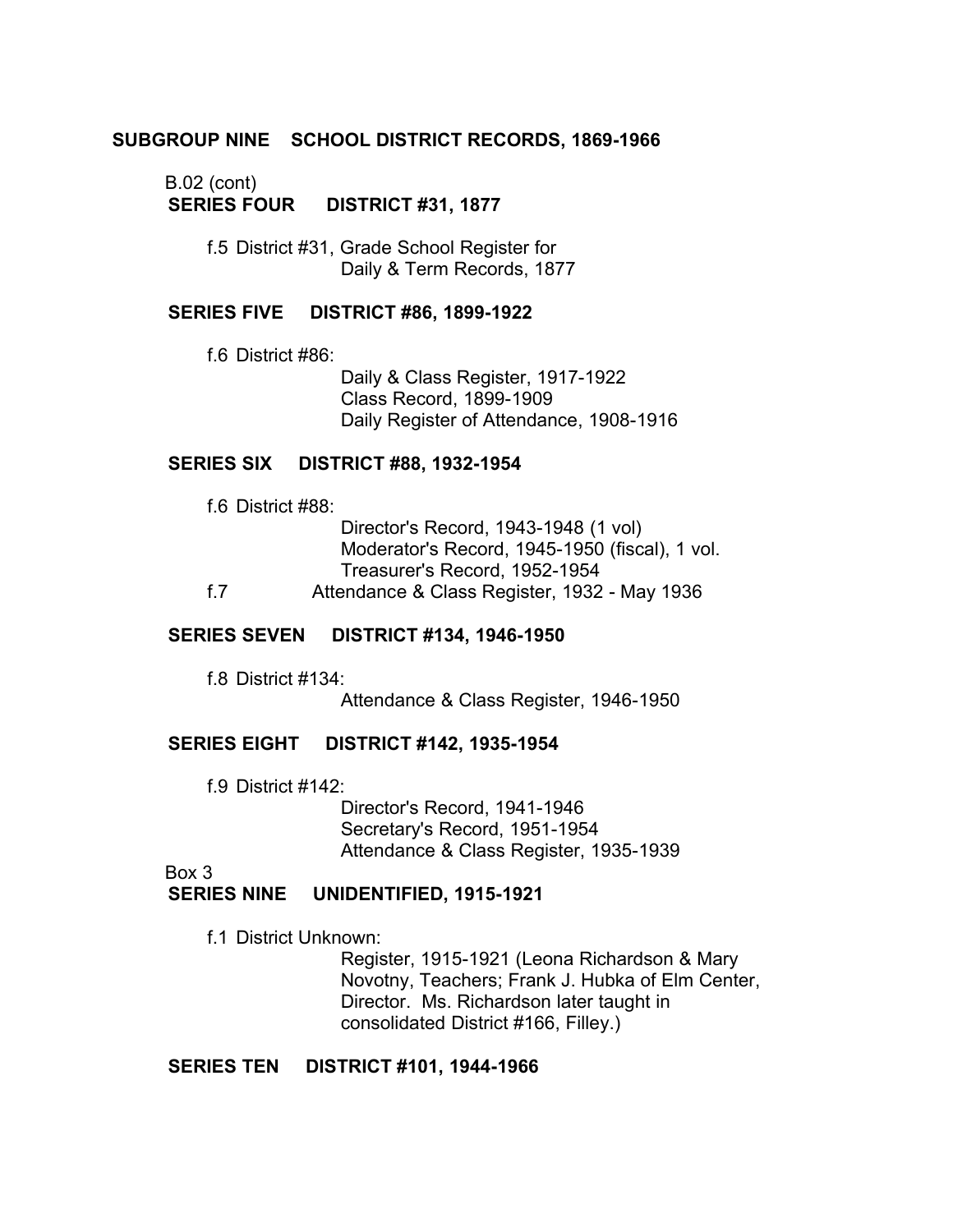# **SUBGROUP NINE SCHOOL DISTRICT RECORDS, 1869-1966**

# B.02 (cont)

**SERIES FOUR DISTRICT #31, 1877** 

f.5 District #31, Grade School Register for Daily & Term Records, 1877

## **SERIES FIVE DISTRICT #86, 1899-1922**

f.6 District #86:

Daily & Class Register, 1917-1922 Class Record, 1899-1909 Daily Register of Attendance, 1908-1916

## **SERIES SIX DISTRICT #88, 1932-1954**

f.6 District #88:

|     | Director's Record, 1943-1948 (1 vol)           |
|-----|------------------------------------------------|
|     | Moderator's Record, 1945-1950 (fiscal), 1 vol. |
|     | Treasurer's Record, 1952-1954                  |
| f 7 | Attendance & Class Register, 1932 - May 1936   |

## **SERIES SEVEN DISTRICT #134, 1946-1950**

f.8 District #134: Attendance & Class Register, 1946-1950

## **SERIES EIGHT DISTRICT #142, 1935-1954**

f.9 District #142:

Director's Record, 1941-1946 Secretary's Record, 1951-1954 Attendance & Class Register, 1935-1939

Box 3

## **SERIES NINE UNIDENTIFIED, 1915-1921**

f.1 District Unknown:

Register, 1915-1921 (Leona Richardson & Mary Novotny, Teachers; Frank J. Hubka of Elm Center, Director. Ms. Richardson later taught in consolidated District #166, Filley.)

## **SERIES TEN DISTRICT #101, 1944-1966**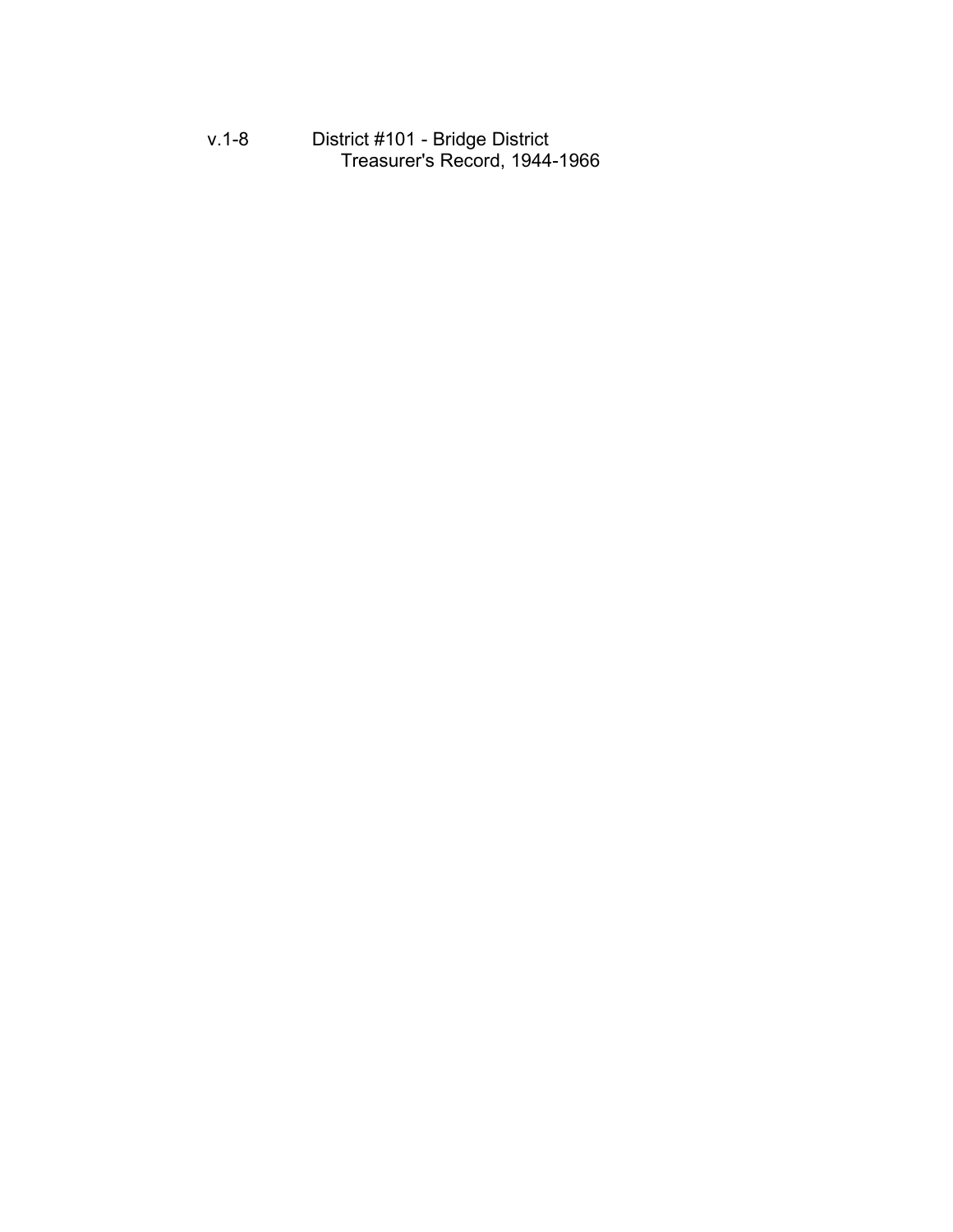v.1-8 District #101 - Bridge District Treasurer's Record, 1944-1966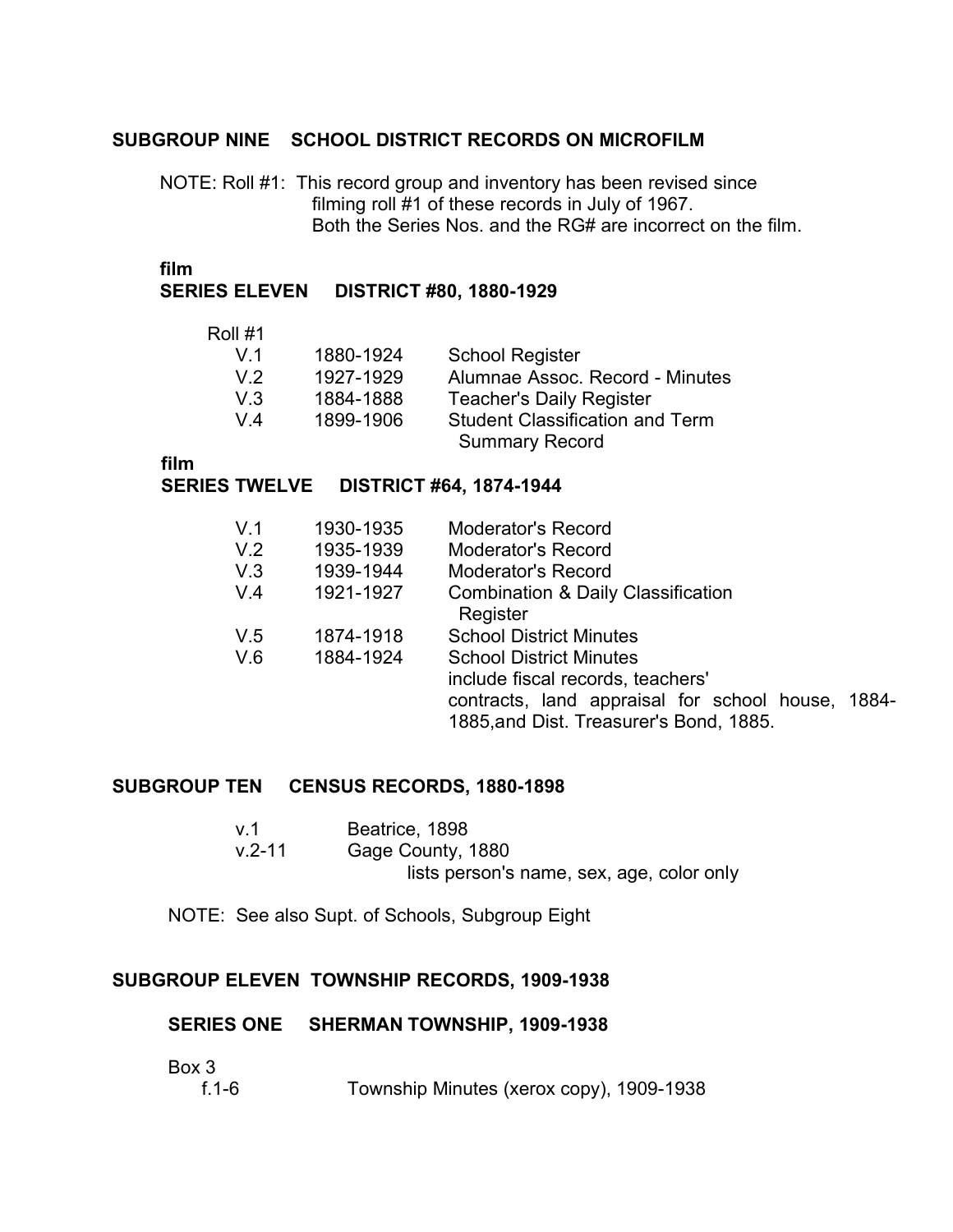# **SUBGROUP NINE SCHOOL DISTRICT RECORDS ON MICROFILM**

NOTE: Roll #1: This record group and inventory has been revised since filming roll #1 of these records in July of 1967. Both the Series Nos. and the RG# are incorrect on the film.

**film** �

## **SERIES ELEVEN DISTRICT #80, 1880-1929**

#### Roll #1

| V <sub>1</sub> | 1880-1924 | <b>School Register</b>                 |
|----------------|-----------|----------------------------------------|
| V.2            | 1927-1929 | Alumnae Assoc. Record - Minutes        |
| V3             | 1884-1888 | <b>Teacher's Daily Register</b>        |
| $V_4$          | 1899-1906 | <b>Student Classification and Term</b> |
|                |           | <b>Summary Record</b>                  |

**film**

## **SERIES TWELVE DISTRICT #64, 1874-1944**

| V <sub>1</sub><br>V.2<br>V.3 | 1930-1935<br>1935-1939<br>1939-1944 | Moderator's Record<br><b>Moderator's Record</b><br><b>Moderator's Record</b>                 |
|------------------------------|-------------------------------------|----------------------------------------------------------------------------------------------|
| V.4                          | 1921-1927                           | <b>Combination &amp; Daily Classification</b>                                                |
|                              |                                     | Register                                                                                     |
| V.5                          | 1874-1918                           | <b>School District Minutes</b>                                                               |
| V.6                          | 1884-1924                           | <b>School District Minutes</b>                                                               |
|                              |                                     | include fiscal records, teachers'                                                            |
|                              |                                     | contracts, land appraisal for school house, 1884-<br>1885, and Dist. Treasurer's Bond, 1885. |

## **SUBGROUP TEN CENSUS RECORDS, 1880-1898**

| . v.1      | Beatrice, 1898                            |
|------------|-------------------------------------------|
| $v.2 - 11$ | Gage County, 1880                         |
|            | lists person's name, sex, age, color only |

NOTE: See also Supt. of Schools, Subgroup Eight

# **SUBGROUP ELEVEN TOWNSHIP RECORDS, 1909-1938**

## **SERIES ONE SHERMAN TOWNSHIP, 1909-1938**

Box 3

| Township Minutes (xerox copy), 1909-1938<br>f.1-6 |
|---------------------------------------------------|
|---------------------------------------------------|